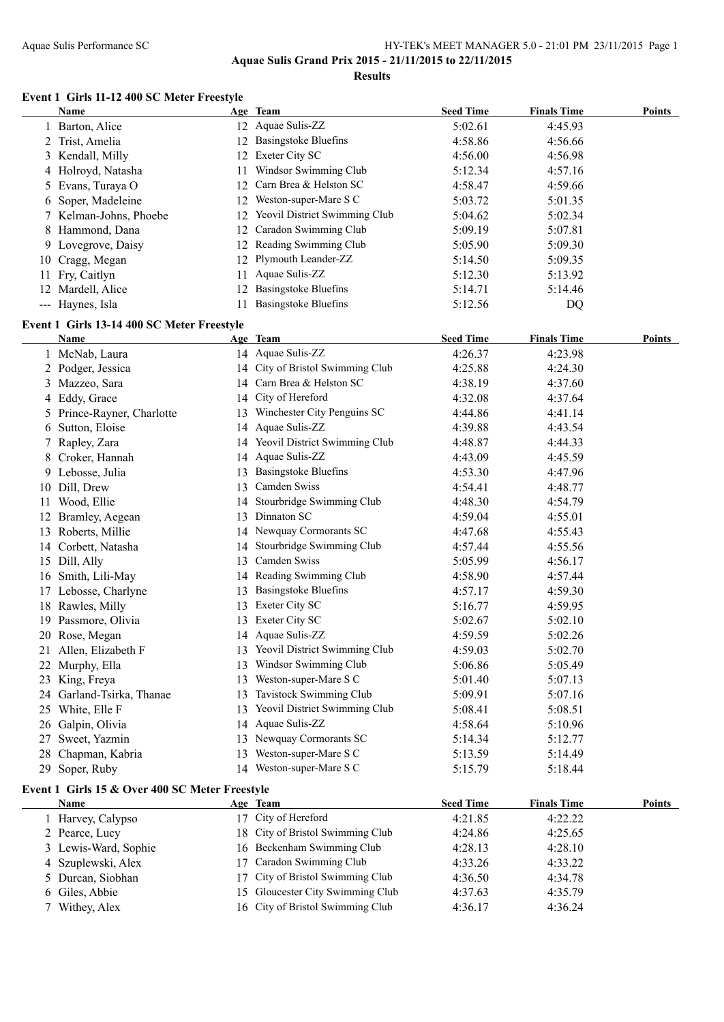**Aquae Sulis Grand Prix 2015 - 21/11/2015 to 22/11/2015**

**Results**

#### **Event 1 Girls 11-12 400 SC Meter Freestyle**

| Name                   |    | Age Team                             | <b>Seed Time</b> | <b>Finals Time</b> | <b>Points</b> |
|------------------------|----|--------------------------------------|------------------|--------------------|---------------|
| 1 Barton, Alice        |    | 12 Aquae Sulis-ZZ                    | 5:02.61          | 4:45.93            |               |
| 2 Trist, Amelia        |    | 12 Basingstoke Bluefins              | 4:58.86          | 4:56.66            |               |
| 3 Kendall, Milly       |    | 12 Exeter City SC                    | 4:56.00          | 4:56.98            |               |
| 4 Holroyd, Natasha     | 11 | Windsor Swimming Club                | 5:12.34          | 4:57.16            |               |
| 5 Evans, Turaya O      |    | 12 Carn Brea & Helston SC            | 4:58.47          | 4:59.66            |               |
| 6 Soper, Madeleine     |    | 12 Weston-super-Mare S C             | 5:03.72          | 5:01.35            |               |
| 7 Kelman-Johns, Phoebe | 12 | <b>Yeovil District Swimming Club</b> | 5:04.62          | 5:02.34            |               |
| 8 Hammond, Dana        |    | 12 Caradon Swimming Club             | 5:09.19          | 5:07.81            |               |
| 9 Lovegrove, Daisy     |    | 12 Reading Swimming Club             | 5:05.90          | 5:09.30            |               |
| 10 Cragg, Megan        |    | 12 Plymouth Leander-ZZ               | 5:14.50          | 5:09.35            |               |
| 11 Fry, Caitlyn        | 11 | Aquae Sulis-ZZ                       | 5:12.30          | 5:13.92            |               |
| 12 Mardell, Alice      | 12 | <b>Basingstoke Bluefins</b>          | 5:14.71          | 5:14.46            |               |
| --- Haynes, Isla       |    | <b>Basingstoke Bluefins</b>          | 5:12.56          | DQ                 |               |

#### **Event 1 Girls 13-14 400 SC Meter Freestyle**

|    | Name                                           | Age Team                         | <b>Seed Time</b> | <b>Finals Time</b> | <b>Points</b> |
|----|------------------------------------------------|----------------------------------|------------------|--------------------|---------------|
|    | 1 McNab, Laura                                 | 14 Aquae Sulis-ZZ                | 4:26.37          | 4:23.98            |               |
|    | 2 Podger, Jessica                              | 14 City of Bristol Swimming Club | 4:25.88          | 4:24.30            |               |
|    | 3 Mazzeo, Sara                                 | 14 Carn Brea & Helston SC        | 4:38.19          | 4:37.60            |               |
|    | 4 Eddy, Grace                                  | 14 City of Hereford              | 4:32.08          | 4:37.64            |               |
|    | 5 Prince-Rayner, Charlotte                     | 13 Winchester City Penguins SC   | 4:44.86          | 4:41.14            |               |
|    | 6 Sutton, Eloise                               | 14 Aquae Sulis-ZZ                | 4:39.88          | 4:43.54            |               |
| 7  | Rapley, Zara                                   | 14 Yeovil District Swimming Club | 4:48.87          | 4:44.33            |               |
|    | 8 Croker, Hannah                               | 14 Aquae Sulis-ZZ                | 4:43.09          | 4:45.59            |               |
|    | 9 Lebosse, Julia                               | 13 Basingstoke Bluefins          | 4:53.30          | 4:47.96            |               |
|    | 10 Dill, Drew                                  | 13 Camden Swiss                  | 4:54.41          | 4:48.77            |               |
|    | 11 Wood, Ellie                                 | 14 Stourbridge Swimming Club     | 4:48.30          | 4:54.79            |               |
|    | 12 Bramley, Aegean                             | 13 Dinnaton SC                   | 4:59.04          | 4:55.01            |               |
|    | 13 Roberts, Millie                             | 14 Newquay Cormorants SC         | 4:47.68          | 4:55.43            |               |
|    | 14 Corbett, Natasha                            | 14 Stourbridge Swimming Club     | 4:57.44          | 4:55.56            |               |
|    | 15 Dill, Ally                                  | 13 Camden Swiss                  | 5:05.99          | 4:56.17            |               |
|    | 16 Smith, Lili-May                             | 14 Reading Swimming Club         | 4:58.90          | 4:57.44            |               |
|    | 17 Lebosse, Charlyne                           | 13 Basingstoke Bluefins          | 4:57.17          | 4:59.30            |               |
|    | 18 Rawles, Milly                               | 13 Exeter City SC                | 5:16.77          | 4:59.95            |               |
|    | 19 Passmore, Olivia                            | 13 Exeter City SC                | 5:02.67          | 5:02.10            |               |
|    | 20 Rose, Megan                                 | 14 Aquae Sulis-ZZ                | 4:59.59          | 5:02.26            |               |
|    | 21 Allen, Elizabeth F                          | 13 Yeovil District Swimming Club | 4:59.03          | 5:02.70            |               |
|    | 22 Murphy, Ella                                | 13 Windsor Swimming Club         | 5:06.86          | 5:05.49            |               |
|    | 23 King, Freya                                 | 13 Weston-super-Mare S C         | 5:01.40          | 5:07.13            |               |
|    | 24 Garland-Tsirka, Thanae                      | 13 Tavistock Swimming Club       | 5:09.91          | 5:07.16            |               |
|    | 25 White, Elle F                               | 13 Yeovil District Swimming Club | 5:08.41          | 5:08.51            |               |
|    | 26 Galpin, Olivia                              | 14 Aquae Sulis-ZZ                | 4:58.64          | 5:10.96            |               |
|    | 27 Sweet, Yazmin                               | 13 Newquay Cormorants SC         | 5:14.34          | 5:12.77            |               |
|    | 28 Chapman, Kabria                             | 13 Weston-super-Mare S C         | 5:13.59          | 5:14.49            |               |
|    | 29 Soper, Ruby                                 | 14 Weston-super-Mare S C         | 5:15.79          | 5:18.44            |               |
|    | Event 1 Girls 15 & Over 400 SC Meter Freestyle |                                  |                  |                    |               |
|    | Name                                           | Age Team                         | <b>Seed Time</b> | <b>Finals Time</b> | <b>Points</b> |
|    | 1 Harvey, Calypso                              | 17 City of Hereford              | 4:21.85          | 4:22.22            |               |
|    | 2 Pearce, Lucy                                 | 18 City of Bristol Swimming Club | 4:24.86          | 4:25.65            |               |
|    | 3 Lewis-Ward, Sophie                           | 16 Beckenham Swimming Club       | 4:28.13          | 4:28.10            |               |
| 4  | Szuplewski, Alex                               | 17 Caradon Swimming Club         | 4:33.26          | 4:33.22            |               |
| 5. | Durcan, Siobhan                                | 17 City of Bristol Swimming Club | 4:36.50          | 4:34.78            |               |
|    | 6 Giles, Abbie                                 | 15 Gloucester City Swimming Club | 4:37.63          | 4:35.79            |               |
|    | 7 Withey, Alex                                 | 16 City of Bristol Swimming Club | 4:36.17          | 4:36.24            |               |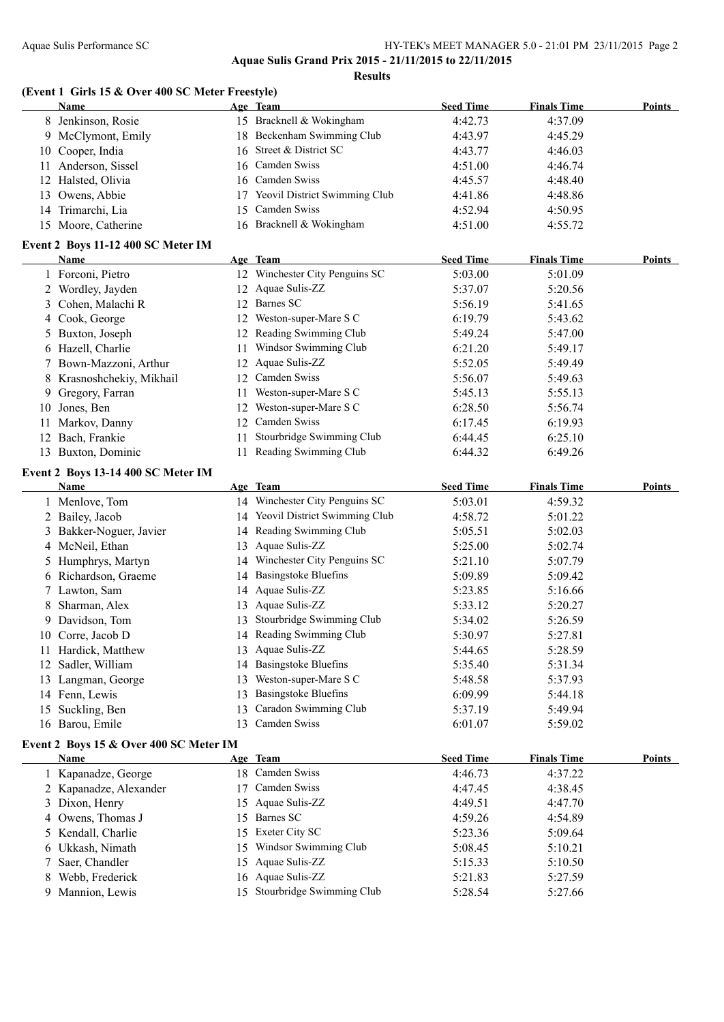**Results**

#### **(Event 1 Girls 15 & Over 400 SC Meter Freestyle)**

|     | Name                               | Age Team                             | <b>Seed Time</b> | <b>Finals Time</b> | <b>Points</b> |
|-----|------------------------------------|--------------------------------------|------------------|--------------------|---------------|
|     | 8 Jenkinson, Rosie                 | 15 Bracknell & Wokingham             | 4:42.73          | 4:37.09            |               |
|     | 9 McClymont, Emily                 | 18 Beckenham Swimming Club           | 4:43.97          | 4:45.29            |               |
|     | 10 Cooper, India                   | 16 Street & District SC              | 4:43.77          | 4:46.03            |               |
| 11. | Anderson, Sissel                   | 16 Camden Swiss                      | 4:51.00          | 4:46.74            |               |
|     | 12 Halsted, Olivia                 | 16 Camden Swiss                      | 4:45.57          | 4:48.40            |               |
|     | 13 Owens, Abbie                    | <b>Yeovil District Swimming Club</b> | 4:41.86          | 4:48.86            |               |
|     | 14 Trimarchi, Lia                  | 15 Camden Swiss                      | 4:52.94          | 4:50.95            |               |
|     | 15 Moore, Catherine                | 16 Bracknell & Wokingham             | 4:51.00          | 4:55.72            |               |
|     | Event 2 Boys 11-12 400 SC Meter IM |                                      |                  |                    |               |

#### **Name Age Team Seed Time Finals Time Points** Forconi, Pietro 12 Winchester City Penguins SC 5:03.00 5:01.09 Wordley, Jayden 12 Aquae Sulis-ZZ 5:37.07 5:20.56 3 Cohen, Malachi R 12 Barnes SC 5:56.19 5:41.65 Cook, George 12 Weston-super-Mare S C 6:19.79 5:43.62 5 Buxton, Joseph 12 Reading Swimming Club 5:49.24 5:47.00<br>6 Hazell, Charlie 11 Windsor Swimming Club 6:21.20 5:49.17 11 Windsor Swimming Club 6:21.20 5:49.17 Bown-Mazzoni, Arthur 12 Aquae Sulis-ZZ 5:52.05 5:49.49 Krasnoshchekiy, Mikhail 12 Camden Swiss 5:56.07 5:49.63 9 Gregory, Farran 11 Weston-super-Mare S C 5:45.13 5:55.13 5:55.13 Jones, Ben 12 Weston-super-Mare S C 6:28.50 5:56.74 Markov, Danny 12 Camden Swiss 6:17.45 6:19.93 Bach, Frankie 11 Stourbridge Swimming Club 6:44.45 6:25.10 Buxton, Dominic 11 Reading Swimming Club 6:44.32 6:49.26

#### **Event 2 Boys 13-14 400 SC Meter IM**

|    | Name                    |     | Age Team                       | <b>Seed Time</b> | <b>Finals Time</b> | <b>Points</b> |
|----|-------------------------|-----|--------------------------------|------------------|--------------------|---------------|
|    | 1 Menlove, Tom          |     | 14 Winchester City Penguins SC | 5:03.01          | 4:59.32            |               |
|    | 2 Bailey, Jacob         | 14  | Yeovil District Swimming Club  | 4:58.72          | 5:01.22            |               |
|    | 3 Bakker-Noguer, Javier |     | 14 Reading Swimming Club       | 5:05.51          | 5:02.03            |               |
|    | 4 McNeil, Ethan         |     | 13 Aquae Sulis-ZZ              | 5:25.00          | 5:02.74            |               |
|    | 5 Humphrys, Martyn      |     | 14 Winchester City Penguins SC | 5:21.10          | 5:07.79            |               |
|    | 6 Richardson, Graeme    | 14  | <b>Basingstoke Bluefins</b>    | 5:09.89          | 5:09.42            |               |
|    | 7 Lawton, Sam           |     | 14 Aquae Sulis-ZZ              | 5:23.85          | 5:16.66            |               |
|    | 8 Sharman, Alex         | 13  | Aquae Sulis-ZZ                 | 5:33.12          | 5:20.27            |               |
|    | 9 Davidson, Tom         | 13  | Stourbridge Swimming Club      | 5:34.02          | 5:26.59            |               |
| 10 | Corre, Jacob D          |     | 14 Reading Swimming Club       | 5:30.97          | 5:27.81            |               |
| 11 | Hardick, Matthew        |     | 13 Aquae Sulis-ZZ              | 5:44.65          | 5:28.59            |               |
|    | 12 Sadler, William      |     | 14 Basingstoke Bluefins        | 5:35.40          | 5:31.34            |               |
| 13 | Langman, George         | 13  | Weston-super-Mare S C          | 5:48.58          | 5:37.93            |               |
|    | 14 Fenn, Lewis          | 13. | Basingstoke Bluefins           | 6:09.99          | 5:44.18            |               |
| 15 | Suckling, Ben           | 13  | Caradon Swimming Club          | 5:37.19          | 5:49.94            |               |
|    | 16 Barou, Emile         | 13. | Camden Swiss                   | 6:01.07          | 5:59.02            |               |

#### **Event 2 Boys 15 & Over 400 SC Meter IM**

| <b>Name</b>            | Age Team                     | <b>Seed Time</b> | <b>Finals Time</b> | <b>Points</b> |
|------------------------|------------------------------|------------------|--------------------|---------------|
| 1 Kapanadze, George    | 18 Camden Swiss              | 4:46.73          | 4:37.22            |               |
| 2 Kapanadze, Alexander | 17 Camden Swiss              | 4:47.45          | 4:38.45            |               |
| 3 Dixon, Henry         | 15 Aquae Sulis-ZZ            | 4:49.51          | 4:47.70            |               |
| 4 Owens, Thomas J      | 15 Barnes SC                 | 4:59.26          | 4:54.89            |               |
| 5 Kendall, Charlie     | 15 Exeter City SC            | 5:23.36          | 5:09.64            |               |
| 6 Ukkash, Nimath       | 15 Windsor Swimming Club     | 5:08.45          | 5:10.21            |               |
| 7 Saer, Chandler       | 15 Aquae Sulis-ZZ            | 5:15.33          | 5:10.50            |               |
| Webb, Frederick        | 16 Aquae Sulis-ZZ            | 5:21.83          | 5:27.59            |               |
| Mannion, Lewis         | 15 Stourbridge Swimming Club | 5:28.54          | 5:27.66            |               |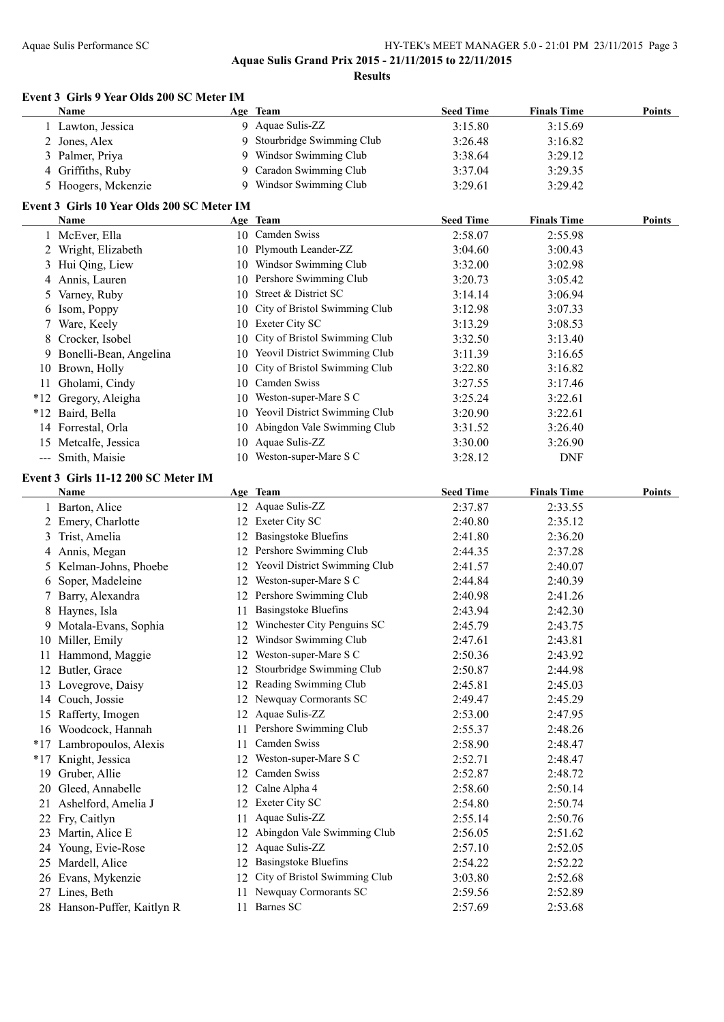**Aquae Sulis Grand Prix 2015 - 21/11/2015 to 22/11/2015**

**Results**

#### **Event 3 Girls 9 Year Olds 200 SC Meter IM**

|                   | Name                                       |    | Age Team                      | <b>Seed Time</b> | <b>Finals Time</b> | <b>Points</b> |
|-------------------|--------------------------------------------|----|-------------------------------|------------------|--------------------|---------------|
|                   | 1 Lawton, Jessica                          | 9  | Aquae Sulis-ZZ                | 3:15.80          | 3:15.69            |               |
| 2                 | Jones, Alex                                | 9  | Stourbridge Swimming Club     | 3:26.48          | 3:16.82            |               |
| 3                 | Palmer, Priya                              | 9  | Windsor Swimming Club         | 3:38.64          | 3:29.12            |               |
| 4                 | Griffiths, Ruby                            | 9  | Caradon Swimming Club         | 3:37.04          | 3:29.35            |               |
| 5                 | Hoogers, Mckenzie                          | 9  | Windsor Swimming Club         | 3:29.61          | 3:29.42            |               |
|                   | Event 3 Girls 10 Year Olds 200 SC Meter IM |    |                               |                  |                    |               |
|                   | Name                                       |    | Age Team                      | <b>Seed Time</b> | <b>Finals Time</b> | Points        |
|                   | 1 McEver, Ella                             | 10 | Camden Swiss                  | 2:58.07          | 2:55.98            |               |
|                   | 2 Wright, Elizabeth                        |    | 10 Plymouth Leander-ZZ        | 3:04.60          | 3:00.43            |               |
| 3                 | Hui Qing, Liew                             | 10 | Windsor Swimming Club         | 3:32.00          | 3:02.98            |               |
|                   | 4 Annis, Lauren                            | 10 | Pershore Swimming Club        | 3:20.73          | 3:05.42            |               |
| 5.                | Varney, Ruby                               | 10 | Street & District SC          | 3:14.14          | 3:06.94            |               |
| 6                 | Isom, Poppy                                | 10 | City of Bristol Swimming Club | 3:12.98          | 3:07.33            |               |
| 7                 | Ware, Keely                                | 10 | Exeter City SC                | 3:13.29          | 3:08.53            |               |
|                   | 8 Crocker, Isobel                          | 10 | City of Bristol Swimming Club | 3:32.50          | 3:13.40            |               |
| 9.                | Bonelli-Bean, Angelina                     | 10 | Yeovil District Swimming Club | 3:11.39          | 3:16.65            |               |
| 10                | Brown, Holly                               | 10 | City of Bristol Swimming Club | 3:22.80          | 3:16.82            |               |
| 11                | Gholami, Cindy                             | 10 | Camden Swiss                  | 3:27.55          | 3:17.46            |               |
| $*12$             | Gregory, Aleigha                           | 10 | Weston-super-Mare S C         | 3:25.24          | 3:22.61            |               |
| $*12$             | Baird, Bella                               | 10 | Yeovil District Swimming Club | 3:20.90          | 3:22.61            |               |
|                   | 14 Forrestal, Orla                         | 10 | Abingdon Vale Swimming Club   | 3:31.52          | 3:26.40            |               |
| 15                | Metcalfe, Jessica                          | 10 | Aquae Sulis-ZZ                | 3:30.00          | 3:26.90            |               |
| $\qquad \qquad -$ | Smith, Maisie                              | 10 | Weston-super-Mare S C         | 3:28.12          | <b>DNF</b>         |               |
|                   |                                            |    |                               |                  |                    |               |

#### **Event 3 Girls 11-12 200 SC Meter IM**

|       | <b>Name</b>                 |    | Age Team                      | <b>Seed Time</b> | <b>Finals Time</b> | <b>Points</b> |
|-------|-----------------------------|----|-------------------------------|------------------|--------------------|---------------|
|       | 1 Barton, Alice             |    | 12 Aquae Sulis-ZZ             | 2:37.87          | 2:33.55            |               |
|       | 2 Emery, Charlotte          |    | 12 Exeter City SC             | 2:40.80          | 2:35.12            |               |
| 3     | Trist, Amelia               | 12 | <b>Basingstoke Bluefins</b>   | 2:41.80          | 2:36.20            |               |
| 4     | Annis, Megan                | 12 | Pershore Swimming Club        | 2:44.35          | 2:37.28            |               |
| 5.    | Kelman-Johns, Phoebe        | 12 | Yeovil District Swimming Club | 2:41.57          | 2:40.07            |               |
| 6     | Soper, Madeleine            | 12 | Weston-super-Mare S C         | 2:44.84          | 2:40.39            |               |
|       | Barry, Alexandra            | 12 | Pershore Swimming Club        | 2:40.98          | 2:41.26            |               |
| 8     | Haynes, Isla                | 11 | <b>Basingstoke Bluefins</b>   | 2:43.94          | 2:42.30            |               |
| 9     | Motala-Evans, Sophia        | 12 | Winchester City Penguins SC   | 2:45.79          | 2:43.75            |               |
| 10    | Miller, Emily               | 12 | Windsor Swimming Club         | 2:47.61          | 2:43.81            |               |
| 11    | Hammond, Maggie             | 12 | Weston-super-Mare S C         | 2:50.36          | 2:43.92            |               |
| 12    | Butler, Grace               | 12 | Stourbridge Swimming Club     | 2:50.87          | 2:44.98            |               |
| 13    | Lovegrove, Daisy            | 12 | Reading Swimming Club         | 2:45.81          | 2:45.03            |               |
| 14    | Couch, Jossie               | 12 | Newquay Cormorants SC         | 2:49.47          | 2:45.29            |               |
| 15    | Rafferty, Imogen            | 12 | Aquae Sulis-ZZ                | 2:53.00          | 2:47.95            |               |
| 16    | Woodcock, Hannah            | 11 | Pershore Swimming Club        | 2:55.37          | 2:48.26            |               |
| $*17$ | Lambropoulos, Alexis        | 11 | Camden Swiss                  | 2:58.90          | 2:48.47            |               |
| $*17$ | Knight, Jessica             | 12 | Weston-super-Mare S C         | 2:52.71          | 2:48.47            |               |
| 19    | Gruber, Allie               | 12 | Camden Swiss                  | 2:52.87          | 2:48.72            |               |
| 20    | Gleed, Annabelle            | 12 | Calne Alpha 4                 | 2:58.60          | 2:50.14            |               |
| 21    | Ashelford, Amelia J         | 12 | Exeter City SC                | 2:54.80          | 2:50.74            |               |
| 22    | Fry, Caitlyn                | 11 | Aquae Sulis-ZZ                | 2:55.14          | 2:50.76            |               |
| 23    | Martin, Alice E             | 12 | Abingdon Vale Swimming Club   | 2:56.05          | 2:51.62            |               |
| 24    | Young, Evie-Rose            | 12 | Aquae Sulis-ZZ                | 2:57.10          | 2:52.05            |               |
| 25    | Mardell, Alice              | 12 | Basingstoke Bluefins          | 2:54.22          | 2:52.22            |               |
| 26    | Evans, Mykenzie             | 12 | City of Bristol Swimming Club | 3:03.80          | 2:52.68            |               |
| 27    | Lines, Beth                 | 11 | Newquay Cormorants SC         | 2:59.56          | 2:52.89            |               |
|       | 28 Hanson-Puffer, Kaitlyn R | 11 | Barnes SC                     | 2:57.69          | 2:53.68            |               |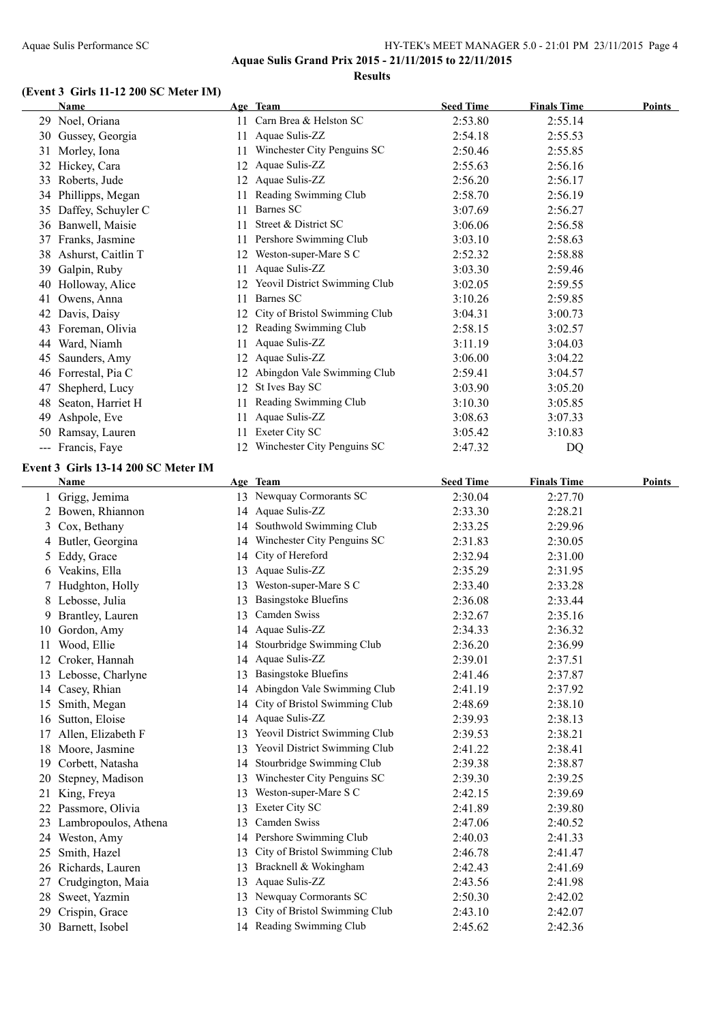#### **(Event 3 Girls 11-12 200 SC Meter IM)**

**Name Age Team Seed Time Finals Time Points** Noel, Oriana 11 Carn Brea & Helston SC 2:53.80 2:55.14 Gussey, Georgia 11 Aquae Sulis-ZZ 2:54.18 2:55.53 31 Morley, Iona 11 Winchester City Penguins SC 2:50.46 2:55.85 Hickey, Cara 12 Aquae Sulis-ZZ 2:55.63 2:56.16 Roberts, Jude 12 Aquae Sulis-ZZ 2:56.20 2:56.17 Phillipps, Megan 11 Reading Swimming Club 2:58.70 2:56.19 Daffey, Schuyler C 11 Barnes SC 3:07.69 2:56.27 Banwell, Maisie 11 Street & District SC 3:06.06 2:56.58 Franks, Jasmine 11 Pershore Swimming Club 3:03.10 2:58.63 Ashurst, Caitlin T 12 Weston-super-Mare S C 2:52.32 2:58.88 Galpin, Ruby 11 Aquae Sulis-ZZ 3:03.30 2:59.46 40 Holloway, Alice 12 Yeovil District Swimming Club 3:02.05 2:59.55 Owens, Anna 11 Barnes SC 3:10.26 2:59.85 Davis, Daisy 12 City of Bristol Swimming Club 3:04.31 3:00.73 Foreman, Olivia 12 Reading Swimming Club 2:58.15 3:02.57 Ward, Niamh 11 Aquae Sulis-ZZ 3:11.19 3:04.03 Saunders, Amy 12 Aquae Sulis-ZZ 3:06.00 3:04.22 Forrestal, Pia C 12 Abingdon Vale Swimming Club 2:59.41 3:04.57 47 Shepherd, Lucy 12 St Ives Bay SC 3:03.90 3:05.20 48 Seaton, Harriet H 11 Reading Swimming Club 3:10.30 3:05.85 Ashpole, Eve 11 Aquae Sulis-ZZ 3:08.63 3:07.33 50 Ramsay, Lauren 11 Exeter City SC 3:05.42 3:10.83 --- Francis, Faye 12 Winchester City Penguins SC 2:47.32 DQ

#### **Event 3 Girls 13-14 200 SC Meter IM**

|    | Name                 |    | Age Team                      | <b>Seed Time</b> | <b>Finals Time</b> | <b>Points</b> |
|----|----------------------|----|-------------------------------|------------------|--------------------|---------------|
|    | Grigg, Jemima        |    | 13 Newquay Cormorants SC      | 2:30.04          | 2:27.70            |               |
|    | Bowen, Rhiannon      | 14 | Aquae Sulis-ZZ                | 2:33.30          | 2:28.21            |               |
| 3  | Cox, Bethany         | 14 | Southwold Swimming Club       | 2:33.25          | 2:29.96            |               |
| 4  | Butler, Georgina     | 14 | Winchester City Penguins SC   | 2:31.83          | 2:30.05            |               |
| 5  | Eddy, Grace          | 14 | City of Hereford              | 2:32.94          | 2:31.00            |               |
| 6  | Veakins, Ella        | 13 | Aquae Sulis-ZZ                | 2:35.29          | 2:31.95            |               |
|    | Hudghton, Holly      | 13 | Weston-super-Mare S C         | 2:33.40          | 2:33.28            |               |
| 8  | Lebosse, Julia       | 13 | <b>Basingstoke Bluefins</b>   | 2:36.08          | 2:33.44            |               |
| 9  | Brantley, Lauren     | 13 | Camden Swiss                  | 2:32.67          | 2:35.16            |               |
| 10 | Gordon, Amy          | 14 | Aquae Sulis-ZZ                | 2:34.33          | 2:36.32            |               |
| 11 | Wood, Ellie          | 14 | Stourbridge Swimming Club     | 2:36.20          | 2:36.99            |               |
|    | Croker, Hannah       | 14 | Aquae Sulis-ZZ                | 2:39.01          | 2:37.51            |               |
| 13 | Lebosse, Charlyne    | 13 | <b>Basingstoke Bluefins</b>   | 2:41.46          | 2:37.87            |               |
| 14 | Casey, Rhian         | 14 | Abingdon Vale Swimming Club   | 2:41.19          | 2:37.92            |               |
| 15 | Smith, Megan         | 14 | City of Bristol Swimming Club | 2:48.69          | 2:38.10            |               |
| 16 | Sutton, Eloise       | 14 | Aquae Sulis-ZZ                | 2:39.93          | 2:38.13            |               |
|    | Allen, Elizabeth F   | 13 | Yeovil District Swimming Club | 2:39.53          | 2:38.21            |               |
| 18 | Moore, Jasmine       | 13 | Yeovil District Swimming Club | 2:41.22          | 2:38.41            |               |
| 19 | Corbett, Natasha     | 14 | Stourbridge Swimming Club     | 2:39.38          | 2:38.87            |               |
| 20 | Stepney, Madison     | 13 | Winchester City Penguins SC   | 2:39.30          | 2:39.25            |               |
| 21 | King, Freya          | 13 | Weston-super-Mare S C         | 2:42.15          | 2:39.69            |               |
|    | Passmore, Olivia     | 13 | Exeter City SC                | 2:41.89          | 2:39.80            |               |
| 23 | Lambropoulos, Athena | 13 | Camden Swiss                  | 2:47.06          | 2:40.52            |               |
| 24 | Weston, Amy          | 14 | Pershore Swimming Club        | 2:40.03          | 2:41.33            |               |
| 25 | Smith, Hazel         | 13 | City of Bristol Swimming Club | 2:46.78          | 2:41.47            |               |
| 26 | Richards, Lauren     | 13 | Bracknell & Wokingham         | 2:42.43          | 2:41.69            |               |
|    | Crudgington, Maia    | 13 | Aquae Sulis-ZZ                | 2:43.56          | 2:41.98            |               |
| 28 | Sweet, Yazmin        | 13 | Newquay Cormorants SC         | 2:50.30          | 2:42.02            |               |
| 29 | Crispin, Grace       | 13 | City of Bristol Swimming Club | 2:43.10          | 2:42.07            |               |
| 30 | Barnett, Isobel      |    | 14 Reading Swimming Club      | 2:45.62          | 2:42.36            |               |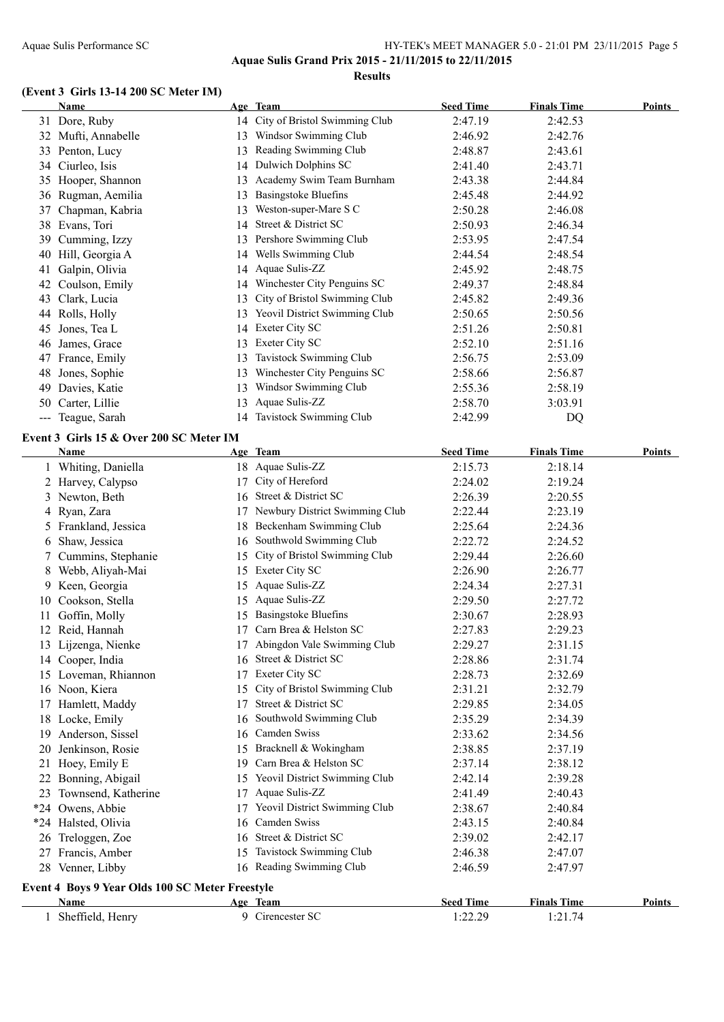### **(Event 3 Girls 13-14 200 SC Meter IM)**

|     | Name                                            |    | Age Team                         | <b>Seed Time</b> | <b>Finals Time</b> | <b>Points</b> |
|-----|-------------------------------------------------|----|----------------------------------|------------------|--------------------|---------------|
|     | 31 Dore, Ruby                                   |    | 14 City of Bristol Swimming Club | 2:47.19          | 2:42.53            |               |
|     | 32 Mufti, Annabelle                             |    | 13 Windsor Swimming Club         | 2:46.92          | 2:42.76            |               |
|     | 33 Penton, Lucy                                 |    | 13 Reading Swimming Club         | 2:48.87          | 2:43.61            |               |
|     | 34 Ciurleo, Isis                                | 14 | <b>Dulwich Dolphins SC</b>       | 2:41.40          | 2:43.71            |               |
|     | 35 Hooper, Shannon                              | 13 | Academy Swim Team Burnham        | 2:43.38          | 2:44.84            |               |
|     | 36 Rugman, Aemilia                              | 13 | <b>Basingstoke Bluefins</b>      | 2:45.48          | 2:44.92            |               |
| 37  | Chapman, Kabria                                 | 13 | Weston-super-Mare S C            | 2:50.28          | 2:46.08            |               |
| 38  | Evans, Tori                                     | 14 | Street & District SC             | 2:50.93          | 2:46.34            |               |
|     | 39 Cumming, Izzy                                | 13 | Pershore Swimming Club           | 2:53.95          | 2:47.54            |               |
|     | 40 Hill, Georgia A                              | 14 | Wells Swimming Club              | 2:44.54          | 2:48.54            |               |
|     | 41 Galpin, Olivia                               | 14 | Aquae Sulis-ZZ                   | 2:45.92          | 2:48.75            |               |
|     | 42 Coulson, Emily                               | 14 | Winchester City Penguins SC      | 2:49.37          | 2:48.84            |               |
| 43  | Clark, Lucia                                    | 13 | City of Bristol Swimming Club    | 2:45.82          | 2:49.36            |               |
|     | 44 Rolls, Holly                                 | 13 | Yeovil District Swimming Club    | 2:50.65          | 2:50.56            |               |
| 45  | Jones, Tea L                                    | 14 | Exeter City SC                   | 2:51.26          | 2:50.81            |               |
| 46  | James, Grace                                    | 13 | Exeter City SC                   | 2:52.10          | 2:51.16            |               |
| 47  | France, Emily                                   | 13 | Tavistock Swimming Club          | 2:56.75          | 2:53.09            |               |
| 48  | Jones, Sophie                                   | 13 | Winchester City Penguins SC      | 2:58.66          | 2:56.87            |               |
| 49  | Davies, Katie                                   | 13 | Windsor Swimming Club            | 2:55.36          | 2:58.19            |               |
|     | 50 Carter, Lillie                               | 13 | Aquae Sulis-ZZ                   | 2:58.70          | 3:03.91            |               |
|     | --- Teague, Sarah                               |    | 14 Tavistock Swimming Club       | 2:42.99          | DQ                 |               |
|     | Event 3 Girls 15 & Over 200 SC Meter IM         |    |                                  |                  |                    |               |
|     | Name                                            |    | Age Team                         | <b>Seed Time</b> | <b>Finals Time</b> | Points        |
|     | 1 Whiting, Daniella                             |    | 18 Aquae Sulis-ZZ                | 2:15.73          | 2:18.14            |               |
|     | 2 Harvey, Calypso                               | 17 | City of Hereford                 | 2:24.02          | 2:19.24            |               |
| 3   | Newton, Beth                                    | 16 | Street & District SC             | 2:26.39          | 2:20.55            |               |
| 4   | Ryan, Zara                                      | 17 | Newbury District Swimming Club   | 2:22.44          | 2:23.19            |               |
| 5   | Frankland, Jessica                              | 18 | Beckenham Swimming Club          | 2:25.64          | 2:24.36            |               |
| 6   | Shaw, Jessica                                   |    | 16 Southwold Swimming Club       | 2:22.72          | 2:24.52            |               |
|     | Cummins, Stephanie                              | 15 | City of Bristol Swimming Club    | 2:29.44          | 2:26.60            |               |
| 8   | Webb, Aliyah-Mai                                |    | 15 Exeter City SC                | 2:26.90          | 2:26.77            |               |
| 9   | Keen, Georgia                                   | 15 | Aquae Sulis-ZZ                   | 2:24.34          | 2:27.31            |               |
| 10. | Cookson, Stella                                 | 15 | Aquae Sulis-ZZ                   | 2:29.50          | 2:27.72            |               |
|     | 11 Goffin, Molly                                |    | 15 Basingstoke Bluefins          | 2:30.67          | 2:28.93            |               |
|     | 12 Reid, Hannah                                 |    | 17 Carn Brea & Helston SC        | 2:27.83          | 2:29.23            |               |
|     | 13 Lijzenga, Nienke                             |    | 17 Abingdon Vale Swimming Club   | 2:29.27          | 2:31.15            |               |
|     | 14 Cooper, India                                |    | 16 Street & District SC          | 2:28.86          | 2:31.74            |               |
|     | 15 Loveman, Rhiannon                            |    | 17 Exeter City SC                | 2:28.73          | 2:32.69            |               |
|     | 16 Noon, Kiera                                  |    | 15 City of Bristol Swimming Club | 2:31.21          | 2:32.79            |               |
|     | 17 Hamlett, Maddy                               |    | 17 Street & District SC          | 2:29.85          | 2:34.05            |               |
|     | 18 Locke, Emily                                 |    | 16 Southwold Swimming Club       | 2:35.29          | 2:34.39            |               |
| 19. | Anderson, Sissel                                |    | 16 Camden Swiss                  | 2:33.62          | 2:34.56            |               |
| 20  | Jenkinson, Rosie                                |    | 15 Bracknell & Wokingham         | 2:38.85          | 2:37.19            |               |
|     | 21 Hoey, Emily E                                |    | 19 Carn Brea & Helston SC        | 2:37.14          | 2:38.12            |               |
|     | 22 Bonning, Abigail                             |    | 15 Yeovil District Swimming Club | 2:42.14          | 2:39.28            |               |
|     | 23 Townsend, Katherine                          |    | 17 Aquae Sulis-ZZ                | 2:41.49          | 2:40.43            |               |
|     | *24 Owens, Abbie                                |    | 17 Yeovil District Swimming Club | 2:38.67          | 2:40.84            |               |
|     | *24 Halsted, Olivia                             |    | 16 Camden Swiss                  | 2:43.15          | 2:40.84            |               |
|     | 26 Treloggen, Zoe                               |    | 16 Street & District SC          | 2:39.02          | 2:42.17            |               |
|     | 27 Francis, Amber                               |    | 15 Tavistock Swimming Club       | 2:46.38          | 2:47.07            |               |
|     | 28 Venner, Libby                                |    | 16 Reading Swimming Club         | 2:46.59          | 2:47.97            |               |
|     | Event 4 Boys 9 Year Olds 100 SC Meter Freestyle |    |                                  |                  |                    |               |
|     | Name                                            |    | Age Team                         | <b>Seed Time</b> | <b>Finals Time</b> | <b>Points</b> |
|     | 1 Sheffield, Henry                              |    | 9 Cirencester SC                 | 1:22.29          | 1:21.74            |               |
|     |                                                 |    |                                  |                  |                    |               |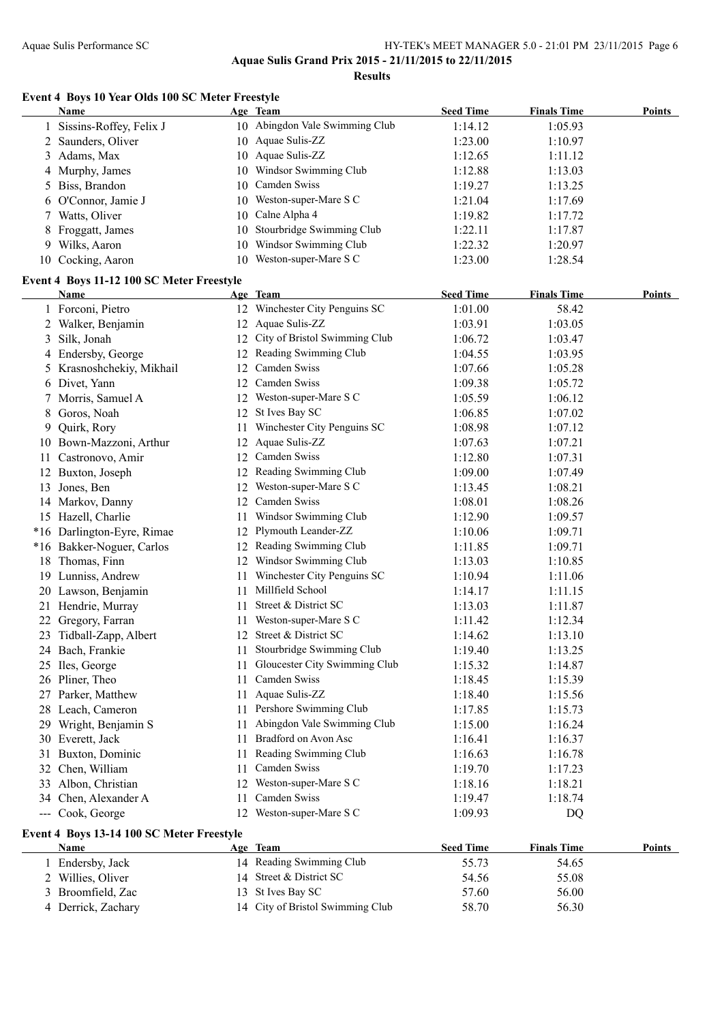**Results**

#### **Event 4 Boys 10 Year Olds 100 SC Meter Freestyle**

|     | Name                                      |    | Age Team                             | <b>Seed Time</b> | <b>Finals Time</b> | <b>Points</b> |
|-----|-------------------------------------------|----|--------------------------------------|------------------|--------------------|---------------|
|     | Sissins-Roffey, Felix J                   |    | 10 Abingdon Vale Swimming Club       | 1:14.12          | 1:05.93            |               |
|     | 2 Saunders, Oliver                        |    | 10 Aquae Sulis-ZZ                    | 1:23.00          | 1:10.97            |               |
|     | 3 Adams, Max                              |    | 10 Aquae Sulis-ZZ                    | 1:12.65          | 1:11.12            |               |
|     | 4 Murphy, James                           |    | 10 Windsor Swimming Club             | 1:12.88          | 1:13.03            |               |
|     | 5 Biss, Brandon                           | 10 | Camden Swiss                         | 1:19.27          | 1:13.25            |               |
|     | 6 O'Connor, Jamie J                       |    | 10 Weston-super-Mare S C             | 1:21.04          | 1:17.69            |               |
|     | 7 Watts, Oliver                           | 10 | Calne Alpha 4                        | 1:19.82          | 1:17.72            |               |
|     | 8 Froggatt, James                         | 10 | Stourbridge Swimming Club            | 1:22.11          | 1:17.87            |               |
|     | 9 Wilks, Aaron                            | 10 | Windsor Swimming Club                | 1:22.32          | 1:20.97            |               |
|     | 10 Cocking, Aaron                         |    | 10 Weston-super-Mare S C             | 1:23.00          | 1:28.54            |               |
|     |                                           |    |                                      |                  |                    |               |
|     | Event 4 Boys 11-12 100 SC Meter Freestyle |    |                                      |                  |                    |               |
|     | <b>Name</b>                               |    | Age Team                             | <b>Seed Time</b> | <b>Finals Time</b> | Points        |
|     | 1 Forconi, Pietro                         |    | 12 Winchester City Penguins SC       | 1:01.00          | 58.42              |               |
|     | 2 Walker, Benjamin                        |    | 12 Aquae Sulis-ZZ                    | 1:03.91          | 1:03.05            |               |
| 3   | Silk, Jonah                               |    | 12 City of Bristol Swimming Club     | 1:06.72          | 1:03.47            |               |
|     | 4 Endersby, George                        |    | 12 Reading Swimming Club             | 1:04.55          | 1:03.95            |               |
|     | 5 Krasnoshchekiy, Mikhail                 |    | 12 Camden Swiss                      | 1:07.66          | 1:05.28            |               |
|     | 6 Divet, Yann                             |    | 12 Camden Swiss                      | 1:09.38          | 1:05.72            |               |
| 7   | Morris, Samuel A                          |    | 12 Weston-super-Mare S C             | 1:05.59          | 1:06.12            |               |
| 8   | Goros, Noah                               |    | 12 St Ives Bay SC                    | 1:06.85          | 1:07.02            |               |
| 9   | Quirk, Rory                               | 11 | Winchester City Penguins SC          | 1:08.98          | 1:07.12            |               |
|     | 10 Bown-Mazzoni, Arthur                   | 12 | Aquae Sulis-ZZ                       | 1:07.63          | 1:07.21            |               |
| 11. | Castronovo, Amir                          | 12 | Camden Swiss                         | 1:12.80          | 1:07.31            |               |
|     | 12 Buxton, Joseph                         | 12 | Reading Swimming Club                | 1:09.00          | 1:07.49            |               |
| 13  | Jones, Ben                                | 12 | Weston-super-Mare S C                | 1:13.45          | 1:08.21            |               |
|     | 14 Markov, Danny                          | 12 | Camden Swiss                         | 1:08.01          | 1:08.26            |               |
|     | 15 Hazell, Charlie                        | 11 | Windsor Swimming Club                | 1:12.90          | 1:09.57            |               |
|     | *16 Darlington-Eyre, Rimae                | 12 | Plymouth Leander-ZZ                  | 1:10.06          | 1:09.71            |               |
|     | *16 Bakker-Noguer, Carlos                 |    | 12 Reading Swimming Club             | 1:11.85          | 1:09.71            |               |
|     | 18 Thomas, Finn                           |    | 12 Windsor Swimming Club             | 1:13.03          | 1:10.85            |               |
|     | 19 Lunniss, Andrew                        |    | 11 Winchester City Penguins SC       | 1:10.94          | 1:11.06            |               |
|     | 20 Lawson, Benjamin                       | 11 | Millfield School                     | 1:14.17          | 1:11.15            |               |
|     | 21 Hendrie, Murray                        | 11 | Street & District SC                 | 1:13.03          | 1:11.87            |               |
|     | 22 Gregory, Farran                        |    | 11 Weston-super-Mare S C             | 1:11.42          | 1:12.34            |               |
|     | 23 Tidball-Zapp, Albert                   |    | 12 Street & District SC              | 1:14.62          | 1:13.10            |               |
|     | 24 Bach, Frankie                          |    | 11 Stourbridge Swimming Club         | 1:19.40          | 1:13.25            |               |
|     | 25 Iles, George                           |    | 11 Gloucester City Swimming Club     | 1:15.32          | 1:14.87            |               |
|     | 26 Pliner, Theo                           | 11 | Camden Swiss                         | 1:18.45          | 1:15.39            |               |
|     | 27 Parker, Matthew                        | 11 | Aquae Sulis-ZZ                       | 1:18.40          | 1:15.56            |               |
|     | 28 Leach, Cameron                         |    | 11 Pershore Swimming Club            | 1:17.85          | 1:15.73            |               |
|     | 29 Wright, Benjamin S                     | 11 | Abingdon Vale Swimming Club          | 1:15.00          | 1:16.24            |               |
|     | 30 Everett, Jack                          | 11 | Bradford on Avon Asc                 | 1:16.41          | 1:16.37            |               |
|     | 31 Buxton, Dominic                        | 11 | Reading Swimming Club                | 1:16.63          | 1:16.78            |               |
|     | 32 Chen, William                          | 11 | Camden Swiss                         | 1:19.70          | 1:17.23            |               |
|     | 33 Albon, Christian                       |    | 12 Weston-super-Mare S C             | 1:18.16          | 1:18.21            |               |
|     | 34 Chen, Alexander A                      | 11 | Camden Swiss                         | 1:19.47          | 1:18.74            |               |
|     | --- Cook, George                          |    | 12 Weston-super-Mare S C             | 1:09.93          | <b>DQ</b>          |               |
|     |                                           |    |                                      |                  |                    |               |
|     | Event 4 Boys 13-14 100 SC Meter Freestyle |    |                                      |                  |                    |               |
|     | <b>Name</b>                               |    | Age Team<br>14 Reading Swimming Club | <b>Seed Time</b> | <b>Finals Time</b> | <b>Points</b> |
|     | 1 Endersby, Jack                          |    |                                      | 55.73            | 54.65              |               |
|     | 2 Willies, Oliver                         | 14 | Street & District SC                 | 54.56            | 55.08              |               |
| 3   | Broomfield, Zac                           | 13 | St Ives Bay SC                       | 57.60            | 56.00              |               |
|     | 4 Derrick, Zachary                        |    | 14 City of Bristol Swimming Club     | 58.70            | 56.30              |               |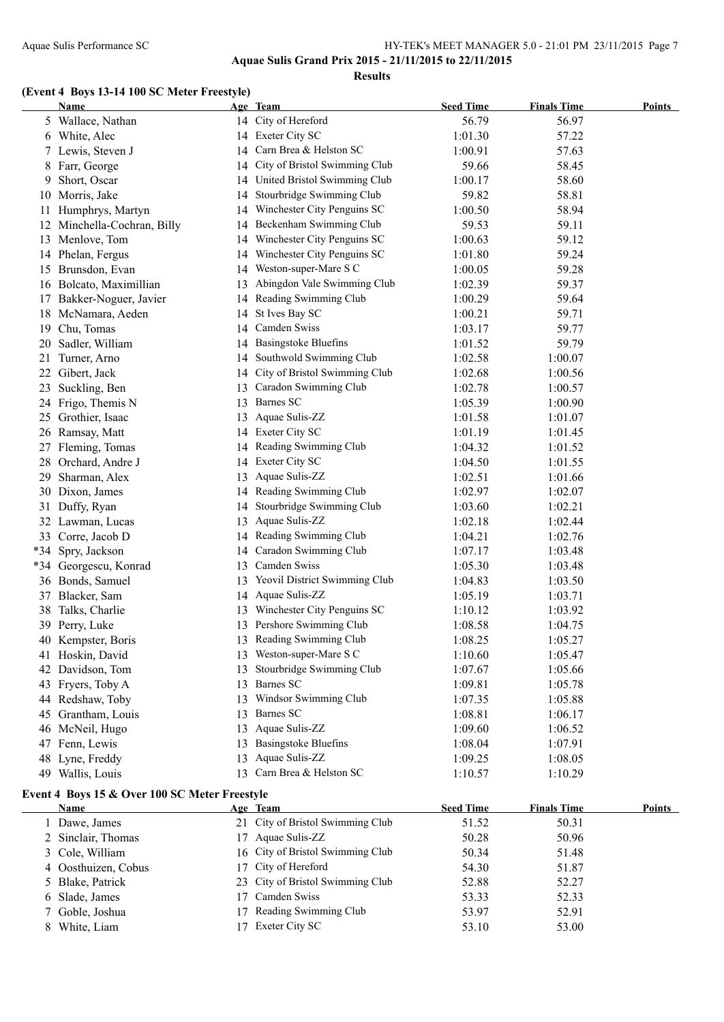**Results**

#### **(Event 4 Boys 13-14 100 SC Meter Freestyle)**

|     | <b>Name</b>                                   |    | Age Team                         | <b>Seed Time</b> | <b>Finals Time</b> | <b>Points</b> |
|-----|-----------------------------------------------|----|----------------------------------|------------------|--------------------|---------------|
|     | 5 Wallace, Nathan                             |    | 14 City of Hereford              | 56.79            | 56.97              |               |
|     | 6 White, Alec                                 |    | 14 Exeter City SC                | 1:01.30          | 57.22              |               |
|     | 7 Lewis, Steven J                             |    | 14 Carn Brea & Helston SC        | 1:00.91          | 57.63              |               |
|     | 8 Farr, George                                | 14 | City of Bristol Swimming Club    | 59.66            | 58.45              |               |
| 9   | Short, Oscar                                  |    | 14 United Bristol Swimming Club  | 1:00.17          | 58.60              |               |
| 10  | Morris, Jake                                  | 14 | Stourbridge Swimming Club        | 59.82            | 58.81              |               |
| 11  | Humphrys, Martyn                              | 14 | Winchester City Penguins SC      | 1:00.50          | 58.94              |               |
| 12  | Minchella-Cochran, Billy                      | 14 | Beckenham Swimming Club          | 59.53            | 59.11              |               |
|     | 13 Menlove, Tom                               | 14 | Winchester City Penguins SC      | 1:00.63          | 59.12              |               |
|     | 14 Phelan, Fergus                             | 14 | Winchester City Penguins SC      | 1:01.80          | 59.24              |               |
|     | 15 Brunsdon, Evan                             | 14 | Weston-super-Mare S C            | 1:00.05          | 59.28              |               |
|     | 16 Bolcato, Maximillian                       |    | 13 Abingdon Vale Swimming Club   | 1:02.39          | 59.37              |               |
|     | 17 Bakker-Noguer, Javier                      |    | 14 Reading Swimming Club         | 1:00.29          | 59.64              |               |
|     | 18 McNamara, Aeden                            |    | 14 St Ives Bay SC                | 1:00.21          | 59.71              |               |
| 19  | Chu, Tomas                                    |    | 14 Camden Swiss                  | 1:03.17          | 59.77              |               |
| 20  | Sadler, William                               |    | 14 Basingstoke Bluefins          | 1:01.52          | 59.79              |               |
| 21  | Turner, Arno                                  | 14 | Southwold Swimming Club          | 1:02.58          | 1:00.07            |               |
| 22  | Gibert, Jack                                  |    | 14 City of Bristol Swimming Club | 1:02.68          | 1:00.56            |               |
| 23  | Suckling, Ben                                 |    | 13 Caradon Swimming Club         | 1:02.78          | 1:00.57            |               |
|     | 24 Frigo, Themis N                            |    | 13 Barnes SC                     | 1:05.39          | 1:00.90            |               |
|     | 25 Grothier, Isaac                            |    | 13 Aquae Sulis-ZZ                | 1:01.58          | 1:01.07            |               |
|     | 26 Ramsay, Matt                               |    | 14 Exeter City SC                | 1:01.19          | 1:01.45            |               |
|     | 27 Fleming, Tomas                             |    | 14 Reading Swimming Club         | 1:04.32          | 1:01.52            |               |
|     | 28 Orchard, Andre J                           |    | 14 Exeter City SC                | 1:04.50          | 1:01.55            |               |
|     | 29 Sharman, Alex                              | 13 | Aquae Sulis-ZZ                   | 1:02.51          | 1:01.66            |               |
|     | 30 Dixon, James                               |    | 14 Reading Swimming Club         | 1:02.97          | 1:02.07            |               |
|     | 31 Duffy, Ryan                                | 14 | Stourbridge Swimming Club        | 1:03.60          | 1:02.21            |               |
|     | 32 Lawman, Lucas                              |    | 13 Aquae Sulis-ZZ                | 1:02.18          | 1:02.44            |               |
|     | 33 Corre, Jacob D                             |    | 14 Reading Swimming Club         | 1:04.21          | 1:02.76            |               |
|     | *34 Spry, Jackson                             |    | 14 Caradon Swimming Club         | 1:07.17          | 1:03.48            |               |
|     | *34 Georgescu, Konrad                         |    | 13 Camden Swiss                  | 1:05.30          | 1:03.48            |               |
|     | 36 Bonds, Samuel                              | 13 | Yeovil District Swimming Club    | 1:04.83          | 1:03.50            |               |
|     | 37 Blacker, Sam                               |    | 14 Aquae Sulis-ZZ                | 1:05.19          | 1:03.71            |               |
| 38  | Talks, Charlie                                | 13 | Winchester City Penguins SC      | 1:10.12          | 1:03.92            |               |
|     | 39 Perry, Luke                                |    | 13 Pershore Swimming Club        | 1:08.58          | 1:04.75            |               |
|     | 40 Kempster, Boris                            |    | 13 Reading Swimming Club         | 1:08.25          | 1:05.27            |               |
|     | 41 Hoskin, David                              |    | 13 Weston-super-Mare S C         | 1:10.60          | 1:05.47            |               |
| 42. | Davidson, Tom                                 |    | Stourbridge Swimming Club        | 1:07.67          | 1:05.66            |               |
| 43  | Fryers, Toby A                                | 13 | Barnes SC                        | 1:09.81          | 1:05.78            |               |
|     | 44 Redshaw, Toby                              | 13 | Windsor Swimming Club            | 1:07.35          | 1:05.88            |               |
|     | 45 Grantham, Louis                            | 13 | Barnes SC                        | 1:08.81          | 1:06.17            |               |
|     | 46 McNeil, Hugo                               | 13 | Aquae Sulis-ZZ                   | 1:09.60          | 1:06.52            |               |
|     | 47 Fenn, Lewis                                |    | 13 Basingstoke Bluefins          | 1:08.04          | 1:07.91            |               |
|     | 48 Lyne, Freddy                               | 13 | Aquae Sulis-ZZ                   | 1:09.25          | 1:08.05            |               |
|     | 49 Wallis, Louis                              |    | 13 Carn Brea & Helston SC        | 1:10.57          | 1:10.29            |               |
|     | Event 4 Boys 15 & Over 100 SC Meter Freestyle |    |                                  |                  |                    |               |

| <b>Name</b>         | Age Team                         | <b>Seed Time</b> | <b>Finals Time</b> | <b>Points</b> |
|---------------------|----------------------------------|------------------|--------------------|---------------|
| Dawe, James         | 21 City of Bristol Swimming Club | 51.52            | 50.31              |               |
| 2 Sinclair, Thomas  | 17 Aquae Sulis-ZZ                | 50.28            | 50.96              |               |
| 3 Cole, William     | 16 City of Bristol Swimming Club | 50.34            | 51.48              |               |
| 4 Oosthuizen, Cobus | 17 City of Hereford              | 54.30            | 51.87              |               |
| 5 Blake, Patrick    | 23 City of Bristol Swimming Club | 52.88            | 52.27              |               |
| 6 Slade, James      | 17 Camden Swiss                  | 53.33            | 52.33              |               |
| 7 Goble, Joshua     | 17 Reading Swimming Club         | 53.97            | 52.91              |               |
| White, Liam         | 17 Exeter City SC                | 53.10            | 53.00              |               |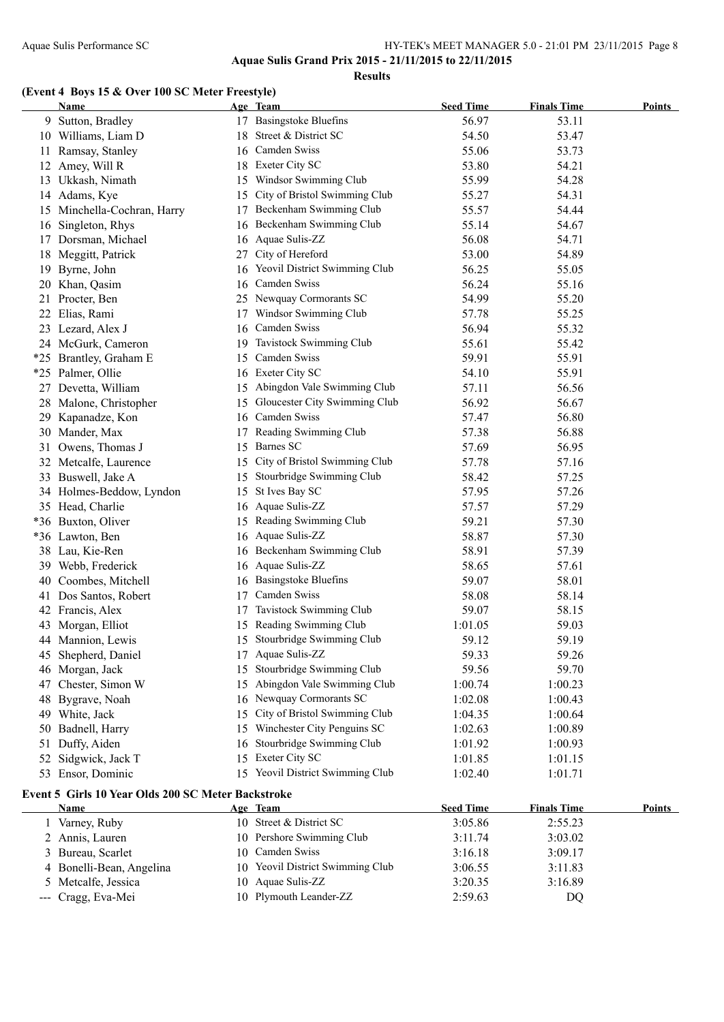**Results**

### **(Event 4 Boys 15 & Over 100 SC Meter Freestyle)**

|    | <b>Name</b>                                        |    | Age Team                         | <b>Seed Time</b> | <b>Finals Time</b> | Points        |
|----|----------------------------------------------------|----|----------------------------------|------------------|--------------------|---------------|
|    | 9 Sutton, Bradley                                  |    | 17 Basingstoke Bluefins          | 56.97            | 53.11              |               |
|    | 10 Williams, Liam D                                |    | 18 Street & District SC          | 54.50            | 53.47              |               |
|    | 11 Ramsay, Stanley                                 |    | 16 Camden Swiss                  | 55.06            | 53.73              |               |
|    | 12 Amey, Will R                                    |    | 18 Exeter City SC                | 53.80            | 54.21              |               |
|    | 13 Ukkash, Nimath                                  |    | 15 Windsor Swimming Club         | 55.99            | 54.28              |               |
|    | 14 Adams, Kye                                      |    | 15 City of Bristol Swimming Club | 55.27            | 54.31              |               |
|    | 15 Minchella-Cochran, Harry                        |    | 17 Beckenham Swimming Club       | 55.57            | 54.44              |               |
|    | 16 Singleton, Rhys                                 |    | 16 Beckenham Swimming Club       | 55.14            | 54.67              |               |
|    | 17 Dorsman, Michael                                |    | 16 Aquae Sulis-ZZ                | 56.08            | 54.71              |               |
|    | 18 Meggitt, Patrick                                |    | 27 City of Hereford              | 53.00            | 54.89              |               |
|    | 19 Byrne, John                                     |    | 16 Yeovil District Swimming Club | 56.25            | 55.05              |               |
|    | 20 Khan, Qasim                                     |    | 16 Camden Swiss                  | 56.24            | 55.16              |               |
|    | 21 Procter, Ben                                    |    | 25 Newquay Cormorants SC         | 54.99            | 55.20              |               |
|    | 22 Elias, Rami                                     |    | 17 Windsor Swimming Club         | 57.78            | 55.25              |               |
|    | 23 Lezard, Alex J                                  |    | 16 Camden Swiss                  | 56.94            | 55.32              |               |
|    | 24 McGurk, Cameron                                 |    | 19 Tavistock Swimming Club       | 55.61            | 55.42              |               |
|    | *25 Brantley, Graham E                             |    | 15 Camden Swiss                  | 59.91            | 55.91              |               |
|    | *25 Palmer, Ollie                                  |    | 16 Exeter City SC                | 54.10            | 55.91              |               |
|    | 27 Devetta, William                                |    | 15 Abingdon Vale Swimming Club   | 57.11            | 56.56              |               |
|    | 28 Malone, Christopher                             |    | 15 Gloucester City Swimming Club | 56.92            | 56.67              |               |
| 29 | Kapanadze, Kon                                     | 16 | Camden Swiss                     | 57.47            | 56.80              |               |
|    | 30 Mander, Max                                     |    | 17 Reading Swimming Club         | 57.38            | 56.88              |               |
|    | 31 Owens, Thomas J                                 |    | 15 Barnes SC                     | 57.69            | 56.95              |               |
|    | 32 Metcalfe, Laurence                              |    | 15 City of Bristol Swimming Club | 57.78            | 57.16              |               |
|    | 33 Buswell, Jake A                                 | 15 | Stourbridge Swimming Club        | 58.42            | 57.25              |               |
|    | 34 Holmes-Beddow, Lyndon                           |    | 15 St Ives Bay SC                | 57.95            | 57.26              |               |
|    | 35 Head, Charlie                                   |    | 16 Aquae Sulis-ZZ                | 57.57            | 57.29              |               |
|    | *36 Buxton, Oliver                                 |    | 15 Reading Swimming Club         | 59.21            | 57.30              |               |
|    | *36 Lawton, Ben                                    |    | 16 Aquae Sulis-ZZ                | 58.87            | 57.30              |               |
|    | 38 Lau, Kie-Ren                                    |    | 16 Beckenham Swimming Club       | 58.91            | 57.39              |               |
|    | 39 Webb, Frederick                                 |    | 16 Aquae Sulis-ZZ                | 58.65            | 57.61              |               |
|    | 40 Coombes, Mitchell                               |    | 16 Basingstoke Bluefins          | 59.07            | 58.01              |               |
| 41 | Dos Santos, Robert                                 |    | 17 Camden Swiss                  | 58.08            | 58.14              |               |
|    | 42 Francis, Alex                                   |    | 17 Tavistock Swimming Club       | 59.07            | 58.15              |               |
|    | 43 Morgan, Elliot                                  |    | 15 Reading Swimming Club         | 1:01.05          | 59.03              |               |
|    | 44 Mannion, Lewis                                  |    | 15 Stourbridge Swimming Club     | 59.12            | 59.19              |               |
|    | 45 Shepherd, Daniel                                |    | 17 Aquae Sulis-ZZ                | 59.33            | 59.26              |               |
|    | 46 Morgan, Jack                                    |    | 15 Stourbridge Swimming Club     | 59.56            | 59.70              |               |
|    | 47 Chester, Simon W                                |    | 15 Abingdon Vale Swimming Club   | 1:00.74          | 1:00.23            |               |
|    | 48 Bygrave, Noah                                   |    | 16 Newquay Cormorants SC         | 1:02.08          | 1:00.43            |               |
|    | 49 White, Jack                                     |    | 15 City of Bristol Swimming Club | 1:04.35          | 1:00.64            |               |
| 50 | Badnell, Harry                                     |    | 15 Winchester City Penguins SC   | 1:02.63          | 1:00.89            |               |
|    | 51 Duffy, Aiden                                    | 16 | Stourbridge Swimming Club        | 1:01.92          | 1:00.93            |               |
|    | 52 Sidgwick, Jack T                                |    | 15 Exeter City SC                | 1:01.85          | 1:01.15            |               |
|    | 53 Ensor, Dominic                                  |    | 15 Yeovil District Swimming Club | 1:02.40          | 1:01.71            |               |
|    | Event 5 Girls 10 Year Olds 200 SC Meter Backstroke |    |                                  |                  |                    |               |
|    | Name                                               |    | Age Team                         | <b>Seed Time</b> | <b>Finals Time</b> | <b>Points</b> |
|    | 1 Varney, Ruby                                     |    | 10 Street & District SC          | 3:05.86          | 2:55.23            |               |
|    | 2 Annis, Lauren                                    |    | 10 Pershore Swimming Club        | 3:11.74          | 3:03.02            |               |
| 3  | Bureau, Scarlet                                    |    | 10 Camden Swiss                  | 3:16.18          | 3:09.17            |               |
|    | 4 Bonelli-Bean, Angelina                           |    | 10 Yeovil District Swimming Club | 3:06.55          | 3:11.83            |               |
| 5  | Metcalfe, Jessica                                  |    | 10 Aquae Sulis-ZZ                | 3:20.35          | 3:16.89            |               |
|    | --- Cragg, Eva-Mei                                 |    | 10 Plymouth Leander-ZZ           | 2:59.63          | DQ                 |               |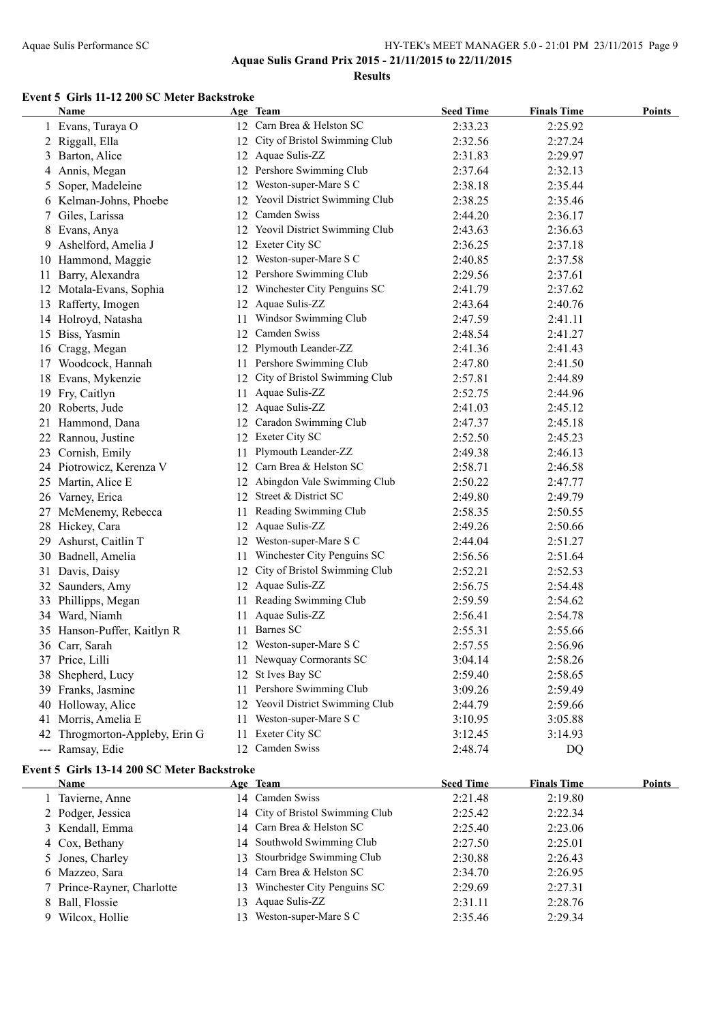**Results**

#### **Event 5 Girls 11-12 200 SC Meter Backstroke**

|     | <b>Name</b>                                 |     | Age Team                         | <b>Seed Time</b> | <b>Finals Time</b> | <b>Points</b> |
|-----|---------------------------------------------|-----|----------------------------------|------------------|--------------------|---------------|
|     | 1 Evans, Turaya O                           |     | 12 Carn Brea & Helston SC        | 2:33.23          | 2:25.92            |               |
|     | 2 Riggall, Ella                             |     | 12 City of Bristol Swimming Club | 2:32.56          | 2:27.24            |               |
|     | 3 Barton, Alice                             |     | 12 Aquae Sulis-ZZ                | 2:31.83          | 2:29.97            |               |
| 4   | Annis, Megan                                |     | 12 Pershore Swimming Club        | 2:37.64          | 2:32.13            |               |
| 5   | Soper, Madeleine                            |     | 12 Weston-super-Mare S C         | 2:38.18          | 2:35.44            |               |
|     | 6 Kelman-Johns, Phoebe                      |     | 12 Yeovil District Swimming Club | 2:38.25          | 2:35.46            |               |
| 7   | Giles, Larissa                              |     | 12 Camden Swiss                  | 2:44.20          | 2:36.17            |               |
| 8.  | Evans, Anya                                 |     | 12 Yeovil District Swimming Club | 2:43.63          | 2:36.63            |               |
| 9.  | Ashelford, Amelia J                         |     | 12 Exeter City SC                | 2:36.25          | 2:37.18            |               |
|     | 10 Hammond, Maggie                          |     | 12 Weston-super-Mare S C         | 2:40.85          | 2:37.58            |               |
| 11. | Barry, Alexandra                            |     | 12 Pershore Swimming Club        | 2:29.56          | 2:37.61            |               |
|     | 12 Motala-Evans, Sophia                     |     | 12 Winchester City Penguins SC   | 2:41.79          | 2:37.62            |               |
|     | 13 Rafferty, Imogen                         |     | 12 Aquae Sulis-ZZ                | 2:43.64          | 2:40.76            |               |
|     | 14 Holroyd, Natasha                         | 11. | Windsor Swimming Club            | 2:47.59          | 2:41.11            |               |
|     | 15 Biss, Yasmin                             |     | 12 Camden Swiss                  | 2:48.54          | 2:41.27            |               |
|     | 16 Cragg, Megan                             |     | 12 Plymouth Leander-ZZ           | 2:41.36          | 2:41.43            |               |
|     | 17 Woodcock, Hannah                         |     | 11 Pershore Swimming Club        | 2:47.80          | 2:41.50            |               |
|     | 18 Evans, Mykenzie                          |     | 12 City of Bristol Swimming Club | 2:57.81          | 2:44.89            |               |
|     | 19 Fry, Caitlyn                             | 11  | Aquae Sulis-ZZ                   | 2:52.75          | 2:44.96            |               |
|     | 20 Roberts, Jude                            |     | 12 Aquae Sulis-ZZ                | 2:41.03          | 2:45.12            |               |
|     | 21 Hammond, Dana                            |     | 12 Caradon Swimming Club         | 2:47.37          | 2:45.18            |               |
|     | 22 Rannou, Justine                          |     | 12 Exeter City SC                | 2:52.50          | 2:45.23            |               |
|     | 23 Cornish, Emily                           |     | 11 Plymouth Leander-ZZ           | 2:49.38          | 2:46.13            |               |
|     | 24 Piotrowicz, Kerenza V                    |     | 12 Carn Brea & Helston SC        | 2:58.71          | 2:46.58            |               |
|     | 25 Martin, Alice E                          |     | 12 Abingdon Vale Swimming Club   | 2:50.22          | 2:47.77            |               |
|     | 26 Varney, Erica                            |     | 12 Street & District SC          | 2:49.80          | 2:49.79            |               |
|     | 27 McMenemy, Rebecca                        | 11. | Reading Swimming Club            | 2:58.35          | 2:50.55            |               |
|     | 28 Hickey, Cara                             |     | 12 Aquae Sulis-ZZ                | 2:49.26          | 2:50.66            |               |
|     | 29 Ashurst, Caitlin T                       |     | 12 Weston-super-Mare S C         | 2:44.04          | 2:51.27            |               |
|     | 30 Badnell, Amelia                          | 11. | Winchester City Penguins SC      | 2:56.56          | 2:51.64            |               |
| 31  | Davis, Daisy                                | 12  | City of Bristol Swimming Club    | 2:52.21          | 2:52.53            |               |
| 32  | Saunders, Amy                               |     | 12 Aquae Sulis-ZZ                | 2:56.75          | 2:54.48            |               |
| 33  | Phillipps, Megan                            | 11. | Reading Swimming Club            | 2:59.59          | 2:54.62            |               |
|     | 34 Ward, Niamh                              | 11. | Aquae Sulis-ZZ                   | 2:56.41          | 2:54.78            |               |
|     | 35 Hanson-Puffer, Kaitlyn R                 |     | 11 Barnes SC                     | 2:55.31          | 2:55.66            |               |
|     | 36 Carr, Sarah                              |     | 12 Weston-super-Mare S C         | 2:57.55          | 2:56.96            |               |
|     | 37 Price, Lilli                             |     | 11 Newquay Cormorants SC         | 3:04.14          | 2:58.26            |               |
|     | 38 Shepherd, Lucy                           |     | 12 St Ives Bay SC                | 2:59.40          | 2:58.65            |               |
|     | 39 Franks, Jasmine                          | 11. | Pershore Swimming Club           | 3:09.26          | 2:59.49            |               |
|     | 40 Holloway, Alice                          |     | 12 Yeovil District Swimming Club | 2:44.79          | 2:59.66            |               |
| 41  | Morris, Amelia E                            | 11. | Weston-super-Mare S C            | 3:10.95          | 3:05.88            |               |
| 42  | Throgmorton-Appleby, Erin G                 | 11- | Exeter City SC                   | 3:12.45          | 3:14.93            |               |
|     | --- Ramsay, Edie                            |     | 12 Camden Swiss                  | 2:48.74          | DQ                 |               |
|     |                                             |     |                                  |                  |                    |               |
|     | Event 5 Girls 13-14 200 SC Meter Backstroke |     |                                  |                  |                    |               |
|     | <u>Name</u>                                 |     | Age Team                         | <b>Seed Time</b> | <b>Finals Time</b> | <b>Points</b> |
|     | 1 Tavierne, Anne                            |     | 14 Camden Swiss                  | 2:21.48          | 2:19.80            |               |
|     | 2 Podger, Jessica                           |     | 14 City of Bristol Swimming Club | 2:25.42          | 2:22.34            |               |
|     | 3 Kendall, Emma                             |     | 14 Carn Brea & Helston SC        | 2:25.40          | 2:23.06            |               |
|     | 4 Cox, Bethany                              |     | 14 Southwold Swimming Club       | 2:27.50          | 2:25.01            |               |
| 5   | Jones, Charley                              | 13  | Stourbridge Swimming Club        | 2:30.88          | 2:26.43            |               |
|     | 6 Mazzeo, Sara                              |     | 14 Carn Brea & Helston SC        | 2:34.70          | 2:26.95            |               |
| 7   | Prince-Rayner, Charlotte                    | 13  | Winchester City Penguins SC      | 2:29.69          | 2:27.31            |               |
| 8   | Ball, Flossie                               | 13  | Aquae Sulis-ZZ                   | 2:31.11          | 2:28.76            |               |
|     | 9 Wilcox, Hollie                            |     | 13 Weston-super-Mare S C         | 2:35.46          | 2:29.34            |               |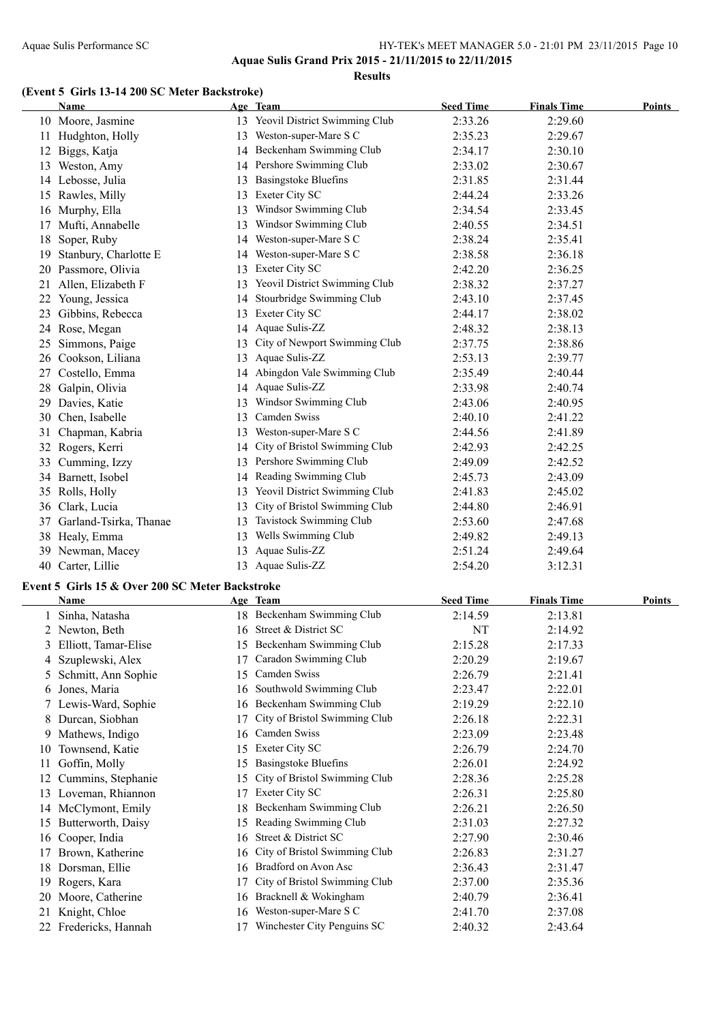**Aquae Sulis Grand Prix 2015 - 21/11/2015 to 22/11/2015 Results**

#### **(Event 5 Girls 13-14 200 SC Meter Backstroke)**

|    | Name                                            |     | Age Team                                                | <b>Seed Time</b>   | <b>Finals Time</b> | <b>Points</b> |
|----|-------------------------------------------------|-----|---------------------------------------------------------|--------------------|--------------------|---------------|
|    | 10 Moore, Jasmine                               |     | 13 Yeovil District Swimming Club                        | 2:33.26            | 2:29.60            |               |
|    | 11 Hudghton, Holly                              |     | 13 Weston-super-Mare S C                                | 2:35.23            | 2:29.67            |               |
|    | 12 Biggs, Katja                                 |     | 14 Beckenham Swimming Club                              | 2:34.17            | 2:30.10            |               |
|    | 13 Weston, Amy                                  |     | 14 Pershore Swimming Club                               | 2:33.02            | 2:30.67            |               |
|    | 14 Lebosse, Julia                               | 13  | <b>Basingstoke Bluefins</b>                             | 2:31.85            | 2:31.44            |               |
|    | 15 Rawles, Milly                                | 13  | <b>Exeter City SC</b>                                   | 2:44.24            | 2:33.26            |               |
|    | 16 Murphy, Ella                                 | 13  | Windsor Swimming Club                                   | 2:34.54            | 2:33.45            |               |
|    | 17 Mufti, Annabelle                             | 13  | Windsor Swimming Club                                   | 2:40.55            | 2:34.51            |               |
|    | 18 Soper, Ruby                                  |     | 14 Weston-super-Mare S C                                | 2:38.24            | 2:35.41            |               |
|    | Stanbury, Charlotte E                           |     | Weston-super-Mare S C                                   |                    |                    |               |
| 19 |                                                 | 14  | 13 Exeter City SC                                       | 2:38.58            | 2:36.18            |               |
|    | 20 Passmore, Olivia                             |     |                                                         | 2:42.20            | 2:36.25            |               |
| 21 | Allen, Elizabeth F                              |     | 13 Yeovil District Swimming Club                        | 2:38.32            | 2:37.27            |               |
|    | 22 Young, Jessica                               |     | 14 Stourbridge Swimming Club                            | 2:43.10            | 2:37.45            |               |
| 23 | Gibbins, Rebecca                                |     | 13 Exeter City SC                                       | 2:44.17            | 2:38.02            |               |
|    | 24 Rose, Megan                                  |     | 14 Aquae Sulis-ZZ                                       | 2:48.32            | 2:38.13            |               |
| 25 | Simmons, Paige                                  | 13  | City of Newport Swimming Club                           | 2:37.75            | 2:38.86            |               |
|    | 26 Cookson, Liliana                             |     | 13 Aquae Sulis-ZZ                                       | 2:53.13            | 2:39.77            |               |
|    | 27 Costello, Emma                               |     | 14 Abingdon Vale Swimming Club                          | 2:35.49            | 2:40.44            |               |
| 28 | Galpin, Olivia                                  |     | 14 Aquae Sulis-ZZ                                       | 2:33.98            | 2:40.74            |               |
| 29 | Davies, Katie                                   | 13  | Windsor Swimming Club                                   | 2:43.06            | 2:40.95            |               |
|    | 30 Chen, Isabelle                               | 13  | Camden Swiss                                            | 2:40.10            | 2:41.22            |               |
| 31 | Chapman, Kabria                                 |     | 13 Weston-super-Mare S C                                | 2:44.56            | 2:41.89            |               |
|    | 32 Rogers, Kerri                                |     | 14 City of Bristol Swimming Club                        | 2:42.93            | 2:42.25            |               |
|    | 33 Cumming, Izzy                                |     | 13 Pershore Swimming Club                               | 2:49.09            | 2:42.52            |               |
|    | 34 Barnett, Isobel                              |     | 14 Reading Swimming Club                                | 2:45.73            | 2:43.09            |               |
|    | 35 Rolls, Holly                                 |     | 13 Yeovil District Swimming Club                        | 2:41.83            | 2:45.02            |               |
|    | 36 Clark, Lucia                                 | 13  | City of Bristol Swimming Club                           | 2:44.80            | 2:46.91            |               |
| 37 | Garland-Tsirka, Thanae                          | 13  | Tavistock Swimming Club                                 | 2:53.60            | 2:47.68            |               |
|    | 38 Healy, Emma                                  |     | 13 Wells Swimming Club                                  | 2:49.82            | 2:49.13            |               |
|    | 39 Newman, Macey                                |     | 13 Aquae Sulis-ZZ                                       | 2:51.24            | 2:49.64            |               |
|    | 40 Carter, Lillie                               |     | 13 Aquae Sulis-ZZ                                       | 2:54.20            | 3:12.31            |               |
|    |                                                 |     |                                                         |                    |                    |               |
|    | Event 5 Girls 15 & Over 200 SC Meter Backstroke |     |                                                         |                    |                    |               |
|    | Name                                            |     | Age Team                                                | <b>Seed Time</b>   | <b>Finals Time</b> | <b>Points</b> |
|    | 1 Sinha, Natasha                                |     | 18 Beckenham Swimming Club                              | 2:14.59            | 2:13.81            |               |
|    | 2 Newton, Beth                                  |     | 16 Street & District SC                                 | NT                 | 2:14.92            |               |
|    | 3 Elliott, Tamar-Elise                          |     | 15 Beckenham Swimming Club                              | 2:15.28            | 2:17.33            |               |
|    | 4 Szuplewski, Alex                              |     | 17 Caradon Swimming Club                                | 2:20.29            | 2:19.67            |               |
|    | 5 Schmitt, Ann Sophie                           |     | 15 Camden Swiss                                         | 2:26.79            | 2:21.41            |               |
| 6  | Jones, Maria                                    | 16. | Southwold Swimming Club                                 | 2:23.47            | 2:22.01            |               |
| 7. | Lewis-Ward, Sophie                              |     | 16 Beckenham Swimming Club                              | 2:19.29            | 2:22.10            |               |
| 8  | Durcan, Siobhan                                 | 17  | City of Bristol Swimming Club                           | 2:26.18            | 2:22.31            |               |
| 9. | Mathews, Indigo                                 | 16  | Camden Swiss                                            | 2:23.09            | 2:23.48            |               |
| 10 | Townsend, Katie                                 |     | 15 Exeter City SC                                       | 2:26.79            | 2:24.70            |               |
| 11 | Goffin, Molly                                   |     | 15 Basingstoke Bluefins                                 | 2:26.01            | 2:24.92            |               |
|    | 12 Cummins, Stephanie                           | 15  | City of Bristol Swimming Club                           | 2:28.36            | 2:25.28            |               |
|    | 13 Loveman, Rhiannon                            |     | 17 Exeter City SC                                       | 2:26.31            | 2:25.80            |               |
|    | 14 McClymont, Emily                             | 18  | Beckenham Swimming Club                                 | 2:26.21            | 2:26.50            |               |
|    | 15 Butterworth, Daisy                           |     | 15 Reading Swimming Club                                | 2:31.03            | 2:27.32            |               |
|    | 16 Cooper, India                                | 16  | Street & District SC                                    | 2:27.90            | 2:30.46            |               |
|    |                                                 |     |                                                         |                    |                    |               |
|    |                                                 |     |                                                         |                    |                    |               |
|    | 17 Brown, Katherine                             | 16  | City of Bristol Swimming Club                           | 2:26.83            | 2:31.27            |               |
|    | 18 Dorsman, Ellie                               | 16. | Bradford on Avon Asc                                    | 2:36.43            | 2:31.47            |               |
|    | 19 Rogers, Kara                                 | 17  | City of Bristol Swimming Club                           | 2:37.00            | 2:35.36            |               |
|    | 20 Moore, Catherine                             | 16  | Bracknell & Wokingham                                   | 2:40.79            | 2:36.41            |               |
| 21 | Knight, Chloe<br>22 Fredericks, Hannah          | 16  | Weston-super-Mare S C<br>17 Winchester City Penguins SC | 2:41.70<br>2:40.32 | 2:37.08<br>2:43.64 |               |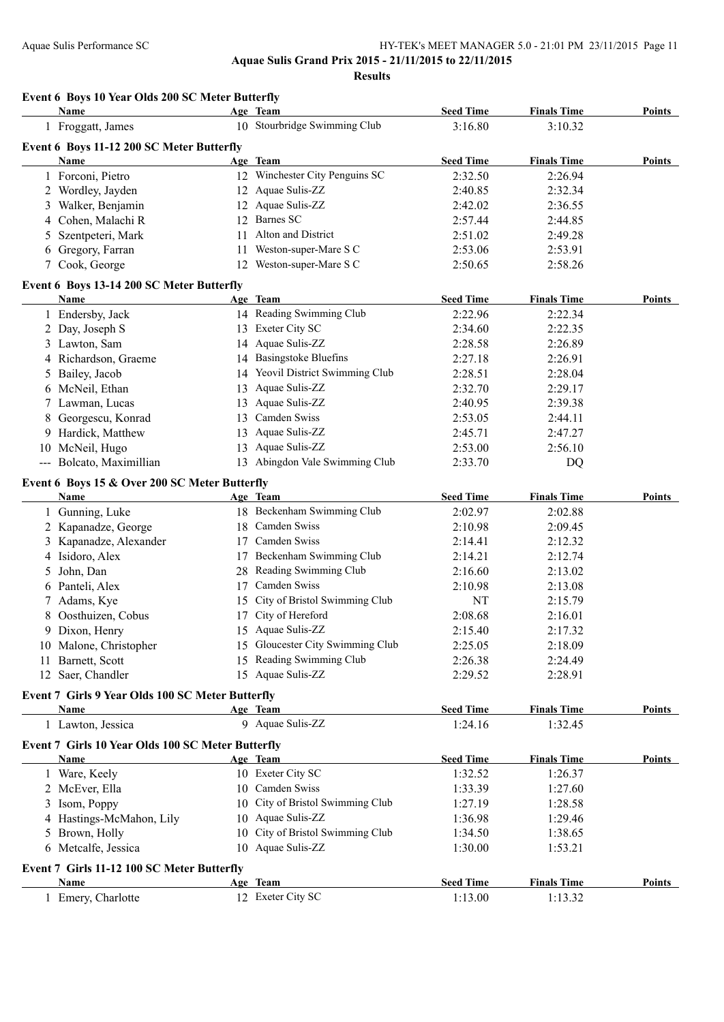**Aquae Sulis Grand Prix 2015 - 21/11/2015 to 22/11/2015**

**Results**

#### **Event 6 Boys 10 Year Olds 200 SC Meter Butterfly**

|    | Name                                                     |    | Age Team                         | <b>Seed Time</b> | <b>Finals Time</b> | Points        |
|----|----------------------------------------------------------|----|----------------------------------|------------------|--------------------|---------------|
|    | 1 Froggatt, James                                        |    | 10 Stourbridge Swimming Club     | 3:16.80          | 3:10.32            |               |
|    | Event 6 Boys 11-12 200 SC Meter Butterfly                |    |                                  |                  |                    |               |
|    | Name                                                     |    | Age Team                         | <b>Seed Time</b> | <b>Finals Time</b> | Points        |
|    | 1 Forconi, Pietro                                        |    | 12 Winchester City Penguins SC   | 2:32.50          | 2:26.94            |               |
|    | 2 Wordley, Jayden                                        |    | 12 Aquae Sulis-ZZ                | 2:40.85          | 2:32.34            |               |
|    | 3 Walker, Benjamin                                       |    | 12 Aquae Sulis-ZZ                | 2:42.02          | 2:36.55            |               |
|    | 4 Cohen, Malachi R                                       |    | 12 Barnes SC                     | 2:57.44          | 2:44.85            |               |
|    | 5 Szentpeteri, Mark                                      |    | 11 Alton and District            | 2:51.02          | 2:49.28            |               |
|    | 6 Gregory, Farran                                        |    | 11 Weston-super-Mare S C         | 2:53.06          | 2:53.91            |               |
|    | 7 Cook, George                                           |    | 12 Weston-super-Mare S C         | 2:50.65          | 2:58.26            |               |
|    | Event 6 Boys 13-14 200 SC Meter Butterfly                |    |                                  |                  |                    |               |
|    | Name                                                     |    | Age Team                         | <b>Seed Time</b> | <b>Finals Time</b> | <b>Points</b> |
|    | 1 Endersby, Jack                                         |    | 14 Reading Swimming Club         | 2:22.96          | 2:22.34            |               |
|    | 2 Day, Joseph S                                          |    | 13 Exeter City SC                | 2:34.60          | 2:22.35            |               |
|    | 3 Lawton, Sam                                            |    | 14 Aquae Sulis-ZZ                | 2:28.58          | 2:26.89            |               |
|    | 4 Richardson, Graeme                                     |    | 14 Basingstoke Bluefins          | 2:27.18          | 2:26.91            |               |
|    | 5 Bailey, Jacob                                          |    | 14 Yeovil District Swimming Club | 2:28.51          | 2:28.04            |               |
|    | 6 McNeil, Ethan                                          | 13 | Aquae Sulis-ZZ                   | 2:32.70          | 2:29.17            |               |
|    | 7 Lawman, Lucas                                          | 13 | Aquae Sulis-ZZ                   | 2:40.95          | 2:39.38            |               |
| 8. | Georgescu, Konrad                                        | 13 | Camden Swiss                     | 2:53.05          | 2:44.11            |               |
|    | 9 Hardick, Matthew                                       | 13 | Aquae Sulis-ZZ                   | 2:45.71          | 2:47.27            |               |
|    | 10 McNeil, Hugo                                          | 13 | Aquae Sulis-ZZ                   | 2:53.00          | 2:56.10            |               |
|    | --- Bolcato, Maximillian                                 |    | 13 Abingdon Vale Swimming Club   | 2:33.70          | DQ                 |               |
|    |                                                          |    |                                  |                  |                    |               |
|    | Event 6 Boys 15 & Over 200 SC Meter Butterfly<br>Name    |    | Age Team                         | <b>Seed Time</b> | <b>Finals Time</b> | Points        |
|    | 1 Gunning, Luke                                          |    | 18 Beckenham Swimming Club       | 2:02.97          | 2:02.88            |               |
|    | 2 Kapanadze, George                                      |    | 18 Camden Swiss                  | 2:10.98          | 2:09.45            |               |
|    | 3 Kapanadze, Alexander                                   |    | 17 Camden Swiss                  | 2:14.41          | 2:12.32            |               |
|    | 4 Isidoro, Alex                                          |    | 17 Beckenham Swimming Club       | 2:14.21          | 2:12.74            |               |
| 5  | John, Dan                                                |    | 28 Reading Swimming Club         | 2:16.60          | 2:13.02            |               |
|    | 6 Panteli, Alex                                          |    | 17 Camden Swiss                  | 2:10.98          | 2:13.08            |               |
| 7  | Adams, Kye                                               |    | 15 City of Bristol Swimming Club | NT               | 2:15.79            |               |
|    | 8 Oosthuizen, Cobus                                      |    | 17 City of Hereford              | 2:08.68          | 2:16.01            |               |
|    | 9 Dixon, Henry                                           |    | 15 Aquae Sulis-ZZ                | 2:15.40          | 2:17.32            |               |
|    | 10 Malone, Christopher                                   |    | 15 Gloucester City Swimming Club | 2:25.05          | 2:18.09            |               |
|    | 11 Barnett, Scott                                        |    | 15 Reading Swimming Club         | 2:26.38          | 2:24.49            |               |
|    | 12 Saer, Chandler                                        |    | 15 Aquae Sulis-ZZ                | 2:29.52          | 2:28.91            |               |
|    |                                                          |    |                                  |                  |                    |               |
|    | Event 7 Girls 9 Year Olds 100 SC Meter Butterfly<br>Name |    | Age Team                         | <b>Seed Time</b> | <b>Finals Time</b> | <b>Points</b> |
|    | 1 Lawton, Jessica                                        |    | 9 Aquae Sulis-ZZ                 | 1:24.16          | 1:32.45            |               |
|    | Event 7 Girls 10 Year Olds 100 SC Meter Butterfly        |    |                                  |                  |                    |               |
|    | Name                                                     |    | Age Team                         | <b>Seed Time</b> | <b>Finals Time</b> | <b>Points</b> |
|    | 1 Ware, Keely                                            |    | 10 Exeter City SC                | 1:32.52          | 1:26.37            |               |
|    | 2 McEver, Ella                                           |    | 10 Camden Swiss                  | 1:33.39          | 1:27.60            |               |
|    | 3 Isom, Poppy                                            | 10 | City of Bristol Swimming Club    | 1:27.19          | 1:28.58            |               |
|    | 4 Hastings-McMahon, Lily                                 |    | 10 Aquae Sulis-ZZ                | 1:36.98          | 1:29.46            |               |
|    | 5 Brown, Holly                                           | 10 | City of Bristol Swimming Club    | 1:34.50          | 1:38.65            |               |
|    | 6 Metcalfe, Jessica                                      |    | 10 Aquae Sulis-ZZ                | 1:30.00          | 1:53.21            |               |
|    |                                                          |    |                                  |                  |                    |               |
|    | Event 7 Girls 11-12 100 SC Meter Butterfly               |    |                                  |                  |                    |               |
|    | Name                                                     |    | Age Team                         | <b>Seed Time</b> | <b>Finals Time</b> | Points        |
|    | 1 Emery, Charlotte                                       |    | 12 Exeter City SC                | 1:13.00          | 1:13.32            |               |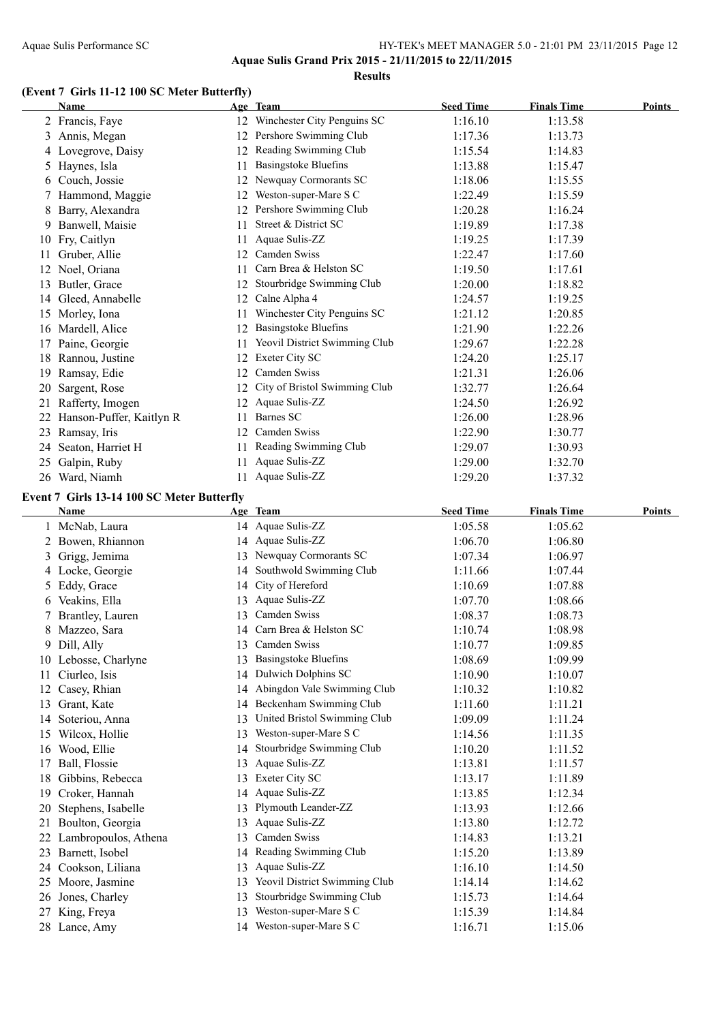**Aquae Sulis Grand Prix 2015 - 21/11/2015 to 22/11/2015 Results**

# **(Event 7 Girls 11-12 100 SC Meter Butterfly)**

|    | Name                     |    | Age Team                      | <b>Seed Time</b> | <b>Finals Time</b> | Points |
|----|--------------------------|----|-------------------------------|------------------|--------------------|--------|
|    | 2 Francis, Faye          | 12 | Winchester City Penguins SC   | 1:16.10          | 1:13.58            |        |
| 3  | Annis, Megan             | 12 | Pershore Swimming Club        | 1:17.36          | 1:13.73            |        |
| 4  | Lovegrove, Daisy         |    | Reading Swimming Club         | 1:15.54          | 1:14.83            |        |
| 5. | Haynes, Isla             | 11 | Basingstoke Bluefins          | 1:13.88          | 1:15.47            |        |
| 6  | Couch, Jossie            |    | Newquay Cormorants SC         | 1:18.06          | 1:15.55            |        |
|    | Hammond, Maggie          | 12 | Weston-super-Mare S C         | 1:22.49          | 1:15.59            |        |
|    | Barry, Alexandra         | 12 | Pershore Swimming Club        | 1:20.28          | 1:16.24            |        |
| 9  | Banwell, Maisie          | 11 | Street & District SC          | 1:19.89          | 1:17.38            |        |
| 10 | Fry, Caitlyn             | 11 | Aquae Sulis-ZZ                | 1:19.25          | 1:17.39            |        |
| 11 | Gruber, Allie            | 12 | Camden Swiss                  | 1:22.47          | 1:17.60            |        |
| 12 | Noel, Oriana             | 11 | Carn Brea & Helston SC        | 1:19.50          | 1:17.61            |        |
| 13 | Butler, Grace            | 12 | Stourbridge Swimming Club     | 1:20.00          | 1:18.82            |        |
| 14 | Gleed, Annabelle         | 12 | Calne Alpha 4                 | 1:24.57          | 1:19.25            |        |
| 15 | Morley, Iona             | 11 | Winchester City Penguins SC   | 1:21.12          | 1:20.85            |        |
| 16 | Mardell, Alice           | 12 | Basingstoke Bluefins          | 1:21.90          | 1:22.26            |        |
| 17 | Paine, Georgie           | 11 | Yeovil District Swimming Club | 1:29.67          | 1:22.28            |        |
| 18 | Rannou, Justine          | 12 | Exeter City SC                | 1:24.20          | 1:25.17            |        |
| 19 | Ramsay, Edie             | 12 | Camden Swiss                  | 1:21.31          | 1:26.06            |        |
| 20 | Sargent, Rose            | 12 | City of Bristol Swimming Club | 1:32.77          | 1:26.64            |        |
| 21 | Rafferty, Imogen         | 12 | Aquae Sulis-ZZ                | 1:24.50          | 1:26.92            |        |
| 22 | Hanson-Puffer, Kaitlyn R | 11 | Barnes SC                     | 1:26.00          | 1:28.96            |        |
| 23 | Ramsay, Iris             | 12 | Camden Swiss                  | 1:22.90          | 1:30.77            |        |
| 24 | Seaton, Harriet H        | 11 | Reading Swimming Club         | 1:29.07          | 1:30.93            |        |
| 25 | Galpin, Ruby             | 11 | Aquae Sulis-ZZ                | 1:29.00          | 1:32.70            |        |
|    | 26 Ward, Niamh           | 11 | Aquae Sulis-ZZ                | 1:29.20          | 1:37.32            |        |

#### **Event 7 Girls 13-14 100 SC Meter Butterfly**

|    | Name                 |    | Age Team                      | <b>Seed Time</b> | <b>Finals Time</b> | <b>Points</b> |
|----|----------------------|----|-------------------------------|------------------|--------------------|---------------|
|    | McNab, Laura         |    | 14 Aquae Sulis-ZZ             | 1:05.58          | 1:05.62            |               |
|    | Bowen, Rhiannon      | 14 | Aquae Sulis-ZZ                | 1:06.70          | 1:06.80            |               |
| 3  | Grigg, Jemima        |    | 13 Newquay Cormorants SC      | 1:07.34          | 1:06.97            |               |
| 4  | Locke, Georgie       | 14 | Southwold Swimming Club       | 1:11.66          | 1:07.44            |               |
| 5  | Eddy, Grace          | 14 | City of Hereford              | 1:10.69          | 1:07.88            |               |
| 6  | Veakins, Ella        | 13 | Aquae Sulis-ZZ                | 1:07.70          | 1:08.66            |               |
| 7  | Brantley, Lauren     | 13 | Camden Swiss                  | 1:08.37          | 1:08.73            |               |
| 8  | Mazzeo, Sara         | 14 | Carn Brea & Helston SC        | 1:10.74          | 1:08.98            |               |
| 9  | Dill, Ally           | 13 | Camden Swiss                  | 1:10.77          | 1:09.85            |               |
| 10 | Lebosse, Charlyne    | 13 | <b>Basingstoke Bluefins</b>   | 1:08.69          | 1:09.99            |               |
| 11 | Ciurleo, Isis        | 14 | Dulwich Dolphins SC           | 1:10.90          | 1:10.07            |               |
| 12 | Casey, Rhian         | 14 | Abingdon Vale Swimming Club   | 1:10.32          | 1:10.82            |               |
| 13 | Grant, Kate          | 14 | Beckenham Swimming Club       | 1:11.60          | 1:11.21            |               |
| 14 | Soteriou, Anna       | 13 | United Bristol Swimming Club  | 1:09.09          | 1:11.24            |               |
| 15 | Wilcox, Hollie       | 13 | Weston-super-Mare S C         | 1:14.56          | 1:11.35            |               |
| 16 | Wood, Ellie          | 14 | Stourbridge Swimming Club     | 1:10.20          | 1:11.52            |               |
| 17 | Ball, Flossie        | 13 | Aquae Sulis-ZZ                | 1:13.81          | 1:11.57            |               |
| 18 | Gibbins, Rebecca     | 13 | <b>Exeter City SC</b>         | 1:13.17          | 1:11.89            |               |
| 19 | Croker, Hannah       | 14 | Aquae Sulis-ZZ                | 1:13.85          | 1:12.34            |               |
| 20 | Stephens, Isabelle   | 13 | Plymouth Leander-ZZ           | 1:13.93          | 1:12.66            |               |
| 21 | Boulton, Georgia     | 13 | Aquae Sulis-ZZ                | 1:13.80          | 1:12.72            |               |
| 22 | Lambropoulos, Athena | 13 | Camden Swiss                  | 1:14.83          | 1:13.21            |               |
| 23 | Barnett, Isobel      | 14 | Reading Swimming Club         | 1:15.20          | 1:13.89            |               |
| 24 | Cookson, Liliana     | 13 | Aquae Sulis-ZZ                | 1:16.10          | 1:14.50            |               |
| 25 | Moore, Jasmine       | 13 | Yeovil District Swimming Club | 1:14.14          | 1:14.62            |               |
| 26 | Jones, Charley       | 13 | Stourbridge Swimming Club     | 1:15.73          | 1:14.64            |               |
| 27 | King, Freya          | 13 | Weston-super-Mare S C         | 1:15.39          | 1:14.84            |               |
| 28 | Lance, Amy           | 14 | Weston-super-Mare S C         | 1:16.71          | 1:15.06            |               |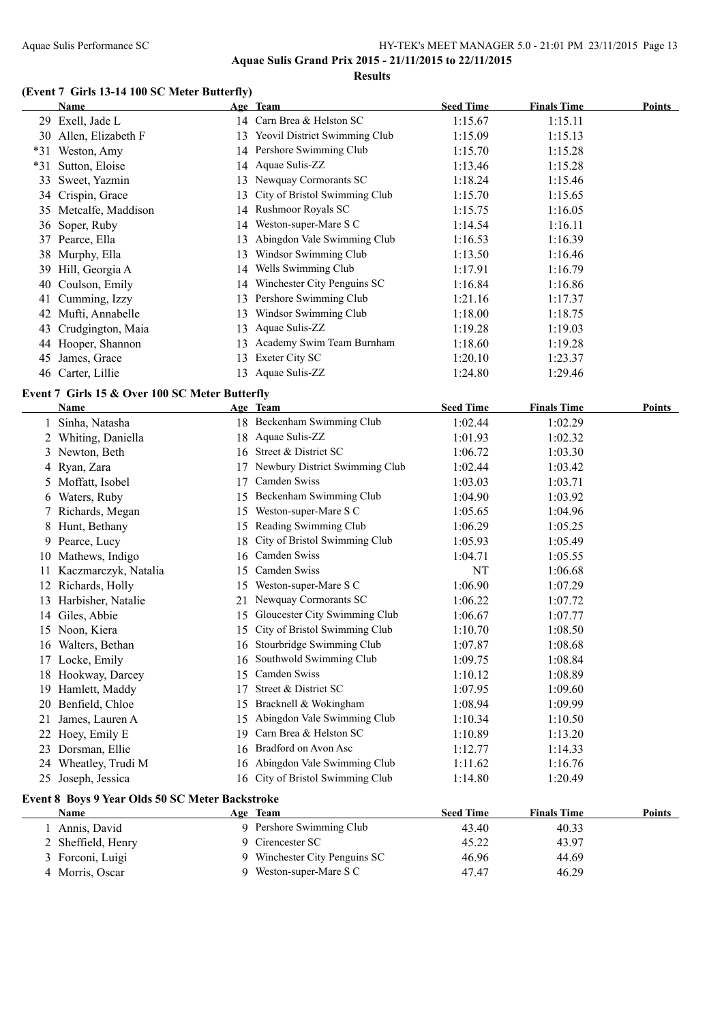#### Aquae Sulis Performance SC HY-TEK's MEET MANAGER 5.0 - 21:01 PM 23/11/2015 Page 13 **Aquae Sulis Grand Prix 2015 - 21/11/2015 to 22/11/2015 Results**

#### **(Event 7 Girls 13-14 100 SC Meter Butterfly)**

|       | Name                  |     | Age Team                         | <b>Seed Time</b> | <b>Finals Time</b> | Points |
|-------|-----------------------|-----|----------------------------------|------------------|--------------------|--------|
|       | 29 Exell, Jade L      |     | 14 Carn Brea & Helston SC        | 1:15.67          | 1:15.11            |        |
|       | 30 Allen, Elizabeth F |     | 13 Yeovil District Swimming Club | 1:15.09          | 1:15.13            |        |
| $*31$ | Weston, Amy           |     | 14 Pershore Swimming Club        | 1:15.70          | 1:15.28            |        |
| $*31$ | Sutton, Eloise        |     | 14 Aquae Sulis-ZZ                | 1:13.46          | 1:15.28            |        |
|       | 33 Sweet, Yazmin      | 13. | Newquay Cormorants SC            | 1:18.24          | 1:15.46            |        |
|       | 34 Crispin, Grace     | 13. | City of Bristol Swimming Club    | 1:15.70          | 1:15.65            |        |
|       | 35 Metcalfe, Maddison |     | 14 Rushmoor Royals SC            | 1:15.75          | 1:16.05            |        |
|       | 36 Soper, Ruby        | 14  | Weston-super-Mare S C            | 1:14.54          | 1:16.11            |        |
|       | 37 Pearce, Ella       | 13  | Abingdon Vale Swimming Club      | 1:16.53          | 1:16.39            |        |
|       | 38 Murphy, Ella       | 13  | Windsor Swimming Club            | 1:13.50          | 1:16.46            |        |
|       | 39 Hill, Georgia A    | 14  | Wells Swimming Club              | 1:17.91          | 1:16.79            |        |
| 40    | Coulson, Emily        | 14  | Winchester City Penguins SC      | 1:16.84          | 1:16.86            |        |
| 41    | Cumming, Izzy         | 13. | Pershore Swimming Club           | 1:21.16          | 1:17.37            |        |
| 42    | Mufti, Annabelle      | 13  | Windsor Swimming Club            | 1:18.00          | 1:18.75            |        |
| 43    | Crudgington, Maia     | 13  | Aquae Sulis-ZZ                   | 1:19.28          | 1:19.03            |        |
|       | 44 Hooper, Shannon    | 13  | Academy Swim Team Burnham        | 1:18.60          | 1:19.28            |        |
| 45    | James, Grace          | 13. | Exeter City SC                   | 1:20.10          | 1:23.37            |        |
|       | 46 Carter, Lillie     |     | 13 Aquae Sulis-ZZ                | 1:24.80          | 1:29.46            |        |

#### **Event 7 Girls 15 & Over 100 SC Meter Butterfly**

|    | <b>Name</b>                                     |    | Age Team                         | <b>Seed Time</b> | <b>Finals Time</b> | Points        |
|----|-------------------------------------------------|----|----------------------------------|------------------|--------------------|---------------|
|    | Sinha, Natasha                                  |    | 18 Beckenham Swimming Club       | 1:02.44          | 1:02.29            |               |
|    | 2 Whiting, Daniella                             |    | 18 Aquae Sulis-ZZ                | 1:01.93          | 1:02.32            |               |
|    | 3 Newton, Beth                                  |    | 16 Street & District SC          | 1:06.72          | 1:03.30            |               |
| 4  | Ryan, Zara                                      |    | Newbury District Swimming Club   | 1:02.44          | 1:03.42            |               |
| 5. | Moffatt, Isobel                                 | 17 | Camden Swiss                     | 1:03.03          | 1:03.71            |               |
| 6  | Waters, Ruby                                    | 15 | Beckenham Swimming Club          | 1:04.90          | 1:03.92            |               |
|    | Richards, Megan                                 | 15 | Weston-super-Mare S C            | 1:05.65          | 1:04.96            |               |
| 8  | Hunt, Bethany                                   | 15 | Reading Swimming Club            | 1:06.29          | 1:05.25            |               |
| 9  | Pearce, Lucy                                    | 18 | City of Bristol Swimming Club    | 1:05.93          | 1:05.49            |               |
| 10 | Mathews, Indigo                                 | 16 | Camden Swiss                     | 1:04.71          | 1:05.55            |               |
| 11 | Kaczmarczyk, Natalia                            | 15 | <b>Camden Swiss</b>              | NT               | 1:06.68            |               |
| 12 | Richards, Holly                                 | 15 | Weston-super-Mare S C            | 1:06.90          | 1:07.29            |               |
| 13 | Harbisher, Natalie                              | 21 | Newquay Cormorants SC            | 1:06.22          | 1:07.72            |               |
| 14 | Giles, Abbie                                    | 15 | Gloucester City Swimming Club    | 1:06.67          | 1:07.77            |               |
|    | 15 Noon, Kiera                                  | 15 | City of Bristol Swimming Club    | 1:10.70          | 1:08.50            |               |
| 16 | Walters, Bethan                                 | 16 | Stourbridge Swimming Club        | 1:07.87          | 1:08.68            |               |
|    | 17 Locke, Emily                                 | 16 | Southwold Swimming Club          | 1:09.75          | 1:08.84            |               |
|    | 18 Hookway, Darcey                              | 15 | Camden Swiss                     | 1:10.12          | 1:08.89            |               |
| 19 | Hamlett, Maddy                                  | 17 | Street & District SC             | 1:07.95          | 1:09.60            |               |
| 20 | Benfield, Chloe                                 | 15 | Bracknell & Wokingham            | 1:08.94          | 1:09.99            |               |
| 21 | James, Lauren A                                 | 15 | Abingdon Vale Swimming Club      | 1:10.34          | 1:10.50            |               |
| 22 | Hoey, Emily E                                   | 19 | Carn Brea & Helston SC           | 1:10.89          | 1:13.20            |               |
| 23 | Dorsman, Ellie                                  |    | 16 Bradford on Avon Asc          | 1:12.77          | 1:14.33            |               |
| 24 | Wheatley, Trudi M                               |    | 16 Abingdon Vale Swimming Club   | 1:11.62          | 1:16.76            |               |
| 25 | Joseph, Jessica                                 |    | 16 City of Bristol Swimming Club | 1:14.80          | 1:20.49            |               |
|    | Event 8 Boys 9 Year Olds 50 SC Meter Backstroke |    |                                  |                  |                    |               |
|    | <b>Name</b>                                     |    | Age Team                         | <b>Seed Time</b> | <b>Finals Time</b> | <b>Points</b> |
|    | 1 Annis, David                                  |    | 9 Pershore Swimming Club         | 43.40            | 40.33              |               |
| 2  | Sheffield, Henry                                |    | 9 Cirencester SC                 | 45.22            | 43.97              |               |
| 3  | Forconi, Luigi                                  |    | 9 Winchester City Penguins SC    | 46.96            | 44.69              |               |
|    | 4 Morris, Oscar                                 |    | 9 Weston-super-Mare S C          | 47.47            | 46.29              |               |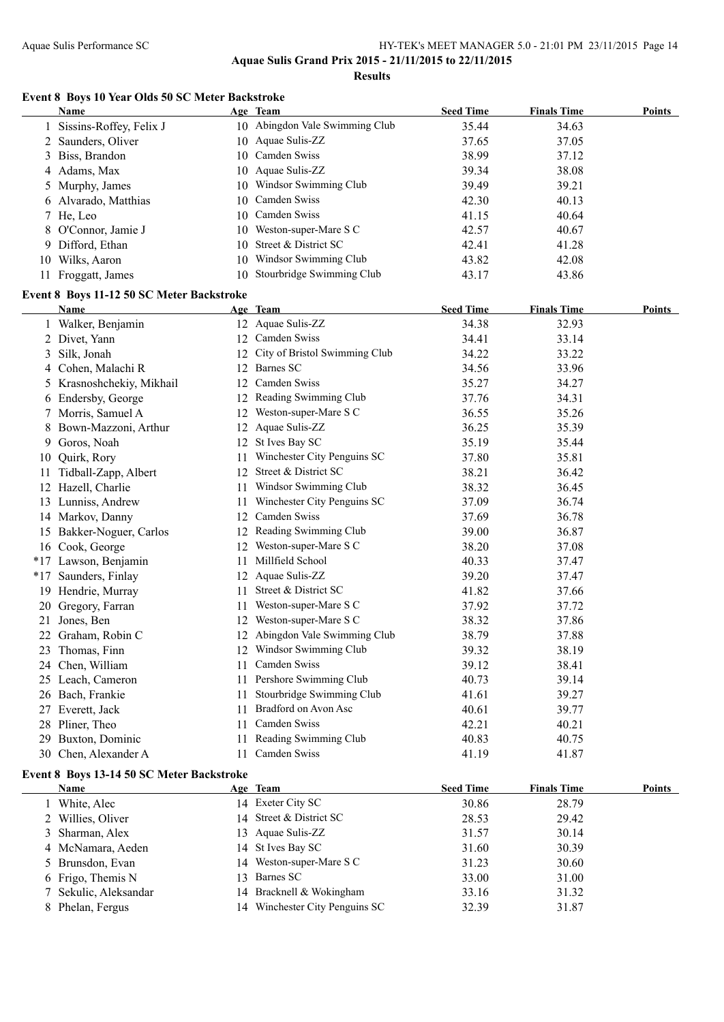**Aquae Sulis Grand Prix 2015 - 21/11/2015 to 22/11/2015**

**Results**

#### **Event 8 Boys 10 Year Olds 50 SC Meter Backstroke**

|    | Name                                      |    | Age Team                         | <b>Seed Time</b> | <b>Finals Time</b> | <b>Points</b> |
|----|-------------------------------------------|----|----------------------------------|------------------|--------------------|---------------|
|    | Sissins-Roffey, Felix J                   |    | 10 Abingdon Vale Swimming Club   | 35.44            | 34.63              |               |
|    | 2 Saunders, Oliver                        |    | 10 Aquae Sulis-ZZ                | 37.65            | 37.05              |               |
| 3  | Biss, Brandon                             |    | 10 Camden Swiss                  | 38.99            | 37.12              |               |
|    | 4 Adams, Max                              |    | 10 Aquae Sulis-ZZ                | 39.34            | 38.08              |               |
| 5  | Murphy, James                             |    | 10 Windsor Swimming Club         | 39.49            | 39.21              |               |
|    | 6 Alvarado, Matthias                      |    | 10 Camden Swiss                  | 42.30            | 40.13              |               |
|    | 7 He, Leo                                 |    | 10 Camden Swiss                  | 41.15            | 40.64              |               |
| 8  | O'Connor, Jamie J                         |    | 10 Weston-super-Mare S C         | 42.57            | 40.67              |               |
|    | 9 Difford, Ethan                          |    | 10 Street & District SC          | 42.41            | 41.28              |               |
|    | 10 Wilks, Aaron                           |    | 10 Windsor Swimming Club         | 43.82            | 42.08              |               |
|    | 11 Froggatt, James                        |    | 10 Stourbridge Swimming Club     | 43.17            | 43.86              |               |
|    | Event 8 Boys 11-12 50 SC Meter Backstroke |    |                                  |                  |                    |               |
|    | Name                                      |    | Age Team                         | <b>Seed Time</b> | <b>Finals Time</b> | <b>Points</b> |
|    | 1 Walker, Benjamin                        |    | 12 Aquae Sulis-ZZ                | 34.38            | 32.93              |               |
|    | 2 Divet, Yann                             |    | 12 Camden Swiss                  | 34.41            | 33.14              |               |
| 3  | Silk, Jonah                               |    | 12 City of Bristol Swimming Club | 34.22            | 33.22              |               |
|    | 4 Cohen, Malachi R                        |    | 12 Barnes SC                     | 34.56            | 33.96              |               |
| 5  | Krasnoshchekiy, Mikhail                   |    | 12 Camden Swiss                  | 35.27            | 34.27              |               |
| 6  | Endersby, George                          |    | 12 Reading Swimming Club         | 37.76            | 34.31              |               |
| 7  | Morris, Samuel A                          |    | 12 Weston-super-Mare S C         | 36.55            | 35.26              |               |
| 8  | Bown-Mazzoni, Arthur                      |    | 12 Aquae Sulis-ZZ                | 36.25            | 35.39              |               |
| 9  | Goros, Noah                               |    | 12 St Ives Bay SC                | 35.19            | 35.44              |               |
|    | 10 Quirk, Rory                            | 11 | Winchester City Penguins SC      | 37.80            | 35.81              |               |
| 11 | Tidball-Zapp, Albert                      | 12 | Street & District SC             | 38.21            | 36.42              |               |
|    | 12 Hazell, Charlie                        |    | 11 Windsor Swimming Club         | 38.32            | 36.45              |               |
|    | 13 Lunniss, Andrew                        | 11 | Winchester City Penguins SC      | 37.09            | 36.74              |               |
|    | 14 Markov, Danny                          | 12 | Camden Swiss                     | 37.69            | 36.78              |               |
|    | 15 Bakker-Noguer, Carlos                  |    | 12 Reading Swimming Club         | 39.00            | 36.87              |               |
|    | 16 Cook, George                           |    | 12 Weston-super-Mare S C         | 38.20            | 37.08              |               |
|    | *17 Lawson, Benjamin                      | 11 | Millfield School                 | 40.33            | 37.47              |               |
|    | *17 Saunders, Finlay                      |    | 12 Aquae Sulis-ZZ                | 39.20            | 37.47              |               |
|    | 19 Hendrie, Murray                        | 11 | Street & District SC             | 41.82            | 37.66              |               |
|    | 20 Gregory, Farran                        | 11 | Weston-super-Mare S C            | 37.92            | 37.72              |               |
| 21 | Jones, Ben                                |    | 12 Weston-super-Mare S C         | 38.32            | 37.86              |               |
|    | 22 Graham, Robin C                        |    | 12 Abingdon Vale Swimming Club   | 38.79            | 37.88              |               |
|    | Thomas, Finn                              |    | 12 Windsor Swimming Club         | 39.32            | 38.19              |               |
|    | 24 Chen, William                          | 11 | Camden Swiss                     | 39.12            | 38.41              |               |
|    | 25 Leach, Cameron                         | 11 | Pershore Swimming Club           | 40.73            | 39.14              |               |
|    | 26 Bach, Frankie                          | 11 | Stourbridge Swimming Club        | 41.61            | 39.27              |               |
| 27 | Everett, Jack                             | 11 | Bradford on Avon Asc             | 40.61            | 39.77              |               |
|    | 28 Pliner, Theo                           | 11 | Camden Swiss                     | 42.21            | 40.21              |               |
|    | 29 Buxton, Dominic                        | 11 | Reading Swimming Club            | 40.83            | 40.75              |               |
|    | 30 Chen, Alexander A                      | 11 | Camden Swiss                     | 41.19            | 41.87              |               |

#### **Event 8 Boys 13-14 50 SC Meter Backstroke**

| Name                  |    | Age Team                    | <b>Seed Time</b> | <b>Finals Time</b> | Points |
|-----------------------|----|-----------------------------|------------------|--------------------|--------|
| White, Alec           |    | 14 Exeter City SC           | 30.86            | 28.79              |        |
| 2 Willies, Oliver     |    | 14 Street & District SC     | 28.53            | 29.42              |        |
| 3 Sharman, Alex       |    | 13 Aquae Sulis-ZZ           | 31.57            | 30.14              |        |
| 4 McNamara, Aeden     |    | 14 St Ives Bay SC           | 31.60            | 30.39              |        |
| 5 Brunsdon, Evan      |    | 14 Weston-super-Mare S C    | 31.23            | 30.60              |        |
| 6 Frigo, Themis N     |    | 13 Barnes SC                | 33.00            | 31.00              |        |
| 7 Sekulic, Aleksandar |    | 14 Bracknell & Wokingham    | 33.16            | 31.32              |        |
| 8 Phelan, Fergus      | 14 | Winchester City Penguins SC | 32.39            | 31.87              |        |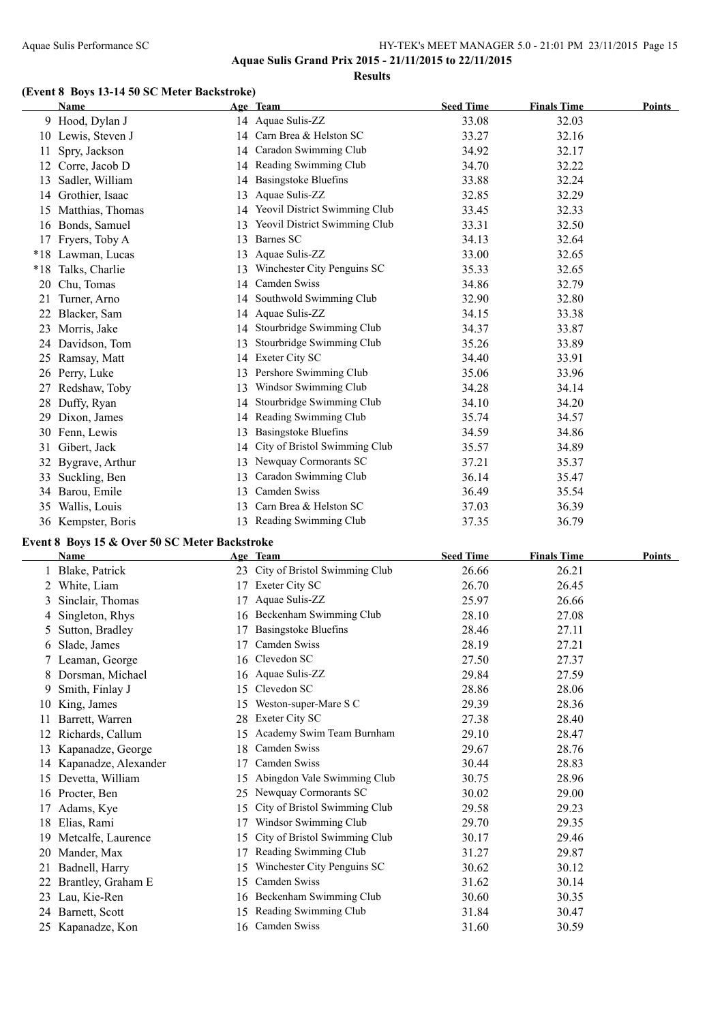**Results**

#### **(Event 8 Boys 13-14 50 SC Meter Backstroke)**

|     | <b>Name</b>        |    | Age Team                      | <b>Seed Time</b> | <b>Finals Time</b> | <b>Points</b> |
|-----|--------------------|----|-------------------------------|------------------|--------------------|---------------|
|     | 9 Hood, Dylan J    |    | 14 Aquae Sulis-ZZ             | 33.08            | 32.03              |               |
|     | 10 Lewis, Steven J | 14 | Carn Brea & Helston SC        | 33.27            | 32.16              |               |
| 11  | Spry, Jackson      | 14 | Caradon Swimming Club         | 34.92            | 32.17              |               |
| 12  | Corre, Jacob D     |    | 14 Reading Swimming Club      | 34.70            | 32.22              |               |
| 13  | Sadler, William    | 14 | <b>Basingstoke Bluefins</b>   | 33.88            | 32.24              |               |
| 14  | Grothier, Isaac    | 13 | Aquae Sulis-ZZ                | 32.85            | 32.29              |               |
| 15  | Matthias, Thomas   | 14 | Yeovil District Swimming Club | 33.45            | 32.33              |               |
| 16  | Bonds, Samuel      | 13 | Yeovil District Swimming Club | 33.31            | 32.50              |               |
| 17  | Fryers, Toby A     | 13 | Barnes SC                     | 34.13            | 32.64              |               |
|     | *18 Lawman, Lucas  | 13 | Aquae Sulis-ZZ                | 33.00            | 32.65              |               |
| *18 | Talks, Charlie     | 13 | Winchester City Penguins SC   | 35.33            | 32.65              |               |
| 20  | Chu, Tomas         | 14 | Camden Swiss                  | 34.86            | 32.79              |               |
| 21  | Turner, Arno       | 14 | Southwold Swimming Club       | 32.90            | 32.80              |               |
| 22  | Blacker, Sam       |    | 14 Aquae Sulis-ZZ             | 34.15            | 33.38              |               |
| 23  | Morris, Jake       | 14 | Stourbridge Swimming Club     | 34.37            | 33.87              |               |
| 24  | Davidson, Tom      | 13 | Stourbridge Swimming Club     | 35.26            | 33.89              |               |
|     | 25 Ramsay, Matt    | 14 | Exeter City SC                | 34.40            | 33.91              |               |
| 26  | Perry, Luke        | 13 | Pershore Swimming Club        | 35.06            | 33.96              |               |
| 27  | Redshaw, Toby      | 13 | Windsor Swimming Club         | 34.28            | 34.14              |               |
| 28  | Duffy, Ryan        | 14 | Stourbridge Swimming Club     | 34.10            | 34.20              |               |
| 29  | Dixon, James       | 14 | Reading Swimming Club         | 35.74            | 34.57              |               |
| 30  | Fenn, Lewis        | 13 | <b>Basingstoke Bluefins</b>   | 34.59            | 34.86              |               |
| 31  | Gibert, Jack       | 14 | City of Bristol Swimming Club | 35.57            | 34.89              |               |
| 32  | Bygrave, Arthur    | 13 | Newquay Cormorants SC         | 37.21            | 35.37              |               |
| 33  | Suckling, Ben      | 13 | Caradon Swimming Club         | 36.14            | 35.47              |               |
| 34  | Barou, Emile       | 13 | Camden Swiss                  | 36.49            | 35.54              |               |
| 35  | Wallis, Louis      | 13 | Carn Brea & Helston SC        | 37.03            | 36.39              |               |
| 36  | Kempster, Boris    |    | 13 Reading Swimming Club      | 37.35            | 36.79              |               |

#### **Event 8 Boys 15 & Over 50 SC Meter Backstroke**

|    | Name                 |    | Age Team                      | <b>Seed Time</b> | <b>Finals Time</b> | <b>Points</b> |
|----|----------------------|----|-------------------------------|------------------|--------------------|---------------|
|    | Blake, Patrick       | 23 | City of Bristol Swimming Club | 26.66            | 26.21              |               |
|    | White, Liam          | 17 | Exeter City SC                | 26.70            | 26.45              |               |
| 3  | Sinclair, Thomas     | 17 | Aquae Sulis-ZZ                | 25.97            | 26.66              |               |
|    | Singleton, Rhys      | 16 | Beckenham Swimming Club       | 28.10            | 27.08              |               |
| 5. | Sutton, Bradley      | 17 | <b>Basingstoke Bluefins</b>   | 28.46            | 27.11              |               |
| 6  | Slade, James         | 17 | Camden Swiss                  | 28.19            | 27.21              |               |
|    | 7 Leaman, George     |    | 16 Clevedon SC                | 27.50            | 27.37              |               |
|    | Dorsman, Michael     | 16 | Aquae Sulis-ZZ                | 29.84            | 27.59              |               |
| 9. | Smith, Finlay J      | 15 | Clevedon SC                   | 28.86            | 28.06              |               |
| 10 | King, James          | 15 | Weston-super-Mare S C         | 29.39            | 28.36              |               |
|    | Barrett, Warren      | 28 | Exeter City SC                | 27.38            | 28.40              |               |
| 12 | Richards, Callum     | 15 | Academy Swim Team Burnham     | 29.10            | 28.47              |               |
| 13 | Kapanadze, George    | 18 | Camden Swiss                  | 29.67            | 28.76              |               |
|    | Kapanadze, Alexander | 17 | Camden Swiss                  | 30.44            | 28.83              |               |
| 15 | Devetta, William     | 15 | Abingdon Vale Swimming Club   | 30.75            | 28.96              |               |
| 16 | Procter, Ben         | 25 | Newquay Cormorants SC         | 30.02            | 29.00              |               |
|    | Adams, Kye           | 15 | City of Bristol Swimming Club | 29.58            | 29.23              |               |
| 18 | Elias, Rami          | 17 | Windsor Swimming Club         | 29.70            | 29.35              |               |
| 19 | Metcalfe, Laurence   | 15 | City of Bristol Swimming Club | 30.17            | 29.46              |               |
| 20 | Mander, Max          | 17 | Reading Swimming Club         | 31.27            | 29.87              |               |
| 21 | Badnell, Harry       | 15 | Winchester City Penguins SC   | 30.62            | 30.12              |               |
| 22 | Brantley, Graham E   | 15 | Camden Swiss                  | 31.62            | 30.14              |               |
| 23 | Lau, Kie-Ren         | 16 | Beckenham Swimming Club       | 30.60            | 30.35              |               |
| 24 | Barnett, Scott       | 15 | Reading Swimming Club         | 31.84            | 30.47              |               |
|    | 25 Kapanadze, Kon    |    | 16 Camden Swiss               | 31.60            | 30.59              |               |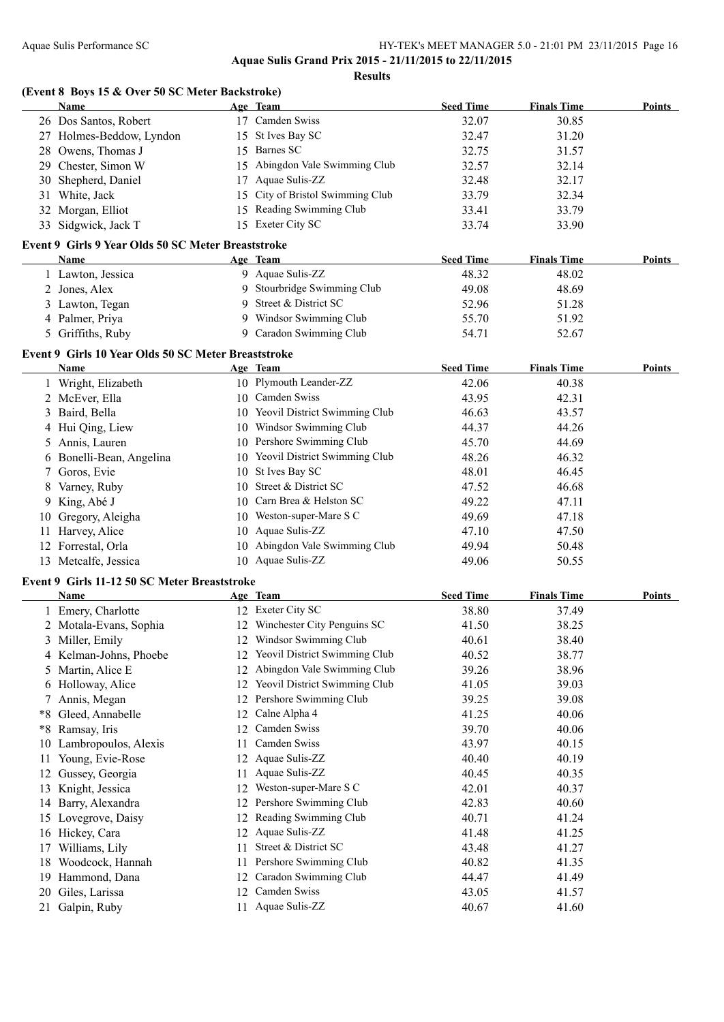**Results**

|      | (Event 8 Boys 15 & Over 50 SC Meter Backstroke)     |    |                                  |                  |                    |        |
|------|-----------------------------------------------------|----|----------------------------------|------------------|--------------------|--------|
|      | <b>Name</b>                                         |    | Age Team                         | <b>Seed Time</b> | <b>Finals Time</b> | Points |
|      | 26 Dos Santos, Robert                               |    | 17 Camden Swiss                  | 32.07            | 30.85              |        |
|      | 27 Holmes-Beddow, Lyndon                            |    | 15 St Ives Bay SC                | 32.47            | 31.20              |        |
|      | 28 Owens, Thomas J                                  |    | 15 Barnes SC                     | 32.75            | 31.57              |        |
|      | 29 Chester, Simon W                                 |    | 15 Abingdon Vale Swimming Club   | 32.57            | 32.14              |        |
|      | 30 Shepherd, Daniel                                 |    | 17 Aquae Sulis-ZZ                | 32.48            | 32.17              |        |
|      | 31 White, Jack                                      |    | 15 City of Bristol Swimming Club | 33.79            | 32.34              |        |
|      | 32 Morgan, Elliot                                   |    | 15 Reading Swimming Club         | 33.41            | 33.79              |        |
|      | 33 Sidgwick, Jack T                                 |    | 15 Exeter City SC                | 33.74            | 33.90              |        |
|      | Event 9 Girls 9 Year Olds 50 SC Meter Breaststroke  |    |                                  |                  |                    |        |
|      | Name                                                |    | Age Team                         | <b>Seed Time</b> | <b>Finals Time</b> | Points |
|      | 1 Lawton, Jessica                                   |    | 9 Aquae Sulis-ZZ                 | 48.32            | 48.02              |        |
|      | 2 Jones, Alex                                       |    | 9 Stourbridge Swimming Club      | 49.08            | 48.69              |        |
|      | 3 Lawton, Tegan                                     |    | 9 Street & District SC           | 52.96            | 51.28              |        |
|      | 4 Palmer, Priya                                     |    | 9 Windsor Swimming Club          | 55.70            | 51.92              |        |
|      | 5 Griffiths, Ruby                                   |    | 9 Caradon Swimming Club          | 54.71            | 52.67              |        |
|      | Event 9 Girls 10 Year Olds 50 SC Meter Breaststroke |    |                                  |                  |                    |        |
|      | Name                                                |    | Age Team                         | <b>Seed Time</b> | <b>Finals Time</b> | Points |
|      | 1 Wright, Elizabeth                                 |    | 10 Plymouth Leander-ZZ           | 42.06            | 40.38              |        |
|      | 2 McEver, Ella                                      |    | 10 Camden Swiss                  | 43.95            | 42.31              |        |
|      | 3 Baird, Bella                                      |    | 10 Yeovil District Swimming Club | 46.63            | 43.57              |        |
|      | 4 Hui Qing, Liew                                    |    | 10 Windsor Swimming Club         | 44.37            | 44.26              |        |
|      | 5 Annis, Lauren                                     |    | 10 Pershore Swimming Club        | 45.70            | 44.69              |        |
|      | 6 Bonelli-Bean, Angelina                            |    | 10 Yeovil District Swimming Club | 48.26            | 46.32              |        |
|      | 7 Goros, Evie                                       |    | 10 St Ives Bay SC                | 48.01            | 46.45              |        |
| 8    | Varney, Ruby                                        |    | 10 Street & District SC          | 47.52            | 46.68              |        |
| 9.   | King, Abé J                                         |    | 10 Carn Brea & Helston SC        | 49.22            | 47.11              |        |
| 10   | Gregory, Aleigha                                    |    | 10 Weston-super-Mare S C         | 49.69            | 47.18              |        |
|      | 11 Harvey, Alice                                    |    | 10 Aquae Sulis-ZZ                | 47.10            | 47.50              |        |
|      | 12 Forrestal, Orla                                  |    | 10 Abingdon Vale Swimming Club   | 49.94            | 50.48              |        |
|      | 13 Metcalfe, Jessica                                |    | 10 Aquae Sulis-ZZ                | 49.06            | 50.55              |        |
|      |                                                     |    |                                  |                  |                    |        |
|      | Event 9 Girls 11-12 50 SC Meter Breaststroke        |    | Age Team                         | <b>Seed Time</b> | <b>Finals Time</b> | Points |
|      | Name                                                |    |                                  |                  |                    |        |
|      | 1 Emery, Charlotte                                  |    | 12 Exeter City SC                | 38.80            | 37.49              |        |
|      | 2 Motala-Evans, Sophia                              |    | 12 Winchester City Penguins SC   | 41.50            | 38.25              |        |
|      | 3 Miller, Emily                                     |    | 12 Windsor Swimming Club         | 40.61            | 38.40              |        |
|      | 4 Kelman-Johns, Phoebe                              |    | 12 Yeovil District Swimming Club | 40.52            | 38.77              |        |
|      | 5 Martin, Alice E                                   | 12 | Abingdon Vale Swimming Club      | 39.26            | 38.96              |        |
|      | 6 Holloway, Alice                                   |    | 12 Yeovil District Swimming Club | 41.05            | 39.03              |        |
| 7.   | Annis, Megan                                        |    | 12 Pershore Swimming Club        | 39.25            | 39.08              |        |
| *8   | Gleed, Annabelle                                    |    | 12 Calne Alpha 4                 | 41.25            | 40.06              |        |
| $*8$ | Ramsay, Iris                                        |    | 12 Camden Swiss                  | 39.70            | 40.06              |        |
| 10   | Lambropoulos, Alexis                                | 11 | Camden Swiss                     | 43.97            | 40.15              |        |
| 11   | Young, Evie-Rose                                    |    | 12 Aquae Sulis-ZZ                | 40.40            | 40.19              |        |
|      | 12 Gussey, Georgia                                  | 11 | Aquae Sulis-ZZ                   | 40.45            | 40.35              |        |
|      | 13 Knight, Jessica                                  |    | 12 Weston-super-Mare S C         | 42.01            | 40.37              |        |
|      | 14 Barry, Alexandra                                 |    | 12 Pershore Swimming Club        | 42.83            | 40.60              |        |
|      | 15 Lovegrove, Daisy                                 |    | 12 Reading Swimming Club         | 40.71            | 41.24              |        |
|      | 16 Hickey, Cara                                     |    | 12 Aquae Sulis-ZZ                | 41.48            | 41.25              |        |
|      | 17 Williams, Lily                                   |    | 11 Street & District SC          | 43.48            | 41.27              |        |
|      | 18 Woodcock, Hannah                                 |    | 11 Pershore Swimming Club        | 40.82            | 41.35              |        |
|      | 19 Hammond, Dana                                    |    | 12 Caradon Swimming Club         | 44.47            | 41.49              |        |
|      | 20 Giles, Larissa                                   |    | 12 Camden Swiss                  | 43.05            | 41.57              |        |
|      | 21 Galpin, Ruby                                     | 11 | Aquae Sulis-ZZ                   | 40.67            | 41.60              |        |
|      |                                                     |    |                                  |                  |                    |        |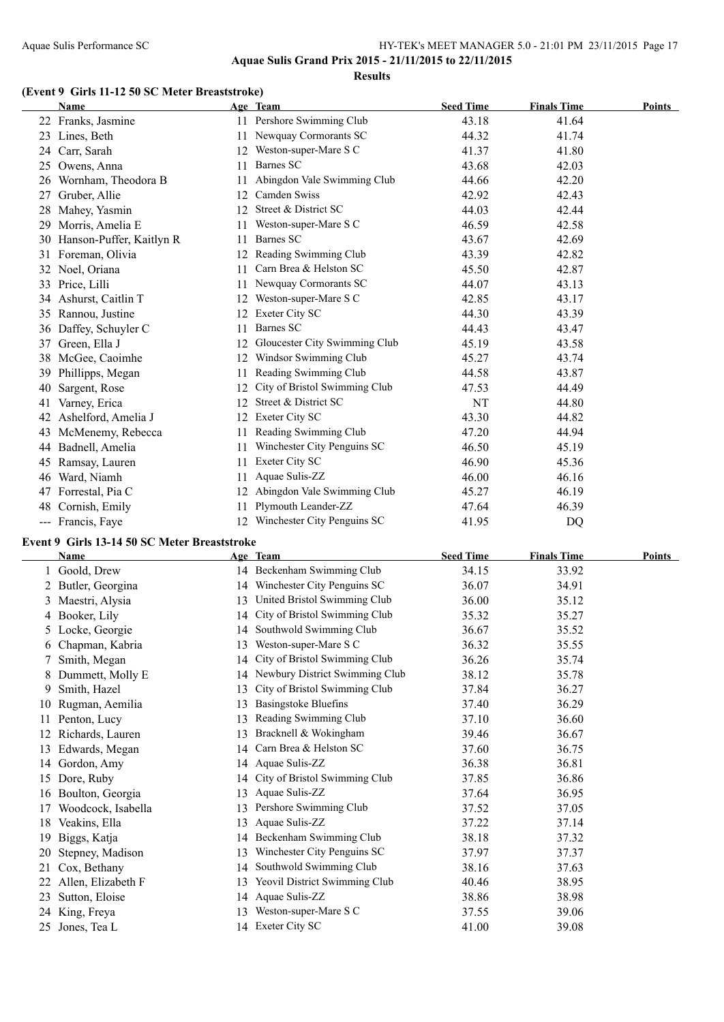#### **(Event 9 Girls 11-12 50 SC Meter Breaststroke)**

|       | <b>Name</b>              |    | Age Team                      | <b>Seed Time</b> | <b>Finals Time</b> | <b>Points</b> |
|-------|--------------------------|----|-------------------------------|------------------|--------------------|---------------|
|       | 22 Franks, Jasmine       | 11 | Pershore Swimming Club        | 43.18            | 41.64              |               |
| 23    | Lines, Beth              | 11 | Newquay Cormorants SC         | 44.32            | 41.74              |               |
| 24    | Carr, Sarah              | 12 | Weston-super-Mare S C         | 41.37            | 41.80              |               |
| 25    | Owens, Anna              | 11 | Barnes SC                     | 43.68            | 42.03              |               |
| 26    | Wornham, Theodora B      | 11 | Abingdon Vale Swimming Club   | 44.66            | 42.20              |               |
| 27    | Gruber, Allie            | 12 | Camden Swiss                  | 42.92            | 42.43              |               |
| 28    | Mahey, Yasmin            | 12 | Street & District SC          | 44.03            | 42.44              |               |
| 29    | Morris, Amelia E         | 11 | Weston-super-Mare S C         | 46.59            | 42.58              |               |
| 30    | Hanson-Puffer, Kaitlyn R | 11 | Barnes SC                     | 43.67            | 42.69              |               |
|       | 31 Foreman, Olivia       | 12 | Reading Swimming Club         | 43.39            | 42.82              |               |
| 32    | Noel, Oriana             | 11 | Carn Brea & Helston SC        | 45.50            | 42.87              |               |
| 33    | Price, Lilli             | 11 | Newquay Cormorants SC         | 44.07            | 43.13              |               |
| 34    | Ashurst, Caitlin T       | 12 | Weston-super-Mare S C         | 42.85            | 43.17              |               |
| 35    | Rannou, Justine          | 12 | Exeter City SC                | 44.30            | 43.39              |               |
| 36    | Daffey, Schuyler C       | 11 | Barnes SC                     | 44.43            | 43.47              |               |
| 37    | Green, Ella J            | 12 | Gloucester City Swimming Club | 45.19            | 43.58              |               |
| 38    | McGee, Caoimhe           | 12 | Windsor Swimming Club         | 45.27            | 43.74              |               |
| 39    | Phillipps, Megan         | 11 | Reading Swimming Club         | 44.58            | 43.87              |               |
| 40    | Sargent, Rose            | 12 | City of Bristol Swimming Club | 47.53            | 44.49              |               |
| 41    | Varney, Erica            | 12 | Street & District SC          | NT               | 44.80              |               |
| 42    | Ashelford, Amelia J      | 12 | <b>Exeter City SC</b>         | 43.30            | 44.82              |               |
| 43    | McMenemy, Rebecca        | 11 | Reading Swimming Club         | 47.20            | 44.94              |               |
| 44    | Badnell, Amelia          | 11 | Winchester City Penguins SC   | 46.50            | 45.19              |               |
| 45    | Ramsay, Lauren           | 11 | Exeter City SC                | 46.90            | 45.36              |               |
| 46    | Ward, Niamh              | 11 | Aquae Sulis-ZZ                | 46.00            | 46.16              |               |
| 47    | Forrestal, Pia C         | 12 | Abingdon Vale Swimming Club   | 45.27            | 46.19              |               |
| 48    | Cornish, Emily           | 11 | Plymouth Leander-ZZ           | 47.64            | 46.39              |               |
| $---$ | Francis, Faye            | 12 | Winchester City Penguins SC   | 41.95            | DQ                 |               |

#### **Event 9 Girls 13-14 50 SC Meter Breaststroke**

|    | Name               |    | Age Team                       | <b>Seed Time</b> | <b>Finals Time</b> | <b>Points</b> |
|----|--------------------|----|--------------------------------|------------------|--------------------|---------------|
|    | 1 Goold, Drew      |    | 14 Beckenham Swimming Club     | 34.15            | 33.92              |               |
|    | 2 Butler, Georgina | 14 | Winchester City Penguins SC    | 36.07            | 34.91              |               |
| 3. | Maestri, Alysia    | 13 | United Bristol Swimming Club   | 36.00            | 35.12              |               |
|    | 4 Booker, Lily     | 14 | City of Bristol Swimming Club  | 35.32            | 35.27              |               |
|    | 5 Locke, Georgie   | 14 | Southwold Swimming Club        | 36.67            | 35.52              |               |
|    | 6 Chapman, Kabria  | 13 | Weston-super-Mare S C          | 36.32            | 35.55              |               |
|    | Smith, Megan       | 14 | City of Bristol Swimming Club  | 36.26            | 35.74              |               |
|    | Dummett, Molly E   | 14 | Newbury District Swimming Club | 38.12            | 35.78              |               |
| 9. | Smith, Hazel       | 13 | City of Bristol Swimming Club  | 37.84            | 36.27              |               |
|    | Rugman, Aemilia    | 13 | <b>Basingstoke Bluefins</b>    | 37.40            | 36.29              |               |
|    | Penton, Lucy       | 13 | Reading Swimming Club          | 37.10            | 36.60              |               |
|    | Richards, Lauren   | 13 | Bracknell & Wokingham          | 39.46            | 36.67              |               |
| 13 | Edwards, Megan     | 14 | Carn Brea & Helston SC         | 37.60            | 36.75              |               |
| 14 | Gordon, Amy        |    | 14 Aquae Sulis-ZZ              | 36.38            | 36.81              |               |
| 15 | Dore, Ruby         | 14 | City of Bristol Swimming Club  | 37.85            | 36.86              |               |
| 16 | Boulton, Georgia   | 13 | Aquae Sulis-ZZ                 | 37.64            | 36.95              |               |
| 17 | Woodcock, Isabella | 13 | Pershore Swimming Club         | 37.52            | 37.05              |               |
| 18 | Veakins, Ella      | 13 | Aquae Sulis-ZZ                 | 37.22            | 37.14              |               |
| 19 | Biggs, Katja       | 14 | Beckenham Swimming Club        | 38.18            | 37.32              |               |
| 20 | Stepney, Madison   | 13 | Winchester City Penguins SC    | 37.97            | 37.37              |               |
| 21 | Cox, Bethany       | 14 | Southwold Swimming Club        | 38.16            | 37.63              |               |
|    | Allen, Elizabeth F | 13 | Yeovil District Swimming Club  | 40.46            | 38.95              |               |
| 23 | Sutton, Eloise     | 14 | Aquae Sulis-ZZ                 | 38.86            | 38.98              |               |
| 24 | King, Freya        | 13 | Weston-super-Mare S C          | 37.55            | 39.06              |               |
| 25 | Jones, Tea L       |    | 14 Exeter City SC              | 41.00            | 39.08              |               |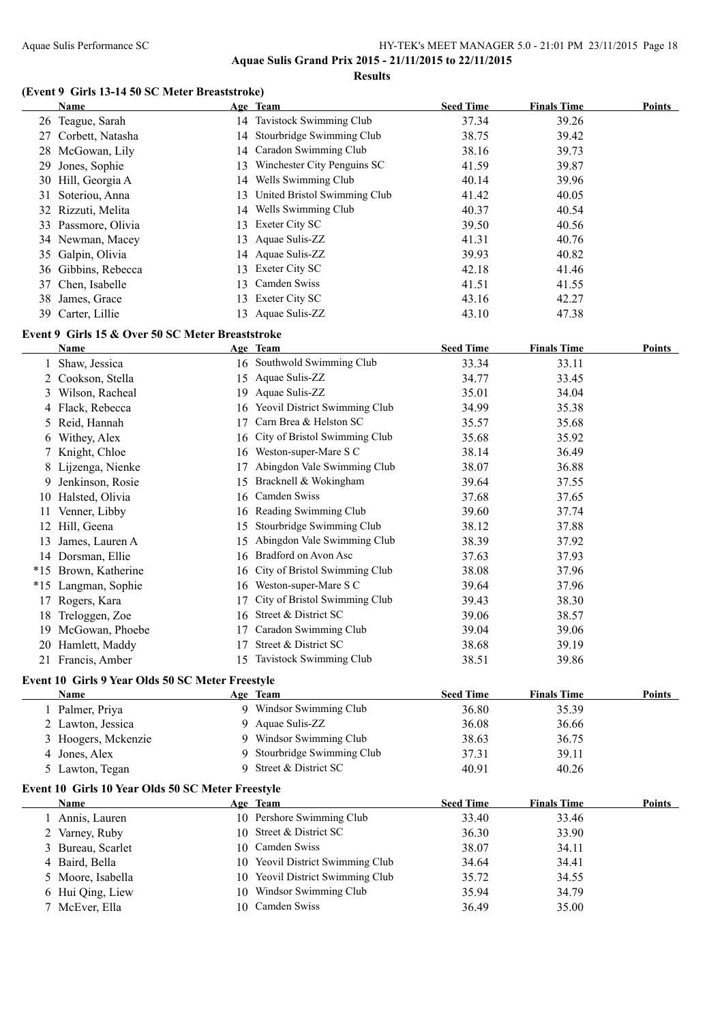**Aquae Sulis Grand Prix 2015 - 21/11/2015 to 22/11/2015**

**Results**

#### **(Event 9 Girls 13-14 50 SC Meter Breaststroke)**

|    | Name                                              |    | Age Team                         | <b>Seed Time</b> | <b>Finals Time</b> | <b>Points</b> |
|----|---------------------------------------------------|----|----------------------------------|------------------|--------------------|---------------|
|    | 26 Teague, Sarah                                  |    | 14 Tavistock Swimming Club       | 37.34            | 39.26              |               |
|    | 27 Corbett, Natasha                               |    | 14 Stourbridge Swimming Club     | 38.75            | 39.42              |               |
|    | 28 McGowan, Lily                                  | 14 | Caradon Swimming Club            | 38.16            | 39.73              |               |
| 29 | Jones, Sophie                                     | 13 | Winchester City Penguins SC      | 41.59            | 39.87              |               |
|    | 30 Hill, Georgia A                                |    | 14 Wells Swimming Club           | 40.14            | 39.96              |               |
| 31 | Soteriou, Anna                                    | 13 | United Bristol Swimming Club     | 41.42            | 40.05              |               |
|    | 32 Rizzuti, Melita                                |    | 14 Wells Swimming Club           | 40.37            | 40.54              |               |
|    | 33 Passmore, Olivia                               |    | 13 Exeter City SC                | 39.50            | 40.56              |               |
|    | 34 Newman, Macey                                  |    | 13 Aquae Sulis-ZZ                | 41.31            | 40.76              |               |
| 35 | Galpin, Olivia                                    |    | 14 Aquae Sulis-ZZ                | 39.93            | 40.82              |               |
|    | 36 Gibbins, Rebecca                               |    | 13 Exeter City SC                | 42.18            | 41.46              |               |
| 37 | Chen, Isabelle                                    |    | 13 Camden Swiss                  | 41.51            | 41.55              |               |
| 38 | James, Grace                                      |    | 13 Exeter City SC                | 43.16            | 42.27              |               |
|    | 39 Carter, Lillie                                 |    | 13 Aquae Sulis-ZZ                | 43.10            | 47.38              |               |
|    |                                                   |    |                                  |                  |                    |               |
|    | Event 9 Girls 15 & Over 50 SC Meter Breaststroke  |    |                                  |                  |                    |               |
|    | Name                                              |    | Age Team                         | <b>Seed Time</b> | <b>Finals Time</b> | <b>Points</b> |
|    | 1 Shaw, Jessica                                   |    | 16 Southwold Swimming Club       | 33.34            | 33.11              |               |
| 2  | Cookson, Stella                                   |    | 15 Aquae Sulis-ZZ                | 34.77            | 33.45              |               |
| 3  | Wilson, Racheal                                   |    | 19 Aquae Sulis-ZZ                | 35.01            | 34.04              |               |
|    | 4 Flack, Rebecca                                  |    | 16 Yeovil District Swimming Club | 34.99            | 35.38              |               |
|    | 5 Reid, Hannah                                    | 17 | Carn Brea & Helston SC           | 35.57            | 35.68              |               |
|    | 6 Withey, Alex                                    | 16 | City of Bristol Swimming Club    | 35.68            | 35.92              |               |
| 7  | Knight, Chloe                                     |    | 16 Weston-super-Mare S C         | 38.14            | 36.49              |               |
| 8  | Lijzenga, Nienke                                  | 17 | Abingdon Vale Swimming Club      | 38.07            | 36.88              |               |
| 9  | Jenkinson, Rosie                                  |    | 15 Bracknell & Wokingham         | 39.64            | 37.55              |               |
|    | 10 Halsted, Olivia                                | 16 | Camden Swiss                     | 37.68            | 37.65              |               |
| 11 | Venner, Libby                                     | 16 | Reading Swimming Club            | 39.60            | 37.74              |               |
|    | 12 Hill, Geena                                    | 15 | Stourbridge Swimming Club        | 38.12            | 37.88              |               |
| 13 | James, Lauren A                                   | 15 | Abingdon Vale Swimming Club      | 38.39            | 37.92              |               |
|    | 14 Dorsman, Ellie                                 | 16 | Bradford on Avon Asc             | 37.63            | 37.93              |               |
|    | *15 Brown, Katherine                              | 16 | City of Bristol Swimming Club    | 38.08            | 37.96              |               |
|    | *15 Langman, Sophie                               | 16 | Weston-super-Mare S C            | 39.64            | 37.96              |               |
|    | 17 Rogers, Kara                                   | 17 | City of Bristol Swimming Club    | 39.43            | 38.30              |               |
|    | 18 Treloggen, Zoe                                 | 16 | Street & District SC             | 39.06            | 38.57              |               |
|    | 19 McGowan, Phoebe                                |    | 17 Caradon Swimming Club         | 39.04            | 39.06              |               |
|    | 20 Hamlett, Maddy                                 |    | 17 Street & District SC          | 38.68            | 39.19              |               |
|    | 21 Francis, Amber                                 |    | 15 Tavistock Swimming Club       | 38.51            | 39.86              |               |
|    | Event 10 Girls 9 Year Olds 50 SC Meter Freestyle  |    |                                  |                  |                    |               |
|    | <b>Name</b>                                       |    | Age Team                         | <b>Seed Time</b> | <b>Finals Time</b> | <b>Points</b> |
|    | 1 Palmer, Priya                                   |    | 9 Windsor Swimming Club          | 36.80            | 35.39              |               |
|    | 2 Lawton, Jessica                                 | 9. | Aquae Sulis-ZZ                   | 36.08            | 36.66              |               |
|    | 3 Hoogers, Mckenzie                               | 9. | Windsor Swimming Club            | 38.63            | 36.75              |               |
|    | 4 Jones, Alex                                     | 9. | Stourbridge Swimming Club        | 37.31            | 39.11              |               |
|    | 5 Lawton, Tegan                                   |    | 9 Street & District SC           | 40.91            | 40.26              |               |
|    |                                                   |    |                                  |                  |                    |               |
|    | Event 10 Girls 10 Year Olds 50 SC Meter Freestyle |    |                                  |                  |                    |               |
|    | <b>Name</b>                                       |    | Age Team                         | <b>Seed Time</b> | <b>Finals Time</b> | <b>Points</b> |
|    | 1 Annis, Lauren                                   |    | 10 Pershore Swimming Club        | 33.40            | 33.46              |               |
|    | 2 Varney, Ruby                                    |    | 10 Street & District SC          | 36.30            | 33.90              |               |
|    | 3 Bureau, Scarlet                                 |    | 10 Camden Swiss                  | 38.07            | 34.11              |               |
|    | 4 Baird, Bella                                    |    | 10 Yeovil District Swimming Club | 34.64            | 34.41              |               |
|    | 5 Moore, Isabella                                 |    | 10 Yeovil District Swimming Club | 35.72            | 34.55              |               |
|    | 6 Hui Qing, Liew                                  |    | 10 Windsor Swimming Club         | 35.94            | 34.79              |               |
|    | 7 McEver, Ella                                    |    | 10 Camden Swiss                  | 36.49            | 35.00              |               |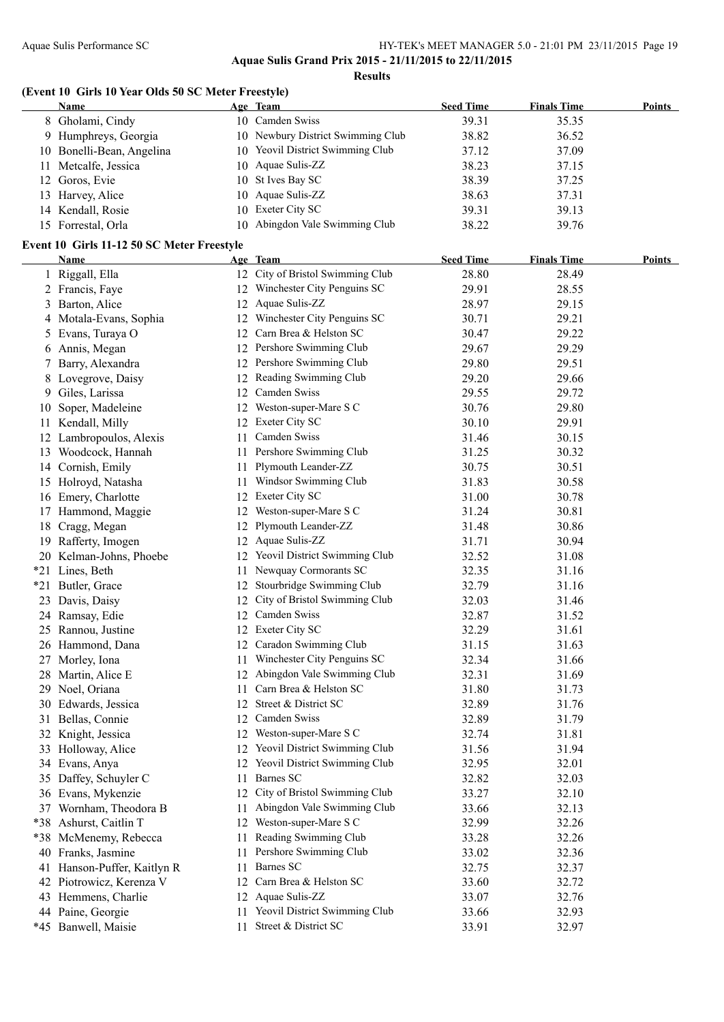**Aquae Sulis Grand Prix 2015 - 21/11/2015 to 22/11/2015**

**Results**

#### **(Event 10 Girls 10 Year Olds 50 SC Meter Freestyle)**

| <b>Name</b>               | Age Team                          | <b>Seed Time</b> | <b>Finals Time</b> | <b>Points</b> |
|---------------------------|-----------------------------------|------------------|--------------------|---------------|
| 8 Gholami, Cindy          | 10 Camden Swiss                   | 39.31            | 35.35              |               |
| 9 Humphreys, Georgia      | 10 Newbury District Swimming Club | 38.82            | 36.52              |               |
| 10 Bonelli-Bean, Angelina | 10 Yeovil District Swimming Club  | 37.12            | 37.09              |               |
| 11 Metcalfe, Jessica      | 10 Aquae Sulis-ZZ                 | 38.23            | 37.15              |               |
| 12 Goros, Evie            | 10 St Ives Bay SC                 | 38.39            | 37.25              |               |
| 13 Harvey, Alice          | 10 Aquae Sulis-ZZ                 | 38.63            | 37.31              |               |
| 14 Kendall, Rosie         | 10 Exeter City SC                 | 39.31            | 39.13              |               |
| 15 Forrestal, Orla        | 10 Abingdon Vale Swimming Club    | 38.22            | 39.76              |               |

#### **Event 10 Girls 11-12 50 SC Meter Freestyle**

|     | <b>Name</b>              |     | Age Team                         | <b>Seed Time</b> | <b>Finals Time</b> | <b>Points</b> |
|-----|--------------------------|-----|----------------------------------|------------------|--------------------|---------------|
| 1   | Riggall, Ella            |     | 12 City of Bristol Swimming Club | 28.80            | 28.49              |               |
|     | 2 Francis, Faye          |     | 12 Winchester City Penguins SC   | 29.91            | 28.55              |               |
| 3   | Barton, Alice            |     | 12 Aquae Sulis-ZZ                | 28.97            | 29.15              |               |
| 4   | Motala-Evans, Sophia     |     | 12 Winchester City Penguins SC   | 30.71            | 29.21              |               |
| 5   | Evans, Turaya O          |     | 12 Carn Brea & Helston SC        | 30.47            | 29.22              |               |
| 6   | Annis, Megan             |     | 12 Pershore Swimming Club        | 29.67            | 29.29              |               |
| 7   | Barry, Alexandra         |     | 12 Pershore Swimming Club        | 29.80            | 29.51              |               |
| 8   | Lovegrove, Daisy         |     | 12 Reading Swimming Club         | 29.20            | 29.66              |               |
| 9   | Giles, Larissa           |     | 12 Camden Swiss                  | 29.55            | 29.72              |               |
| 10  | Soper, Madeleine         | 12  | Weston-super-Mare S C            | 30.76            | 29.80              |               |
| 11  | Kendall, Milly           | 12  | Exeter City SC                   | 30.10            | 29.91              |               |
| 12  | Lambropoulos, Alexis     | 11  | Camden Swiss                     | 31.46            | 30.15              |               |
|     | 13 Woodcock, Hannah      | 11  | Pershore Swimming Club           | 31.25            | 30.32              |               |
|     | 14 Cornish, Emily        | 11  | Plymouth Leander-ZZ              | 30.75            | 30.51              |               |
|     | 15 Holroyd, Natasha      | 11  | Windsor Swimming Club            | 31.83            | 30.58              |               |
| 16  | Emery, Charlotte         |     | 12 Exeter City SC                | 31.00            | 30.78              |               |
|     | 17 Hammond, Maggie       |     | 12 Weston-super-Mare S C         | 31.24            | 30.81              |               |
| 18  | Cragg, Megan             |     | 12 Plymouth Leander-ZZ           | 31.48            | 30.86              |               |
|     | 19 Rafferty, Imogen      |     | 12 Aquae Sulis-ZZ                | 31.71            | 30.94              |               |
|     | 20 Kelman-Johns, Phoebe  |     | 12 Yeovil District Swimming Club | 32.52            | 31.08              |               |
|     | *21 Lines, Beth          | 11. | Newquay Cormorants SC            | 32.35            | 31.16              |               |
| *21 | Butler, Grace            |     | 12 Stourbridge Swimming Club     | 32.79            | 31.16              |               |
| 23  | Davis, Daisy             | 12  | City of Bristol Swimming Club    | 32.03            | 31.46              |               |
|     | 24 Ramsay, Edie          |     | 12 Camden Swiss                  | 32.87            | 31.52              |               |
|     | 25 Rannou, Justine       |     | 12 Exeter City SC                | 32.29            | 31.61              |               |
|     | 26 Hammond, Dana         |     | 12 Caradon Swimming Club         | 31.15            | 31.63              |               |
|     | 27 Morley, Iona          | 11- | Winchester City Penguins SC      | 32.34            | 31.66              |               |
| 28  | Martin, Alice E          |     | 12 Abingdon Vale Swimming Club   | 32.31            | 31.69              |               |
|     | 29 Noel, Oriana          |     | 11 Carn Brea & Helston SC        | 31.80            | 31.73              |               |
|     | 30 Edwards, Jessica      |     | 12 Street & District SC          | 32.89            | 31.76              |               |
|     | 31 Bellas, Connie        |     | 12 Camden Swiss                  | 32.89            | 31.79              |               |
|     | 32 Knight, Jessica       |     | 12 Weston-super-Mare S C         | 32.74            | 31.81              |               |
|     | 33 Holloway, Alice       |     | 12 Yeovil District Swimming Club | 31.56            | 31.94              |               |
|     | 34 Evans, Anya           |     | 12 Yeovil District Swimming Club | 32.95            | 32.01              |               |
|     | 35 Daffey, Schuyler C    | 11  | Barnes SC                        | 32.82            | 32.03              |               |
|     | 36 Evans, Mykenzie       |     | 12 City of Bristol Swimming Club | 33.27            | 32.10              |               |
|     | 37 Wornham, Theodora B   | 11  | Abingdon Vale Swimming Club      | 33.66            | 32.13              |               |
|     | *38 Ashurst, Caitlin T   | 12  | Weston-super-Mare S C            | 32.99            | 32.26              |               |
|     | *38 McMenemy, Rebecca    | 11  | Reading Swimming Club            | 33.28            | 32.26              |               |
| 40  | Franks, Jasmine          | 11  | Pershore Swimming Club           | 33.02            | 32.36              |               |
| 41  | Hanson-Puffer, Kaitlyn R | 11  | Barnes SC                        | 32.75            | 32.37              |               |
| 42  | Piotrowicz, Kerenza V    | 12  | Carn Brea & Helston SC           | 33.60            | 32.72              |               |
| 43  | Hemmens, Charlie         | 12  | Aquae Sulis-ZZ                   | 33.07            | 32.76              |               |
|     | 44 Paine, Georgie        | 11. | Yeovil District Swimming Club    | 33.66            | 32.93              |               |
|     | *45 Banwell, Maisie      | 11  | Street & District SC             | 33.91            | 32.97              |               |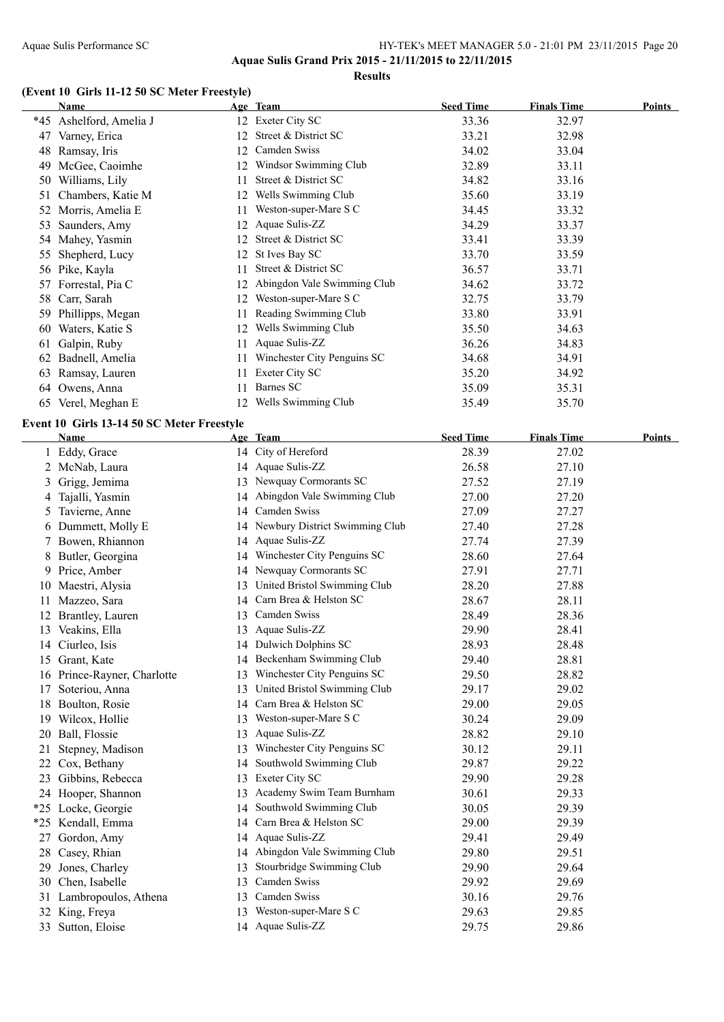**Results**

#### **(Event 10 Girls 11-12 50 SC Meter Freestyle)**

|       | <b>Name</b>                                |     | Age Team                          | <b>Seed Time</b> | <b>Finals Time</b> | <b>Points</b> |
|-------|--------------------------------------------|-----|-----------------------------------|------------------|--------------------|---------------|
|       | *45 Ashelford, Amelia J                    |     | 12 Exeter City SC                 | 33.36            | 32.97              |               |
|       | 47 Varney, Erica                           | 12  | Street & District SC              | 33.21            | 32.98              |               |
|       | 48 Ramsay, Iris                            |     | 12 Camden Swiss                   | 34.02            | 33.04              |               |
|       | 49 McGee, Caoimhe                          |     | 12 Windsor Swimming Club          | 32.89            | 33.11              |               |
|       | 50 Williams, Lily                          | 11. | Street & District SC              | 34.82            | 33.16              |               |
| 51    | Chambers, Katie M                          |     | 12 Wells Swimming Club            | 35.60            | 33.19              |               |
|       | 52 Morris, Amelia E                        |     | 11 Weston-super-Mare S C          | 34.45            | 33.32              |               |
| 53    | Saunders, Amy                              |     | 12 Aquae Sulis-ZZ                 | 34.29            | 33.37              |               |
|       | 54 Mahey, Yasmin                           |     | 12 Street & District SC           | 33.41            | 33.39              |               |
| 55    | Shepherd, Lucy                             |     | 12 St Ives Bay SC                 | 33.70            | 33.59              |               |
|       | 56 Pike, Kayla                             | 11  | Street & District SC              | 36.57            | 33.71              |               |
| 57    | Forrestal, Pia C                           |     | 12 Abingdon Vale Swimming Club    | 34.62            | 33.72              |               |
|       | 58 Carr, Sarah                             |     | 12 Weston-super-Mare S C          | 32.75            | 33.79              |               |
|       | 59 Phillipps, Megan                        | 11. | Reading Swimming Club             | 33.80            | 33.91              |               |
|       | 60 Waters, Katie S                         |     | 12 Wells Swimming Club            | 35.50            | 34.63              |               |
|       | 61 Galpin, Ruby                            | 11  | Aquae Sulis-ZZ                    | 36.26            | 34.83              |               |
|       | 62 Badnell, Amelia                         | 11  | Winchester City Penguins SC       | 34.68            | 34.91              |               |
|       | 63 Ramsay, Lauren                          | 11  | Exeter City SC                    | 35.20            | 34.92              |               |
|       | 64 Owens, Anna                             | 11  | Barnes SC                         | 35.09            | 35.31              |               |
|       | 65 Verel, Meghan E                         |     | 12 Wells Swimming Club            | 35.49            | 35.70              |               |
|       |                                            |     |                                   |                  |                    |               |
|       | Event 10 Girls 13-14 50 SC Meter Freestyle |     |                                   |                  |                    |               |
|       | Name                                       |     | Age Team                          | <b>Seed Time</b> | <b>Finals Time</b> | <b>Points</b> |
|       | 1 Eddy, Grace                              |     | 14 City of Hereford               | 28.39            | 27.02              |               |
|       | 2 McNab, Laura                             |     | 14 Aquae Sulis-ZZ                 | 26.58            | 27.10              |               |
|       | 3 Grigg, Jemima                            |     | 13 Newquay Cormorants SC          | 27.52            | 27.19              |               |
|       | 4 Tajalli, Yasmin                          |     | 14 Abingdon Vale Swimming Club    | 27.00            | 27.20              |               |
|       | 5 Tavierne, Anne                           |     | 14 Camden Swiss                   | 27.09            | 27.27              |               |
|       | 6 Dummett, Molly E                         |     | 14 Newbury District Swimming Club | 27.40            | 27.28              |               |
|       | 7 Bowen, Rhiannon                          | 14  | Aquae Sulis-ZZ                    | 27.74            | 27.39              |               |
|       | 8 Butler, Georgina                         |     | 14 Winchester City Penguins SC    | 28.60            | 27.64              |               |
|       | 9 Price, Amber                             |     | 14 Newquay Cormorants SC          | 27.91            | 27.71              |               |
|       | 10 Maestri, Alysia                         |     | 13 United Bristol Swimming Club   | 28.20            | 27.88              |               |
|       | 11 Mazzeo, Sara                            |     | 14 Carn Brea & Helston SC         | 28.67            | 28.11              |               |
|       | 12 Brantley, Lauren                        |     | 13 Camden Swiss                   | 28.49            | 28.36              |               |
|       | 13 Veakins, Ella                           |     | 13 Aquae Sulis-ZZ                 | 29.90            | 28.41              |               |
|       | 14 Ciurleo, Isis                           |     | 14 Dulwich Dolphins SC            | 28.93            | 28.48              |               |
|       | 15 Grant, Kate                             |     | 14 Beckenham Swimming Club        | 29.40            | 28.81              |               |
|       | 16 Prince-Rayner, Charlotte                | 13  | Winchester City Penguins SC       | 29.50            | 28.82              |               |
| 17    | Soteriou, Anna                             | 13  | United Bristol Swimming Club      | 29.17            | 29.02              |               |
|       | 18 Boulton, Rosie                          | 14  | Carn Brea & Helston SC            | 29.00            | 29.05              |               |
| 19    | Wilcox, Hollie                             | 13  | Weston-super-Mare S C             | 30.24            | 29.09              |               |
|       | 20 Ball, Flossie                           | 13  | Aquae Sulis-ZZ                    | 28.82            | 29.10              |               |
| 21    | Stepney, Madison                           | 13  | Winchester City Penguins SC       | 30.12            | 29.11              |               |
| 22    | Cox, Bethany                               | 14  | Southwold Swimming Club           | 29.87            | 29.22              |               |
| 23    | Gibbins, Rebecca                           | 13  | Exeter City SC                    | 29.90            | 29.28              |               |
|       | 24 Hooper, Shannon                         | 13  | Academy Swim Team Burnham         | 30.61            | 29.33              |               |
|       | *25 Locke, Georgie                         | 14  | Southwold Swimming Club           | 30.05            | 29.39              |               |
| $*25$ | Kendall, Emma                              | 14  | Carn Brea & Helston SC            | 29.00            | 29.39              |               |
| 27    | Gordon, Amy                                | 14  | Aquae Sulis-ZZ                    | 29.41            | 29.49              |               |
| 28    | Casey, Rhian                               | 14  | Abingdon Vale Swimming Club       | 29.80            | 29.51              |               |
| 29    | Jones, Charley                             | 13  | Stourbridge Swimming Club         | 29.90            | 29.64              |               |
| 30    | Chen, Isabelle                             | 13  | Camden Swiss                      | 29.92            | 29.69              |               |
| 31    | Lambropoulos, Athena                       | 13  | Camden Swiss                      | 30.16            | 29.76              |               |
| 32    | King, Freya                                | 13  | Weston-super-Mare S C             | 29.63            | 29.85              |               |
|       | 33 Sutton, Eloise                          |     | 14 Aquae Sulis-ZZ                 | 29.75            | 29.86              |               |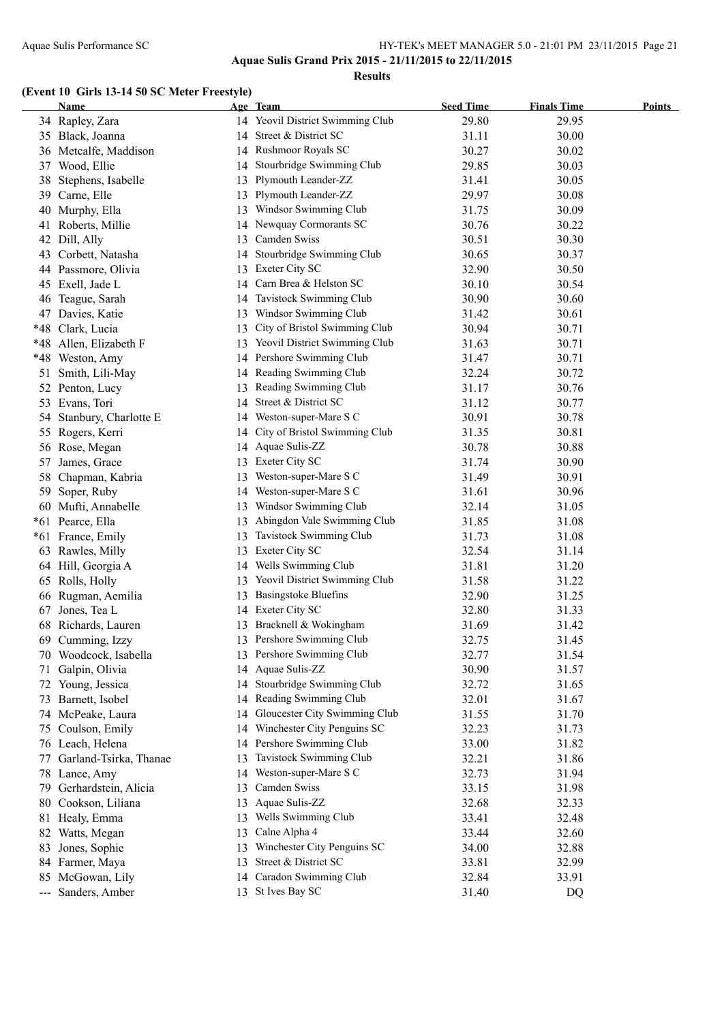**Results**

### **(Event 10 Girls 13-14 50 SC Meter Freestyle)**

|       | <b>Name</b>              |    | Age Team                         | <b>Seed Time</b> | <b>Finals Time</b> | <b>Points</b> |
|-------|--------------------------|----|----------------------------------|------------------|--------------------|---------------|
|       | 34 Rapley, Zara          |    | 14 Yeovil District Swimming Club | 29.80            | 29.95              |               |
|       | 35 Black, Joanna         |    | 14 Street & District SC          | 31.11            | 30.00              |               |
|       | 36 Metcalfe, Maddison    |    | 14 Rushmoor Royals SC            | 30.27            | 30.02              |               |
| 37    | Wood, Ellie              |    | 14 Stourbridge Swimming Club     | 29.85            | 30.03              |               |
|       | 38 Stephens, Isabelle    | 13 | Plymouth Leander-ZZ              | 31.41            | 30.05              |               |
| 39.   | Carne, Elle              | 13 | Plymouth Leander-ZZ              | 29.97            | 30.08              |               |
| 40    | Murphy, Ella             |    | 13 Windsor Swimming Club         | 31.75            | 30.09              |               |
| 41    | Roberts, Millie          |    | 14 Newquay Cormorants SC         | 30.76            | 30.22              |               |
|       | 42 Dill, Ally            | 13 | Camden Swiss                     | 30.51            | 30.30              |               |
| 43    | Corbett, Natasha         |    | 14 Stourbridge Swimming Club     | 30.65            | 30.37              |               |
|       | 44 Passmore, Olivia      |    | 13 Exeter City SC                | 32.90            | 30.50              |               |
|       | 45 Exell, Jade L         |    | 14 Carn Brea & Helston SC        | 30.10            | 30.54              |               |
| 46    | Teague, Sarah            |    | 14 Tavistock Swimming Club       | 30.90            | 30.60              |               |
| 47    | Davies, Katie            |    | 13 Windsor Swimming Club         | 31.42            | 30.61              |               |
| $*48$ | Clark, Lucia             | 13 | City of Bristol Swimming Club    | 30.94            | 30.71              |               |
|       | *48 Allen, Elizabeth F   |    | 13 Yeovil District Swimming Club | 31.63            | 30.71              |               |
|       | *48 Weston, Amy          |    | 14 Pershore Swimming Club        | 31.47            | 30.71              |               |
|       | 51 Smith, Lili-May       |    | 14 Reading Swimming Club         | 32.24            | 30.72              |               |
|       | 52 Penton, Lucy          | 13 | Reading Swimming Club            | 31.17            | 30.76              |               |
|       | 53 Evans, Tori           | 14 | Street & District SC             | 31.12            | 30.77              |               |
|       | 54 Stanbury, Charlotte E | 14 | Weston-super-Mare S C            | 30.91            | 30.78              |               |
|       | 55 Rogers, Kerri         | 14 | City of Bristol Swimming Club    | 31.35            | 30.81              |               |
|       | 56 Rose, Megan           | 14 | Aquae Sulis-ZZ                   | 30.78            | 30.88              |               |
|       | 57 James, Grace          |    | 13 Exeter City SC                | 31.74            | 30.90              |               |
| 58    | Chapman, Kabria          | 13 | Weston-super-Mare S C            | 31.49            | 30.91              |               |
|       | 59 Soper, Ruby           |    | 14 Weston-super-Mare S C         | 31.61            | 30.96              |               |
|       | 60 Mufti, Annabelle      | 13 | Windsor Swimming Club            | 32.14            | 31.05              |               |
|       | *61 Pearce, Ella         | 13 | Abingdon Vale Swimming Club      | 31.85            | 31.08              |               |
|       | *61 France, Emily        | 13 | Tavistock Swimming Club          | 31.73            | 31.08              |               |
|       | 63 Rawles, Milly         | 13 | Exeter City SC                   | 32.54            | 31.14              |               |
|       | 64 Hill, Georgia A       |    | 14 Wells Swimming Club           | 31.81            | 31.20              |               |
|       | 65 Rolls, Holly          | 13 | Yeovil District Swimming Club    | 31.58            | 31.22              |               |
|       | 66 Rugman, Aemilia       | 13 | <b>Basingstoke Bluefins</b>      | 32.90            | 31.25              |               |
| 67    | Jones, Tea L             |    | 14 Exeter City SC                | 32.80            | 31.33              |               |
|       | 68 Richards, Lauren      |    | 13 Bracknell & Wokingham         | 31.69            | 31.42              |               |
|       | 69 Cumming, Izzy         |    | 13 Pershore Swimming Club        | 32.75            | 31.45              |               |
|       | 70 Woodcock, Isabella    |    | 13 Pershore Swimming Club        | 32.77            | 31.54              |               |
| 71    | Galpin, Olivia           |    | 14 Aquae Sulis-ZZ                | 30.90            | 31.57              |               |
|       | 72 Young, Jessica        |    | 14 Stourbridge Swimming Club     | 32.72            | 31.65              |               |
| 73    | Barnett, Isobel          |    | 14 Reading Swimming Club         | 32.01            | 31.67              |               |
|       | 74 McPeake, Laura        | 14 | Gloucester City Swimming Club    | 31.55            | 31.70              |               |
| 75    | Coulson, Emily           |    | 14 Winchester City Penguins SC   | 32.23            | 31.73              |               |
| 76    | Leach, Helena            |    | 14 Pershore Swimming Club        | 33.00            | 31.82              |               |
| 77    | Garland-Tsirka, Thanae   | 13 | Tavistock Swimming Club          | 32.21            | 31.86              |               |
| 78    | Lance, Amy               | 14 | Weston-super-Mare S C            | 32.73            | 31.94              |               |
| 79.   | Gerhardstein, Alicia     | 13 | Camden Swiss                     | 33.15            | 31.98              |               |
| 80.   | Cookson, Liliana         | 13 | Aquae Sulis-ZZ                   | 32.68            | 32.33              |               |
|       | 81 Healy, Emma           | 13 | Wells Swimming Club              | 33.41            | 32.48              |               |
|       | 82 Watts, Megan          | 13 | Calne Alpha 4                    | 33.44            | 32.60              |               |
|       | 83 Jones, Sophie         | 13 | Winchester City Penguins SC      | 34.00            | 32.88              |               |
|       | 84 Farmer, Maya          | 13 | Street & District SC             | 33.81            | 32.99              |               |
|       | 85 McGowan, Lily         | 14 | Caradon Swimming Club            | 32.84            | 33.91              |               |
|       | --- Sanders, Amber       |    | 13 St Ives Bay SC                | 31.40            | DQ                 |               |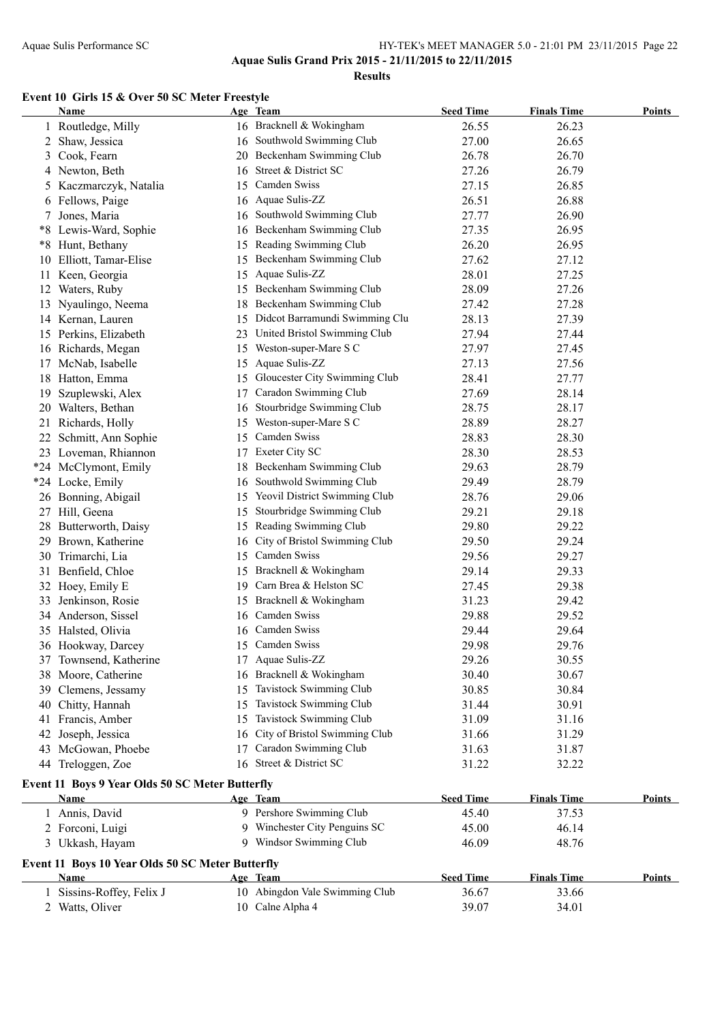**Results**

#### **Event 10 Girls 15 & Over 50 SC Meter Freestyle**

|      | <b>Name</b>                                      |    | Age Team                          | <b>Seed Time</b> | <b>Finals Time</b> | <b>Points</b> |
|------|--------------------------------------------------|----|-----------------------------------|------------------|--------------------|---------------|
|      | 1 Routledge, Milly                               |    | 16 Bracknell & Wokingham          | 26.55            | 26.23              |               |
| 2    | Shaw, Jessica                                    | 16 | Southwold Swimming Club           | 27.00            | 26.65              |               |
| 3    | Cook, Fearn                                      | 20 | Beckenham Swimming Club           | 26.78            | 26.70              |               |
|      | 4 Newton, Beth                                   | 16 | Street & District SC              | 27.26            | 26.79              |               |
| 5.   | Kaczmarczyk, Natalia                             | 15 | Camden Swiss                      | 27.15            | 26.85              |               |
| 6    | Fellows, Paige                                   | 16 | Aquae Sulis-ZZ                    | 26.51            | 26.88              |               |
|      | Jones, Maria                                     | 16 | Southwold Swimming Club           | 27.77            | 26.90              |               |
| $*8$ | Lewis-Ward, Sophie                               | 16 | Beckenham Swimming Club           | 27.35            | 26.95              |               |
|      | *8 Hunt, Bethany                                 | 15 | Reading Swimming Club             | 26.20            | 26.95              |               |
|      | 10 Elliott, Tamar-Elise                          | 15 | Beckenham Swimming Club           | 27.62            | 27.12              |               |
| 11.  | Keen, Georgia                                    | 15 | Aquae Sulis-ZZ                    | 28.01            | 27.25              |               |
|      | 12 Waters, Ruby                                  |    | 15 Beckenham Swimming Club        | 28.09            | 27.26              |               |
|      | 13 Nyaulingo, Neema                              |    | 18 Beckenham Swimming Club        | 27.42            | 27.28              |               |
|      | 14 Kernan, Lauren                                |    | 15 Didcot Barramundi Swimming Clu | 28.13            | 27.39              |               |
|      | 15 Perkins, Elizabeth                            |    | 23 United Bristol Swimming Club   | 27.94            | 27.44              |               |
|      | 16 Richards, Megan                               |    | 15 Weston-super-Mare S C          | 27.97            | 27.45              |               |
|      | 17 McNab, Isabelle                               | 15 | Aquae Sulis-ZZ                    | 27.13            | 27.56              |               |
|      | 18 Hatton, Emma                                  |    | 15 Gloucester City Swimming Club  | 28.41            | 27.77              |               |
|      |                                                  |    | Caradon Swimming Club             |                  | 28.14              |               |
| 19   | Szuplewski, Alex                                 | 17 |                                   | 27.69            |                    |               |
|      | 20 Walters, Bethan                               | 16 | Stourbridge Swimming Club         | 28.75            | 28.17              |               |
| 21   | Richards, Holly                                  | 15 | Weston-super-Mare S C             | 28.89            | 28.27              |               |
| 22   | Schmitt, Ann Sophie                              | 15 | Camden Swiss                      | 28.83            | 28.30              |               |
|      | 23 Loveman, Rhiannon                             | 17 | Exeter City SC                    | 28.30            | 28.53              |               |
|      | *24 McClymont, Emily                             | 18 | Beckenham Swimming Club           | 29.63            | 28.79              |               |
|      | *24 Locke, Emily                                 | 16 | Southwold Swimming Club           | 29.49            | 28.79              |               |
|      | 26 Bonning, Abigail                              | 15 | Yeovil District Swimming Club     | 28.76            | 29.06              |               |
|      | 27 Hill, Geena                                   | 15 | Stourbridge Swimming Club         | 29.21            | 29.18              |               |
| 28   | Butterworth, Daisy                               | 15 | Reading Swimming Club             | 29.80            | 29.22              |               |
| 29   | Brown, Katherine                                 | 16 | City of Bristol Swimming Club     | 29.50            | 29.24              |               |
|      | 30 Trimarchi, Lia                                | 15 | Camden Swiss                      | 29.56            | 29.27              |               |
| 31   | Benfield, Chloe                                  | 15 | Bracknell & Wokingham             | 29.14            | 29.33              |               |
| 32   | Hoey, Emily E                                    | 19 | Carn Brea & Helston SC            | 27.45            | 29.38              |               |
| 33   | Jenkinson, Rosie                                 | 15 | Bracknell & Wokingham             | 31.23            | 29.42              |               |
| 34   | Anderson, Sissel                                 | 16 | Camden Swiss                      | 29.88            | 29.52              |               |
|      | 35 Halsted, Olivia                               | 16 | Camden Swiss                      | 29.44            | 29.64              |               |
|      | 36 Hookway, Darcey                               |    | 15 Camden Swiss                   | 29.98            | 29.76              |               |
|      | 37 Townsend, Katherine                           |    | 17 Aquae Sulis-ZZ                 | 29.26            | 30.55              |               |
|      | 38 Moore, Catherine                              | 16 | Bracknell & Wokingham             | 30.40            | 30.67              |               |
|      | 39 Clemens, Jessamy                              | 15 | Tavistock Swimming Club           | 30.85            | 30.84              |               |
| 40   | Chitty, Hannah                                   | 15 | Tavistock Swimming Club           | 31.44            | 30.91              |               |
| 41   | Francis, Amber                                   | 15 | <b>Tavistock Swimming Club</b>    | 31.09            | 31.16              |               |
| 42   | Joseph, Jessica                                  | 16 | City of Bristol Swimming Club     | 31.66            | 31.29              |               |
| 43   | McGowan, Phoebe                                  | 17 | Caradon Swimming Club             | 31.63            | 31.87              |               |
|      | 44 Treloggen, Zoe                                | 16 | Street & District SC              | 31.22            | 32.22              |               |
|      | Event 11 Boys 9 Year Olds 50 SC Meter Butterfly  |    |                                   |                  |                    |               |
|      | Name                                             |    | Age Team                          | <b>Seed Time</b> | <b>Finals Time</b> | Points        |
|      | 1 Annis, David                                   |    | 9 Pershore Swimming Club          | 45.40            | 37.53              |               |
|      | 2 Forconi, Luigi                                 | 9  | Winchester City Penguins SC       | 45.00            | 46.14              |               |
|      | 3 Ukkash, Hayam                                  |    | 9 Windsor Swimming Club           | 46.09            | 48.76              |               |
|      |                                                  |    |                                   |                  |                    |               |
|      | Event 11 Boys 10 Year Olds 50 SC Meter Butterfly |    |                                   |                  |                    |               |
|      | <b>Name</b>                                      |    | Age Team                          | <b>Seed Time</b> | <b>Finals Time</b> | <b>Points</b> |
|      | Sissins-Roffey, Felix J                          |    | 10 Abingdon Vale Swimming Club    | 36.67            | 33.66              |               |
|      | 2 Watts, Oliver                                  |    | 10 Calne Alpha 4                  | 39.07            | 34.01              |               |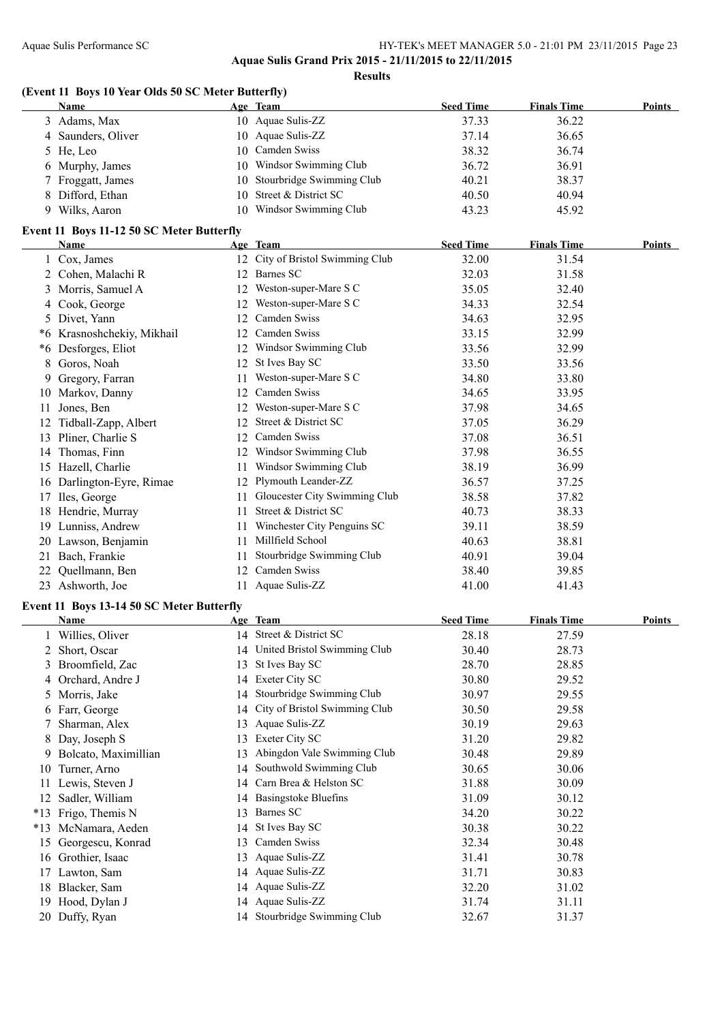**Results**

#### **(Event 11 Boys 10 Year Olds 50 SC Meter Butterfly)**

|  | <b>Name</b>        |    | Age Team                     | <b>Seed Time</b> | <b>Finals Time</b> | Points |  |  |
|--|--------------------|----|------------------------------|------------------|--------------------|--------|--|--|
|  | 3 Adams, Max       |    | 10 Aquae Sulis-ZZ            | 37.33            | 36.22              |        |  |  |
|  | 4 Saunders, Oliver |    | 10 Aquae Sulis-ZZ            | 37.14            | 36.65              |        |  |  |
|  | 5 He, Leo          |    | 10 Camden Swiss              | 38.32            | 36.74              |        |  |  |
|  | 6 Murphy, James    |    | 10 Windsor Swimming Club     | 36.72            | 36.91              |        |  |  |
|  | 7 Froggatt, James  |    | 10 Stourbridge Swimming Club | 40.21            | 38.37              |        |  |  |
|  | 8 Difford, Ethan   |    | 10 Street & District SC      | 40.50            | 40.94              |        |  |  |
|  | 9 Wilks, Aaron     | 10 | Windsor Swimming Club        | 43.23            | 45.92              |        |  |  |

#### **Event 11 Boys 11-12 50 SC Meter Butterfly**

|    | Name                    |     | Age Team                      | <b>Seed Time</b> | <b>Finals Time</b> | <b>Points</b> |
|----|-------------------------|-----|-------------------------------|------------------|--------------------|---------------|
|    | Cox, James              | 12  | City of Bristol Swimming Club | 32.00            | 31.54              |               |
| 2  | Cohen, Malachi R        | 12  | Barnes SC                     | 32.03            | 31.58              |               |
| 3  | Morris, Samuel A        | 12  | Weston-super-Mare S C         | 35.05            | 32.40              |               |
| 4  | Cook, George            | 12  | Weston-super-Mare S C         | 34.33            | 32.54              |               |
|    | 5 Divet, Yann           | 12  | Camden Swiss                  | 34.63            | 32.95              |               |
| *6 | Krasnoshchekiy, Mikhail | 12  | Camden Swiss                  | 33.15            | 32.99              |               |
| *6 | Desforges, Eliot        | 12  | Windsor Swimming Club         | 33.56            | 32.99              |               |
| 8  | Goros, Noah             | 12  | St Ives Bay SC                | 33.50            | 33.56              |               |
| 9. | Gregory, Farran         | 11  | Weston-super-Mare S C         | 34.80            | 33.80              |               |
| 10 | Markov, Danny           | 12  | Camden Swiss                  | 34.65            | 33.95              |               |
| 11 | Jones, Ben              | 12. | Weston-super-Mare S C         | 37.98            | 34.65              |               |
| 12 | Tidball-Zapp, Albert    | 12  | Street & District SC          | 37.05            | 36.29              |               |
| 13 | Pliner, Charlie S       | 12  | Camden Swiss                  | 37.08            | 36.51              |               |
| 14 | Thomas, Finn            | 12  | Windsor Swimming Club         | 37.98            | 36.55              |               |
| 15 | Hazell, Charlie         | 11  | Windsor Swimming Club         | 38.19            | 36.99              |               |
| 16 | Darlington-Eyre, Rimae  | 12  | Plymouth Leander-ZZ           | 36.57            | 37.25              |               |
| 17 | Iles, George            | 11  | Gloucester City Swimming Club | 38.58            | 37.82              |               |
| 18 | Hendrie, Murray         | 11  | Street & District SC          | 40.73            | 38.33              |               |
| 19 | Lunniss, Andrew         | 11  | Winchester City Penguins SC   | 39.11            | 38.59              |               |
| 20 | Lawson, Benjamin        | 11  | Millfield School              | 40.63            | 38.81              |               |
| 21 | Bach, Frankie           | 11  | Stourbridge Swimming Club     | 40.91            | 39.04              |               |
| 22 | Quellmann, Ben          | 12  | Camden Swiss                  | 38.40            | 39.85              |               |
| 23 | Ashworth, Joe           | 11  | Aquae Sulis-ZZ                | 41.00            | 41.43              |               |

#### **Event 11 Boys 13-14 50 SC Meter Butterfly**

|       | Name                 |    | Age Team                      | <b>Seed Time</b> | <b>Finals Time</b> | <b>Points</b> |
|-------|----------------------|----|-------------------------------|------------------|--------------------|---------------|
|       | 1 Willies, Oliver    | 14 | Street & District SC          | 28.18            | 27.59              |               |
|       | Short, Oscar         | 14 | United Bristol Swimming Club  | 30.40            | 28.73              |               |
| 3     | Broomfield, Zac      | 13 | St Ives Bay SC                | 28.70            | 28.85              |               |
| 4     | Orchard, Andre J     | 14 | Exeter City SC                | 30.80            | 29.52              |               |
| 5.    | Morris, Jake         | 14 | Stourbridge Swimming Club     | 30.97            | 29.55              |               |
| 6.    | Farr, George         | 14 | City of Bristol Swimming Club | 30.50            | 29.58              |               |
|       | Sharman, Alex        | 13 | Aquae Sulis-ZZ                | 30.19            | 29.63              |               |
| 8.    | Day, Joseph S        | 13 | Exeter City SC                | 31.20            | 29.82              |               |
|       | Bolcato, Maximillian | 13 | Abingdon Vale Swimming Club   | 30.48            | 29.89              |               |
| 10    | Turner, Arno         | 14 | Southwold Swimming Club       | 30.65            | 30.06              |               |
| 11    | Lewis, Steven J      | 14 | Carn Brea & Helston SC        | 31.88            | 30.09              |               |
| 12    | Sadler, William      |    | 14 Basingstoke Bluefins       | 31.09            | 30.12              |               |
| $*13$ | Frigo, Themis N      | 13 | Barnes SC                     | 34.20            | 30.22              |               |
| $*13$ | McNamara, Aeden      | 14 | St Ives Bay SC                | 30.38            | 30.22              |               |
| 15    | Georgescu, Konrad    | 13 | Camden Swiss                  | 32.34            | 30.48              |               |
| 16    | Grothier, Isaac      | 13 | Aquae Sulis-ZZ                | 31.41            | 30.78              |               |
| 17    | Lawton, Sam          |    | 14 Aquae Sulis-ZZ             | 31.71            | 30.83              |               |
| 18    | Blacker, Sam         |    | 14 Aquae Sulis-ZZ             | 32.20            | 31.02              |               |
| 19    | Hood, Dylan J        |    | 14 Aquae Sulis-ZZ             | 31.74            | 31.11              |               |
|       | 20 Duffy, Ryan       |    | 14 Stourbridge Swimming Club  | 32.67            | 31.37              |               |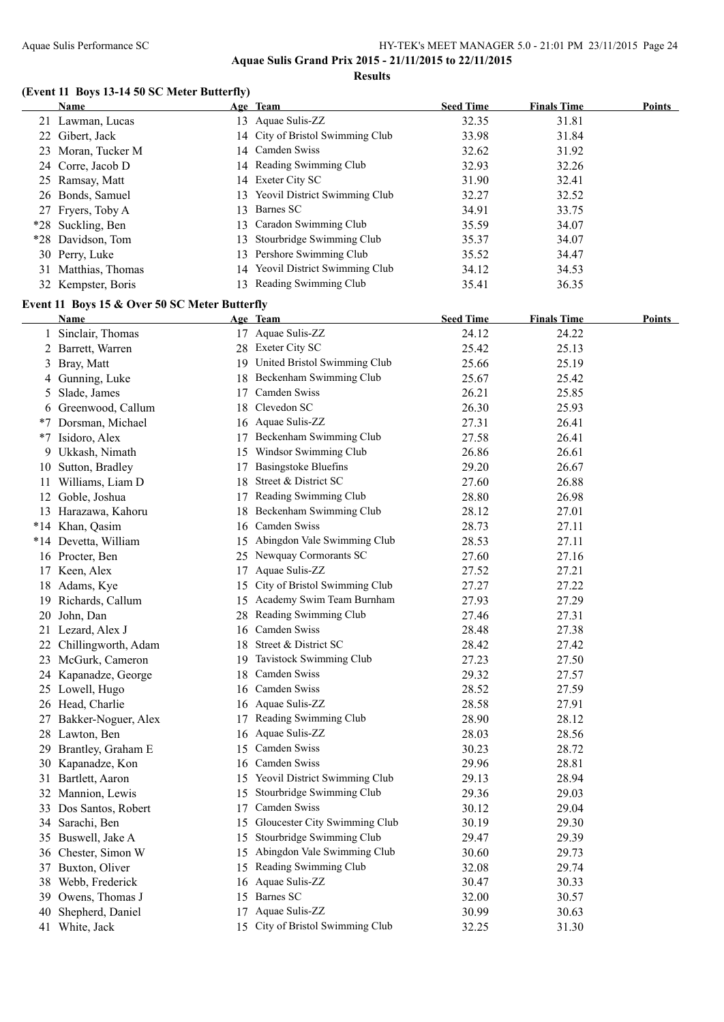**Results**

#### **(Event 11 Boys 13-14 50 SC Meter Butterfly)**

|    | <b>Name</b>                                           |    | Age Team                                           | <b>Seed Time</b> | <b>Finals Time</b> | <b>Points</b> |
|----|-------------------------------------------------------|----|----------------------------------------------------|------------------|--------------------|---------------|
|    | 21 Lawman, Lucas                                      |    | 13 Aquae Sulis-ZZ                                  | 32.35            | 31.81              |               |
|    | 22 Gibert, Jack                                       |    | 14 City of Bristol Swimming Club                   | 33.98            | 31.84              |               |
|    | 23 Moran, Tucker M                                    |    | 14 Camden Swiss                                    | 32.62            | 31.92              |               |
|    | 24 Corre, Jacob D                                     |    | 14 Reading Swimming Club                           | 32.93            | 32.26              |               |
|    | 25 Ramsay, Matt                                       |    | 14 Exeter City SC                                  | 31.90            | 32.41              |               |
|    | 26 Bonds, Samuel                                      |    | 13 Yeovil District Swimming Club                   | 32.27            | 32.52              |               |
|    | 27 Fryers, Toby A                                     | 13 | Barnes SC                                          | 34.91            | 33.75              |               |
|    | *28 Suckling, Ben                                     | 13 | Caradon Swimming Club                              | 35.59            | 34.07              |               |
|    | *28 Davidson, Tom                                     | 13 | Stourbridge Swimming Club                          | 35.37            | 34.07              |               |
|    | 30 Perry, Luke                                        |    | 13 Pershore Swimming Club                          | 35.52            | 34.47              |               |
|    | 31 Matthias, Thomas                                   |    | 14 Yeovil District Swimming Club                   | 34.12            | 34.53              |               |
|    | 32 Kempster, Boris                                    |    | 13 Reading Swimming Club                           | 35.41            | 36.35              |               |
|    |                                                       |    |                                                    |                  |                    |               |
|    | Event 11 Boys 15 & Over 50 SC Meter Butterfly<br>Name |    | Age Team                                           | <b>Seed Time</b> | <b>Finals Time</b> | <b>Points</b> |
|    | 1 Sinclair, Thomas                                    |    | 17 Aquae Sulis-ZZ                                  | 24.12            | 24.22              |               |
|    | 2 Barrett, Warren                                     |    | 28 Exeter City SC                                  | 25.42            | 25.13              |               |
|    | 3 Bray, Matt                                          |    | 19 United Bristol Swimming Club                    | 25.66            | 25.19              |               |
|    |                                                       |    | 18 Beckenham Swimming Club                         | 25.67            | 25.42              |               |
|    | 4 Gunning, Luke                                       |    | 17 Camden Swiss                                    | 26.21            | 25.85              |               |
|    | 5 Slade, James                                        |    | 18 Clevedon SC                                     |                  |                    |               |
|    | 6 Greenwood, Callum                                   |    | 16 Aquae Sulis-ZZ                                  | 26.30            | 25.93              |               |
|    | *7 Dorsman, Michael                                   |    |                                                    | 27.31            | 26.41              |               |
|    | *7 Isidoro, Alex                                      |    | 17 Beckenham Swimming Club                         | 27.58<br>26.86   | 26.41              |               |
|    | 9 Ukkash, Nimath                                      |    | 15 Windsor Swimming Club                           |                  | 26.61              |               |
|    | 10 Sutton, Bradley                                    |    | 17 Basingstoke Bluefins<br>18 Street & District SC | 29.20            | 26.67              |               |
|    | 11 Williams, Liam D                                   |    |                                                    | 27.60            | 26.88              |               |
|    | 12 Goble, Joshua                                      |    | 17 Reading Swimming Club                           | 28.80            | 26.98              |               |
|    | 13 Harazawa, Kahoru                                   |    | 18 Beckenham Swimming Club                         | 28.12            | 27.01              |               |
|    | *14 Khan, Qasim                                       |    | 16 Camden Swiss                                    | 28.73            | 27.11              |               |
|    | *14 Devetta, William                                  |    | 15 Abingdon Vale Swimming Club                     | 28.53            | 27.11              |               |
|    | 16 Procter, Ben                                       |    | 25 Newquay Cormorants SC                           | 27.60            | 27.16              |               |
|    | 17 Keen, Alex                                         |    | 17 Aquae Sulis-ZZ                                  | 27.52            | 27.21              |               |
|    | 18 Adams, Kye                                         | 15 | City of Bristol Swimming Club                      | 27.27            | 27.22              |               |
|    | 19 Richards, Callum                                   |    | 15 Academy Swim Team Burnham                       | 27.93            | 27.29              |               |
|    | 20 John, Dan                                          |    | 28 Reading Swimming Club                           | 27.46            | 27.31              |               |
|    | 21 Lezard, Alex J                                     |    | 16 Camden Swiss                                    | 28.48            | 27.38              |               |
|    | 22 Chillingworth, Adam                                |    | 18 Street & District SC                            | 28.42            | 27.42              |               |
|    | 23 McGurk, Cameron                                    |    | 19 Tavistock Swimming Club                         | 27.23            | 27.50              |               |
|    | 24 Kapanadze, George                                  | 18 | Camden Swiss                                       | 29.32            | 27.57              |               |
|    | 25 Lowell, Hugo                                       |    | 16 Camden Swiss                                    | 28.52            | 27.59              |               |
|    | 26 Head, Charlie                                      |    | 16 Aquae Sulis-ZZ                                  | 28.58            | 27.91              |               |
| 27 | Bakker-Noguer, Alex                                   |    | 17 Reading Swimming Club                           | 28.90            | 28.12              |               |
|    | 28 Lawton, Ben                                        |    | 16 Aquae Sulis-ZZ                                  | 28.03            | 28.56              |               |
|    | 29 Brantley, Graham E                                 | 15 | Camden Swiss                                       | 30.23            | 28.72              |               |
|    | 30 Kapanadze, Kon                                     | 16 | Camden Swiss                                       | 29.96            | 28.81              |               |
| 31 | Bartlett, Aaron                                       |    | 15 Yeovil District Swimming Club                   | 29.13            | 28.94              |               |
|    | 32 Mannion, Lewis                                     | 15 | Stourbridge Swimming Club                          | 29.36            | 29.03              |               |
|    | 33 Dos Santos, Robert                                 | 17 | Camden Swiss                                       | 30.12            | 29.04              |               |
| 34 | Sarachi, Ben                                          | 15 | Gloucester City Swimming Club                      | 30.19            | 29.30              |               |
| 35 | Buswell, Jake A                                       | 15 | Stourbridge Swimming Club                          | 29.47            | 29.39              |               |
| 36 | Chester, Simon W                                      |    | 15 Abingdon Vale Swimming Club                     | 30.60            | 29.73              |               |
| 37 | Buxton, Oliver                                        |    | 15 Reading Swimming Club                           | 32.08            | 29.74              |               |
|    | 38 Webb, Frederick                                    |    | 16 Aquae Sulis-ZZ                                  | 30.47            | 30.33              |               |
| 39 | Owens, Thomas J                                       |    | 15 Barnes SC                                       | 32.00            | 30.57              |               |
| 40 | Shepherd, Daniel                                      |    | 17 Aquae Sulis-ZZ                                  | 30.99            | 30.63              |               |
| 41 | White, Jack                                           |    | 15 City of Bristol Swimming Club                   | 32.25            | 31.30              |               |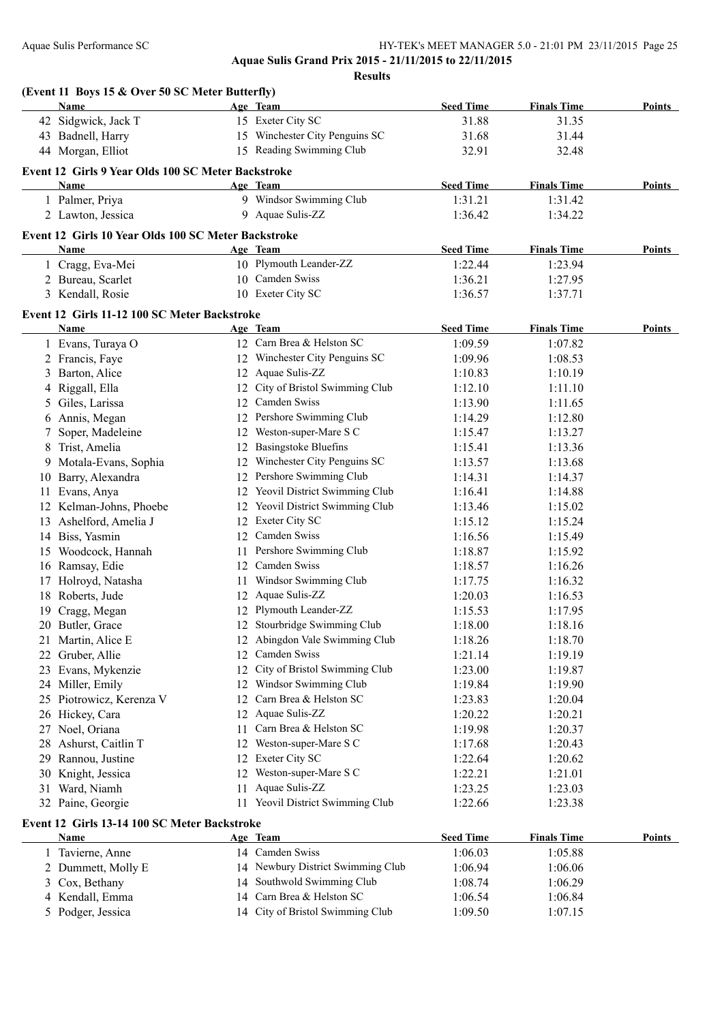**Aquae Sulis Grand Prix 2015 - 21/11/2015 to 22/11/2015**

**Results**

|     | Name                                                 |    | Age Team                          | <b>Seed Time</b> | <b>Finals Time</b> | Points |
|-----|------------------------------------------------------|----|-----------------------------------|------------------|--------------------|--------|
|     | 42 Sidgwick, Jack T                                  |    | 15 Exeter City SC                 | 31.88            | 31.35              |        |
|     | 43 Badnell, Harry                                    |    | 15 Winchester City Penguins SC    | 31.68            | 31.44              |        |
|     | 44 Morgan, Elliot                                    |    | 15 Reading Swimming Club          | 32.91            | 32.48              |        |
|     | Event 12 Girls 9 Year Olds 100 SC Meter Backstroke   |    |                                   |                  |                    |        |
|     | Name                                                 |    | Age Team                          | <b>Seed Time</b> | <b>Finals Time</b> | Points |
|     | 1 Palmer, Priya                                      |    | 9 Windsor Swimming Club           | 1:31.21          | 1:31.42            |        |
|     | 2 Lawton, Jessica                                    |    | 9 Aquae Sulis-ZZ                  | 1:36.42          | 1:34.22            |        |
|     | Event 12 Girls 10 Year Olds 100 SC Meter Backstroke  |    |                                   |                  |                    |        |
|     | Name                                                 |    | Age Team                          | <b>Seed Time</b> | <b>Finals Time</b> | Points |
|     | 1 Cragg, Eva-Mei                                     |    | 10 Plymouth Leander-ZZ            | 1:22.44          | 1:23.94            |        |
|     | 2 Bureau, Scarlet                                    |    | 10 Camden Swiss                   | 1:36.21          | 1:27.95            |        |
|     | 3 Kendall, Rosie                                     |    | 10 Exeter City SC                 | 1:36.57          | 1:37.71            |        |
|     |                                                      |    |                                   |                  |                    |        |
|     | Event 12 Girls 11-12 100 SC Meter Backstroke<br>Name |    | Age Team                          | <b>Seed Time</b> | <b>Finals Time</b> | Points |
|     | 1 Evans, Turaya O                                    |    | 12 Carn Brea & Helston SC         | 1:09.59          | 1:07.82            |        |
|     | 2 Francis, Faye                                      |    | 12 Winchester City Penguins SC    | 1:09.96          | 1:08.53            |        |
|     | 3 Barton, Alice                                      |    | 12 Aquae Sulis-ZZ                 | 1:10.83          | 1:10.19            |        |
|     | 4 Riggall, Ella                                      |    | 12 City of Bristol Swimming Club  | 1:12.10          | 1:11.10            |        |
|     | 5 Giles, Larissa                                     |    | 12 Camden Swiss                   | 1:13.90          | 1:11.65            |        |
|     | 6 Annis, Megan                                       |    | 12 Pershore Swimming Club         | 1:14.29          | 1:12.80            |        |
| 7   | Soper, Madeleine                                     |    | 12 Weston-super-Mare S C          | 1:15.47          | 1:13.27            |        |
|     | Trist, Amelia                                        |    | 12 Basingstoke Bluefins           | 1:15.41          | 1:13.36            |        |
| 8   | 9 Motala-Evans, Sophia                               |    | 12 Winchester City Penguins SC    | 1:13.57          | 1:13.68            |        |
|     |                                                      |    | 12 Pershore Swimming Club         |                  |                    |        |
| 10  | Barry, Alexandra                                     |    | 12 Yeovil District Swimming Club  | 1:14.31          | 1:14.37            |        |
| 11  | Evans, Anya                                          |    | 12 Yeovil District Swimming Club  | 1:16.41          | 1:14.88            |        |
|     | 12 Kelman-Johns, Phoebe                              |    | 12 Exeter City SC                 | 1:13.46          | 1:15.02            |        |
|     | 13 Ashelford, Amelia J                               |    | 12 Camden Swiss                   | 1:15.12          | 1:15.24            |        |
|     | 14 Biss, Yasmin                                      |    |                                   | 1:16.56          | 1:15.49            |        |
|     | 15 Woodcock, Hannah                                  | 11 | Pershore Swimming Club            | 1:18.87          | 1:15.92            |        |
|     | 16 Ramsay, Edie                                      |    | 12 Camden Swiss                   | 1:18.57          | 1:16.26            |        |
|     | 17 Holroyd, Natasha                                  |    | 11 Windsor Swimming Club          | 1:17.75          | 1:16.32            |        |
|     | 18 Roberts, Jude                                     |    | 12 Aquae Sulis-ZZ                 | 1:20.03          | 1:16.53            |        |
|     | 19 Cragg, Megan                                      |    | 12 Plymouth Leander-ZZ            | 1:15.53          | 1:17.95            |        |
|     | 20 Butler, Grace                                     |    | 12 Stourbridge Swimming Club      | 1:18.00          | 1:18.16            |        |
|     | 21 Martin, Alice E                                   |    | 12 Abingdon Vale Swimming Club    | 1:18.26          | 1:18.70            |        |
| 22  | Gruber, Allie                                        |    | 12 Camden Swiss                   | 1:21.14          | 1:19.19            |        |
| 23  | Evans, Mykenzie                                      | 12 | City of Bristol Swimming Club     | 1:23.00          | 1:19.87            |        |
|     | 24 Miller, Emily                                     | 12 | Windsor Swimming Club             | 1:19.84          | 1:19.90            |        |
|     | 25 Piotrowicz, Kerenza V                             | 12 | Carn Brea & Helston SC            | 1:23.83          | 1:20.04            |        |
|     | 26 Hickey, Cara                                      | 12 | Aquae Sulis-ZZ                    | 1:20.22          | 1:20.21            |        |
| 27  | Noel, Oriana                                         | 11 | Carn Brea & Helston SC            | 1:19.98          | 1:20.37            |        |
| 28. | Ashurst, Caitlin T                                   | 12 | Weston-super-Mare S C             | 1:17.68          | 1:20.43            |        |
| 29  | Rannou, Justine                                      | 12 | Exeter City SC                    | 1:22.64          | 1:20.62            |        |
| 30  | Knight, Jessica                                      |    | 12 Weston-super-Mare S C          | 1:22.21          | 1:21.01            |        |
|     | 31 Ward, Niamh                                       |    | 11 Aquae Sulis-ZZ                 | 1:23.25          | 1:23.03            |        |
|     | 32 Paine, Georgie                                    |    | 11 Yeovil District Swimming Club  | 1:22.66          | 1:23.38            |        |
|     | Event 12 Girls 13-14 100 SC Meter Backstroke         |    |                                   |                  |                    |        |
|     | <u>Name</u>                                          |    | Age Team                          | <b>Seed Time</b> | <b>Finals Time</b> | Points |
|     | 1 Tavierne, Anne                                     |    | 14 Camden Swiss                   | 1:06.03          | 1:05.88            |        |
|     | 2 Dummett, Molly E                                   |    | 14 Newbury District Swimming Club | 1:06.94          | 1:06.06            |        |
| 3   | Cox, Bethany                                         |    | 14 Southwold Swimming Club        | 1:08.74          | 1:06.29            |        |
|     | 4 Kendall, Emma                                      |    | 14 Carn Brea & Helston SC         | 1:06.54          | 1:06.84            |        |
|     | 5 Podger, Jessica                                    |    | 14 City of Bristol Swimming Club  | 1:09.50          | 1:07.15            |        |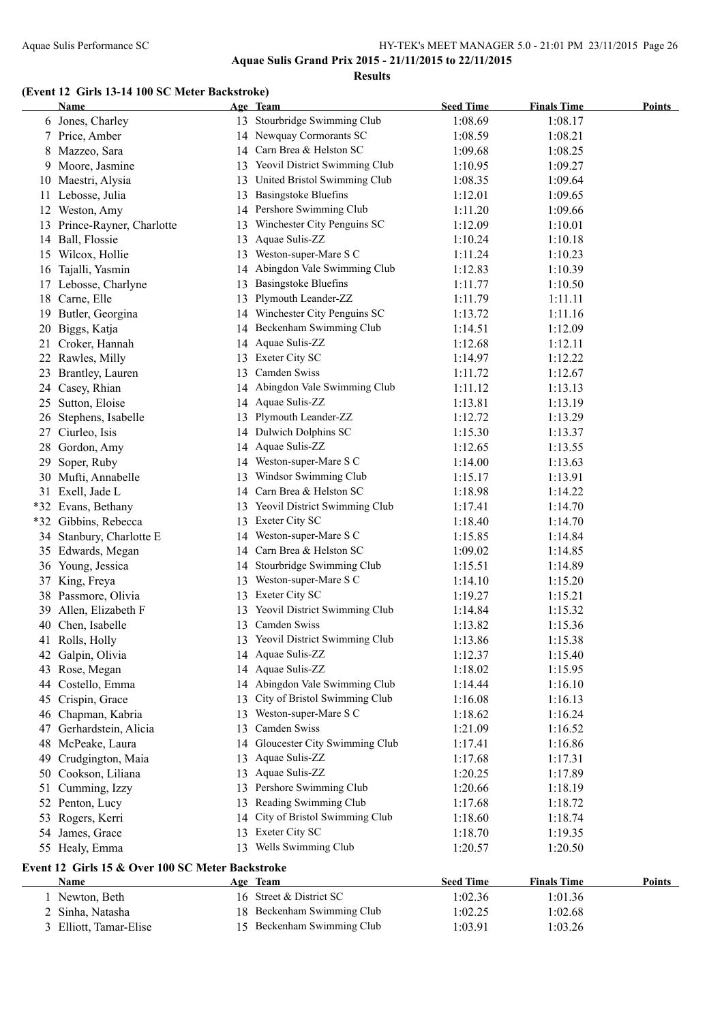**Aquae Sulis Grand Prix 2015 - 21/11/2015 to 22/11/2015**

#### **Results**

#### **(Event 12 Girls 13-14 100 SC Meter Backstroke)**

|    | Name                                             |    | Age Team                         | <b>Seed Time</b>   | <b>Finals Time</b> | <b>Points</b> |
|----|--------------------------------------------------|----|----------------------------------|--------------------|--------------------|---------------|
|    | 6 Jones, Charley                                 |    | 13 Stourbridge Swimming Club     | 1:08.69            | 1:08.17            |               |
|    | 7 Price, Amber                                   |    | 14 Newquay Cormorants SC         | 1:08.59            | 1:08.21            |               |
| 8  | Mazzeo, Sara                                     |    | 14 Carn Brea & Helston SC        | 1:09.68            | 1:08.25            |               |
| 9  | Moore, Jasmine                                   |    | 13 Yeovil District Swimming Club | 1:10.95            | 1:09.27            |               |
|    | 10 Maestri, Alysia                               | 13 | United Bristol Swimming Club     | 1:08.35            | 1:09.64            |               |
|    | 11 Lebosse, Julia                                | 13 | <b>Basingstoke Bluefins</b>      | 1:12.01            | 1:09.65            |               |
|    | 12 Weston, Amy                                   |    | 14 Pershore Swimming Club        | 1:11.20            | 1:09.66            |               |
|    | 13 Prince-Rayner, Charlotte                      | 13 | Winchester City Penguins SC      | 1:12.09            | 1:10.01            |               |
|    | 14 Ball, Flossie                                 | 13 | Aquae Sulis-ZZ                   | 1:10.24            | 1:10.18            |               |
|    | 15 Wilcox, Hollie                                | 13 | Weston-super-Mare S C            | 1:11.24            | 1:10.23            |               |
|    | 16 Tajalli, Yasmin                               |    | 14 Abingdon Vale Swimming Club   | 1:12.83            | 1:10.39            |               |
|    | 17 Lebosse, Charlyne                             | 13 | <b>Basingstoke Bluefins</b>      | 1:11.77            | 1:10.50            |               |
|    | 18 Carne, Elle                                   | 13 | Plymouth Leander-ZZ              | 1:11.79            | 1:11.11            |               |
| 19 | Butler, Georgina                                 |    | 14 Winchester City Penguins SC   | 1:13.72            | 1:11.16            |               |
| 20 | Biggs, Katja                                     |    | 14 Beckenham Swimming Club       | 1:14.51            | 1:12.09            |               |
| 21 | Croker, Hannah                                   |    | 14 Aquae Sulis-ZZ                | 1:12.68            | 1:12.11            |               |
|    | 22 Rawles, Milly                                 |    | 13 Exeter City SC                | 1:14.97            | 1:12.22            |               |
| 23 | Brantley, Lauren                                 |    | 13 Camden Swiss                  | 1:11.72            | 1:12.67            |               |
|    | 24 Casey, Rhian                                  |    | 14 Abingdon Vale Swimming Club   | 1:11.12            | 1:13.13            |               |
|    | 25 Sutton, Eloise                                |    | 14 Aquae Sulis-ZZ                | 1:13.81            | 1:13.19            |               |
|    | 26 Stephens, Isabelle                            |    | 13 Plymouth Leander-ZZ           | 1:12.72            | 1:13.29            |               |
|    | 27 Ciurleo, Isis                                 |    | 14 Dulwich Dolphins SC           | 1:15.30            | 1:13.37            |               |
|    | 28 Gordon, Amy                                   |    | 14 Aquae Sulis-ZZ                | 1:12.65            | 1:13.55            |               |
| 29 | Soper, Ruby                                      |    | 14 Weston-super-Mare S C         | 1:14.00            | 1:13.63            |               |
|    | 30 Mufti, Annabelle                              |    | 13 Windsor Swimming Club         | 1:15.17            | 1:13.91            |               |
|    | 31 Exell, Jade L                                 |    | 14 Carn Brea & Helston SC        | 1:18.98            | 1:14.22            |               |
|    | *32 Evans, Bethany                               |    | 13 Yeovil District Swimming Club | 1:17.41            | 1:14.70            |               |
|    | *32 Gibbins, Rebecca                             |    | 13 Exeter City SC                | 1:18.40            | 1:14.70            |               |
|    | 34 Stanbury, Charlotte E                         |    | 14 Weston-super-Mare S C         | 1:15.85            | 1:14.84            |               |
|    | 35 Edwards, Megan                                |    | 14 Carn Brea & Helston SC        | 1:09.02            | 1:14.85            |               |
|    | 36 Young, Jessica                                |    | 14 Stourbridge Swimming Club     | 1:15.51            | 1:14.89            |               |
| 37 | King, Freya                                      | 13 | Weston-super-Mare S C            | 1:14.10            | 1:15.20            |               |
| 38 | Passmore, Olivia                                 |    | 13 Exeter City SC                | 1:19.27            | 1:15.21            |               |
| 39 | Allen, Elizabeth F                               | 13 | Yeovil District Swimming Club    | 1:14.84            | 1:15.32            |               |
| 40 | Chen, Isabelle                                   |    | 13 Camden Swiss                  | 1:13.82            | 1:15.36            |               |
|    | 41 Rolls, Holly                                  |    | 13 Yeovil District Swimming Club | 1:13.86            | 1:15.38            |               |
|    | 42 Galpin, Olivia                                |    | 14 Aquae Sulis-ZZ                | 1:12.37            | 1:15.40            |               |
| 43 | Rose, Megan                                      |    | 14 Aquae Sulis-ZZ                | 1:18.02            | 1:15.95            |               |
| 44 | Costello, Emma                                   |    | 14 Abingdon Vale Swimming Club   | 1:14.44            | 1:16.10            |               |
| 45 | Crispin, Grace                                   | 13 | City of Bristol Swimming Club    | 1:16.08            | 1:16.13            |               |
| 46 | Chapman, Kabria                                  | 13 | Weston-super-Mare S C            | 1:18.62            | 1:16.24            |               |
| 47 | Gerhardstein, Alicia                             | 13 | Camden Swiss                     | 1:21.09            | 1:16.52            |               |
| 48 | McPeake, Laura                                   |    | 14 Gloucester City Swimming Club | 1:17.41            | 1:16.86            |               |
| 49 | Crudgington, Maia                                | 13 | Aquae Sulis-ZZ                   | 1:17.68            | 1:17.31            |               |
| 50 | Cookson, Liliana                                 | 13 | Aquae Sulis-ZZ                   | 1:20.25            | 1:17.89            |               |
| 51 | Cumming, Izzy                                    | 13 | Pershore Swimming Club           | 1:20.66            | 1:18.19            |               |
|    |                                                  | 13 | Reading Swimming Club            | 1:17.68            | 1:18.72            |               |
| 53 | 52 Penton, Lucy<br>Rogers, Kerri                 | 14 | City of Bristol Swimming Club    | 1:18.60            | 1:18.74            |               |
|    |                                                  |    | 13 Exeter City SC                |                    |                    |               |
| 54 | James, Grace<br>55 Healy, Emma                   | 13 | Wells Swimming Club              | 1:18.70<br>1:20.57 | 1:19.35<br>1:20.50 |               |
|    |                                                  |    |                                  |                    |                    |               |
|    | Event 12 Girls 15 & Over 100 SC Meter Backstroke |    |                                  |                    |                    |               |
|    | Name                                             |    | Age Team                         | <b>Seed Time</b>   | <b>Finals Time</b> | <b>Points</b> |
|    | 1 Newton, Beth                                   |    | 16 Street & District SC          | 1:02.36            | 1:01.36            |               |
|    | 2 Sinha, Natasha                                 |    | 18 Beckenham Swimming Club       | 1:02.25            | 1:02.68            |               |
|    | 3 Elliott, Tamar-Elise                           |    | 15 Beckenham Swimming Club       | 1:03.91            | 1:03.26            |               |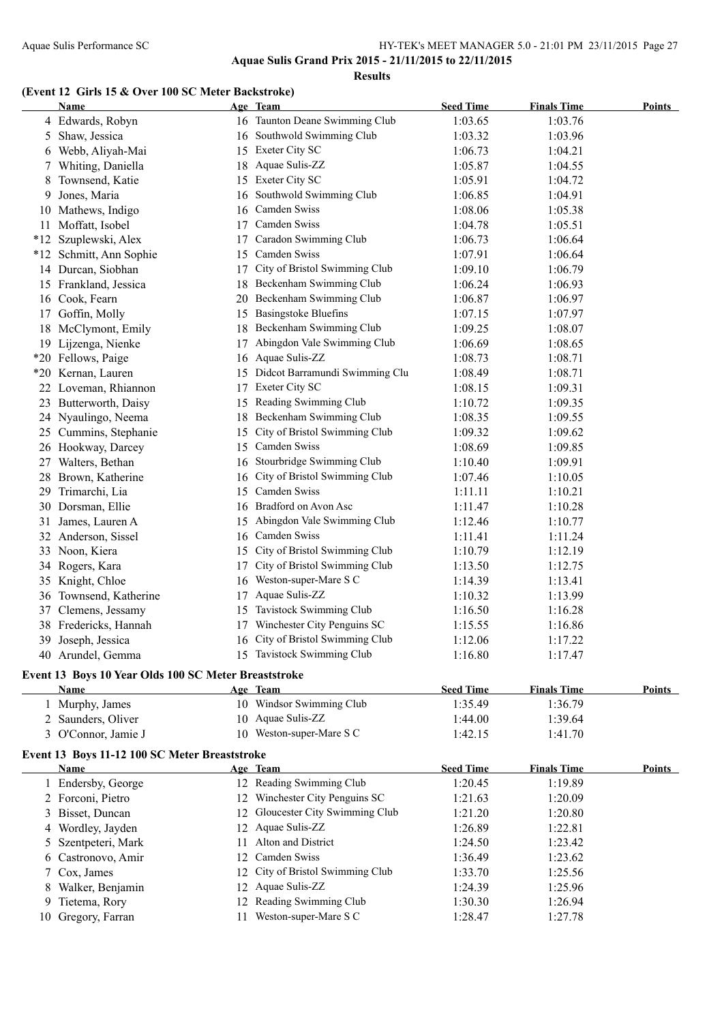**Results**

# **(Event 12 Girls 15 & Over 100 SC Meter Backstroke)**

|    | Name                                                 |    | Age Team                         | <b>Seed Time</b>   | <b>Finals Time</b> | <b>Points</b> |
|----|------------------------------------------------------|----|----------------------------------|--------------------|--------------------|---------------|
|    | 4 Edwards, Robyn                                     |    | 16 Taunton Deane Swimming Club   | 1:03.65            | 1:03.76            |               |
| 5  | Shaw, Jessica                                        |    | 16 Southwold Swimming Club       | 1:03.32            | 1:03.96            |               |
| 6  | Webb, Aliyah-Mai                                     | 15 | Exeter City SC                   | 1:06.73            | 1:04.21            |               |
| 7  | Whiting, Daniella                                    | 18 | Aquae Sulis-ZZ                   | 1:05.87            | 1:04.55            |               |
| 8  | Townsend, Katie                                      | 15 | Exeter City SC                   | 1:05.91            | 1:04.72            |               |
| 9  | Jones, Maria                                         | 16 | Southwold Swimming Club          | 1:06.85            | 1:04.91            |               |
| 10 | Mathews, Indigo                                      | 16 | Camden Swiss                     | 1:08.06            | 1:05.38            |               |
| 11 | Moffatt, Isobel                                      | 17 | Camden Swiss                     | 1:04.78            | 1:05.51            |               |
|    | *12 Szuplewski, Alex                                 | 17 | Caradon Swimming Club            | 1:06.73            | 1:06.64            |               |
|    | *12 Schmitt, Ann Sophie                              | 15 | Camden Swiss                     | 1:07.91            | 1:06.64            |               |
|    | 14 Durcan, Siobhan                                   | 17 | City of Bristol Swimming Club    | 1:09.10            | 1:06.79            |               |
|    | 15 Frankland, Jessica                                | 18 | Beckenham Swimming Club          | 1:06.24            | 1:06.93            |               |
| 16 | Cook, Fearn                                          | 20 | Beckenham Swimming Club          | 1:06.87            | 1:06.97            |               |
| 17 | Goffin, Molly                                        | 15 | <b>Basingstoke Bluefins</b>      | 1:07.15            | 1:07.97            |               |
|    | 18 McClymont, Emily                                  | 18 | Beckenham Swimming Club          | 1:09.25            | 1:08.07            |               |
|    | 19 Lijzenga, Nienke                                  | 17 | Abingdon Vale Swimming Club      | 1:06.69            | 1:08.65            |               |
|    | *20 Fellows, Paige                                   | 16 | Aquae Sulis-ZZ                   | 1:08.73            | 1:08.71            |               |
|    | *20 Kernan, Lauren                                   | 15 | Didcot Barramundi Swimming Clu   | 1:08.49            | 1:08.71            |               |
|    | 22 Loveman, Rhiannon                                 | 17 | Exeter City SC                   | 1:08.15            | 1:09.31            |               |
|    | 23 Butterworth, Daisy                                | 15 | Reading Swimming Club            | 1:10.72            | 1:09.35            |               |
|    | 24 Nyaulingo, Neema                                  | 18 | Beckenham Swimming Club          | 1:08.35            | 1:09.55            |               |
|    | 25 Cummins, Stephanie                                | 15 | City of Bristol Swimming Club    | 1:09.32            | 1:09.62            |               |
|    | 26 Hookway, Darcey                                   | 15 | Camden Swiss                     | 1:08.69            | 1:09.85            |               |
|    | 27 Walters, Bethan                                   |    | 16 Stourbridge Swimming Club     | 1:10.40            | 1:09.91            |               |
|    | 28 Brown, Katherine                                  | 16 | City of Bristol Swimming Club    | 1:07.46            | 1:10.05            |               |
| 29 | Trimarchi, Lia                                       |    | 15 Camden Swiss                  | 1:11.11            | 1:10.21            |               |
| 30 | Dorsman, Ellie                                       |    | 16 Bradford on Avon Asc          | 1:11.47            | 1:10.28            |               |
| 31 | James, Lauren A                                      | 15 | Abingdon Vale Swimming Club      | 1:12.46            | 1:10.77            |               |
| 32 | Anderson, Sissel                                     | 16 | Camden Swiss                     | 1:11.41            | 1:11.24            |               |
| 33 | Noon, Kiera                                          | 15 | City of Bristol Swimming Club    | 1:10.79            | 1:12.19            |               |
|    | 34 Rogers, Kara                                      | 17 | City of Bristol Swimming Club    | 1:13.50            | 1:12.75            |               |
|    | 35 Knight, Chloe                                     | 16 | Weston-super-Mare S C            | 1:14.39            | 1:13.41            |               |
|    | 36 Townsend, Katherine                               | 17 | Aquae Sulis-ZZ                   | 1:10.32            | 1:13.99            |               |
|    | Clemens, Jessamy                                     | 15 | Tavistock Swimming Club          |                    | 1:16.28            |               |
| 37 | 38 Fredericks, Hannah                                |    | Winchester City Penguins SC      | 1:16.50<br>1:15.55 |                    |               |
|    |                                                      | 17 | 16 City of Bristol Swimming Club |                    | 1:16.86            |               |
|    | 39 Joseph, Jessica                                   |    | 15 Tavistock Swimming Club       | 1:12.06            | 1:17.22            |               |
|    | 40 Arundel, Gemma                                    |    |                                  | 1:16.80            | 1:17.47            |               |
|    | Event 13 Boys 10 Year Olds 100 SC Meter Breaststroke |    |                                  |                    |                    |               |
|    | <b>Name</b>                                          |    | Age Team                         | <b>Seed Time</b>   | <b>Finals Time</b> | <b>Points</b> |
|    | 1 Murphy, James                                      |    | 10 Windsor Swimming Club         | 1:35.49            | 1:36.79            |               |
|    | 2 Saunders, Oliver                                   |    | 10 Aquae Sulis-ZZ                | 1:44.00            | 1:39.64            |               |
|    | 3 O'Connor, Jamie J                                  |    | 10 Weston-super-Mare S C         | 1:42.15            | 1:41.70            |               |
|    | Event 13 Boys 11-12 100 SC Meter Breaststroke        |    |                                  |                    |                    |               |
|    | <b>Name</b>                                          |    | Age Team                         | <b>Seed Time</b>   | <b>Finals Time</b> | <b>Points</b> |
|    | 1 Endersby, George                                   |    | 12 Reading Swimming Club         | 1:20.45            | 1:19.89            |               |
|    | 2 Forconi, Pietro                                    |    | 12 Winchester City Penguins SC   | 1:21.63            | 1:20.09            |               |
| 3  | Bisset, Duncan                                       |    | 12 Gloucester City Swimming Club | 1:21.20            | 1:20.80            |               |
| 4  | Wordley, Jayden                                      |    | 12 Aquae Sulis-ZZ                | 1:26.89            | 1:22.81            |               |
| 5  | Szentpeteri, Mark                                    | 11 | Alton and District               | 1:24.50            | 1:23.42            |               |
| 6  | Castronovo, Amir                                     | 12 | Camden Swiss                     | 1:36.49            | 1:23.62            |               |
| 7  | Cox, James                                           | 12 | City of Bristol Swimming Club    | 1:33.70            | 1:25.56            |               |
| 8  | Walker, Benjamin                                     | 12 | Aquae Sulis-ZZ                   | 1:24.39            | 1:25.96            |               |
| 9  | Tietema, Rory                                        | 12 | Reading Swimming Club            | 1:30.30            | 1:26.94            |               |
|    | 10 Gregory, Farran                                   |    | 11 Weston-super-Mare S C         | 1:28.47            | 1:27.78            |               |
|    |                                                      |    |                                  |                    |                    |               |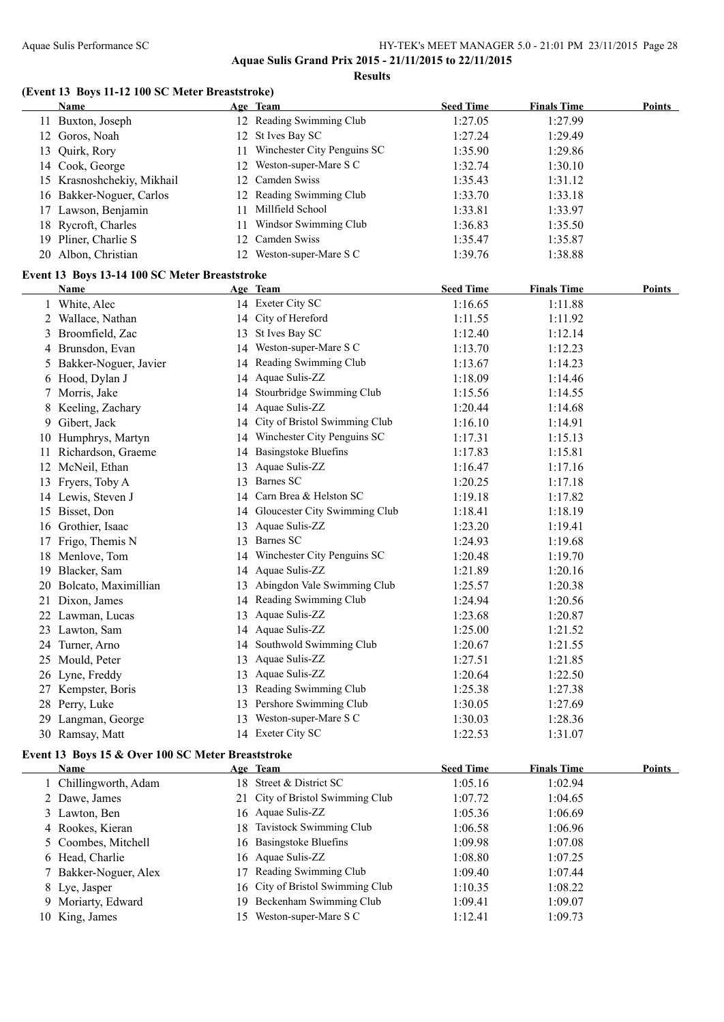**Aquae Sulis Grand Prix 2015 - 21/11/2015 to 22/11/2015 Results**

#### **(Event 13 Boys 11-12 100 SC Meter Breaststroke)**

|    | <b>Name</b>                                       |    | Age Team                         | <b>Seed Time</b> | <b>Finals Time</b> | <b>Points</b> |
|----|---------------------------------------------------|----|----------------------------------|------------------|--------------------|---------------|
|    | 11 Buxton, Joseph                                 |    | 12 Reading Swimming Club         | 1:27.05          | 1:27.99            |               |
|    | 12 Goros, Noah                                    |    | 12 St Ives Bay SC                | 1:27.24          | 1:29.49            |               |
|    | 13 Quirk, Rory                                    | 11 | Winchester City Penguins SC      | 1:35.90          | 1:29.86            |               |
|    | 14 Cook, George                                   | 12 | Weston-super-Mare S C            | 1:32.74          | 1:30.10            |               |
|    | 15 Krasnoshchekiy, Mikhail                        |    | 12 Camden Swiss                  | 1:35.43          | 1:31.12            |               |
|    | 16 Bakker-Noguer, Carlos                          |    | 12 Reading Swimming Club         | 1:33.70          | 1:33.18            |               |
|    | 17 Lawson, Benjamin                               |    | 11 Millfield School              | 1:33.81          | 1:33.97            |               |
|    | 18 Rycroft, Charles                               | 11 | Windsor Swimming Club            | 1:36.83          | 1:35.50            |               |
|    | 19 Pliner, Charlie S                              | 12 | Camden Swiss                     | 1:35.47          | 1:35.87            |               |
|    | 20 Albon, Christian                               |    | 12 Weston-super-Mare S C         | 1:39.76          | 1:38.88            |               |
|    | Event 13 Boys 13-14 100 SC Meter Breaststroke     |    |                                  |                  |                    |               |
|    | Name                                              |    | Age Team                         | <b>Seed Time</b> | <b>Finals Time</b> | Points        |
|    | 1 White, Alec                                     |    | 14 Exeter City SC                | 1:16.65          | 1:11.88            |               |
|    | 2 Wallace, Nathan                                 |    | 14 City of Hereford              | 1:11.55          | 1:11.92            |               |
|    | 3 Broomfield, Zac                                 |    | 13 St Ives Bay SC                | 1:12.40          | 1:12.14            |               |
|    | 4 Brunsdon, Evan                                  |    | 14 Weston-super-Mare S C         | 1:13.70          | 1:12.23            |               |
|    | 5 Bakker-Noguer, Javier                           |    | 14 Reading Swimming Club         | 1:13.67          | 1:14.23            |               |
|    | 6 Hood, Dylan J                                   |    | 14 Aquae Sulis-ZZ                | 1:18.09          | 1:14.46            |               |
| 7  | Morris, Jake                                      |    | 14 Stourbridge Swimming Club     | 1:15.56          | 1:14.55            |               |
| 8  | Keeling, Zachary                                  |    | 14 Aquae Sulis-ZZ                | 1:20.44          | 1:14.68            |               |
|    | 9 Gibert, Jack                                    |    | 14 City of Bristol Swimming Club | 1:16.10          | 1:14.91            |               |
|    | 10 Humphrys, Martyn                               |    | 14 Winchester City Penguins SC   | 1:17.31          | 1:15.13            |               |
|    | 11 Richardson, Graeme                             |    | 14 Basingstoke Bluefins          | 1:17.83          | 1:15.81            |               |
|    | 12 McNeil, Ethan                                  |    | 13 Aquae Sulis-ZZ                | 1:16.47          | 1:17.16            |               |
|    | 13 Fryers, Toby A                                 |    | 13 Barnes SC                     | 1:20.25          | 1:17.18            |               |
|    | 14 Lewis, Steven J                                |    | 14 Carn Brea & Helston SC        | 1:19.18          | 1:17.82            |               |
|    | 15 Bisset, Don                                    |    | 14 Gloucester City Swimming Club | 1:18.41          | 1:18.19            |               |
|    | 16 Grothier, Isaac                                |    | 13 Aquae Sulis-ZZ                | 1:23.20          | 1:19.41            |               |
| 17 | Frigo, Themis N                                   |    | 13 Barnes SC                     | 1:24.93          | 1:19.68            |               |
|    | 18 Menlove, Tom                                   |    | 14 Winchester City Penguins SC   | 1:20.48          | 1:19.70            |               |
|    | 19 Blacker, Sam                                   |    | 14 Aquae Sulis-ZZ                | 1:21.89          | 1:20.16            |               |
| 20 | Bolcato, Maximillian                              |    | 13 Abingdon Vale Swimming Club   | 1:25.57          | 1:20.38            |               |
| 21 | Dixon, James                                      |    | 14 Reading Swimming Club         | 1:24.94          | 1:20.56            |               |
|    | 22 Lawman, Lucas                                  |    | 13 Aquae Sulis-ZZ                | 1:23.68          | 1:20.87            |               |
|    | 23 Lawton, Sam                                    |    | 14 Aquae Sulis-ZZ                | 1:25.00          | 1:21.52            |               |
|    | 24 Turner, Arno                                   |    | 14 Southwold Swimming Club       | 1:20.67          | 1:21.55            |               |
|    | 25 Mould, Peter                                   |    | 13 Aquae Sulis-ZZ                | 1:27.51          | 1:21.85            |               |
|    | 26 Lyne, Freddy                                   |    | 13 Aquae Sulis-ZZ                | 1:20.64          | 1:22.50            |               |
|    | 27 Kempster, Boris                                |    | 13 Reading Swimming Club         | 1:25.38          | 1:27.38            |               |
|    | 28 Perry, Luke                                    |    | 13 Pershore Swimming Club        | 1:30.05          | 1:27.69            |               |
|    | 29 Langman, George                                |    | 13 Weston-super-Mare S C         | 1:30.03          | 1:28.36            |               |
|    | 30 Ramsay, Matt                                   |    | 14 Exeter City SC                | 1:22.53          | 1:31.07            |               |
|    | Event 13 Boys 15 & Over 100 SC Meter Breaststroke |    |                                  |                  |                    |               |
|    | Name                                              |    | Age Team                         | <b>Seed Time</b> | <b>Finals Time</b> | <b>Points</b> |
|    | 1 Chillingworth, Adam                             |    | 18 Street & District SC          | 1:05.16          | 1:02.94            |               |
|    | 2 Dawe, James                                     |    | 21 City of Bristol Swimming Club | 1:07.72          | 1:04.65            |               |

| $\angle$ Dawe, James  | $\angle 1$ City of Briston Swimming Club | 1.07.72 | L.V4.02 |
|-----------------------|------------------------------------------|---------|---------|
| 3 Lawton, Ben         | 16 Aquae Sulis-ZZ                        | 1:05.36 | 1:06.69 |
| 4 Rookes, Kieran      | 18 Tavistock Swimming Club               | 1:06.58 | 1:06.96 |
| 5 Coombes, Mitchell   | 16 Basingstoke Bluefins                  | 1:09.98 | 1:07.08 |
| 6 Head, Charlie       | 16 Aquae Sulis-ZZ                        | 1:08.80 | 1:07.25 |
| 7 Bakker-Noguer, Alex | 17 Reading Swimming Club                 | 1:09.40 | 1:07.44 |
| 8 Lye, Jasper         | 16 City of Bristol Swimming Club         | 1:10.35 | 1:08.22 |
| 9 Moriarty, Edward    | 19 Beckenham Swimming Club               | 1:09.41 | 1:09.07 |
| 10 King, James        | 15 Weston-super-Mare S C                 | 1:12.41 | 1:09.73 |
|                       |                                          |         |         |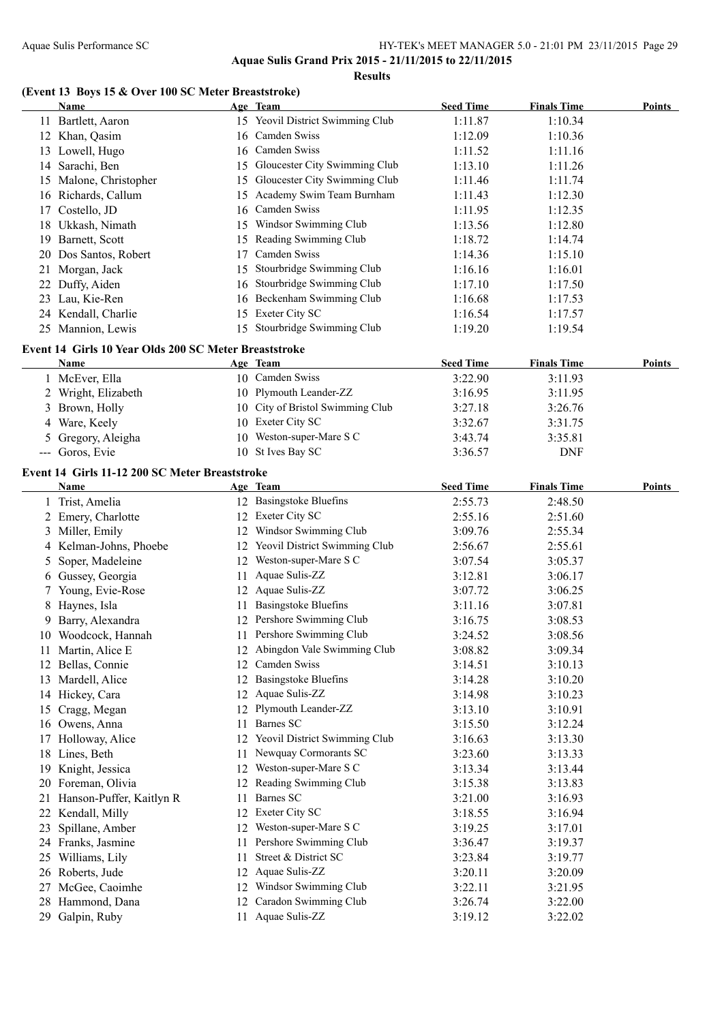#### Aquae Sulis Performance SC HY-TEK's MEET MANAGER 5.0 - 21:01 PM 23/11/2015 Page 29 **Aquae Sulis Grand Prix 2015 - 21/11/2015 to 22/11/2015**

**Results**

#### **(Event 13 Boys 15 & Over 100 SC Meter Breaststroke)**

|    | Name                                                  |     | Age Team                         | <b>Seed Time</b> | <b>Finals Time</b> | Points |
|----|-------------------------------------------------------|-----|----------------------------------|------------------|--------------------|--------|
|    | 11 Bartlett, Aaron                                    |     | 15 Yeovil District Swimming Club | 1:11.87          | 1:10.34            |        |
|    | 12 Khan, Qasim                                        |     | 16 Camden Swiss                  | 1:12.09          | 1:10.36            |        |
|    | 13 Lowell, Hugo                                       |     | 16 Camden Swiss                  | 1:11.52          | 1:11.16            |        |
|    | 14 Sarachi, Ben                                       |     | 15 Gloucester City Swimming Club | 1:13.10          | 1:11.26            |        |
|    | 15 Malone, Christopher                                |     | 15 Gloucester City Swimming Club | 1:11.46          | 1:11.74            |        |
|    | 16 Richards, Callum                                   |     | 15 Academy Swim Team Burnham     | 1:11.43          | 1:12.30            |        |
|    | 17 Costello, JD                                       |     | 16 Camden Swiss                  | 1:11.95          | 1:12.35            |        |
|    | 18 Ukkash, Nimath                                     |     | 15 Windsor Swimming Club         | 1:13.56          | 1:12.80            |        |
|    | 19 Barnett, Scott                                     |     | 15 Reading Swimming Club         | 1:18.72          | 1:14.74            |        |
|    | 20 Dos Santos, Robert                                 | 17  | Camden Swiss                     | 1:14.36          | 1:15.10            |        |
|    | 21 Morgan, Jack                                       | 15  | Stourbridge Swimming Club        | 1:16.16          | 1:16.01            |        |
|    | 22 Duffy, Aiden                                       |     | 16 Stourbridge Swimming Club     | 1:17.10          | 1:17.50            |        |
|    | 23 Lau, Kie-Ren                                       |     | 16 Beckenham Swimming Club       | 1:16.68          | 1:17.53            |        |
|    | 24 Kendall, Charlie                                   |     | 15 Exeter City SC                | 1:16.54          | 1:17.57            |        |
|    | 25 Mannion, Lewis                                     |     | 15 Stourbridge Swimming Club     | 1:19.20          | 1:19.54            |        |
|    | Event 14 Girls 10 Year Olds 200 SC Meter Breaststroke |     |                                  |                  |                    |        |
|    | <b>Name</b>                                           |     | Age Team                         | <b>Seed Time</b> | <b>Finals Time</b> | Points |
|    |                                                       |     | 10 Camden Swiss                  | 3:22.90          | 3:11.93            |        |
|    | 1 McEver, Ella                                        |     | 10 Plymouth Leander-ZZ           |                  |                    |        |
|    | 2 Wright, Elizabeth                                   |     | 10 City of Bristol Swimming Club | 3:16.95          | 3:11.95            |        |
|    | 3 Brown, Holly                                        |     |                                  | 3:27.18          | 3:26.76            |        |
|    | 4 Ware, Keely                                         |     | 10 Exeter City SC                | 3:32.67          | 3:31.75            |        |
|    | 5 Gregory, Aleigha                                    |     | 10 Weston-super-Mare S C         | 3:43.74          | 3:35.81            |        |
|    | --- Goros, Evie                                       |     | 10 St Ives Bay SC                | 3:36.57          | <b>DNF</b>         |        |
|    | Event 14 Girls 11-12 200 SC Meter Breaststroke        |     |                                  |                  |                    |        |
|    | Name                                                  |     | Age Team                         | <b>Seed Time</b> | <b>Finals Time</b> | Points |
|    | 1 Trist, Amelia                                       |     | 12 Basingstoke Bluefins          | 2:55.73          | 2:48.50            |        |
|    | 2 Emery, Charlotte                                    |     | 12 Exeter City SC                | 2:55.16          | 2:51.60            |        |
|    | 3 Miller, Emily                                       |     | 12 Windsor Swimming Club         | 3:09.76          | 2:55.34            |        |
|    | 4 Kelman-Johns, Phoebe                                |     | 12 Yeovil District Swimming Club | 2:56.67          | 2:55.61            |        |
| 5  | Soper, Madeleine                                      |     | 12 Weston-super-Mare S C         | 3:07.54          | 3:05.37            |        |
|    | 6 Gussey, Georgia                                     | 11  | Aquae Sulis-ZZ                   | 3:12.81          | 3:06.17            |        |
|    | 7 Young, Evie-Rose                                    |     | 12 Aquae Sulis-ZZ                | 3:07.72          | 3:06.25            |        |
|    | 8 Haynes, Isla                                        |     | 11 Basingstoke Bluefins          | 3:11.16          | 3:07.81            |        |
|    | 9 Barry, Alexandra                                    |     | 12 Pershore Swimming Club        | 3:16.75          | 3:08.53            |        |
|    | 10 Woodcock, Hannah                                   |     | 11 Pershore Swimming Club        | 3:24.52          | 3:08.56            |        |
|    | 11 Martin, Alice E                                    |     | Abingdon Vale Swimming Club      | 3:08.82          | 3:09.34            |        |
|    | 12 Bellas, Connie                                     | 12  | Camden Swiss                     | 3:14.51          | 3:10.13            |        |
|    | 13 Mardell, Alice                                     | 12  | <b>Basingstoke Bluefins</b>      | 3:14.28          | 3:10.20            |        |
|    | 14 Hickey, Cara                                       | 12  | Aquae Sulis-ZZ                   | 3:14.98          | 3:10.23            |        |
| 15 | Cragg, Megan                                          | 12  | Plymouth Leander-ZZ              | 3:13.10          | 3:10.91            |        |
|    | 16 Owens, Anna                                        | 11  | Barnes SC                        | 3:15.50          | 3:12.24            |        |
| 17 | Holloway, Alice                                       |     | 12 Yeovil District Swimming Club | 3:16.63          | 3:13.30            |        |
|    | 18 Lines, Beth                                        | 11. | Newquay Cormorants SC            | 3:23.60          | 3:13.33            |        |
| 19 | Knight, Jessica                                       |     | 12 Weston-super-Mare S C         | 3:13.34          | 3:13.44            |        |
|    | 20 Foreman, Olivia                                    |     | 12 Reading Swimming Club         | 3:15.38          | 3:13.83            |        |
| 21 | Hanson-Puffer, Kaitlyn R                              | 11  | Barnes SC                        | 3:21.00          | 3:16.93            |        |
| 22 | Kendall, Milly                                        | 12  | Exeter City SC                   | 3:18.55          | 3:16.94            |        |
| 23 | Spillane, Amber                                       | 12  | Weston-super-Mare S C            | 3:19.25          | 3:17.01            |        |
|    | 24 Franks, Jasmine                                    | 11  | Pershore Swimming Club           | 3:36.47          | 3:19.37            |        |
| 25 | Williams, Lily                                        | 11  | Street & District SC             | 3:23.84          | 3:19.77            |        |
|    | 26 Roberts, Jude                                      | 12  | Aquae Sulis-ZZ                   | 3:20.11          | 3:20.09            |        |
| 27 | McGee, Caoimhe                                        | 12  | Windsor Swimming Club            | 3:22.11          | 3:21.95            |        |
|    | 28 Hammond, Dana                                      | 12  | Caradon Swimming Club            | 3:26.74          | 3:22.00            |        |
|    | 29 Galpin, Ruby                                       |     | 11 Aquae Sulis-ZZ                | 3:19.12          | 3:22.02            |        |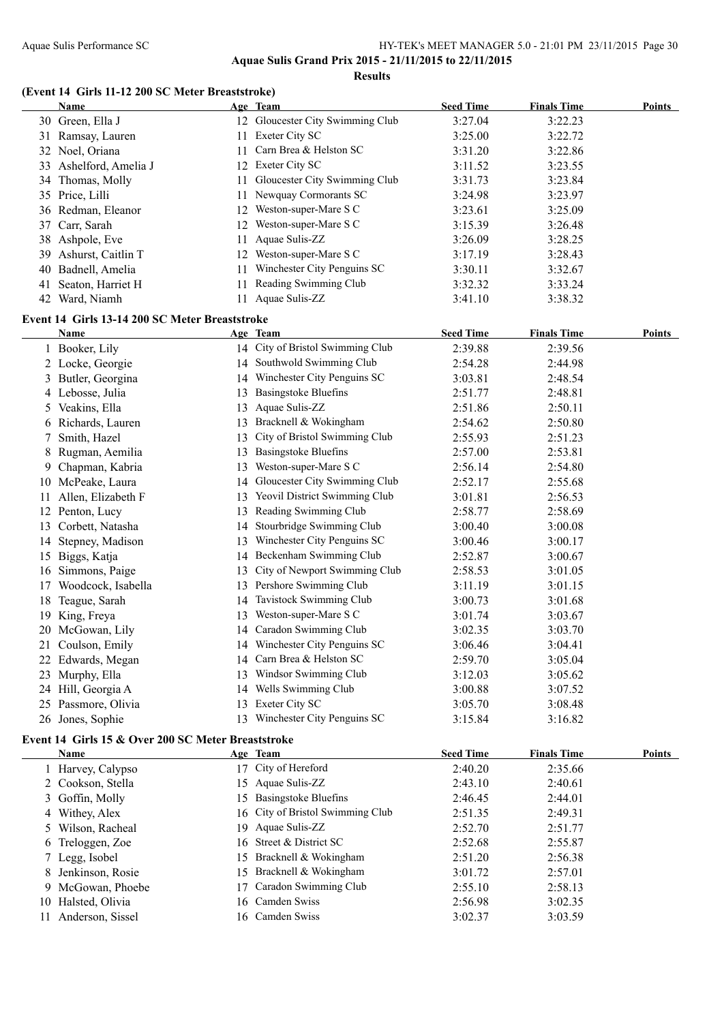**Aquae Sulis Grand Prix 2015 - 21/11/2015 to 22/11/2015 Results**

#### **(Event 14 Girls 11-12 200 SC Meter Breaststroke)**

|    | <b>Name</b>                                        |    | Age Team                         | <b>Seed Time</b> | <b>Finals Time</b> | <b>Points</b> |
|----|----------------------------------------------------|----|----------------------------------|------------------|--------------------|---------------|
|    | 30 Green, Ella J                                   |    | 12 Gloucester City Swimming Club | 3:27.04          | 3:22.23            |               |
|    | 31 Ramsay, Lauren                                  |    | 11 Exeter City SC                | 3:25.00          | 3:22.72            |               |
|    | 32 Noel, Oriana                                    | 11 | Carn Brea & Helston SC           | 3:31.20          | 3:22.86            |               |
|    | 33 Ashelford, Amelia J                             |    | 12 Exeter City SC                | 3:11.52          | 3:23.55            |               |
|    | 34 Thomas, Molly                                   | 11 | Gloucester City Swimming Club    | 3:31.73          | 3:23.84            |               |
|    | 35 Price, Lilli                                    | 11 | Newquay Cormorants SC            | 3:24.98          | 3:23.97            |               |
|    | 36 Redman, Eleanor                                 | 12 | Weston-super-Mare S C            | 3:23.61          | 3:25.09            |               |
| 37 | Carr, Sarah                                        | 12 | Weston-super-Mare S C            | 3:15.39          | 3:26.48            |               |
|    | 38 Ashpole, Eve                                    | 11 | Aquae Sulis-ZZ                   | 3:26.09          | 3:28.25            |               |
| 39 | Ashurst, Caitlin T                                 | 12 | Weston-super-Mare S C            | 3:17.19          | 3:28.43            |               |
| 40 | Badnell, Amelia                                    | 11 | Winchester City Penguins SC      | 3:30.11          | 3:32.67            |               |
| 41 | Seaton, Harriet H                                  | 11 | Reading Swimming Club            | 3:32.32          | 3:33.24            |               |
|    | 42 Ward, Niamh                                     |    | 11 Aquae Sulis-ZZ                | 3:41.10          | 3:38.32            |               |
|    | Event 14 Girls 13-14 200 SC Meter Breaststroke     |    |                                  |                  |                    |               |
|    | Name                                               |    | Age Team                         | <b>Seed Time</b> | <b>Finals Time</b> | Points        |
|    | 1 Booker, Lily                                     |    | 14 City of Bristol Swimming Club | 2:39.88          | 2:39.56            |               |
|    | 2 Locke, Georgie                                   |    | 14 Southwold Swimming Club       | 2:54.28          | 2:44.98            |               |
|    | 3 Butler, Georgina                                 |    | 14 Winchester City Penguins SC   | 3:03.81          | 2:48.54            |               |
|    | 4 Lebosse, Julia                                   | 13 | <b>Basingstoke Bluefins</b>      | 2:51.77          | 2:48.81            |               |
|    | 5 Veakins, Ella                                    | 13 | Aquae Sulis-ZZ                   | 2:51.86          | 2:50.11            |               |
|    | 6 Richards, Lauren                                 | 13 | Bracknell & Wokingham            | 2:54.62          | 2:50.80            |               |
| 7  | Smith, Hazel                                       | 13 | City of Bristol Swimming Club    | 2:55.93          | 2:51.23            |               |
| 8  | Rugman, Aemilia                                    | 13 | <b>Basingstoke Bluefins</b>      | 2:57.00          | 2:53.81            |               |
|    | 9 Chapman, Kabria                                  | 13 | Weston-super-Mare S C            | 2:56.14          | 2:54.80            |               |
|    | 10 McPeake, Laura                                  | 14 | Gloucester City Swimming Club    | 2:52.17          | 2:55.68            |               |
|    | 11 Allen, Elizabeth F                              |    | 13 Yeovil District Swimming Club | 3:01.81          | 2:56.53            |               |
|    | 12 Penton, Lucy                                    |    | 13 Reading Swimming Club         | 2:58.77          | 2:58.69            |               |
|    | 13 Corbett, Natasha                                | 14 | Stourbridge Swimming Club        | 3:00.40          | 3:00.08            |               |
|    | 14 Stepney, Madison                                |    | 13 Winchester City Penguins SC   | 3:00.46          | 3:00.17            |               |
| 15 | Biggs, Katja                                       |    | 14 Beckenham Swimming Club       | 2:52.87          | 3:00.67            |               |
|    | 16 Simmons, Paige                                  | 13 | City of Newport Swimming Club    | 2:58.53          | 3:01.05            |               |
| 17 | Woodcock, Isabella                                 |    | 13 Pershore Swimming Club        | 3:11.19          | 3:01.15            |               |
|    | 18 Teague, Sarah                                   | 14 | Tavistock Swimming Club          | 3:00.73          | 3:01.68            |               |
|    | 19 King, Freya                                     | 13 | Weston-super-Mare S C            | 3:01.74          | 3:03.67            |               |
|    | 20 McGowan, Lily                                   |    | 14 Caradon Swimming Club         | 3:02.35          | 3:03.70            |               |
|    | 21 Coulson, Emily                                  |    | 14 Winchester City Penguins SC   | 3:06.46          | 3:04.41            |               |
|    | 22 Edwards, Megan                                  |    | 14 Carn Brea & Helston SC        | 2:59.70          | 3:05.04            |               |
|    | 23 Murphy, Ella                                    |    | 13 Windsor Swimming Club         | 3:12.03          | 3:05.62            |               |
|    | 24 Hill, Georgia A                                 |    | 14 Wells Swimming Club           | 3:00.88          | 3:07.52            |               |
|    | 25 Passmore, Olivia                                |    | 13 Exeter City SC                | 3:05.70          | 3:08.48            |               |
|    | 26 Jones, Sophie                                   |    | 13 Winchester City Penguins SC   | 3:15.84          | 3:16.82            |               |
|    | Event 14 Girls 15 & Over 200 SC Meter Breaststroke |    |                                  |                  |                    |               |
|    | Name                                               |    | Age Team                         | <b>Seed Time</b> | <b>Finals Time</b> | Points        |
|    | 1 Harvey Calynso                                   |    | 17 City of Hereford              | 2.40.20          | 2.3566             |               |

|    | name               |    | Age leam                         | seea lime | rınaıs lime | romts |
|----|--------------------|----|----------------------------------|-----------|-------------|-------|
|    | 1 Harvey, Calypso  |    | 17 City of Hereford              | 2:40.20   | 2:35.66     |       |
|    | 2 Cookson, Stella  |    | 15 Aquae Sulis-ZZ                | 2:43.10   | 2:40.61     |       |
|    | 3 Goffin, Molly    |    | 15 Basingstoke Bluefins          | 2:46.45   | 2:44.01     |       |
|    | 4 Withey, Alex     |    | 16 City of Bristol Swimming Club | 2:51.35   | 2:49.31     |       |
|    | 5 Wilson, Racheal  |    | 19 Aquae Sulis-ZZ                | 2:52.70   | 2:51.77     |       |
|    | 6 Treloggen, Zoe   |    | 16 Street & District SC          | 2:52.68   | 2:55.87     |       |
|    | 7 Legg, Isobel     |    | 15 Bracknell & Wokingham         | 2:51.20   | 2:56.38     |       |
|    | 8 Jenkinson, Rosie |    | 15 Bracknell & Wokingham         | 3:01.72   | 2:57.01     |       |
|    | 9 McGowan, Phoebe  | 17 | Caradon Swimming Club            | 2:55.10   | 2:58.13     |       |
|    | 10 Halsted, Olivia |    | 16 Camden Swiss                  | 2:56.98   | 3:02.35     |       |
| 11 | Anderson, Sissel   |    | 16 Camden Swiss                  | 3:02.37   | 3:03.59     |       |
|    |                    |    |                                  |           |             |       |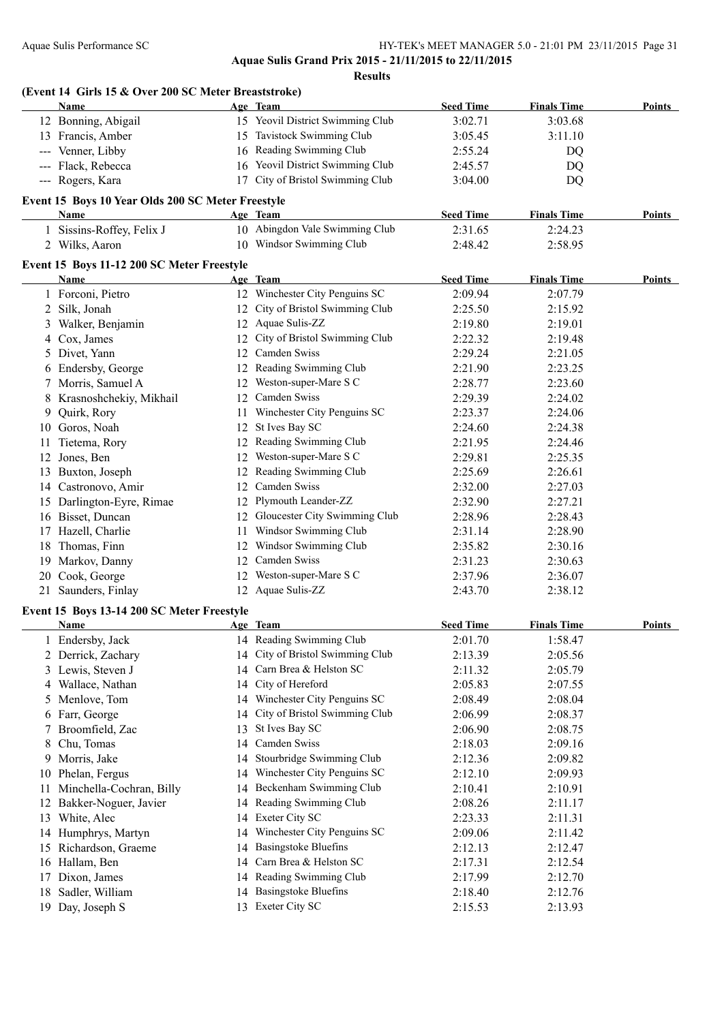|     | (Event 14 Girls 15 & Over 200 SC Meter Breaststroke) |    |                                  |                  |                    |               |
|-----|------------------------------------------------------|----|----------------------------------|------------------|--------------------|---------------|
|     | Name                                                 |    | Age Team                         | <b>Seed Time</b> | <b>Finals Time</b> | Points        |
|     | 12 Bonning, Abigail                                  |    | 15 Yeovil District Swimming Club | 3:02.71          | 3:03.68            |               |
|     | 13 Francis, Amber                                    |    | 15 Tavistock Swimming Club       | 3:05.45          | 3:11.10            |               |
|     | --- Venner, Libby                                    |    | 16 Reading Swimming Club         | 2:55.24          | DQ                 |               |
|     | --- Flack, Rebecca                                   |    | 16 Yeovil District Swimming Club | 2:45.57          | DQ                 |               |
|     | --- Rogers, Kara                                     |    | 17 City of Bristol Swimming Club | 3:04.00          | DQ                 |               |
|     | Event 15 Boys 10 Year Olds 200 SC Meter Freestyle    |    |                                  |                  |                    |               |
|     | Name                                                 |    | Age Team                         | <b>Seed Time</b> | <b>Finals Time</b> | Points        |
|     | 1 Sissins-Roffey, Felix J                            |    | 10 Abingdon Vale Swimming Club   | 2:31.65          | 2:24.23            |               |
|     | 2 Wilks, Aaron                                       |    | 10 Windsor Swimming Club         | 2:48.42          | 2:58.95            |               |
|     | Event 15 Boys 11-12 200 SC Meter Freestyle           |    |                                  |                  |                    |               |
|     | Name                                                 |    | Age Team                         | <b>Seed Time</b> | <b>Finals Time</b> | <b>Points</b> |
|     | 1 Forconi, Pietro                                    |    | 12 Winchester City Penguins SC   | 2:09.94          | 2:07.79            |               |
|     | 2 Silk, Jonah                                        |    | 12 City of Bristol Swimming Club | 2:25.50          | 2:15.92            |               |
|     | 3 Walker, Benjamin                                   |    | 12 Aquae Sulis-ZZ                | 2:19.80          | 2:19.01            |               |
|     | 4 Cox, James                                         |    | 12 City of Bristol Swimming Club | 2:22.32          | 2:19.48            |               |
|     | 5 Divet, Yann                                        |    | 12 Camden Swiss                  | 2:29.24          | 2:21.05            |               |
|     | 6 Endersby, George                                   |    | 12 Reading Swimming Club         | 2:21.90          | 2:23.25            |               |
|     | 7 Morris, Samuel A                                   |    | 12 Weston-super-Mare S C         | 2:28.77          | 2:23.60            |               |
|     | 8 Krasnoshchekiy, Mikhail                            |    | 12 Camden Swiss                  | 2:29.39          | 2:24.02            |               |
|     | 9 Quirk, Rory                                        |    | 11 Winchester City Penguins SC   | 2:23.37          | 2:24.06            |               |
|     | 10 Goros, Noah                                       |    | 12 St Ives Bay SC                | 2:24.60          | 2:24.38            |               |
|     | 11 Tietema, Rory                                     |    | 12 Reading Swimming Club         | 2:21.95          | 2:24.46            |               |
|     | 12 Jones, Ben                                        |    | 12 Weston-super-Mare S C         | 2:29.81          | 2:25.35            |               |
|     | 13 Buxton, Joseph                                    |    | 12 Reading Swimming Club         | 2:25.69          | 2:26.61            |               |
|     | 14 Castronovo, Amir                                  |    | 12 Camden Swiss                  | 2:32.00          | 2:27.03            |               |
|     | 15 Darlington-Eyre, Rimae                            |    | 12 Plymouth Leander-ZZ           | 2:32.90          | 2:27.21            |               |
|     | 16 Bisset, Duncan                                    |    | 12 Gloucester City Swimming Club | 2:28.96          | 2:28.43            |               |
|     | 17 Hazell, Charlie                                   |    | 11 Windsor Swimming Club         | 2:31.14          | 2:28.90            |               |
|     | 18 Thomas, Finn                                      |    | 12 Windsor Swimming Club         | 2:35.82          | 2:30.16            |               |
|     | 19 Markov, Danny                                     |    | 12 Camden Swiss                  | 2:31.23          | 2:30.63            |               |
|     | 20 Cook, George                                      |    | 12 Weston-super-Mare S C         | 2:37.96          | 2:36.07            |               |
|     | 21 Saunders, Finlay                                  |    | 12 Aquae Sulis-ZZ                | 2:43.70          | 2:38.12            |               |
|     | Event 15 Boys 13-14 200 SC Meter Freestyle           |    |                                  |                  |                    |               |
|     | Name Age Team                                        |    |                                  | <b>Seed Time</b> | <b>Finals Time</b> | <b>Points</b> |
|     | 1 Endersby, Jack                                     |    | 14 Reading Swimming Club         | 2:01.70          | 1:58.47            |               |
|     | 2 Derrick, Zachary                                   |    | 14 City of Bristol Swimming Club | 2:13.39          | 2:05.56            |               |
|     | 3 Lewis, Steven J                                    | 14 | Carn Brea & Helston SC           | 2:11.32          | 2:05.79            |               |
|     | 4 Wallace, Nathan                                    | 14 | City of Hereford                 | 2:05.83          | 2:07.55            |               |
| 5   | Menlove, Tom                                         |    | 14 Winchester City Penguins SC   | 2:08.49          | 2:08.04            |               |
|     | 6 Farr, George                                       | 14 | City of Bristol Swimming Club    | 2:06.99          | 2:08.37            |               |
| 7   | Broomfield, Zac                                      | 13 | St Ives Bay SC                   | 2:06.90          | 2:08.75            |               |
| 8   | Chu, Tomas                                           | 14 | Camden Swiss                     | 2:18.03          | 2:09.16            |               |
| 9   | Morris, Jake                                         | 14 | Stourbridge Swimming Club        | 2:12.36          | 2:09.82            |               |
|     | 10 Phelan, Fergus                                    | 14 | Winchester City Penguins SC      | 2:12.10          | 2:09.93            |               |
| 11. | Minchella-Cochran, Billy                             | 14 | Beckenham Swimming Club          | 2:10.41          | 2:10.91            |               |
| 12  | Bakker-Noguer, Javier                                | 14 | Reading Swimming Club            | 2:08.26          | 2:11.17            |               |
|     | 13 White, Alec                                       |    | 14 Exeter City SC                | 2:23.33          | 2:11.31            |               |
|     | 14 Humphrys, Martyn                                  | 14 | Winchester City Penguins SC      | 2:09.06          | 2:11.42            |               |
| 15  | Richardson, Graeme                                   | 14 | <b>Basingstoke Bluefins</b>      | 2:12.13          | 2:12.47            |               |
|     | 16 Hallam, Ben                                       | 14 | Carn Brea & Helston SC           | 2:17.31          | 2:12.54            |               |
| 17  | Dixon, James                                         | 14 | Reading Swimming Club            | 2:17.99          | 2:12.70            |               |
| 18  | Sadler, William                                      | 14 | <b>Basingstoke Bluefins</b>      | 2:18.40          | 2:12.76            |               |
|     | 19 Day, Joseph S                                     | 13 | Exeter City SC                   | 2:15.53          | 2:13.93            |               |
|     |                                                      |    |                                  |                  |                    |               |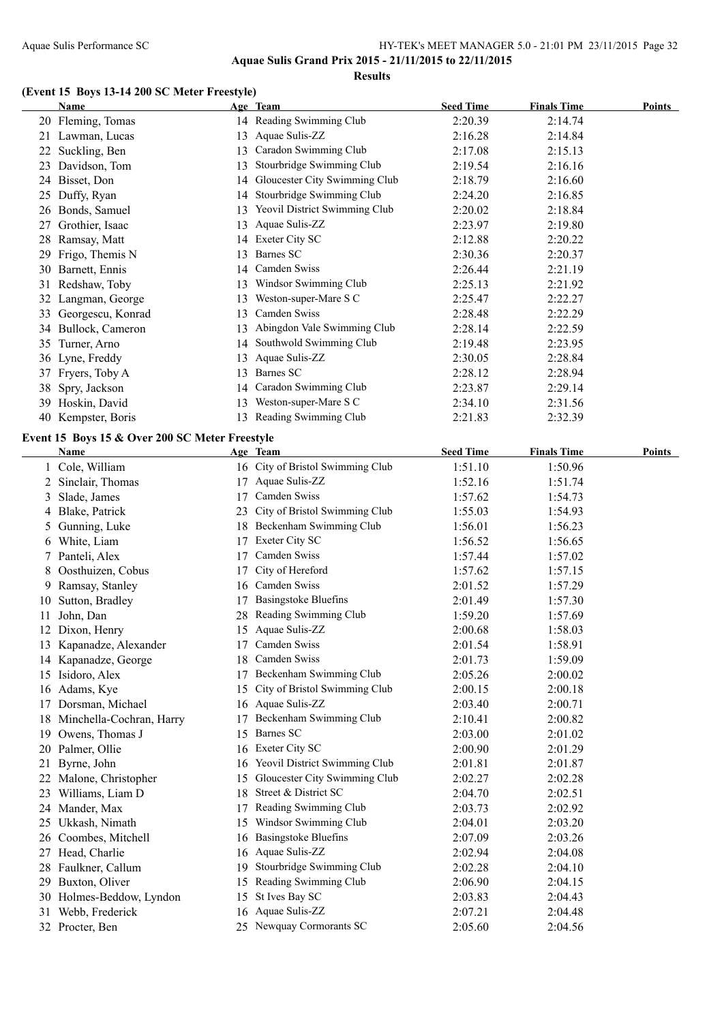**Aquae Sulis Grand Prix 2015 - 21/11/2015 to 22/11/2015 Results**

#### **(Event 15 Boys 13-14 200 SC Meter Freestyle)**

|    | <b>Name</b>                                        |    | Age Team                                     | <b>Seed Time</b>            | <b>Finals Time</b> | <b>Points</b> |
|----|----------------------------------------------------|----|----------------------------------------------|-----------------------------|--------------------|---------------|
|    | 20 Fleming, Tomas                                  |    | 14 Reading Swimming Club                     | 2:20.39                     | 2:14.74            |               |
|    | 21 Lawman, Lucas                                   |    | 13 Aquae Sulis-ZZ                            | 2:16.28                     | 2:14.84            |               |
|    | 22 Suckling, Ben                                   |    | 13 Caradon Swimming Club                     | 2:17.08                     | 2:15.13            |               |
|    | 23 Davidson, Tom                                   | 13 | Stourbridge Swimming Club                    | 2:19.54                     | 2:16.16            |               |
|    | 24 Bisset, Don                                     |    | 14 Gloucester City Swimming Club             | 2:18.79                     | 2:16.60            |               |
|    | 25 Duffy, Ryan                                     | 14 | Stourbridge Swimming Club                    | 2:24.20                     | 2:16.85            |               |
|    | 26 Bonds, Samuel                                   |    | 13 Yeovil District Swimming Club             | 2:20.02                     | 2:18.84            |               |
|    | 27 Grothier, Isaac                                 | 13 | Aquae Sulis-ZZ                               | 2:23.97                     | 2:19.80            |               |
|    | 28 Ramsay, Matt                                    |    | 14 Exeter City SC                            | 2:12.88                     | 2:20.22            |               |
| 29 | Frigo, Themis N                                    | 13 | Barnes SC                                    | 2:30.36                     | 2:20.37            |               |
|    | 30 Barnett, Ennis                                  |    | 14 Camden Swiss                              | 2:26.44                     | 2:21.19            |               |
|    | 31 Redshaw, Toby                                   |    | 13 Windsor Swimming Club                     | 2:25.13                     | 2:21.92            |               |
|    | 32 Langman, George                                 |    | 13 Weston-super-Mare S C                     | 2:25.47                     | 2:22.27            |               |
|    | 33 Georgescu, Konrad                               |    | 13 Camden Swiss                              | 2:28.48                     | 2:22.29            |               |
|    | 34 Bullock, Cameron                                |    | 13 Abingdon Vale Swimming Club               | 2:28.14                     | 2:22.59            |               |
|    | 35 Turner, Arno                                    |    | 14 Southwold Swimming Club                   | 2:19.48                     | 2:23.95            |               |
|    | 36 Lyne, Freddy                                    |    | 13 Aquae Sulis-ZZ                            | 2:30.05                     | 2:28.84            |               |
|    | 37 Fryers, Toby A                                  |    | 13 Barnes SC                                 | 2:28.12                     | 2:28.94            |               |
|    | 38 Spry, Jackson                                   |    | 14 Caradon Swimming Club                     | 2:23.87                     | 2:29.14            |               |
|    | 39 Hoskin, David                                   |    | 13 Weston-super-Mare S C                     | 2:34.10                     | 2:31.56            |               |
|    | 40 Kempster, Boris                                 |    | 13 Reading Swimming Club                     | 2:21.83                     | 2:32.39            |               |
|    |                                                    |    |                                              |                             |                    |               |
|    | Event 15 Boys 15 & Over 200 SC Meter Freestyle     |    |                                              |                             |                    | <b>Points</b> |
|    | Name<br>1 Cole, William                            |    | Age Team<br>16 City of Bristol Swimming Club | <b>Seed Time</b><br>1:51.10 | <b>Finals Time</b> |               |
|    |                                                    |    | 17 Aquae Sulis-ZZ                            | 1:52.16                     | 1:50.96            |               |
| 3  | 2 Sinclair, Thomas<br>Slade, James                 |    | 17 Camden Swiss                              | 1:57.62                     | 1:51.74<br>1:54.73 |               |
| 4  | Blake, Patrick                                     | 23 | City of Bristol Swimming Club                | 1:55.03                     | 1:54.93            |               |
|    | 5 Gunning, Luke                                    |    | 18 Beckenham Swimming Club                   | 1:56.01                     | 1:56.23            |               |
|    | 6 White, Liam                                      | 17 | Exeter City SC                               | 1:56.52                     | 1:56.65            |               |
| 7  | Panteli, Alex                                      | 17 | Camden Swiss                                 | 1:57.44                     | 1:57.02            |               |
| 8  | Oosthuizen, Cobus                                  | 17 | City of Hereford                             | 1:57.62                     | 1:57.15            |               |
|    | Ramsay, Stanley                                    |    | 16 Camden Swiss                              | 2:01.52                     | 1:57.29            |               |
| 9. |                                                    |    | <b>Basingstoke Bluefins</b>                  | 2:01.49                     |                    |               |
|    | 10 Sutton, Bradley<br>11 John, Dan                 | 17 | 28 Reading Swimming Club                     | 1:59.20                     | 1:57.30<br>1:57.69 |               |
|    | 12 Dixon, Henry                                    |    | 15 Aquae Sulis-ZZ                            | 2:00.68                     | 1:58.03            |               |
|    |                                                    |    | 17 Camden Swiss                              |                             |                    |               |
|    | 13 Kapanadze, Alexander                            |    | 18 Camden Swiss                              | 2:01.54                     | 1:58.91            |               |
|    | 14 Kapanadze, George                               |    | 17 Beckenham Swimming Club                   | 2:01.73                     | 1:59.09            |               |
|    | 15 Isidoro, Alex                                   |    | 15 City of Bristol Swimming Club             | 2:05.26                     | 2:00.02            |               |
|    | 16 Adams, Kye                                      |    | 16 Aquae Sulis-ZZ                            | 2:00.15<br>2:03.40          | 2:00.18            |               |
|    | 17 Dorsman, Michael<br>18 Minchella-Cochran, Harry | 17 | Beckenham Swimming Club                      | 2:10.41                     | 2:00.71            |               |
|    | 19 Owens, Thomas J                                 |    | 15 Barnes SC                                 | 2:03.00                     | 2:00.82            |               |
|    | 20 Palmer, Ollie                                   |    | 16 Exeter City SC                            | 2:00.90                     | 2:01.02<br>2:01.29 |               |
|    | 21 Byrne, John                                     |    | 16 Yeovil District Swimming Club             | 2:01.81                     | 2:01.87            |               |
|    | 22 Malone, Christopher                             | 15 | Gloucester City Swimming Club                | 2:02.27                     | 2:02.28            |               |
|    | 23 Williams, Liam D                                |    | 18 Street & District SC                      | 2:04.70                     | 2:02.51            |               |
|    | 24 Mander, Max                                     | 17 | Reading Swimming Club                        | 2:03.73                     | 2:02.92            |               |
|    | 25 Ukkash, Nimath                                  |    | 15 Windsor Swimming Club                     | 2:04.01                     | 2:03.20            |               |
|    | 26 Coombes, Mitchell                               |    | 16 Basingstoke Bluefins                      | 2:07.09                     | 2:03.26            |               |
|    | 27 Head, Charlie                                   |    | 16 Aquae Sulis-ZZ                            | 2:02.94                     | 2:04.08            |               |
|    | 28 Faulkner, Callum                                |    | 19 Stourbridge Swimming Club                 | 2:02.28                     | 2:04.10            |               |
|    | 29 Buxton, Oliver                                  |    | 15 Reading Swimming Club                     | 2:06.90                     | 2:04.15            |               |
|    | 30 Holmes-Beddow, Lyndon                           |    | 15 St Ives Bay SC                            | 2:03.83                     | 2:04.43            |               |
|    | 31 Webb, Frederick                                 |    | 16 Aquae Sulis-ZZ                            | 2:07.21                     | 2:04.48            |               |
|    | 32 Procter, Ben                                    |    | 25 Newquay Cormorants SC                     | 2:05.60                     | 2:04.56            |               |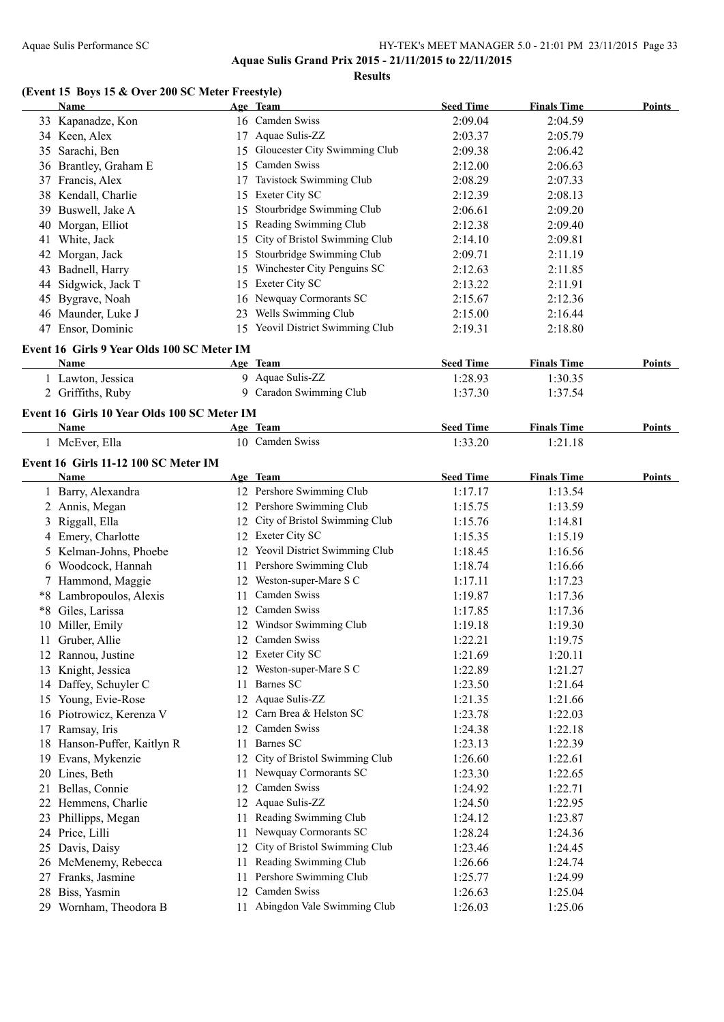**Results**

### **(Event 15 Boys 15 & Over 200 SC Meter Freestyle)**

|     | <b>Name</b>                                 |    | Age Team                                    | <b>Seed Time</b>   | <b>Finals Time</b> | <b>Points</b> |
|-----|---------------------------------------------|----|---------------------------------------------|--------------------|--------------------|---------------|
|     | 33 Kapanadze, Kon                           |    | 16 Camden Swiss                             | 2:09.04            | 2:04.59            |               |
|     | 34 Keen, Alex                               |    | 17 Aquae Sulis-ZZ                           | 2:03.37            | 2:05.79            |               |
|     | 35 Sarachi, Ben                             |    | 15 Gloucester City Swimming Club            | 2:09.38            | 2:06.42            |               |
|     | 36 Brantley, Graham E                       |    | 15 Camden Swiss                             | 2:12.00            | 2:06.63            |               |
|     | 37 Francis, Alex                            |    | 17 Tavistock Swimming Club                  | 2:08.29            | 2:07.33            |               |
|     | 38 Kendall, Charlie                         |    | 15 Exeter City SC                           | 2:12.39            | 2:08.13            |               |
| 39. | Buswell, Jake A                             |    | 15 Stourbridge Swimming Club                | 2:06.61            | 2:09.20            |               |
|     | 40 Morgan, Elliot                           |    | 15 Reading Swimming Club                    | 2:12.38            | 2:09.40            |               |
|     | 41 White, Jack                              |    | 15 City of Bristol Swimming Club            | 2:14.10            | 2:09.81            |               |
|     | 42 Morgan, Jack                             |    | 15 Stourbridge Swimming Club                | 2:09.71            | 2:11.19            |               |
|     | 43 Badnell, Harry                           |    | 15 Winchester City Penguins SC              | 2:12.63            | 2:11.85            |               |
| 44  | Sidgwick, Jack T                            |    | 15 Exeter City SC                           | 2:13.22            | 2:11.91            |               |
|     | 45 Bygrave, Noah                            |    | 16 Newquay Cormorants SC                    | 2:15.67            | 2:12.36            |               |
|     | 46 Maunder, Luke J                          |    | 23 Wells Swimming Club                      | 2:15.00            | 2:16.44            |               |
|     | 47 Ensor, Dominic                           |    | 15 Yeovil District Swimming Club            | 2:19.31            | 2:18.80            |               |
|     |                                             |    |                                             |                    |                    |               |
|     | Event 16 Girls 9 Year Olds 100 SC Meter IM  |    |                                             |                    |                    |               |
|     | Name                                        |    | Age Team                                    | <b>Seed Time</b>   | <b>Finals Time</b> | Points        |
|     | 1 Lawton, Jessica                           |    | 9 Aquae Sulis-ZZ                            | 1:28.93            | 1:30.35            |               |
|     | 2 Griffiths, Ruby                           |    | 9 Caradon Swimming Club                     | 1:37.30            | 1:37.54            |               |
|     | Event 16 Girls 10 Year Olds 100 SC Meter IM |    |                                             |                    |                    |               |
|     | Name                                        |    | Age Team                                    | <b>Seed Time</b>   | <b>Finals Time</b> | Points        |
|     | 1 McEver, Ella                              |    | 10 Camden Swiss                             | 1:33.20            | 1:21.18            |               |
|     | Event 16 Girls 11-12 100 SC Meter IM        |    |                                             |                    |                    |               |
|     | <b>Name</b>                                 |    | Age Team                                    | <b>Seed Time</b>   | <b>Finals Time</b> | <b>Points</b> |
|     | 1 Barry, Alexandra                          |    | 12 Pershore Swimming Club                   | 1:17.17            | 1:13.54            |               |
|     | 2 Annis, Megan                              |    | 12 Pershore Swimming Club                   | 1:15.75            | 1:13.59            |               |
|     | 3 Riggall, Ella                             |    | 12 City of Bristol Swimming Club            | 1:15.76            | 1:14.81            |               |
|     | 4 Emery, Charlotte                          |    | 12 Exeter City SC                           | 1:15.35            | 1:15.19            |               |
|     | 5 Kelman-Johns, Phoebe                      |    | 12 Yeovil District Swimming Club            | 1:18.45            | 1:16.56            |               |
|     | 6 Woodcock, Hannah                          |    | 11 Pershore Swimming Club                   | 1:18.74            | 1:16.66            |               |
|     | 7 Hammond, Maggie                           |    | 12 Weston-super-Mare S C                    | 1:17.11            | 1:17.23            |               |
|     | *8 Lambropoulos, Alexis                     | 11 | Camden Swiss                                | 1:19.87            | 1:17.36            |               |
|     | *8 Giles, Larissa                           | 12 | Camden Swiss                                |                    |                    |               |
|     | 10 Miller, Emily                            |    | 12 Windsor Swimming Club                    | 1:17.85<br>1:19.18 | 1:17.36<br>1:19.30 |               |
|     |                                             |    |                                             |                    |                    |               |
|     | 11 Gruber, Allie                            |    | 12 Camden Swiss<br>12 Exeter City SC        | 1:22.21            | 1:19.75            |               |
|     | 12 Rannou, Justine                          |    |                                             | 1:21.69            | 1:20.11            |               |
|     | 13 Knight, Jessica                          |    | 12 Weston-super-Mare S C<br>Barnes SC       | 1:22.89            | 1:21.27            |               |
|     | 14 Daffey, Schuyler C                       | 11 |                                             | 1:23.50            | 1:21.64            |               |
|     | 15 Young, Evie-Rose                         |    | 12 Aquae Sulis-ZZ<br>Carn Brea & Helston SC | 1:21.35            | 1:21.66            |               |
|     | 16 Piotrowicz, Kerenza V                    | 12 |                                             | 1:23.78            | 1:22.03            |               |
| 17  | Ramsay, Iris                                |    | 12 Camden Swiss<br>Barnes SC                | 1:24.38            | 1:22.18            |               |
|     | 18 Hanson-Puffer, Kaitlyn R                 | 11 |                                             | 1:23.13            | 1:22.39            |               |
|     | 19 Evans, Mykenzie                          |    | 12 City of Bristol Swimming Club            | 1:26.60            | 1:22.61            |               |
|     | 20 Lines, Beth                              |    | 11 Newquay Cormorants SC                    | 1:23.30            | 1:22.65            |               |
| 21  | Bellas, Connie                              |    | 12 Camden Swiss                             | 1:24.92            | 1:22.71            |               |
|     | 22 Hemmens, Charlie                         |    | 12 Aquae Sulis-ZZ                           | 1:24.50            | 1:22.95            |               |
|     | 23 Phillipps, Megan                         | 11 | Reading Swimming Club                       | 1:24.12            | 1:23.87            |               |
|     | 24 Price, Lilli                             | 11 | Newquay Cormorants SC                       | 1:28.24            | 1:24.36            |               |
| 25  | Davis, Daisy                                | 12 | City of Bristol Swimming Club               | 1:23.46            | 1:24.45            |               |
|     | 26 McMenemy, Rebecca                        | 11 | Reading Swimming Club                       | 1:26.66            | 1:24.74            |               |
|     | 27 Franks, Jasmine                          | 11 | Pershore Swimming Club                      | 1:25.77            | 1:24.99            |               |
|     | 28 Biss, Yasmin                             | 12 | Camden Swiss                                | 1:26.63            | 1:25.04            |               |
|     | 29 Wornham, Theodora B                      |    | 11 Abingdon Vale Swimming Club              | 1:26.03            | 1:25.06            |               |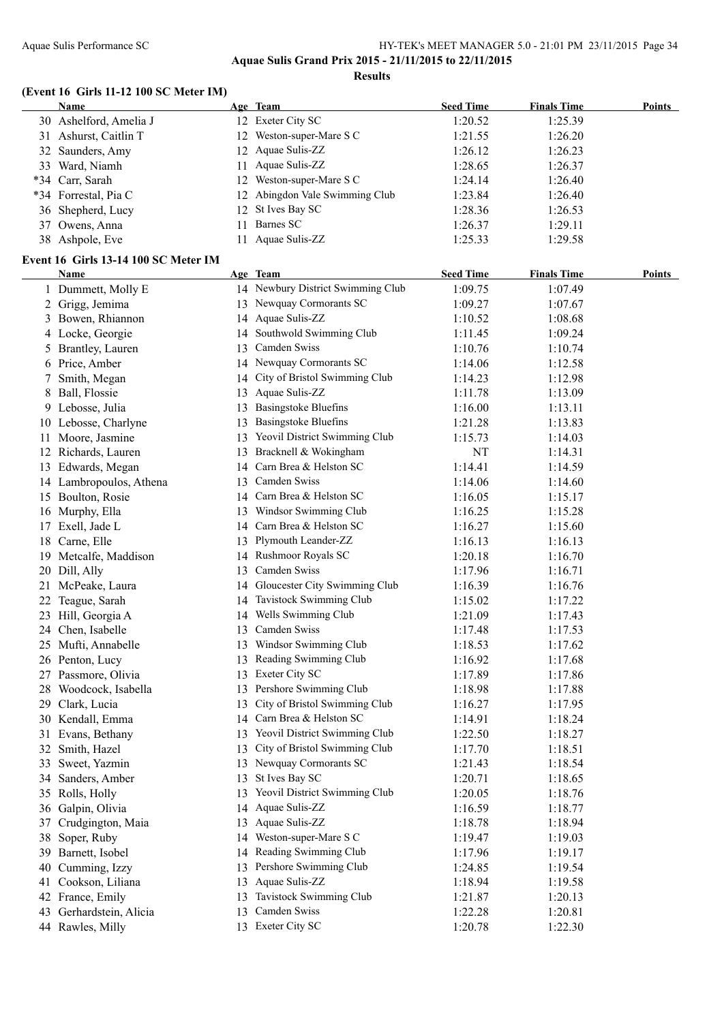### Aquae Sulis Performance SC HY-TEK's MEET MANAGER 5.0 - 21:01 PM 23/11/2015 Page 34 **Aquae Sulis Grand Prix 2015 - 21/11/2015 to 22/11/2015**

**Results**

#### **(Event 16 Girls 11-12 100 SC Meter IM)**

|       | Name                                 |     | Age Team                          | <b>Seed Time</b> | <b>Finals Time</b> | Points |
|-------|--------------------------------------|-----|-----------------------------------|------------------|--------------------|--------|
|       | 30 Ashelford, Amelia J               |     | 12 Exeter City SC                 | 1:20.52          | 1:25.39            |        |
|       | 31 Ashurst, Caitlin T                | 12. | Weston-super-Mare S C             | 1:21.55          | 1:26.20            |        |
|       | 32 Saunders, Amy                     |     | 12 Aquae Sulis-ZZ                 | 1:26.12          | 1:26.23            |        |
|       | 33 Ward, Niamh                       |     | 11 Aquae Sulis-ZZ                 | 1:28.65          | 1:26.37            |        |
| $*34$ | Carr, Sarah                          | 12  | Weston-super-Mare S C             | 1:24.14          | 1:26.40            |        |
|       | *34 Forrestal, Pia C                 |     | 12 Abingdon Vale Swimming Club    | 1:23.84          | 1:26.40            |        |
|       | 36 Shepherd, Lucy                    | 12  | St Ives Bay SC                    | 1:28.36          | 1:26.53            |        |
|       | 37 Owens, Anna                       | 11. | Barnes SC                         | 1:26.37          | 1:29.11            |        |
|       | 38 Ashpole, Eve                      |     | 11 Aquae Sulis-ZZ                 | 1:25.33          | 1:29.58            |        |
|       | Event 16 Girls 13-14 100 SC Meter IM |     |                                   |                  |                    |        |
|       | Name                                 |     | Age Team                          | <b>Seed Time</b> | <b>Finals Time</b> | Points |
|       | 1 Dummett, Molly E                   |     | 14 Newbury District Swimming Club | 1:09.75          | 1:07.49            |        |
|       | 2 Grigg, Jemima                      |     | 13 Newquay Cormorants SC          | 1:09.27          | 1:07.67            |        |
|       | 3 Bowen, Rhiannon                    |     | 14 Aquae Sulis-ZZ                 | 1:10.52          | 1:08.68            |        |
|       | 4 Locke, Georgie                     |     | 14 Southwold Swimming Club        | 1:11.45          | 1:09.24            |        |
|       | 5 Rrantley Lauren                    |     | 13 Camden Swiss                   | 1.1076           | 1.1074             |        |

|    | + LOCKC, OCOISIC        |    | bouthword bwinning Crub          | 1.11.77 | 1.02.27 |
|----|-------------------------|----|----------------------------------|---------|---------|
|    | 5 Brantley, Lauren      |    | 13 Camden Swiss                  | 1:10.76 | 1:10.74 |
|    | 6 Price, Amber          |    | 14 Newquay Cormorants SC         | 1:14.06 | 1:12.58 |
| 7  | Smith, Megan            |    | 14 City of Bristol Swimming Club | 1:14.23 | 1:12.98 |
| 8  | Ball, Flossie           |    | 13 Aquae Sulis-ZZ                | 1:11.78 | 1:13.09 |
|    | 9 Lebosse, Julia        |    | 13 Basingstoke Bluefins          | 1:16.00 | 1:13.11 |
|    | 10 Lebosse, Charlyne    | 13 | <b>Basingstoke Bluefins</b>      | 1:21.28 | 1:13.83 |
|    | 11 Moore, Jasmine       | 13 | Yeovil District Swimming Club    | 1:15.73 | 1:14.03 |
|    | 12 Richards, Lauren     |    | 13 Bracknell & Wokingham         | NT      | 1:14.31 |
|    | 13 Edwards, Megan       |    | 14 Carn Brea & Helston SC        | 1:14.41 | 1:14.59 |
|    | 14 Lambropoulos, Athena |    | 13 Camden Swiss                  | 1:14.06 | 1:14.60 |
|    | 15 Boulton, Rosie       |    | 14 Carn Brea & Helston SC        | 1:16.05 | 1:15.17 |
|    | 16 Murphy, Ella         |    | 13 Windsor Swimming Club         | 1:16.25 | 1:15.28 |
|    | 17 Exell, Jade L        |    | 14 Carn Brea & Helston SC        | 1:16.27 | 1:15.60 |
|    | 18 Carne, Elle          |    | 13 Plymouth Leander-ZZ           | 1:16.13 | 1:16.13 |
|    | 19 Metcalfe, Maddison   |    | 14 Rushmoor Royals SC            | 1:20.18 | 1:16.70 |
|    | 20 Dill, Ally           |    | 13 Camden Swiss                  | 1:17.96 | 1:16.71 |
|    | 21 McPeake, Laura       |    | 14 Gloucester City Swimming Club | 1:16.39 | 1:16.76 |
|    | 22 Teague, Sarah        | 14 | Tavistock Swimming Club          | 1:15.02 | 1:17.22 |
|    | 23 Hill, Georgia A      | 14 | Wells Swimming Club              | 1:21.09 | 1:17.43 |
|    | 24 Chen, Isabelle       |    | 13 Camden Swiss                  | 1:17.48 | 1:17.53 |
|    | 25 Mufti, Annabelle     |    | 13 Windsor Swimming Club         | 1:18.53 | 1:17.62 |
|    | 26 Penton, Lucy         |    | 13 Reading Swimming Club         | 1:16.92 | 1:17.68 |
|    | 27 Passmore, Olivia     |    | 13 Exeter City SC                | 1:17.89 | 1:17.86 |
|    | 28 Woodcock, Isabella   |    | 13 Pershore Swimming Club        | 1:18.98 | 1:17.88 |
|    | 29 Clark, Lucia         | 13 | City of Bristol Swimming Club    | 1:16.27 | 1:17.95 |
|    | 30 Kendall, Emma        |    | 14 Carn Brea & Helston SC        | 1:14.91 | 1:18.24 |
|    | 31 Evans, Bethany       |    | 13 Yeovil District Swimming Club | 1:22.50 | 1:18.27 |
|    | 32 Smith, Hazel         |    | 13 City of Bristol Swimming Club | 1:17.70 | 1:18.51 |
| 33 | Sweet, Yazmin           | 13 | Newquay Cormorants SC            | 1:21.43 | 1:18.54 |
|    | 34 Sanders, Amber       | 13 | St Ives Bay SC                   | 1:20.71 | 1:18.65 |
|    | 35 Rolls, Holly         | 13 | Yeovil District Swimming Club    | 1:20.05 | 1:18.76 |
|    | 36 Galpin, Olivia       |    | 14 Aquae Sulis-ZZ                | 1:16.59 | 1:18.77 |
|    | 37 Crudgington, Maia    |    | 13 Aquae Sulis-ZZ                | 1:18.78 | 1:18.94 |
|    | 38 Soper, Ruby          |    | 14 Weston-super-Mare S C         | 1:19.47 | 1:19.03 |
|    | 39 Barnett, Isobel      |    | 14 Reading Swimming Club         | 1:17.96 | 1:19.17 |
|    | 40 Cumming, Izzy        |    | 13 Pershore Swimming Club        | 1:24.85 | 1:19.54 |
|    | 41 Cookson, Liliana     |    | 13 Aquae Sulis-ZZ                | 1:18.94 | 1:19.58 |
|    | 42 France, Emily        |    | 13 Tavistock Swimming Club       | 1:21.87 | 1:20.13 |
|    | 43 Gerhardstein, Alicia |    | 13 Camden Swiss                  | 1:22.28 | 1:20.81 |
|    | 44 Rawles, Milly        |    | 13 Exeter City SC                | 1:20.78 | 1:22.30 |
|    |                         |    |                                  |         |         |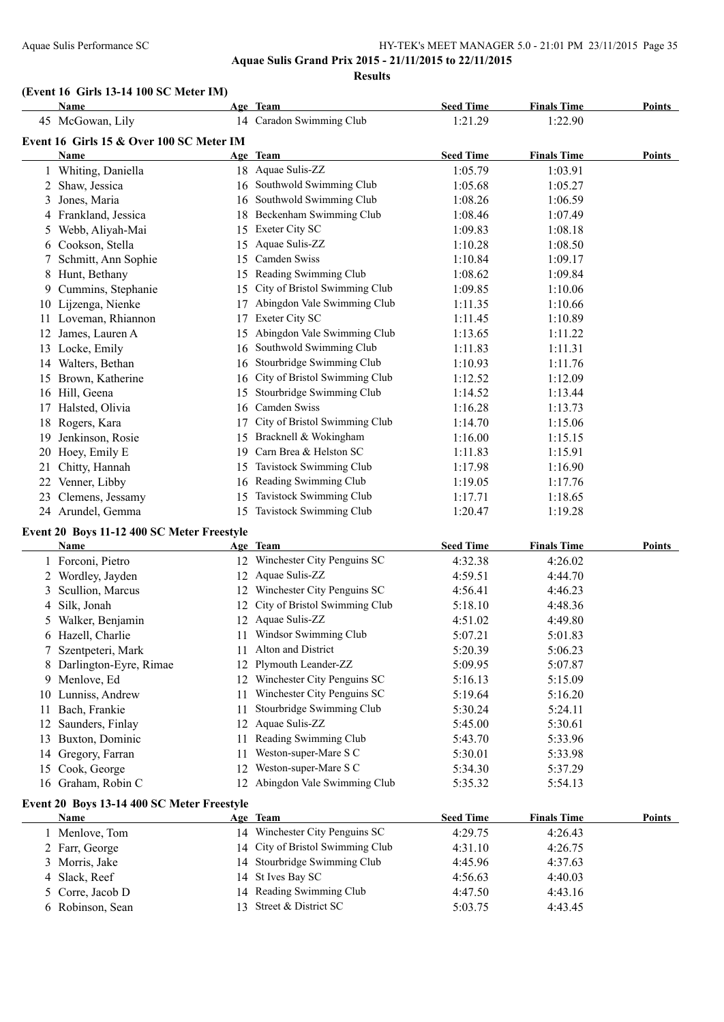### Aquae Sulis Performance SC <br>
HY-TEK's MEET MANAGER 5.0 - 21:01 PM 23/11/2015 Page 35 **Aquae Sulis Grand Prix 2015 - 21/11/2015 to 22/11/2015**

**Results**

#### **(Event 16 Girls 13-14 100 SC Meter IM)**

|    | Name                                       |    | Age Team                         | <b>Seed Time</b> | <b>Finals Time</b> | Points        |
|----|--------------------------------------------|----|----------------------------------|------------------|--------------------|---------------|
|    | 45 McGowan, Lily                           |    | 14 Caradon Swimming Club         | 1:21.29          | 1:22.90            |               |
|    | Event 16 Girls 15 & Over 100 SC Meter IM   |    |                                  |                  |                    |               |
|    | Name                                       |    | Age Team                         | <b>Seed Time</b> | <b>Finals Time</b> | Points        |
|    | 1 Whiting, Daniella                        |    | 18 Aquae Sulis-ZZ                | 1:05.79          | 1:03.91            |               |
|    | 2 Shaw, Jessica                            |    | 16 Southwold Swimming Club       | 1:05.68          | 1:05.27            |               |
| 3  | Jones, Maria                               |    | 16 Southwold Swimming Club       | 1:08.26          | 1:06.59            |               |
|    | 4 Frankland, Jessica                       |    | 18 Beckenham Swimming Club       | 1:08.46          | 1:07.49            |               |
| 5  | Webb, Aliyah-Mai                           |    | 15 Exeter City SC                | 1:09.83          | 1:08.18            |               |
|    | 6 Cookson, Stella                          | 15 | Aquae Sulis-ZZ                   | 1:10.28          | 1:08.50            |               |
|    | Schmitt, Ann Sophie                        | 15 | Camden Swiss                     | 1:10.84          | 1:09.17            |               |
| 8  | Hunt, Bethany                              | 15 | Reading Swimming Club            | 1:08.62          | 1:09.84            |               |
|    | 9 Cummins, Stephanie                       | 15 | City of Bristol Swimming Club    | 1:09.85          | 1:10.06            |               |
|    | 10 Lijzenga, Nienke                        | 17 | Abingdon Vale Swimming Club      | 1:11.35          | 1:10.66            |               |
|    | 11 Loveman, Rhiannon                       | 17 | Exeter City SC                   | 1:11.45          | 1:10.89            |               |
| 12 | James, Lauren A                            | 15 | Abingdon Vale Swimming Club      | 1:13.65          | 1:11.22            |               |
|    | 13 Locke, Emily                            |    | 16 Southwold Swimming Club       | 1:11.83          | 1:11.31            |               |
|    | 14 Walters, Bethan                         | 16 | Stourbridge Swimming Club        | 1:10.93          | 1:11.76            |               |
|    | 15 Brown, Katherine                        | 16 | City of Bristol Swimming Club    | 1:12.52          | 1:12.09            |               |
|    | 16 Hill, Geena                             |    | 15 Stourbridge Swimming Club     | 1:14.52          | 1:13.44            |               |
|    | 17 Halsted, Olivia                         |    | 16 Camden Swiss                  | 1:16.28          | 1:13.73            |               |
| 18 | Rogers, Kara                               | 17 | City of Bristol Swimming Club    | 1:14.70          | 1:15.06            |               |
| 19 | Jenkinson, Rosie                           |    | 15 Bracknell & Wokingham         | 1:16.00          | 1:15.15            |               |
| 20 | Hoey, Emily E                              | 19 | Carn Brea & Helston SC           | 1:11.83          | 1:15.91            |               |
| 21 | Chitty, Hannah                             | 15 | Tavistock Swimming Club          | 1:17.98          | 1:16.90            |               |
| 22 | Venner, Libby                              |    | 16 Reading Swimming Club         | 1:19.05          | 1:17.76            |               |
| 23 | Clemens, Jessamy                           | 15 | Tavistock Swimming Club          | 1:17.71          | 1:18.65            |               |
|    | 24 Arundel, Gemma                          |    | 15 Tavistock Swimming Club       | 1:20.47          | 1:19.28            |               |
|    | Event 20 Boys 11-12 400 SC Meter Freestyle |    |                                  |                  |                    |               |
|    | Name                                       |    | Age Team                         | <b>Seed Time</b> | <b>Finals Time</b> | <b>Points</b> |
|    | 1 Forconi, Pietro                          |    | 12 Winchester City Penguins SC   | 4:32.38          | 4:26.02            |               |
|    | 2 Wordley, Jayden                          |    | 12 Aquae Sulis-ZZ                | 4:59.51          | 4:44.70            |               |
| 3  | Scullion, Marcus                           |    | 12 Winchester City Penguins SC   | 4:56.41          | 4:46.23            |               |
| 4  | Silk, Jonah                                |    | 12 City of Bristol Swimming Club | 5:18.10          | 4:48.36            |               |
| 5  | Walker, Benjamin                           |    | 12 Aquae Sulis-ZZ                | 4:51.02          | 4:49.80            |               |
| 6  | Hazell, Charlie                            |    | 11 Windsor Swimming Club         | 5:07.21          | 5:01.83            |               |

#### **Event 20 Boys 13-14 400 SC Meter Freestyle**

| <b>Name</b>      | Age Team                         | <b>Seed Time</b> | <b>Finals Time</b> | <b>Points</b> |
|------------------|----------------------------------|------------------|--------------------|---------------|
| l Menlove, Tom   | 14 Winchester City Penguins SC   | 4:29.75          | 4:26.43            |               |
| 2 Farr, George   | 14 City of Bristol Swimming Club | 4:31.10          | 4:26.75            |               |
| 3 Morris, Jake   | 14 Stourbridge Swimming Club     | 4:45.96          | 4:37.63            |               |
| 4 Slack, Reef    | 14 St Ives Bay SC                | 4:56.63          | 4:40.03            |               |
| 5 Corre, Jacob D | 14 Reading Swimming Club         | 4:47.50          | 4:43.16            |               |
| 6 Robinson, Sean | 13 Street & District SC          | 5:03.75          | 4:43.45            |               |

 Szentpeteri, Mark 11 Alton and District 5:20.39 5:06.23 Darlington-Eyre, Rimae 12 Plymouth Leander-ZZ 5:09.95 5:07.87 9 Menlove, Ed 12 Winchester City Penguins SC 5:16.13 5:15.09 Lunniss, Andrew 11 Winchester City Penguins SC 5:19.64 5:16.20 Bach, Frankie 11 Stourbridge Swimming Club 5:30.24 5:24.11 Saunders, Finlay 12 Aquae Sulis-ZZ 5:45.00 5:30.61 Buxton, Dominic 11 Reading Swimming Club 5:43.70 5:33.96 14 Gregory, Farran 11 Weston-super-Mare S C 5:30.01 5:33.98 Cook, George 12 Weston-super-Mare S C 5:34.30 5:37.29 Graham, Robin C 12 Abingdon Vale Swimming Club 5:35.32 5:54.13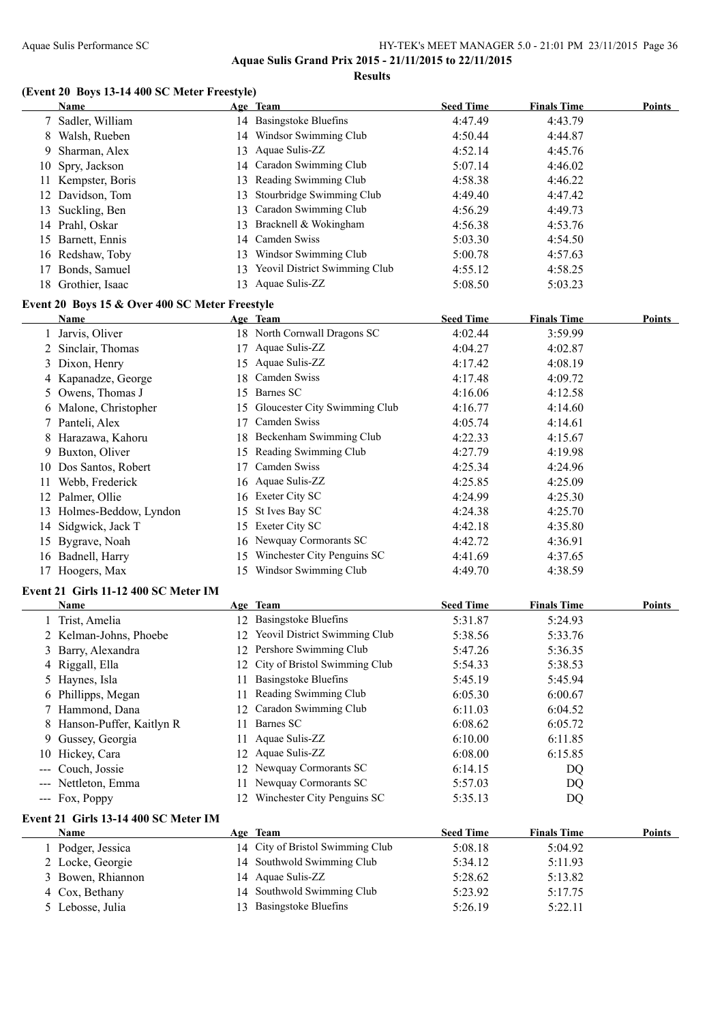#### Aquae Sulis Performance SC HY-TEK's MEET MANAGER 5.0 - 21:01 PM 23/11/2015 Page 36 **Aquae Sulis Grand Prix 2015 - 21/11/2015 to 22/11/2015**

**Results**

#### **(Event 20 Boys 13-14 400 SC Meter Freestyle)**

|    | Name                                           |    | Age Team                         | <b>Seed Time</b>     | <b>Finals Time</b> | Points           |
|----|------------------------------------------------|----|----------------------------------|----------------------|--------------------|------------------|
|    | 7 Sadler, William                              |    | 14 Basingstoke Bluefins          | 4:47.49              | 4:43.79            |                  |
|    | 8 Walsh, Rueben                                |    | 14 Windsor Swimming Club         | 4:50.44              | 4:44.87            |                  |
| 9  | Sharman, Alex                                  |    | 13 Aquae Sulis-ZZ                | 4:52.14              | 4:45.76            |                  |
| 10 | Spry, Jackson                                  |    | 14 Caradon Swimming Club         | 5:07.14              | 4:46.02            |                  |
|    | 11 Kempster, Boris                             | 13 | Reading Swimming Club            | 4:58.38              | 4:46.22            |                  |
|    | 12 Davidson, Tom                               | 13 | Stourbridge Swimming Club        | 4:49.40              | 4:47.42            |                  |
|    | 13 Suckling, Ben                               | 13 | Caradon Swimming Club            | 4:56.29              | 4:49.73            |                  |
|    | 14 Prahl, Oskar                                | 13 | Bracknell & Wokingham            | 4:56.38              | 4:53.76            |                  |
|    | 15 Barnett, Ennis                              |    | 14 Camden Swiss                  | 5:03.30              | 4:54.50            |                  |
|    | 16 Redshaw, Toby                               |    | 13 Windsor Swimming Club         | 5:00.78              | 4:57.63            |                  |
|    | 17 Bonds, Samuel                               |    | 13 Yeovil District Swimming Club | 4:55.12              | 4:58.25            |                  |
|    | 18 Grothier, Isaac                             |    | 13 Aquae Sulis-ZZ                | 5:08.50              | 5:03.23            |                  |
|    | Event 20 Boys 15 & Over 400 SC Meter Freestyle |    |                                  |                      |                    |                  |
|    | Name                                           |    | Age Team                         | <b>Seed Time</b>     | <b>Finals Time</b> | Points           |
|    | Jarvis, Oliver                                 |    | 18 North Cornwall Dragons SC     | 4:02.44              | 3:59.99            |                  |
|    | 2 Sinclair, Thomas                             |    | 17 Aquae Sulis-ZZ                | 4:04.27              | 4:02.87            |                  |
|    | 3 Dixon, Henry                                 |    | 15 Aquae Sulis-ZZ                | 4:17.42              | 4:08.19            |                  |
|    | 4 Kapanadze, George                            |    | 18 Camden Swiss                  | 4:17.48              | 4:09.72            |                  |
|    | 5 Owens, Thomas J                              |    | 15 Barnes SC                     | 4:16.06              | 4:12.58            |                  |
|    | 6 Malone, Christopher                          |    | 15 Gloucester City Swimming Club | 4:16.77              | 4:14.60            |                  |
|    | 7 Panteli, Alex                                | 17 | Camden Swiss                     | 4:05.74              | 4:14.61            |                  |
|    | 8 Harazawa, Kahoru                             |    | 18 Beckenham Swimming Club       | 4:22.33              | 4:15.67            |                  |
|    | 9 Buxton, Oliver                               |    | 15 Reading Swimming Club         | 4:27.79              | 4:19.98            |                  |
|    | 10 Dos Santos, Robert                          | 17 | Camden Swiss                     | 4:25.34              | 4:24.96            |                  |
|    | 11 Webb, Frederick                             |    | 16 Aquae Sulis-ZZ                | 4:25.85              | 4:25.09            |                  |
|    | 12 Palmer, Ollie                               |    | 16 Exeter City SC                | 4:24.99              | 4:25.30            |                  |
|    | 13 Holmes-Beddow, Lyndon                       |    | 15 St Ives Bay SC                | 4:24.38              | 4:25.70            |                  |
| 14 | Sidgwick, Jack T                               |    | 15 Exeter City SC                | 4:42.18              | 4:35.80            |                  |
|    | 15 Bygrave, Noah                               |    | 16 Newquay Cormorants SC         | 4:42.72              | 4:36.91            |                  |
|    | 16 Badnell, Harry                              |    | 15 Winchester City Penguins SC   | 4:41.69              | 4:37.65            |                  |
|    | 17 Hoogers, Max                                |    | 15 Windsor Swimming Club         | 4:49.70              | 4:38.59            |                  |
|    | Event 21 Girls 11-12 400 SC Meter IM           |    |                                  |                      |                    |                  |
|    | Name                                           |    | $A_{\alpha\alpha}$ Tham          | $_{\text{load}$ Time | Einale Time        | $D_{\alpha int}$ |

#### **Name Age Team Seed Time Finals Time Points** Trist, Amelia 12 Basingstoke Bluefins 5:31.87 5:24.93 2 Kelman-Johns, Phoebe 12 Yeovil District Swimming Club 5:38.56 5:33.76 Barry, Alexandra 12 Pershore Swimming Club 5:47.26 5:36.35 4 Riggall, Ella 12 City of Bristol Swimming Club 5:54.33 5:38.53 5 Haynes, Isla 11 Basingstoke Bluefins 5:45.19 5:45.94 Phillipps, Megan 11 Reading Swimming Club 6:05.30 6:00.67 Hammond, Dana 12 Caradon Swimming Club 6:11.03 6:04.52 8 Hanson-Puffer, Kaitlyn R 11 Barnes SC 6:08.62 6:08.62 6:05.72 Gussey, Georgia 11 Aquae Sulis-ZZ 6:10.00 6:11.85 10 Hickey, Cara 12 Aquae Sulis-ZZ 6:08.00 6:15.85<br>
--- Couch, Jossie 12 Newquay Cormorants SC 6:14.15 DQ 12 Newquay Cormorants SC 6:14.15 DQ --- Nettleton, Emma 11 Newquay Cormorants SC 5:57.03 DQ --- Fox, Poppy 12 Winchester City Penguins SC 5:35.13 DQ

#### **Event 21 Girls 13-14 400 SC Meter IM**

| <b>Name</b>       | Age Team                         | <b>Seed Time</b> | <b>Finals Time</b> | Points |
|-------------------|----------------------------------|------------------|--------------------|--------|
| Podger, Jessica   | 14 City of Bristol Swimming Club | 5:08.18          | 5:04.92            |        |
| 2 Locke, Georgie  | 14 Southwold Swimming Club       | 5:34.12          | 5:11.93            |        |
| 3 Bowen, Rhiannon | 14 Aquae Sulis-ZZ                | 5:28.62          | 5:13.82            |        |
| 4 Cox, Bethany    | 14 Southwold Swimming Club       | 5:23.92          | 5:17.75            |        |
| 5 Lebosse, Julia  | <b>Basingstoke Bluefins</b>      | 5:26.19          | 5:22.11            |        |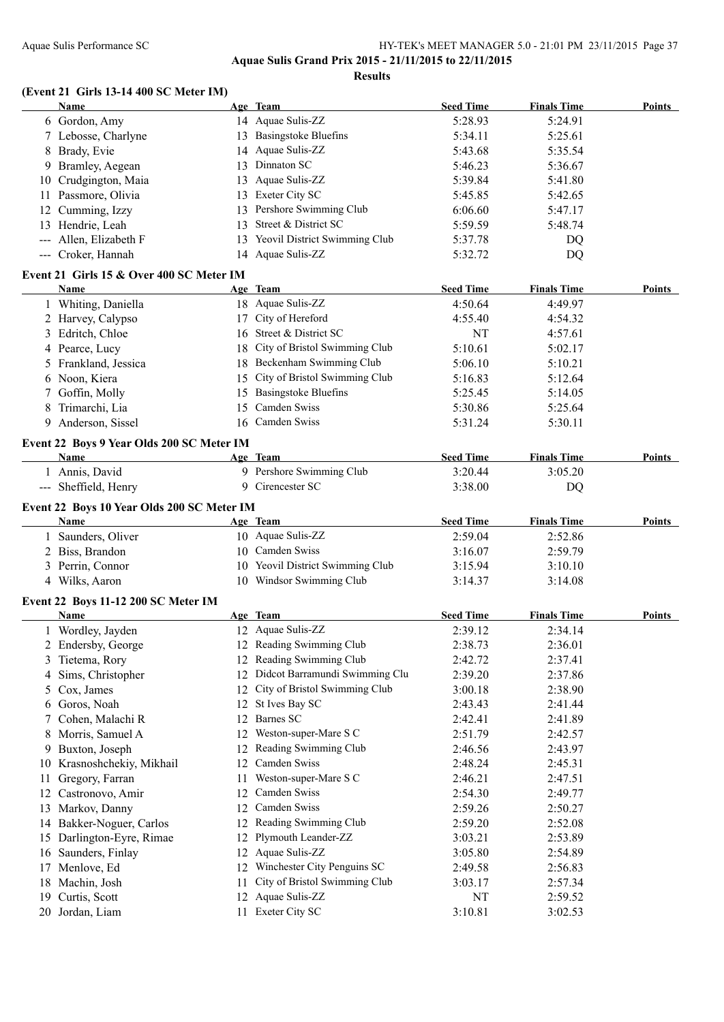#### Aquae Sulis Performance SC HY-TEK's MEET MANAGER 5.0 - 21:01 PM 23/11/2015 Page 37 **Aquae Sulis Grand Prix 2015 - 21/11/2015 to 22/11/2015**

**Results**

#### **(Event 21 Girls 13-14 400 SC Meter IM)**

|    | Name                                             |    | Age Team                         | <b>Seed Time</b>            | <b>Finals Time</b> | Points |
|----|--------------------------------------------------|----|----------------------------------|-----------------------------|--------------------|--------|
|    | 6 Gordon, Amy                                    |    | 14 Aquae Sulis-ZZ                | 5:28.93                     | 5:24.91            |        |
|    | 7 Lebosse, Charlyne                              |    | 13 Basingstoke Bluefins          | 5:34.11                     | 5:25.61            |        |
|    | 8 Brady, Evie                                    |    | 14 Aquae Sulis-ZZ                | 5:43.68                     | 5:35.54            |        |
|    | 9 Bramley, Aegean                                |    | 13 Dinnaton SC                   | 5:46.23                     | 5:36.67            |        |
|    | 10 Crudgington, Maia                             |    | 13 Aquae Sulis-ZZ                | 5:39.84                     | 5:41.80            |        |
|    | 11 Passmore, Olivia                              |    | 13 Exeter City SC                | 5:45.85                     | 5:42.65            |        |
|    | 12 Cumming, Izzy                                 |    | 13 Pershore Swimming Club        | 6:06.60                     | 5:47.17            |        |
|    | 13 Hendrie, Leah                                 |    | 13 Street & District SC          | 5:59.59                     | 5:48.74            |        |
|    | --- Allen, Elizabeth F                           |    | 13 Yeovil District Swimming Club | 5:37.78                     | DQ                 |        |
|    | --- Croker, Hannah                               |    | 14 Aquae Sulis-ZZ                | 5:32.72                     | DQ                 |        |
|    |                                                  |    |                                  |                             |                    |        |
|    | Event 21 Girls 15 & Over 400 SC Meter IM<br>Name |    | Age Team                         | <b>Seed Time</b>            | <b>Finals Time</b> | Points |
|    |                                                  |    | 18 Aquae Sulis-ZZ                | 4:50.64                     |                    |        |
|    | 1 Whiting, Daniella                              |    |                                  |                             | 4:49.97            |        |
|    | 2 Harvey, Calypso                                |    | 17 City of Hereford              | 4:55.40                     | 4:54.32            |        |
|    | 3 Edritch, Chloe                                 |    | 16 Street & District SC          | NT                          | 4:57.61            |        |
|    | 4 Pearce, Lucy                                   |    | 18 City of Bristol Swimming Club | 5:10.61                     | 5:02.17            |        |
|    | 5 Frankland, Jessica                             |    | 18 Beckenham Swimming Club       | 5:06.10                     | 5:10.21            |        |
|    | 6 Noon, Kiera                                    |    | 15 City of Bristol Swimming Club | 5:16.83                     | 5:12.64            |        |
|    | 7 Goffin, Molly                                  |    | 15 Basingstoke Bluefins          | 5:25.45                     | 5:14.05            |        |
| 8  | Trimarchi, Lia                                   | 15 | Camden Swiss                     | 5:30.86                     | 5:25.64            |        |
|    | 9 Anderson, Sissel                               |    | 16 Camden Swiss                  | 5:31.24                     | 5:30.11            |        |
|    | Event 22 Boys 9 Year Olds 200 SC Meter IM        |    |                                  |                             |                    |        |
|    | Name                                             |    | Age Team                         | <b>Seed Time</b>            | <b>Finals Time</b> | Points |
|    | 1 Annis, David                                   |    | 9 Pershore Swimming Club         | 3:20.44                     | 3:05.20            |        |
|    | --- Sheffield, Henry                             |    | 9 Cirencester SC                 | 3:38.00                     | DQ                 |        |
|    |                                                  |    |                                  |                             |                    |        |
|    | Event 22 Boys 10 Year Olds 200 SC Meter IM       |    |                                  |                             |                    | Points |
|    | Name                                             |    | Age Team<br>10 Aquae Sulis-ZZ    | <b>Seed Time</b><br>2:59.04 | <b>Finals Time</b> |        |
|    | 1 Saunders, Oliver                               |    | 10 Camden Swiss                  |                             | 2:52.86            |        |
|    | 2 Biss, Brandon                                  |    |                                  | 3:16.07                     | 2:59.79            |        |
|    | 3 Perrin, Connor                                 |    | 10 Yeovil District Swimming Club | 3:15.94                     | 3:10.10            |        |
|    | 4 Wilks, Aaron                                   |    | 10 Windsor Swimming Club         | 3:14.37                     | 3:14.08            |        |
|    | Event 22 Boys 11-12 200 SC Meter IM              |    |                                  |                             |                    |        |
|    | Name                                             |    | Age Team                         | <b>Seed Time</b>            | <b>Finals Time</b> | Points |
|    | 1 Wordley, Jayden                                |    | 12 Aquae Sulis-ZZ                | 2:39.12                     | 2:34.14            |        |
|    | 2 Endersby, George                               |    | 12 Reading Swimming Club         | 2:38.73                     | 2:36.01            |        |
| 3  | Tietema, Rory                                    |    | 12 Reading Swimming Club         | 2:42.72                     | 2:37.41            |        |
| 4  | Sims, Christopher                                | 12 | Didcot Barramundi Swimming Clu   | 2:39.20                     | 2:37.86            |        |
| 5  | Cox, James                                       | 12 | City of Bristol Swimming Club    | 3:00.18                     | 2:38.90            |        |
| 6  | Goros, Noah                                      | 12 | St Ives Bay SC                   | 2:43.43                     | 2:41.44            |        |
| 7  | Cohen, Malachi R                                 | 12 | Barnes SC                        | 2:42.41                     | 2:41.89            |        |
| 8  | Morris, Samuel A                                 | 12 | Weston-super-Mare S C            | 2:51.79                     | 2:42.57            |        |
| 9  | Buxton, Joseph                                   | 12 | Reading Swimming Club            | 2:46.56                     | 2:43.97            |        |
|    | 10 Krasnoshchekiy, Mikhail                       | 12 | Camden Swiss                     | 2:48.24                     | 2:45.31            |        |
| 11 | Gregory, Farran                                  | 11 | Weston-super-Mare S C            | 2:46.21                     | 2:47.51            |        |
|    | 12 Castronovo, Amir                              | 12 | Camden Swiss                     | 2:54.30                     | 2:49.77            |        |
|    | 13 Markov, Danny                                 |    | 12 Camden Swiss                  | 2:59.26                     | 2:50.27            |        |
|    | 14 Bakker-Noguer, Carlos                         |    | 12 Reading Swimming Club         | 2:59.20                     | 2:52.08            |        |
|    |                                                  |    | Plymouth Leander-ZZ              |                             |                    |        |
| 15 | Darlington-Eyre, Rimae                           | 12 |                                  | 3:03.21                     | 2:53.89            |        |
| 16 | Saunders, Finlay                                 | 12 | Aquae Sulis-ZZ                   | 3:05.80                     | 2:54.89            |        |
| 17 | Menlove, Ed                                      |    | 12 Winchester City Penguins SC   | 2:49.58                     | 2:56.83            |        |
| 18 | Machin, Josh                                     | 11 | City of Bristol Swimming Club    | 3:03.17                     | 2:57.34            |        |
| 19 | Curtis, Scott                                    | 12 | Aquae Sulis-ZZ                   | NT                          | 2:59.52            |        |
|    | 20 Jordan, Liam                                  | 11 | Exeter City SC                   | 3:10.81                     | 3:02.53            |        |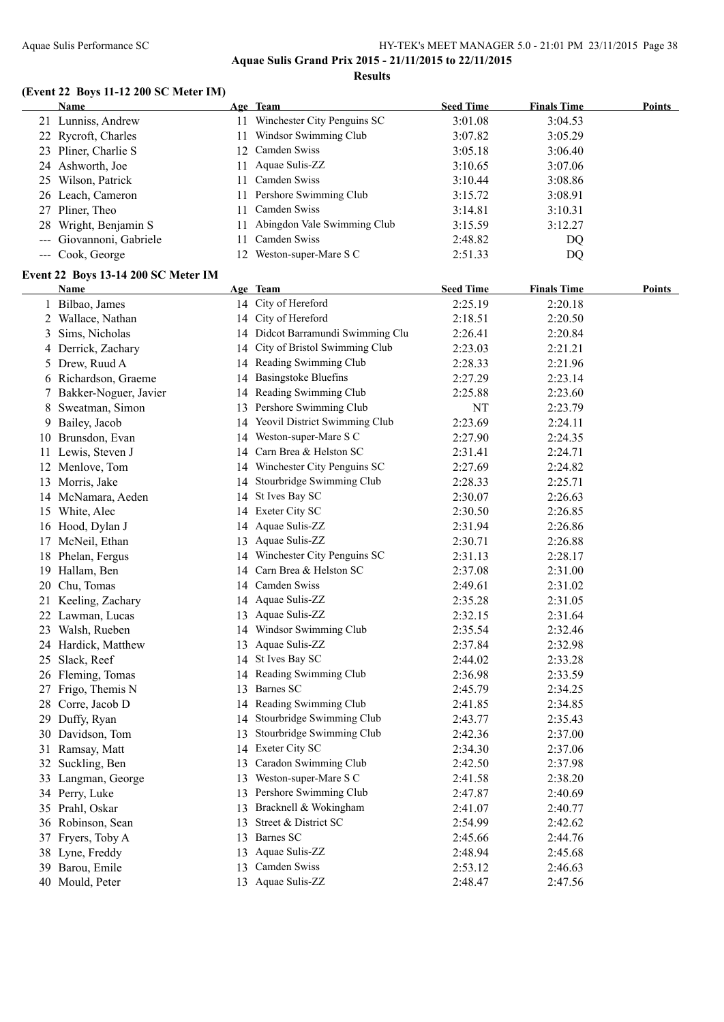#### Aquae Sulis Performance SC HY-TEK's MEET MANAGER 5.0 - 21:01 PM 23/11/2015 Page 38 **Aquae Sulis Grand Prix 2015 - 21/11/2015 to 22/11/2015**

**Results**

#### **(Event 22 Boys 11-12 200 SC Meter IM)**

|    | <b>Name</b>                         |    | Age Team                                                  | <b>Seed Time</b> | <b>Finals Time</b> | Points        |
|----|-------------------------------------|----|-----------------------------------------------------------|------------------|--------------------|---------------|
|    | 21 Lunniss, Andrew                  |    | 11 Winchester City Penguins SC                            | 3:01.08          | 3:04.53            |               |
|    | 22 Rycroft, Charles                 |    | 11 Windsor Swimming Club                                  | 3:07.82          | 3:05.29            |               |
|    | 23 Pliner, Charlie S                |    | 12 Camden Swiss                                           | 3:05.18          | 3:06.40            |               |
|    | 24 Ashworth, Joe                    |    | 11 Aquae Sulis-ZZ                                         | 3:10.65          | 3:07.06            |               |
|    | 25 Wilson, Patrick                  |    | 11 Camden Swiss                                           | 3:10.44          | 3:08.86            |               |
|    | 26 Leach, Cameron                   |    | 11 Pershore Swimming Club                                 | 3:15.72          | 3:08.91            |               |
|    | 27 Pliner, Theo                     | 11 | Camden Swiss                                              | 3:14.81          | 3:10.31            |               |
| 28 | Wright, Benjamin S                  | 11 | Abingdon Vale Swimming Club                               | 3:15.59          | 3:12.27            |               |
|    | --- Giovannoni, Gabriele            | 11 | Camden Swiss                                              | 2:48.82          | DQ                 |               |
|    | --- Cook, George                    |    | 12 Weston-super-Mare S C                                  | 2:51.33          | DQ                 |               |
|    | Event 22 Boys 13-14 200 SC Meter IM |    |                                                           |                  |                    |               |
|    | Name                                |    | Age Team                                                  | <b>Seed Time</b> | <b>Finals Time</b> | <b>Points</b> |
|    | 1 Bilbao, James                     |    | 14 City of Hereford                                       | 2:25.19          | 2:20.18            |               |
|    | 2 Wallace, Nathan                   |    | 14 City of Hereford                                       | 2:18.51          | 2:20.50            |               |
| 3  | Sims, Nicholas                      |    | 14 Didcot Barramundi Swimming Clu                         | 2:26.41          | 2:20.84            |               |
|    | 4 Derrick, Zachary                  |    | 14 City of Bristol Swimming Club                          | 2:23.03          | 2:21.21            |               |
|    | 5 Drew, Ruud A                      |    | 14 Reading Swimming Club                                  | 2:28.33          | 2:21.96            |               |
|    | 6 Richardson, Graeme                |    | 14 Basingstoke Bluefins                                   | 2:27.29          | 2:23.14            |               |
| 7  | Bakker-Noguer, Javier               |    | 14 Reading Swimming Club                                  | 2:25.88          | 2:23.60            |               |
| 8  | Sweatman, Simon                     |    | 13 Pershore Swimming Club                                 | NT               | 2:23.79            |               |
|    | Bailey, Jacob                       | 14 | Yeovil District Swimming Club                             | 2:23.69          | 2:24.11            |               |
| 9. | 10 Brunsdon, Evan                   | 14 | Weston-super-Mare S C                                     | 2:27.90          | 2:24.35            |               |
|    |                                     | 14 | Carn Brea & Helston SC                                    | 2:31.41          | 2:24.71            |               |
|    | 11 Lewis, Steven J                  |    | 14 Winchester City Penguins SC                            |                  | 2:24.82            |               |
|    | 12 Menlove, Tom                     |    | Stourbridge Swimming Club                                 | 2:27.69          |                    |               |
|    | 13 Morris, Jake                     | 14 |                                                           | 2:28.33          | 2:25.71            |               |
|    | 14 McNamara, Aeden                  | 14 | St Ives Bay SC                                            | 2:30.07          | 2:26.63            |               |
|    | 15 White, Alec                      |    | 14 Exeter City SC<br>14 Aquae Sulis-ZZ                    | 2:30.50          | 2:26.85            |               |
|    | 16 Hood, Dylan J                    |    |                                                           | 2:31.94          | 2:26.86            |               |
|    | 17 McNeil, Ethan                    |    | 13 Aquae Sulis-ZZ                                         | 2:30.71          | 2:26.88            |               |
|    | 18 Phelan, Fergus                   |    | 14 Winchester City Penguins SC<br>Carn Brea & Helston SC  | 2:31.13          | 2:28.17            |               |
|    | 19 Hallam, Ben                      | 14 | Camden Swiss                                              | 2:37.08          | 2:31.00            |               |
|    | 20 Chu, Tomas                       | 14 |                                                           | 2:49.61          | 2:31.02            |               |
|    | 21 Keeling, Zachary                 |    | 14 Aquae Sulis-ZZ<br>13 Aquae Sulis-ZZ                    | 2:35.28          | 2:31.05            |               |
| 22 | Lawman, Lucas                       |    |                                                           | 2:32.15          | 2:31.64            |               |
|    | 23 Walsh, Rueben                    |    | 14 Windsor Swimming Club<br>13 Aquae Sulis-ZZ             | 2:35.54          | 2:32.46            |               |
|    | 24 Hardick, Matthew                 |    |                                                           | 2:37.84          | 2:32.98            |               |
| 25 | Slack, Reef                         |    | 14 St Ives Bay SC                                         | 2:44.02          | 2:33.28            |               |
|    | 26 Fleming, Tomas                   |    | 14 Reading Swimming Club<br>Barnes SC                     | 2:36.98          | 2:33.59            |               |
| 27 | Frigo, Themis N                     | 13 |                                                           | 2:45.79          | 2:34.25            |               |
| 28 | Corre, Jacob D                      |    | 14 Reading Swimming Club                                  | 2:41.85          | 2:34.85            |               |
| 29 | Duffy, Ryan                         |    | 14 Stourbridge Swimming Club<br>Stourbridge Swimming Club | 2:43.77          | 2:35.43            |               |
|    | 30 Davidson, Tom                    | 13 |                                                           | 2:42.36          | 2:37.00            |               |
| 31 | Ramsay, Matt                        |    | 14 Exeter City SC                                         | 2:34.30          | 2:37.06            |               |
| 32 | Suckling, Ben                       | 13 | Caradon Swimming Club                                     | 2:42.50          | 2:37.98            |               |
| 33 | Langman, George                     | 13 | Weston-super-Mare S C                                     | 2:41.58          | 2:38.20            |               |
|    | 34 Perry, Luke                      | 13 | Pershore Swimming Club                                    | 2:47.87          | 2:40.69            |               |
| 35 | Prahl, Oskar                        | 13 | Bracknell & Wokingham                                     | 2:41.07          | 2:40.77            |               |
| 36 | Robinson, Sean                      | 13 | Street & District SC                                      | 2:54.99          | 2:42.62            |               |
| 37 | Fryers, Toby A                      | 13 | Barnes SC                                                 | 2:45.66          | 2:44.76            |               |
|    | 38 Lyne, Freddy                     | 13 | Aquae Sulis-ZZ                                            | 2:48.94          | 2:45.68            |               |
| 39 | Barou, Emile                        | 13 | Camden Swiss                                              | 2:53.12          | 2:46.63            |               |
|    | 40 Mould, Peter                     |    | 13 Aquae Sulis-ZZ                                         | 2:48.47          | 2:47.56            |               |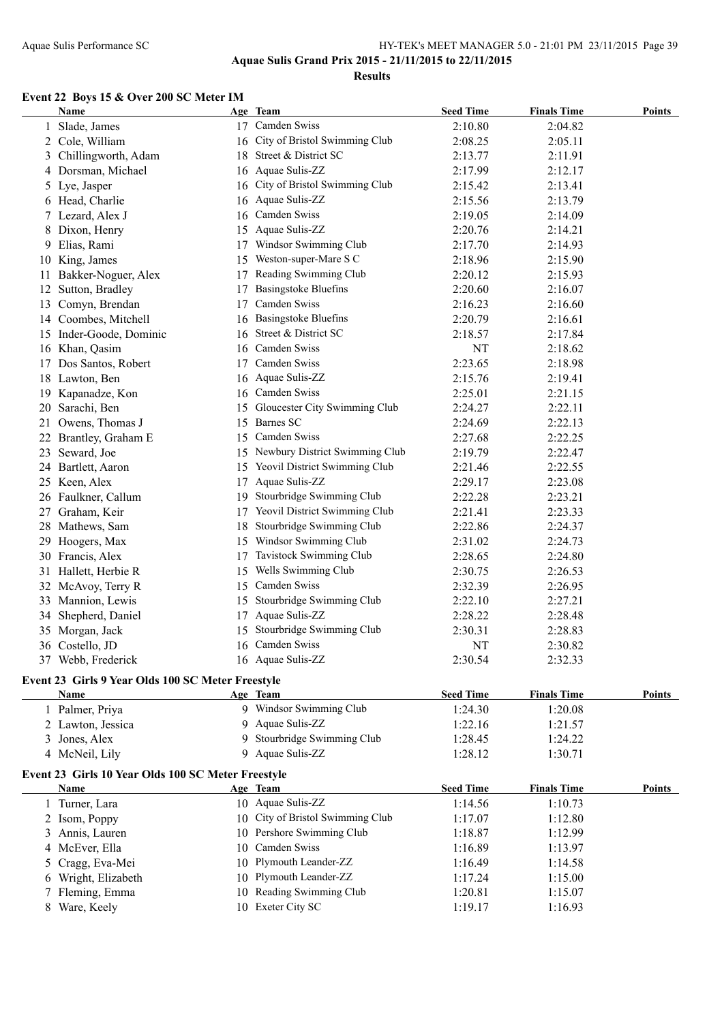**Aquae Sulis Grand Prix 2015 - 21/11/2015 to 22/11/2015**

**Results**

#### **Event 22 Boys 15 & Over 200 SC Meter IM**

|    | Name                                               |    | Age Team                          | <b>Seed Time</b> | <b>Finals Time</b> | <b>Points</b> |
|----|----------------------------------------------------|----|-----------------------------------|------------------|--------------------|---------------|
|    | Slade, James                                       |    | 17 Camden Swiss                   | 2:10.80          | 2:04.82            |               |
|    | 2 Cole, William                                    |    | 16 City of Bristol Swimming Club  | 2:08.25          | 2:05.11            |               |
|    | 3 Chillingworth, Adam                              |    | 18 Street & District SC           | 2:13.77          | 2:11.91            |               |
|    | 4 Dorsman, Michael                                 |    | 16 Aquae Sulis-ZZ                 | 2:17.99          | 2:12.17            |               |
|    | 5 Lye, Jasper                                      |    | 16 City of Bristol Swimming Club  | 2:15.42          | 2:13.41            |               |
|    | 6 Head, Charlie                                    |    | 16 Aquae Sulis-ZZ                 | 2:15.56          | 2:13.79            |               |
| 7. | Lezard, Alex J                                     |    | 16 Camden Swiss                   | 2:19.05          | 2:14.09            |               |
| 8  | Dixon, Henry                                       |    | 15 Aquae Sulis-ZZ                 | 2:20.76          | 2:14.21            |               |
| 9  | Elias, Rami                                        |    | 17 Windsor Swimming Club          | 2:17.70          | 2:14.93            |               |
|    | 10 King, James                                     |    | 15 Weston-super-Mare S C          | 2:18.96          | 2:15.90            |               |
| 11 | Bakker-Noguer, Alex                                |    | 17 Reading Swimming Club          | 2:20.12          | 2:15.93            |               |
|    | 12 Sutton, Bradley                                 |    | 17 Basingstoke Bluefins           | 2:20.60          | 2:16.07            |               |
|    | 13 Comyn, Brendan                                  |    | 17 Camden Swiss                   | 2:16.23          | 2:16.60            |               |
|    | 14 Coombes, Mitchell                               |    | 16 Basingstoke Bluefins           | 2:20.79          | 2:16.61            |               |
|    | 15 Inder-Goode, Dominic                            |    | 16 Street & District SC           | 2:18.57          | 2:17.84            |               |
|    | 16 Khan, Qasim                                     |    | 16 Camden Swiss                   | NT               | 2:18.62            |               |
|    | 17 Dos Santos, Robert                              |    | 17 Camden Swiss                   | 2:23.65          | 2:18.98            |               |
|    | 18 Lawton, Ben                                     |    | 16 Aquae Sulis-ZZ                 | 2:15.76          | 2:19.41            |               |
|    | 19 Kapanadze, Kon                                  |    | 16 Camden Swiss                   | 2:25.01          | 2:21.15            |               |
|    | 20 Sarachi, Ben                                    |    | 15 Gloucester City Swimming Club  | 2:24.27          | 2:22.11            |               |
|    | 21 Owens, Thomas J                                 |    | 15 Barnes SC                      | 2:24.69          | 2:22.13            |               |
|    | 22 Brantley, Graham E                              |    | 15 Camden Swiss                   | 2:27.68          | 2:22.25            |               |
|    | 23 Seward, Joe                                     |    | 15 Newbury District Swimming Club | 2:19.79          | 2:22.47            |               |
|    | 24 Bartlett, Aaron                                 |    | 15 Yeovil District Swimming Club  | 2:21.46          | 2:22.55            |               |
|    | 25 Keen, Alex                                      |    | 17 Aquae Sulis-ZZ                 | 2:29.17          | 2:23.08            |               |
|    | 26 Faulkner, Callum                                |    | 19 Stourbridge Swimming Club      | 2:22.28          | 2:23.21            |               |
| 27 | Graham, Keir                                       |    | 17 Yeovil District Swimming Club  | 2:21.41          | 2:23.33            |               |
|    | 28 Mathews, Sam                                    | 18 | Stourbridge Swimming Club         | 2:22.86          | 2:24.37            |               |
| 29 | Hoogers, Max                                       |    | 15 Windsor Swimming Club          | 2:31.02          | 2:24.73            |               |
|    | 30 Francis, Alex                                   |    | 17 Tavistock Swimming Club        | 2:28.65          | 2:24.80            |               |
|    | 31 Hallett, Herbie R                               |    | 15 Wells Swimming Club            | 2:30.75          | 2:26.53            |               |
|    | 32 McAvoy, Terry R                                 |    | 15 Camden Swiss                   | 2:32.39          | 2:26.95            |               |
|    | 33 Mannion, Lewis                                  |    | 15 Stourbridge Swimming Club      | 2:22.10          | 2:27.21            |               |
|    | 34 Shepherd, Daniel                                |    | 17 Aquae Sulis-ZZ                 | 2:28.22          | 2:28.48            |               |
|    | 35 Morgan, Jack                                    |    | 15 Stourbridge Swimming Club      | 2:30.31          | 2:28.83            |               |
|    | 36 Costello, JD                                    |    | 16 Camden Swiss                   | NT               | 2:30.82            |               |
|    | 37 Webb, Frederick                                 |    | 16 Aquae Sulis-ZZ                 | 2:30.54          | 2:32.33            |               |
|    |                                                    |    |                                   |                  |                    |               |
|    | Event 23 Girls 9 Year Olds 100 SC Meter Freestyle  |    |                                   |                  |                    |               |
|    | Name                                               |    | Age Team                          | <b>Seed Time</b> | <b>Finals Time</b> | <b>Points</b> |
|    | 1 Palmer, Priya                                    |    | 9 Windsor Swimming Club           | 1:24.30          | 1:20.08            |               |
|    | 2 Lawton, Jessica                                  |    | 9 Aquae Sulis-ZZ                  | 1:22.16          | 1:21.57            |               |
|    | 3 Jones, Alex                                      |    | 9 Stourbridge Swimming Club       | 1:28.45          | 1:24.22            |               |
|    | 4 McNeil, Lily                                     |    | 9 Aquae Sulis-ZZ                  | 1:28.12          | 1:30.71            |               |
|    | Event 23 Girls 10 Year Olds 100 SC Meter Freestyle |    |                                   |                  |                    |               |
|    | <b>Name</b>                                        |    | Age Team                          | <b>Seed Time</b> | <b>Finals Time</b> | <b>Points</b> |
|    | 1 Turner, Lara                                     |    | 10 Aquae Sulis-ZZ                 | 1:14.56          | 1:10.73            |               |
|    | 2 Isom, Poppy                                      |    | 10 City of Bristol Swimming Club  | 1:17.07          | 1:12.80            |               |
|    | 3 Annis, Lauren                                    |    | 10 Pershore Swimming Club         | 1:18.87          | 1:12.99            |               |
|    | 4 McEver, Ella                                     |    | 10 Camden Swiss                   | 1:16.89          | 1:13.97            |               |
|    | 5 Cragg, Eva-Mei                                   |    | 10 Plymouth Leander-ZZ            | 1:16.49          | 1:14.58            |               |
|    | 6 Wright, Elizabeth                                |    | 10 Plymouth Leander-ZZ            | 1:17.24          | 1:15.00            |               |
|    | 7 Fleming, Emma                                    |    | 10 Reading Swimming Club          | 1:20.81          | 1:15.07            |               |
|    | 8 Ware, Keely                                      |    | 10 Exeter City SC                 | 1:19.17          | 1:16.93            |               |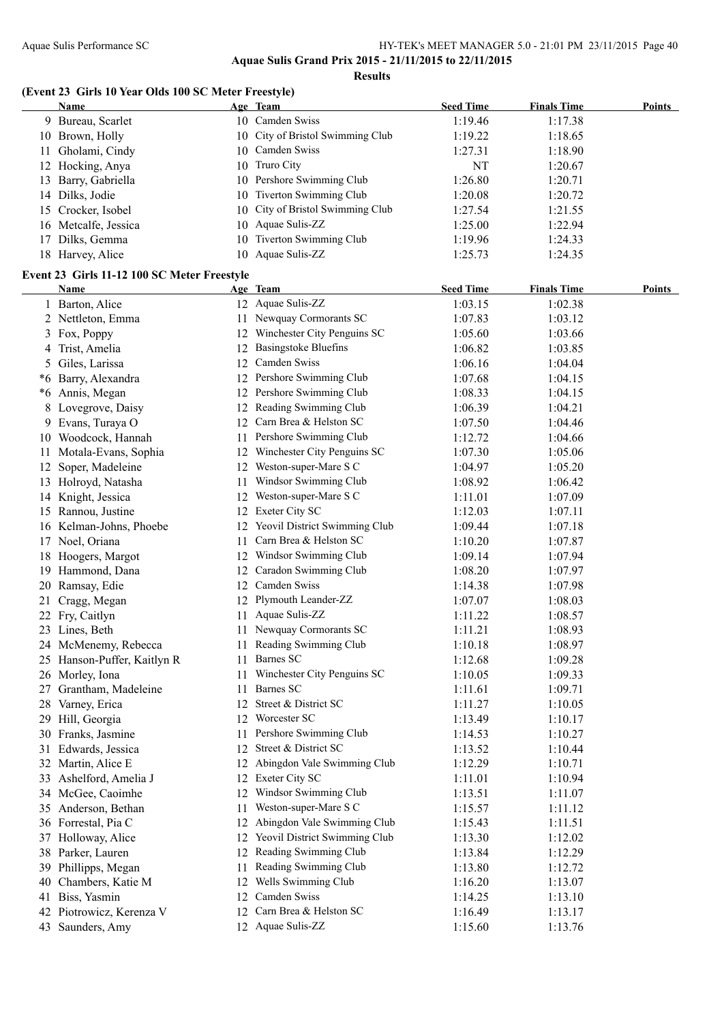#### **(Event 23 Girls 10 Year Olds 100 SC Meter Freestyle)**

|     | <b>Name</b>                                 |    | Age Team                         | <b>Seed Time</b> | <b>Finals Time</b> | <b>Points</b> |
|-----|---------------------------------------------|----|----------------------------------|------------------|--------------------|---------------|
|     | 9 Bureau, Scarlet                           |    | 10 Camden Swiss                  | 1:19.46          | 1:17.38            |               |
|     | 10 Brown, Holly                             |    | 10 City of Bristol Swimming Club | 1:19.22          | 1:18.65            |               |
| 11  | Gholami, Cindy                              |    | 10 Camden Swiss                  | 1:27.31          | 1:18.90            |               |
|     | 12 Hocking, Anya                            |    | 10 Truro City                    | NT               | 1:20.67            |               |
|     | 13 Barry, Gabriella                         | 10 | Pershore Swimming Club           | 1:26.80          | 1:20.71            |               |
|     | 14 Dilks, Jodie                             | 10 | Tiverton Swimming Club           | 1:20.08          | 1:20.72            |               |
|     | 15 Crocker, Isobel                          |    | 10 City of Bristol Swimming Club | 1:27.54          | 1:21.55            |               |
|     | 16 Metcalfe, Jessica                        | 10 | Aquae Sulis-ZZ                   | 1:25.00          | 1:22.94            |               |
| 17  | Dilks, Gemma                                | 10 | Tiverton Swimming Club           | 1:19.96          | 1:24.33            |               |
|     | 18 Harvey, Alice                            |    | 10 Aquae Sulis-ZZ                | 1:25.73          | 1:24.35            |               |
|     |                                             |    |                                  |                  |                    |               |
|     | Event 23 Girls 11-12 100 SC Meter Freestyle |    |                                  |                  |                    |               |
|     | <b>Name</b>                                 |    | Age Team                         | <b>Seed Time</b> | <b>Finals Time</b> | <b>Points</b> |
|     | 1 Barton, Alice                             |    | 12 Aquae Sulis-ZZ                | 1:03.15          | 1:02.38            |               |
|     | 2 Nettleton, Emma                           |    | 11 Newquay Cormorants SC         | 1:07.83          | 1:03.12            |               |
|     | 3 Fox, Poppy                                |    | 12 Winchester City Penguins SC   | 1:05.60          | 1:03.66            |               |
|     | 4 Trist, Amelia                             |    | 12 Basingstoke Bluefins          | 1:06.82          | 1:03.85            |               |
|     | 5 Giles, Larissa                            |    | 12 Camden Swiss                  | 1:06.16          | 1:04.04            |               |
|     | *6 Barry, Alexandra                         |    | 12 Pershore Swimming Club        | 1:07.68          | 1:04.15            |               |
|     | *6 Annis, Megan                             |    | 12 Pershore Swimming Club        | 1:08.33          | 1:04.15            |               |
| 8   | Lovegrove, Daisy                            |    | 12 Reading Swimming Club         | 1:06.39          | 1:04.21            |               |
|     | 9 Evans, Turaya O                           | 12 | Carn Brea & Helston SC           | 1:07.50          | 1:04.46            |               |
|     | 10 Woodcock, Hannah                         | 11 | Pershore Swimming Club           | 1:12.72          | 1:04.66            |               |
| 11. | Motala-Evans, Sophia                        | 12 | Winchester City Penguins SC      | 1:07.30          | 1:05.06            |               |
| 12  | Soper, Madeleine                            |    | 12 Weston-super-Mare S C         | 1:04.97          | 1:05.20            |               |
|     | 13 Holroyd, Natasha                         | 11 | Windsor Swimming Club            | 1:08.92          | 1:06.42            |               |
|     | 14 Knight, Jessica                          | 12 | Weston-super-Mare S C            | 1:11.01          | 1:07.09            |               |
|     | 15 Rannou, Justine                          |    | 12 Exeter City SC                | 1:12.03          | 1:07.11            |               |
|     | 16 Kelman-Johns, Phoebe                     |    | 12 Yeovil District Swimming Club | 1:09.44          | 1:07.18            |               |
|     |                                             |    | Carn Brea & Helston SC           |                  |                    |               |
|     | 17 Noel, Oriana                             | 11 |                                  | 1:10.20          | 1:07.87            |               |
|     | 18 Hoogers, Margot                          |    | 12 Windsor Swimming Club         | 1:09.14          | 1:07.94            |               |
|     | 19 Hammond, Dana                            |    | 12 Caradon Swimming Club         | 1:08.20          | 1:07.97            |               |
|     | 20 Ramsay, Edie                             |    | 12 Camden Swiss                  | 1:14.38          | 1:07.98            |               |
| 21  | Cragg, Megan                                |    | 12 Plymouth Leander-ZZ           | 1:07.07          | 1:08.03            |               |
|     | 22 Fry, Caitlyn                             | 11 | Aquae Sulis-ZZ                   | 1:11.22          | 1:08.57            |               |
|     | 23 Lines, Beth                              |    | 11 Newquay Cormorants SC         | 1:11.21          | 1:08.93            |               |
|     | 24 McMenemy, Rebecca                        |    | 11 Reading Swimming Club         | 1:10.18          | 1:08.97            |               |
|     | 25 Hanson-Puffer, Kaitlyn R                 |    | 11 Barnes SC                     | 1:12.68          | 1:09.28            |               |
|     | 26 Morley, Iona                             |    | 11 Winchester City Penguins SC   | 1:10.05          | 1:09.33            |               |
|     | 27 Grantham, Madeleine                      | 11 | Barnes SC                        | 1:11.61          | 1:09.71            |               |
|     | 28 Varney, Erica                            |    | 12 Street & District SC          | 1:11.27          | 1:10.05            |               |
|     | 29 Hill, Georgia                            |    | 12 Worcester SC                  | 1:13.49          | 1:10.17            |               |
|     | 30 Franks, Jasmine                          |    | 11 Pershore Swimming Club        | 1:14.53          | 1:10.27            |               |
|     | 31 Edwards, Jessica                         |    | 12 Street & District SC          | 1:13.52          | 1:10.44            |               |
|     | 32 Martin, Alice E                          |    | 12 Abingdon Vale Swimming Club   | 1:12.29          | 1:10.71            |               |
|     | 33 Ashelford, Amelia J                      |    | 12 Exeter City SC                | 1:11.01          | 1:10.94            |               |
|     | 34 McGee, Caoimhe                           |    | 12 Windsor Swimming Club         | 1:13.51          | 1:11.07            |               |
|     | 35 Anderson, Bethan                         | 11 | Weston-super-Mare S C            | 1:15.57          | 1:11.12            |               |
|     | 36 Forrestal, Pia C                         | 12 | Abingdon Vale Swimming Club      | 1:15.43          | 1:11.51            |               |
|     | 37 Holloway, Alice                          | 12 | Yeovil District Swimming Club    | 1:13.30          | 1:12.02            |               |
|     | 38 Parker, Lauren                           | 12 | Reading Swimming Club            | 1:13.84          | 1:12.29            |               |
|     | 39 Phillipps, Megan                         | 11 | Reading Swimming Club            | 1:13.80          | 1:12.72            |               |
| 40  | Chambers, Katie M                           | 12 | Wells Swimming Club              | 1:16.20          | 1:13.07            |               |
|     |                                             | 12 | Camden Swiss                     |                  |                    |               |
| 41  | Biss, Yasmin                                |    | Carn Brea & Helston SC           | 1:14.25          | 1:13.10            |               |
|     | 42 Piotrowicz, Kerenza V                    | 12 |                                  | 1:16.49          | 1:13.17            |               |
|     | 43 Saunders, Amy                            |    | 12 Aquae Sulis-ZZ                | 1:15.60          | 1:13.76            |               |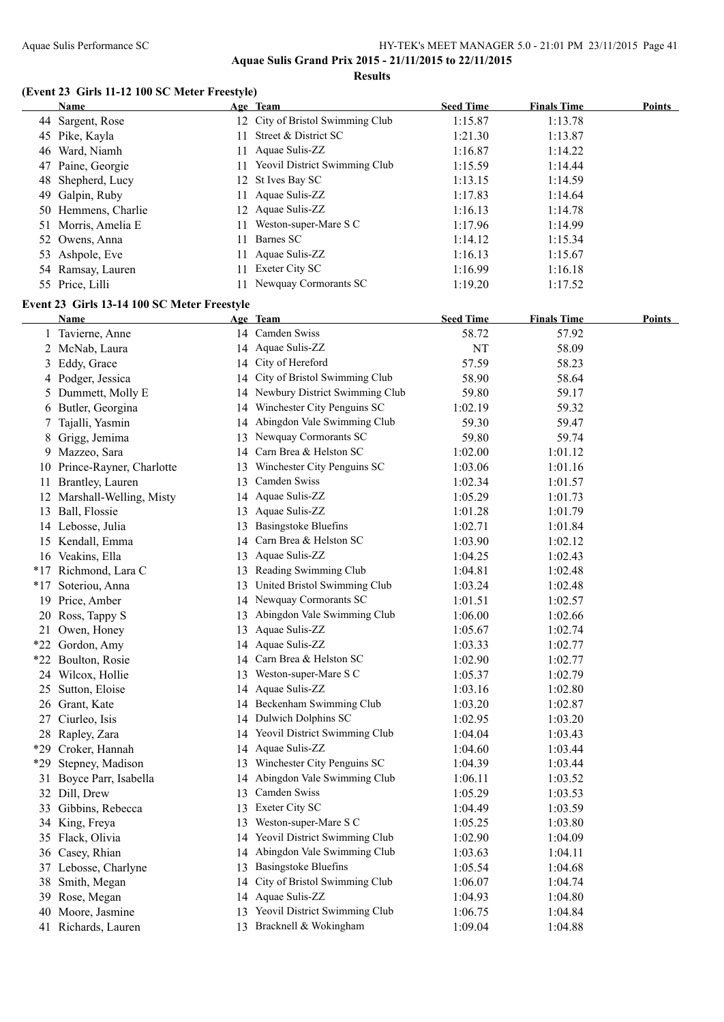#### Aquae Sulis Performance SC HY-TEK's MEET MANAGER 5.0 - 21:01 PM 23/11/2015 Page 41 **Aquae Sulis Grand Prix 2015 - 21/11/2015 to 22/11/2015**

**Results**

#### **(Event 23 Girls 11-12 100 SC Meter Freestyle)**

|    | <b>Name</b>         |     | Age Team                         | <b>Seed Time</b> | <b>Finals Time</b> | <b>Points</b> |
|----|---------------------|-----|----------------------------------|------------------|--------------------|---------------|
|    | 44 Sargent, Rose    |     | 12 City of Bristol Swimming Club | 1:15.87          | 1:13.78            |               |
|    | 45 Pike, Kayla      | 11. | Street & District SC             | 1:21.30          | 1:13.87            |               |
| 46 | Ward, Niamh         |     | 11 Aquae Sulis-ZZ                | 1:16.87          | 1:14.22            |               |
|    | 47 Paine, Georgie   |     | 11 Yeovil District Swimming Club | 1:15.59          | 1:14.44            |               |
|    | 48 Shepherd, Lucy   |     | 12 St Ives Bay SC                | 1:13.15          | 1:14.59            |               |
|    | 49 Galpin, Ruby     |     | 11 Aquae Sulis-ZZ                | 1:17.83          | 1:14.64            |               |
|    | 50 Hemmens, Charlie |     | 12 Aquae Sulis-ZZ                | 1:16.13          | 1:14.78            |               |
|    | 51 Morris, Amelia E | 11. | Weston-super-Mare S C            | 1:17.96          | 1:14.99            |               |
|    | 52 Owens, Anna      | 11. | Barnes SC                        | 1:14.12          | 1:15.34            |               |
|    | 53 Ashpole, Eve     |     | 11 Aquae Sulis-ZZ                | 1:16.13          | 1:15.67            |               |
|    | 54 Ramsay, Lauren   | 11. | Exeter City SC                   | 1:16.99          | 1:16.18            |               |
|    | 55 Price, Lilli     |     | Newquay Cormorants SC            | 1:19.20          | 1:17.52            |               |

#### **Event 23 Girls 13-14 100 SC Meter Freestyle**

|       | Name                        | Age Team                          | <b>Seed Time</b> | <b>Finals Time</b> | Points |
|-------|-----------------------------|-----------------------------------|------------------|--------------------|--------|
|       | 1 Tavierne, Anne            | 14 Camden Swiss                   | 58.72            | 57.92              |        |
|       | 2 McNab, Laura              | 14 Aquae Sulis-ZZ                 | NT               | 58.09              |        |
| 3     | Eddy, Grace                 | 14 City of Hereford               | 57.59            | 58.23              |        |
| 4     | Podger, Jessica             | 14 City of Bristol Swimming Club  | 58.90            | 58.64              |        |
| 5     | Dummett, Molly E            | 14 Newbury District Swimming Club | 59.80            | 59.17              |        |
|       | 6 Butler, Georgina          | 14 Winchester City Penguins SC    | 1:02.19          | 59.32              |        |
| 7     | Tajalli, Yasmin             | 14 Abingdon Vale Swimming Club    | 59.30            | 59.47              |        |
| 8     | Grigg, Jemima               | 13 Newquay Cormorants SC          | 59.80            | 59.74              |        |
| 9     | Mazzeo, Sara                | 14 Carn Brea & Helston SC         | 1:02.00          | 1:01.12            |        |
|       | 10 Prince-Rayner, Charlotte | 13 Winchester City Penguins SC    | 1:03.06          | 1:01.16            |        |
|       | 11 Brantley, Lauren         | 13 Camden Swiss                   | 1:02.34          | 1:01.57            |        |
|       | 12 Marshall-Welling, Misty  | 14 Aquae Sulis-ZZ                 | 1:05.29          | 1:01.73            |        |
|       | 13 Ball, Flossie            | 13 Aquae Sulis-ZZ                 | 1:01.28          | 1:01.79            |        |
|       | 14 Lebosse, Julia           | 13 Basingstoke Bluefins           | 1:02.71          | 1:01.84            |        |
|       | 15 Kendall, Emma            | 14 Carn Brea & Helston SC         | 1:03.90          | 1:02.12            |        |
|       | 16 Veakins, Ella            | 13 Aquae Sulis-ZZ                 | 1:04.25          | 1:02.43            |        |
|       | *17 Richmond, Lara C        | 13 Reading Swimming Club          | 1:04.81          | 1:02.48            |        |
| $*17$ | Soteriou, Anna              | 13 United Bristol Swimming Club   | 1:03.24          | 1:02.48            |        |
|       | 19 Price, Amber             | 14 Newquay Cormorants SC          | 1:01.51          | 1:02.57            |        |
|       | 20 Ross, Tappy S            | 13 Abingdon Vale Swimming Club    | 1:06.00          | 1:02.66            |        |
|       | 21 Owen, Honey              | 13 Aquae Sulis-ZZ                 | 1:05.67          | 1:02.74            |        |
|       | *22 Gordon, Amy             | 14 Aquae Sulis-ZZ                 | 1:03.33          | 1:02.77            |        |
|       | *22 Boulton, Rosie          | 14 Carn Brea & Helston SC         | 1:02.90          | 1:02.77            |        |
|       | 24 Wilcox, Hollie           | 13 Weston-super-Mare S C          | 1:05.37          | 1:02.79            |        |
|       | 25 Sutton, Eloise           | 14 Aquae Sulis-ZZ                 | 1:03.16          | 1:02.80            |        |
|       | 26 Grant, Kate              | 14 Beckenham Swimming Club        | 1:03.20          | 1:02.87            |        |
|       | 27 Ciurleo, Isis            | 14 Dulwich Dolphins SC            | 1:02.95          | 1:03.20            |        |
| 28    | Rapley, Zara                | 14 Yeovil District Swimming Club  | 1:04.04          | 1:03.43            |        |
|       | *29 Croker, Hannah          | 14 Aquae Sulis-ZZ                 | 1:04.60          | 1:03.44            |        |
| *29   | Stepney, Madison            | 13 Winchester City Penguins SC    | 1:04.39          | 1:03.44            |        |
|       | 31 Boyce Parr, Isabella     | 14 Abingdon Vale Swimming Club    | 1:06.11          | 1:03.52            |        |
|       | 32 Dill, Drew               | 13 Camden Swiss                   | 1:05.29          | 1:03.53            |        |
|       | 33 Gibbins, Rebecca         | 13 Exeter City SC                 | 1:04.49          | 1:03.59            |        |
|       | 34 King, Freya              | 13 Weston-super-Mare S C          | 1:05.25          | 1:03.80            |        |
|       | 35 Flack, Olivia            | 14 Yeovil District Swimming Club  | 1:02.90          | 1:04.09            |        |
|       | 36 Casey, Rhian             | 14 Abingdon Vale Swimming Club    | 1:03.63          | 1:04.11            |        |
|       | 37 Lebosse, Charlyne        | 13 Basingstoke Bluefins           | 1:05.54          | 1:04.68            |        |
| 38    | Smith, Megan                | 14 City of Bristol Swimming Club  | 1:06.07          | 1:04.74            |        |
|       | 39 Rose, Megan              | 14 Aquae Sulis-ZZ                 | 1:04.93          | 1:04.80            |        |
|       | 40 Moore, Jasmine           | 13 Yeovil District Swimming Club  | 1:06.75          | 1:04.84            |        |
|       | 41 Richards, Lauren         | 13 Bracknell & Wokingham          | 1:09.04          | 1:04.88            |        |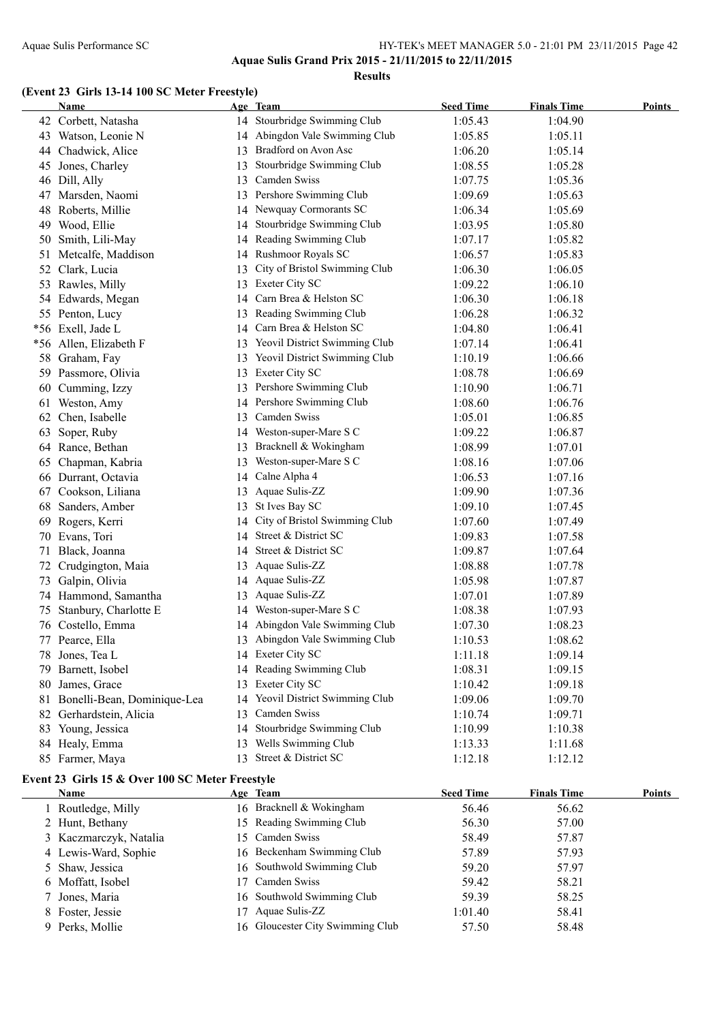**Aquae Sulis Grand Prix 2015 - 21/11/2015 to 22/11/2015**

**Results**

#### **(Event 23 Girls 13-14 100 SC Meter Freestyle)**

|    | <b>Name</b>                 |    | Age Team                         | <b>Seed Time</b> | <b>Finals Time</b> | <b>Points</b> |
|----|-----------------------------|----|----------------------------------|------------------|--------------------|---------------|
|    | 42 Corbett, Natasha         |    | 14 Stourbridge Swimming Club     | 1:05.43          | 1:04.90            |               |
|    | 43 Watson, Leonie N         |    | 14 Abingdon Vale Swimming Club   | 1:05.85          | 1:05.11            |               |
|    | 44 Chadwick, Alice          |    | 13 Bradford on Avon Asc          | 1:06.20          | 1:05.14            |               |
|    | 45 Jones, Charley           | 13 | Stourbridge Swimming Club        | 1:08.55          | 1:05.28            |               |
|    | 46 Dill, Ally               | 13 | Camden Swiss                     | 1:07.75          | 1:05.36            |               |
|    | 47 Marsden, Naomi           | 13 | Pershore Swimming Club           | 1:09.69          | 1:05.63            |               |
| 48 | Roberts, Millie             |    | 14 Newquay Cormorants SC         | 1:06.34          | 1:05.69            |               |
| 49 | Wood, Ellie                 | 14 | Stourbridge Swimming Club        | 1:03.95          | 1:05.80            |               |
| 50 | Smith, Lili-May             |    | 14 Reading Swimming Club         | 1:07.17          | 1:05.82            |               |
| 51 | Metcalfe, Maddison          |    | 14 Rushmoor Royals SC            | 1:06.57          | 1:05.83            |               |
| 52 | Clark, Lucia                | 13 | City of Bristol Swimming Club    | 1:06.30          | 1:06.05            |               |
| 53 | Rawles, Milly               | 13 | <b>Exeter City SC</b>            | 1:09.22          | 1:06.10            |               |
| 54 | Edwards, Megan              | 14 | Carn Brea & Helston SC           | 1:06.30          | 1:06.18            |               |
|    | 55 Penton, Lucy             |    | 13 Reading Swimming Club         | 1:06.28          | 1:06.32            |               |
|    | *56 Exell, Jade L           |    | 14 Carn Brea & Helston SC        | 1:04.80          | 1:06.41            |               |
|    | *56 Allen, Elizabeth F      |    | 13 Yeovil District Swimming Club | 1:07.14          | 1:06.41            |               |
| 58 | Graham, Fay                 |    | 13 Yeovil District Swimming Club | 1:10.19          | 1:06.66            |               |
|    | 59 Passmore, Olivia         |    | 13 Exeter City SC                | 1:08.78          | 1:06.69            |               |
|    | 60 Cumming, Izzy            |    | 13 Pershore Swimming Club        | 1:10.90          | 1:06.71            |               |
|    | 61 Weston, Amy              |    | 14 Pershore Swimming Club        | 1:08.60          | 1:06.76            |               |
|    | 62 Chen, Isabelle           | 13 | Camden Swiss                     | 1:05.01          | 1:06.85            |               |
| 63 | Soper, Ruby                 |    | 14 Weston-super-Mare S C         | 1:09.22          | 1:06.87            |               |
|    | 64 Rance, Bethan            | 13 | Bracknell & Wokingham            | 1:08.99          | 1:07.01            |               |
| 65 | Chapman, Kabria             | 13 | Weston-super-Mare S C            | 1:08.16          | 1:07.06            |               |
|    | 66 Durrant, Octavia         | 14 | Calne Alpha 4                    | 1:06.53          | 1:07.16            |               |
|    | 67 Cookson, Liliana         |    | 13 Aquae Sulis-ZZ                | 1:09.90          | 1:07.36            |               |
| 68 | Sanders, Amber              |    | 13 St Ives Bay SC                | 1:09.10          | 1:07.45            |               |
| 69 | Rogers, Kerri               | 14 | City of Bristol Swimming Club    | 1:07.60          | 1:07.49            |               |
|    | 70 Evans, Tori              | 14 | Street & District SC             | 1:09.83          | 1:07.58            |               |
| 71 | Black, Joanna               | 14 | Street & District SC             | 1:09.87          | 1:07.64            |               |
|    | 72 Crudgington, Maia        |    | 13 Aquae Sulis-ZZ                | 1:08.88          | 1:07.78            |               |
| 73 | Galpin, Olivia              |    | 14 Aquae Sulis-ZZ                | 1:05.98          | 1:07.87            |               |
|    | 74 Hammond, Samantha        | 13 | Aquae Sulis-ZZ                   | 1:07.01          | 1:07.89            |               |
| 75 | Stanbury, Charlotte E       |    | 14 Weston-super-Mare S C         | 1:08.38          | 1:07.93            |               |
|    | 76 Costello, Emma           |    | 14 Abingdon Vale Swimming Club   | 1:07.30          | 1:08.23            |               |
|    | 77 Pearce, Ella             |    | 13 Abingdon Vale Swimming Club   | 1:10.53          | 1:08.62            |               |
|    | 78 Jones, Tea L             |    | 14 Exeter City SC                | 1:11.18          | 1:09.14            |               |
| 79 | Barnett, Isobel             |    | 14 Reading Swimming Club         | 1:08.31          | 1:09.15            |               |
| 80 | James, Grace                | 13 | Exeter City SC                   | 1:10.42          | 1:09.18            |               |
| 81 | Bonelli-Bean, Dominique-Lea | 14 | Yeovil District Swimming Club    | 1:09.06          | 1:09.70            |               |
| 82 | Gerhardstein, Alicia        | 13 | Camden Swiss                     | 1:10.74          | 1:09.71            |               |
| 83 | Young, Jessica              | 14 | Stourbridge Swimming Club        | 1:10.99          | 1:10.38            |               |
| 84 | Healy, Emma                 | 13 | Wells Swimming Club              | 1:13.33          | 1:11.68            |               |
|    | 85 Farmer, Maya             |    | 13 Street & District SC          | 1:12.18          | 1:12.12            |               |

#### **Event 23 Girls 15 & Over 100 SC Meter Freestyle**

| Name                   | Age Team                         | <b>Seed Time</b> | <b>Finals Time</b> | <b>Points</b> |
|------------------------|----------------------------------|------------------|--------------------|---------------|
| Routledge, Milly       | 16 Bracknell & Wokingham         | 56.46            | 56.62              |               |
| 2 Hunt, Bethany        | 15 Reading Swimming Club         | 56.30            | 57.00              |               |
| 3 Kaczmarczyk, Natalia | 15 Camden Swiss                  | 58.49            | 57.87              |               |
| 4 Lewis-Ward, Sophie   | 16 Beckenham Swimming Club       | 57.89            | 57.93              |               |
| 5 Shaw, Jessica        | 16 Southwold Swimming Club       | 59.20            | 57.97              |               |
| 6 Moffatt, Isobel      | 17 Camden Swiss                  | 59.42            | 58.21              |               |
| 7 Jones, Maria         | 16 Southwold Swimming Club       | 59.39            | 58.25              |               |
| 8 Foster, Jessie       | Aquae Sulis-ZZ                   | 1:01.40          | 58.41              |               |
| 9 Perks, Mollie        | 16 Gloucester City Swimming Club | 57.50            | 58.48              |               |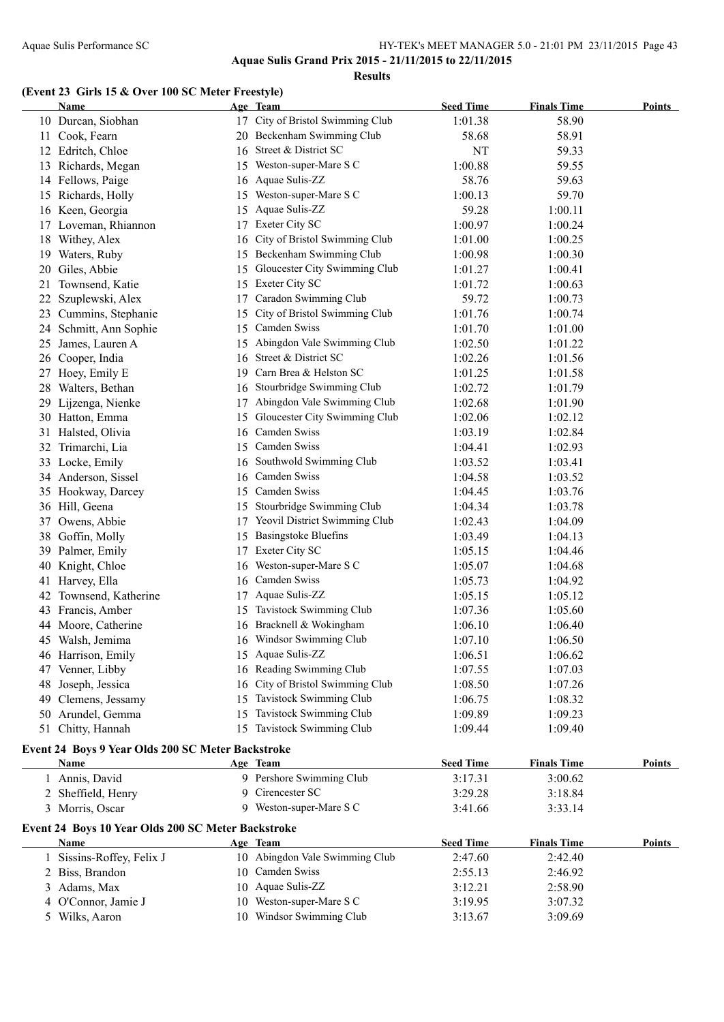**Aquae Sulis Grand Prix 2015 - 21/11/2015 to 22/11/2015**

#### **Results**

#### **(Event 23 Girls 15 & Over 100 SC Meter Freestyle)**

|    | Name                                                       |    | Age Team                       | <b>Seed Time</b> | <b>Finals Time</b> | <b>Points</b> |
|----|------------------------------------------------------------|----|--------------------------------|------------------|--------------------|---------------|
|    | 10 Durcan, Siobhan                                         | 17 | City of Bristol Swimming Club  | 1:01.38          | 58.90              |               |
| 11 | Cook, Fearn                                                | 20 | Beckenham Swimming Club        | 58.68            | 58.91              |               |
|    | 12 Edritch, Chloe                                          | 16 | Street & District SC           | NT               | 59.33              |               |
|    | 13 Richards, Megan                                         | 15 | Weston-super-Mare S C          | 1:00.88          | 59.55              |               |
|    | 14 Fellows, Paige                                          | 16 | Aquae Sulis-ZZ                 | 58.76            | 59.63              |               |
|    | 15 Richards, Holly                                         | 15 | Weston-super-Mare S C          | 1:00.13          | 59.70              |               |
|    | 16 Keen, Georgia                                           | 15 | Aquae Sulis-ZZ                 | 59.28            | 1:00.11            |               |
|    | 17 Loveman, Rhiannon                                       | 17 | Exeter City SC                 | 1:00.97          | 1:00.24            |               |
| 18 | Withey, Alex                                               | 16 | City of Bristol Swimming Club  | 1:01.00          | 1:00.25            |               |
| 19 | Waters, Ruby                                               | 15 | Beckenham Swimming Club        | 1:00.98          | 1:00.30            |               |
| 20 | Giles, Abbie                                               | 15 | Gloucester City Swimming Club  | 1:01.27          | 1:00.41            |               |
| 21 | Townsend, Katie                                            | 15 | Exeter City SC                 | 1:01.72          | 1:00.63            |               |
| 22 | Szuplewski, Alex                                           | 17 | Caradon Swimming Club          | 59.72            | 1:00.73            |               |
| 23 | Cummins, Stephanie                                         | 15 | City of Bristol Swimming Club  | 1:01.76          | 1:00.74            |               |
| 24 | Schmitt, Ann Sophie                                        | 15 | Camden Swiss                   | 1:01.70          | 1:01.00            |               |
| 25 | James, Lauren A                                            | 15 | Abingdon Vale Swimming Club    | 1:02.50          | 1:01.22            |               |
|    | 26 Cooper, India                                           | 16 | Street & District SC           | 1:02.26          | 1:01.56            |               |
| 27 | Hoey, Emily E                                              | 19 | Carn Brea & Helston SC         | 1:01.25          | 1:01.58            |               |
|    | 28 Walters, Bethan                                         | 16 | Stourbridge Swimming Club      | 1:02.72          | 1:01.79            |               |
| 29 | Lijzenga, Nienke                                           | 17 | Abingdon Vale Swimming Club    | 1:02.68          | 1:01.90            |               |
|    | 30 Hatton, Emma                                            | 15 | Gloucester City Swimming Club  | 1:02.06          | 1:02.12            |               |
| 31 | Halsted, Olivia                                            | 16 | Camden Swiss                   | 1:03.19          | 1:02.84            |               |
|    | 32 Trimarchi, Lia                                          | 15 | Camden Swiss                   | 1:04.41          | 1:02.93            |               |
|    | 33 Locke, Emily                                            | 16 | Southwold Swimming Club        | 1:03.52          | 1:03.41            |               |
|    | 34 Anderson, Sissel                                        | 16 | Camden Swiss                   | 1:04.58          | 1:03.52            |               |
|    | 35 Hookway, Darcey                                         | 15 | Camden Swiss                   | 1:04.45          | 1:03.76            |               |
|    | 36 Hill, Geena                                             | 15 | Stourbridge Swimming Club      | 1:04.34          | 1:03.78            |               |
| 37 | Owens, Abbie                                               | 17 | Yeovil District Swimming Club  | 1:02.43          | 1:04.09            |               |
| 38 | Goffin, Molly                                              | 15 | <b>Basingstoke Bluefins</b>    | 1:03.49          | 1:04.13            |               |
|    | 39 Palmer, Emily                                           | 17 | Exeter City SC                 | 1:05.15          | 1:04.46            |               |
| 40 | Knight, Chloe                                              | 16 | Weston-super-Mare S C          | 1:05.07          | 1:04.68            |               |
| 41 | Harvey, Ella                                               | 16 | Camden Swiss                   | 1:05.73          | 1:04.92            |               |
| 42 | Townsend, Katherine                                        | 17 | Aquae Sulis-ZZ                 | 1:05.15          | 1:05.12            |               |
| 43 | Francis, Amber                                             | 15 | Tavistock Swimming Club        | 1:07.36          | 1:05.60            |               |
| 44 | Moore, Catherine                                           | 16 | Bracknell & Wokingham          | 1:06.10          | 1:06.40            |               |
|    | 45 Walsh, Jemima                                           |    | 16 Windsor Swimming Club       | 1:07.10          | 1:06.50            |               |
|    | 46 Harrison, Emily                                         |    | 15 Aquae Sulis-ZZ              | 1:06.51          | 1:06.62            |               |
| 47 | Venner, Libby                                              | 16 | Reading Swimming Club          | 1:07.55          | 1:07.03            |               |
| 48 | Joseph, Jessica                                            | 16 | City of Bristol Swimming Club  | 1:08.50          | 1:07.26            |               |
| 49 | Clemens, Jessamy                                           | 15 | Tavistock Swimming Club        | 1:06.75          | 1:08.32            |               |
| 50 | Arundel, Gemma                                             | 15 | Tavistock Swimming Club        | 1:09.89          | 1:09.23            |               |
| 51 | Chitty, Hannah                                             | 15 | Tavistock Swimming Club        | 1:09.44          | 1:09.40            |               |
|    | Event 24 Boys 9 Year Olds 200 SC Meter Backstroke          |    |                                |                  |                    |               |
|    | <b>Name</b>                                                |    | Age Team                       | <b>Seed Time</b> | <b>Finals Time</b> | Points        |
|    | 1 Annis, David                                             |    | 9 Pershore Swimming Club       | 3:17.31          | 3:00.62            |               |
|    | 2 Sheffield, Henry                                         | 9  | Cirencester SC                 | 3:29.28          | 3:18.84            |               |
|    | 3 Morris, Oscar                                            |    | 9 Weston-super-Mare S C        | 3:41.66          | 3:33.14            |               |
|    |                                                            |    |                                |                  |                    |               |
|    | Event 24 Boys 10 Year Olds 200 SC Meter Backstroke<br>Name |    | Age Team                       | <b>Seed Time</b> | <b>Finals Time</b> | <b>Points</b> |
| 1  | Sissins-Roffey, Felix J                                    |    | 10 Abingdon Vale Swimming Club | 2:47.60          | 2:42.40            |               |
| 2  | Biss, Brandon                                              | 10 | Camden Swiss                   | 2:55.13          | 2:46.92            |               |
| 3  | Adams, Max                                                 | 10 | Aquae Sulis-ZZ                 | 3:12.21          | 2:58.90            |               |
|    | O'Connor, Jamie J                                          | 10 | Weston-super-Mare S C          | 3:19.95          | 3:07.32            |               |
| 4  | 5 Wilks, Aaron                                             |    | 10 Windsor Swimming Club       |                  | 3:09.69            |               |
|    |                                                            |    |                                | 3:13.67          |                    |               |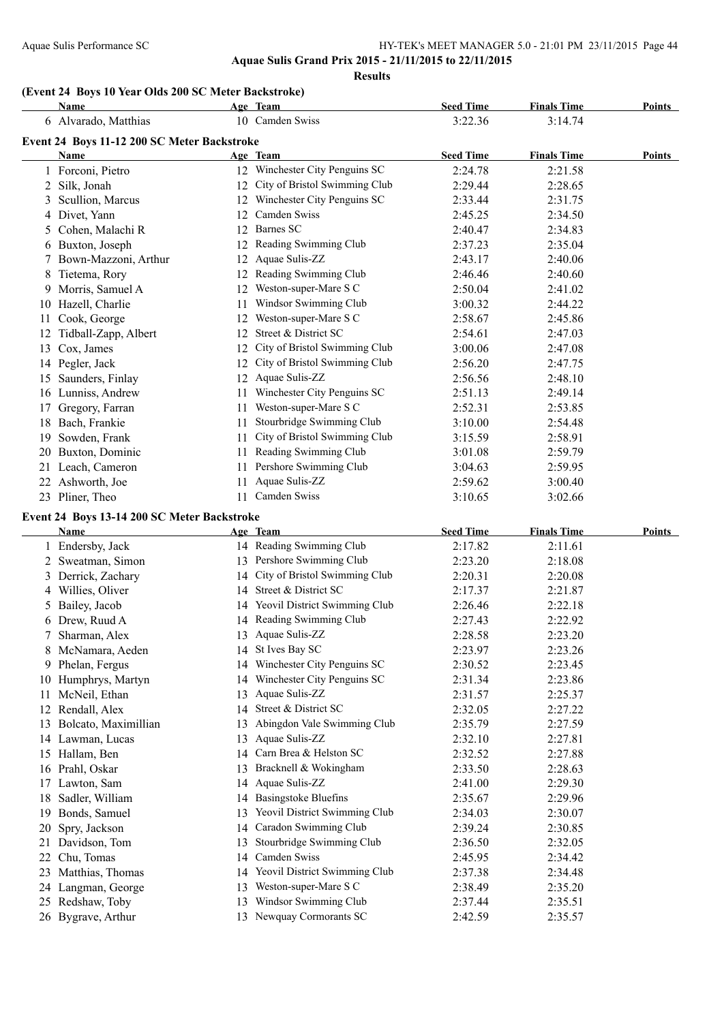### Aquae Sulis Performance SC <br>
HY-TEK's MEET MANAGER 5.0 - 21:01 PM 23/11/2015 Page 44 **Aquae Sulis Grand Prix 2015 - 21/11/2015 to 22/11/2015**

**Results**

#### **(Event 24 Boys 10 Year Olds 200 SC Meter Backstroke)**

|    | Name                                        |    | Age Team                         | <b>Seed Time</b> | <b>Finals Time</b> | <b>Points</b> |
|----|---------------------------------------------|----|----------------------------------|------------------|--------------------|---------------|
|    | 6 Alvarado, Matthias                        |    | 10 Camden Swiss                  | 3:22.36          | 3:14.74            |               |
|    | Event 24 Boys 11-12 200 SC Meter Backstroke |    |                                  |                  |                    |               |
|    | <b>Name</b>                                 |    | Age Team                         | <b>Seed Time</b> | <b>Finals Time</b> | <b>Points</b> |
|    | 1 Forconi, Pietro                           |    | 12 Winchester City Penguins SC   | 2:24.78          | 2:21.58            |               |
|    | 2 Silk, Jonah                               |    | 12 City of Bristol Swimming Club | 2:29.44          | 2:28.65            |               |
| 3  | Scullion, Marcus                            |    | 12 Winchester City Penguins SC   | 2:33.44          | 2:31.75            |               |
|    | 4 Divet, Yann                               | 12 | Camden Swiss                     | 2:45.25          | 2:34.50            |               |
| 5  | Cohen, Malachi R                            | 12 | <b>Barnes SC</b>                 | 2:40.47          | 2:34.83            |               |
|    | 6 Buxton, Joseph                            |    | 12 Reading Swimming Club         | 2:37.23          | 2:35.04            |               |
| 7  | Bown-Mazzoni, Arthur                        | 12 | Aquae Sulis-ZZ                   | 2:43.17          | 2:40.06            |               |
|    | 8 Tietema, Rory                             |    | 12 Reading Swimming Club         | 2:46.46          | 2:40.60            |               |
| 9. | Morris, Samuel A                            |    | 12 Weston-super-Mare S C         | 2:50.04          | 2:41.02            |               |
|    | 10 Hazell, Charlie                          | 11 | Windsor Swimming Club            | 3:00.32          | 2:44.22            |               |
|    | 11 Cook, George                             |    | 12 Weston-super-Mare S C         | 2:58.67          | 2:45.86            |               |
|    | 12 Tidball-Zapp, Albert                     | 12 | Street & District SC             | 2:54.61          | 2:47.03            |               |
|    | 13 Cox, James                               |    | 12 City of Bristol Swimming Club | 3:00.06          | 2:47.08            |               |
|    | 14 Pegler, Jack                             |    | 12 City of Bristol Swimming Club | 2:56.20          | 2:47.75            |               |
|    | 15 Saunders, Finlay                         |    | 12 Aquae Sulis-ZZ                | 2:56.56          | 2:48.10            |               |
|    | 16 Lunniss, Andrew                          |    | 11 Winchester City Penguins SC   | 2:51.13          | 2:49.14            |               |
| 17 | Gregory, Farran                             |    | 11 Weston-super-Mare S C         | 2:52.31          | 2:53.85            |               |
|    | 18 Bach, Frankie                            | 11 | Stourbridge Swimming Club        | 3:10.00          | 2:54.48            |               |
| 19 | Sowden, Frank                               | 11 | City of Bristol Swimming Club    | 3:15.59          | 2:58.91            |               |
| 20 | Buxton, Dominic                             | 11 | Reading Swimming Club            | 3:01.08          | 2:59.79            |               |
|    | 21 Leach, Cameron                           | 11 | Pershore Swimming Club           | 3:04.63          | 2:59.95            |               |
|    | 22 Ashworth, Joe                            | 11 | Aquae Sulis-ZZ                   | 2:59.62          | 3:00.40            |               |
|    | 23 Pliner, Theo                             |    | 11 Camden Swiss                  | 3:10.65          | 3:02.66            |               |
|    | Event 24 Boys 13-14 200 SC Meter Backstroke |    |                                  |                  |                    |               |
|    | Name                                        |    | Age Team                         | <b>Seed Time</b> | <b>Finals Time</b> | Points        |
|    | 1 Endersby, Jack                            |    | 14 Reading Swimming Club         | 2:17.82          | 2:11.61            |               |
|    | 2 Sweatman, Simon                           |    | 13 Pershore Swimming Club        | 2:23.20          | 2:18.08            |               |
| 3  | Derrick, Zachary                            |    | 14 City of Bristol Swimming Club | 2:20.31          | 2:20.08            |               |
|    | 4 Willies, Oliver                           |    | 14 Street & District SC          | 2:17.37          | 2:21.87            |               |
| 5  | Bailey, Jacob                               |    | 14 Yeovil District Swimming Club | 2:26.46          | 2:22.18            |               |
|    | 6 Drew, Ruud A                              |    | 14 Reading Swimming Club         | 2:27.43          | 2:22.92            |               |
| 7  | Sharman, Alex                               |    | 13 Aquae Sulis-ZZ                | 2:28.58          | 2:23.20            |               |
|    | 8 McNamara, Aeden                           | 14 | St Ives Bay SC                   | 2:23.97          | 2:23.26            |               |
|    | 9 Phelan, Fergus                            | 14 | Winchester City Penguins SC      | 2:30.52          | 2:23.45            |               |
|    | 10 Humphrys, Martyn                         | 14 | Winchester City Penguins SC      | 2:31.34          | 2:23.86            |               |
| 11 | McNeil, Ethan                               | 13 | Aquae Sulis-ZZ                   | 2:31.57          | 2:25.37            |               |
|    | 12 Rendall, Alex                            | 14 | Street & District SC             | 2:32.05          | 2:27.22            |               |
|    | 13 Bolcato, Maximillian                     | 13 | Abingdon Vale Swimming Club      | 2:35.79          | 2:27.59            |               |
|    | 14 Lawman, Lucas                            | 13 | Aquae Sulis-ZZ                   | 2:32.10          | 2:27.81            |               |
|    | 15 Hallam, Ben                              | 14 | Carn Brea & Helston SC           | 2:32.52          | 2:27.88            |               |
|    | 16 Prahl, Oskar                             |    | 13 Bracknell & Wokingham         | 2:33.50          | 2:28.63            |               |

 Lawton, Sam 14 Aquae Sulis-ZZ 2:41.00 2:29.30 Sadler, William 14 Basingstoke Bluefins 2:35.67 2:29.96 Bonds, Samuel 13 Yeovil District Swimming Club 2:34.03 2:30.07 Spry, Jackson 14 Caradon Swimming Club 2:39.24 2:30.85 Davidson, Tom 13 Stourbridge Swimming Club 2:36.50 2:32.05 Chu, Tomas 14 Camden Swiss 2:45.95 2:34.42 23 Matthias, Thomas 14 Yeovil District Swimming Club 2:37.38 2:34.48 Langman, George 13 Weston-super-Mare S C 2:38.49 2:35.20 Redshaw, Toby 13 Windsor Swimming Club 2:37.44 2:35.51 Bygrave, Arthur 13 Newquay Cormorants SC 2:42.59 2:35.57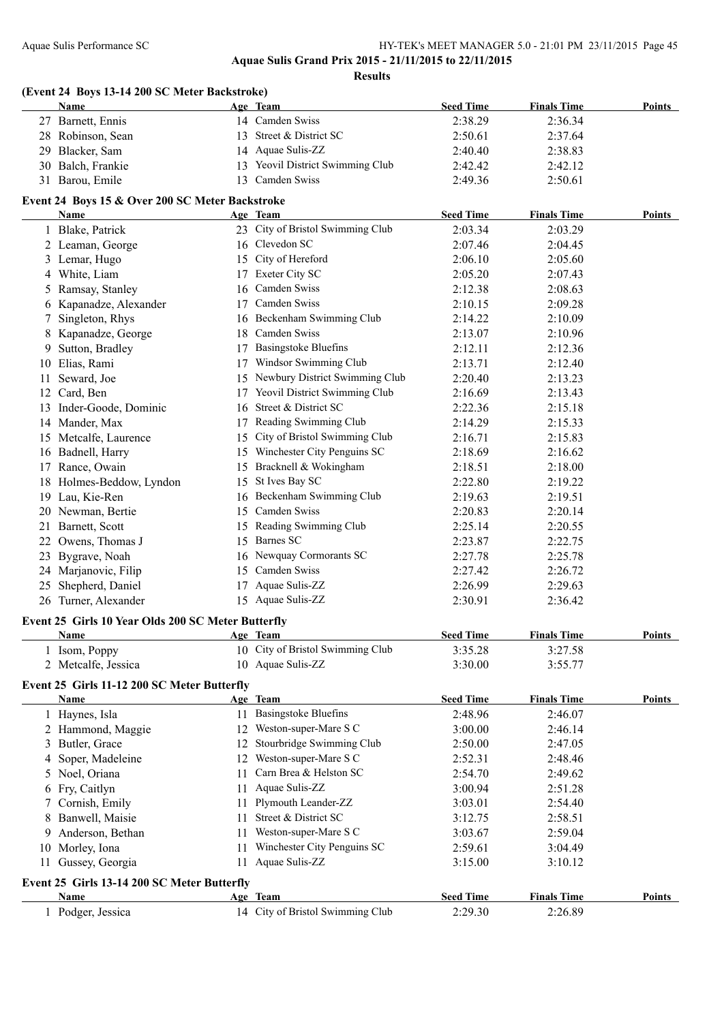**Aquae Sulis Grand Prix 2015 - 21/11/2015 to 22/11/2015**

**Results**

|    | (Event 24 Boys 13-14 200 SC Meter Backstroke)<br>Name      |    | Age Team                                  | <b>Seed Time</b> | <b>Finals Time</b> | Points        |
|----|------------------------------------------------------------|----|-------------------------------------------|------------------|--------------------|---------------|
|    | 27 Barnett, Ennis                                          |    | 14 Camden Swiss                           | 2:38.29          | 2:36.34            |               |
|    | 28 Robinson, Sean                                          |    | 13 Street & District SC                   | 2:50.61          | 2:37.64            |               |
|    | 29 Blacker, Sam                                            |    | 14 Aquae Sulis-ZZ                         | 2:40.40          | 2:38.83            |               |
|    | 30 Balch, Frankie                                          |    | 13 Yeovil District Swimming Club          | 2:42.42          | 2:42.12            |               |
|    | 31 Barou, Emile                                            |    | 13 Camden Swiss                           | 2:49.36          | 2:50.61            |               |
|    | Event 24 Boys 15 & Over 200 SC Meter Backstroke            |    |                                           |                  |                    |               |
|    | Name                                                       |    | Age Team                                  | <b>Seed Time</b> | <b>Finals Time</b> | Points        |
|    | 1 Blake, Patrick                                           |    | 23 City of Bristol Swimming Club          | 2:03.34          | 2:03.29            |               |
|    | 2 Leaman, George                                           |    | 16 Clevedon SC                            | 2:07.46          | 2:04.45            |               |
|    | 3 Lemar, Hugo                                              |    | 15 City of Hereford                       | 2:06.10          | 2:05.60            |               |
|    | 4 White, Liam                                              |    | 17 Exeter City SC                         | 2:05.20          | 2:07.43            |               |
|    | 5 Ramsay, Stanley                                          | 16 | Camden Swiss                              | 2:12.38          | 2:08.63            |               |
|    | 6 Kapanadze, Alexander                                     | 17 | Camden Swiss                              | 2:10.15          | 2:09.28            |               |
| 7  | Singleton, Rhys                                            |    | 16 Beckenham Swimming Club                | 2:14.22          | 2:10.09            |               |
|    | 8 Kapanadze, George                                        | 18 | Camden Swiss                              | 2:13.07          | 2:10.96            |               |
| 9. | Sutton, Bradley                                            | 17 | <b>Basingstoke Bluefins</b>               | 2:12.11          | 2:12.36            |               |
|    | 10 Elias, Rami                                             |    | 17 Windsor Swimming Club                  | 2:13.71          | 2:12.40            |               |
| 11 | Seward, Joe                                                |    | 15 Newbury District Swimming Club         | 2:20.40          | 2:13.23            |               |
|    | 12 Card, Ben                                               | 17 | Yeovil District Swimming Club             | 2:16.69          | 2:13.43            |               |
|    | 13 Inder-Goode, Dominic                                    | 16 | Street & District SC                      | 2:22.36          | 2:15.18            |               |
|    | 14 Mander, Max                                             |    | 17 Reading Swimming Club                  | 2:14.29          | 2:15.33            |               |
|    | 15 Metcalfe, Laurence                                      |    | 15 City of Bristol Swimming Club          | 2:16.71          | 2:15.83            |               |
|    | 16 Badnell, Harry                                          |    | 15 Winchester City Penguins SC            | 2:18.69          | 2:16.62            |               |
|    | 17 Rance, Owain                                            |    | 15 Bracknell & Wokingham                  | 2:18.51          | 2:18.00            |               |
|    | 18 Holmes-Beddow, Lyndon                                   | 15 | St Ives Bay SC                            | 2:22.80          | 2:19.22            |               |
|    | 19 Lau, Kie-Ren                                            |    | 16 Beckenham Swimming Club                |                  | 2:19.51            |               |
|    |                                                            |    | 15 Camden Swiss                           | 2:19.63          |                    |               |
|    | 20 Newman, Bertie                                          |    |                                           | 2:20.83          | 2:20.14            |               |
| 21 | Barnett, Scott                                             | 15 | Reading Swimming Club<br><b>Barnes SC</b> | 2:25.14          | 2:20.55            |               |
| 22 | Owens, Thomas J                                            | 15 |                                           | 2:23.87          | 2:22.75            |               |
| 23 | Bygrave, Noah                                              |    | 16 Newquay Cormorants SC                  | 2:27.78          | 2:25.78            |               |
| 24 | Marjanovic, Filip                                          |    | 15 Camden Swiss                           | 2:27.42          | 2:26.72            |               |
| 25 | Shepherd, Daniel                                           |    | 17 Aquae Sulis-ZZ                         | 2:26.99          | 2:29.63            |               |
|    | 26 Turner, Alexander                                       |    | 15 Aquae Sulis-ZZ                         | 2:30.91          | 2:36.42            |               |
|    | Event 25 Girls 10 Year Olds 200 SC Meter Butterfly<br>Name |    | Age Team                                  | <b>Seed Time</b> | <b>Finals Time</b> | <b>Points</b> |
|    | 1 Isom, Poppy                                              |    | 10 City of Bristol Swimming Club          | 3:35.28          | 3:27.58            |               |
|    | 2 Metcalfe, Jessica                                        |    | 10 Aquae Sulis-ZZ                         | 3:30.00          | 3:55.77            |               |
|    | Event 25 Girls 11-12 200 SC Meter Butterfly                |    |                                           |                  |                    |               |
|    | Name                                                       |    | Age Team                                  | <b>Seed Time</b> | <b>Finals Time</b> | <b>Points</b> |
|    | 1 Haynes, Isla                                             | 11 | <b>Basingstoke Bluefins</b>               | 2:48.96          | 2:46.07            |               |
|    | 2 Hammond, Maggie                                          |    | 12 Weston-super-Mare S C                  | 3:00.00          | 2:46.14            |               |
|    | Butler, Grace                                              | 12 | Stourbridge Swimming Club                 | 2:50.00          | 2:47.05            |               |
| 4  | Soper, Madeleine                                           |    | 12 Weston-super-Mare S C                  | 2:52.31          | 2:48.46            |               |
| 5. | Noel, Oriana                                               | 11 | Carn Brea & Helston SC                    | 2:54.70          | 2:49.62            |               |
| 6  | Fry, Caitlyn                                               | 11 | Aquae Sulis-ZZ                            | 3:00.94          | 2:51.28            |               |
| 7. | Cornish, Emily                                             | 11 | Plymouth Leander-ZZ                       | 3:03.01          | 2:54.40            |               |
| 8  | Banwell, Maisie                                            | 11 | Street & District SC                      | 3:12.75          | 2:58.51            |               |
|    | Anderson, Bethan                                           | 11 | Weston-super-Mare S C                     | 3:03.67          | 2:59.04            |               |
|    |                                                            |    |                                           | 2:59.61          | 3:04.49            |               |
| 9  |                                                            |    |                                           |                  |                    |               |
| 10 | Morley, Iona                                               | 11 | Winchester City Penguins SC               |                  |                    |               |
| 11 | Gussey, Georgia                                            | 11 | Aquae Sulis-ZZ                            | 3:15.00          | 3:10.12            |               |
|    | Event 25 Girls 13-14 200 SC Meter Butterfly<br>Name        |    | Age Team                                  | <b>Seed Time</b> | <b>Finals Time</b> | <b>Points</b> |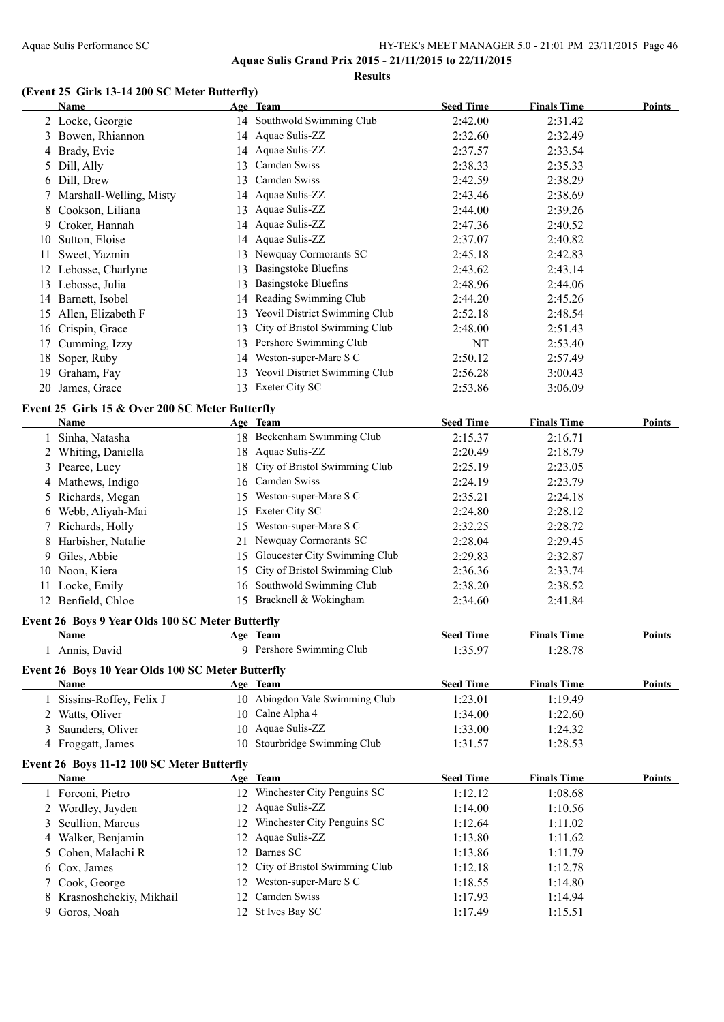#### Aquae Sulis Performance SC HY-TEK's MEET MANAGER 5.0 - 21:01 PM 23/11/2015 Page 46 **Aquae Sulis Grand Prix 2015 - 21/11/2015 to 22/11/2015**

**Results**

#### **(Event 25 Girls 13-14 200 SC Meter Butterfly)**

|   | <b>Name</b>                                       |     | Age Team                         | <b>Seed Time</b> | <b>Finals Time</b> | <b>Points</b> |
|---|---------------------------------------------------|-----|----------------------------------|------------------|--------------------|---------------|
|   | 2 Locke, Georgie                                  |     | 14 Southwold Swimming Club       | 2:42.00          | 2:31.42            |               |
|   | 3 Bowen, Rhiannon                                 |     | 14 Aquae Sulis-ZZ                | 2:32.60          | 2:32.49            |               |
|   | 4 Brady, Evie                                     |     | 14 Aquae Sulis-ZZ                | 2:37.57          | 2:33.54            |               |
|   | 5 Dill, Ally                                      |     | 13 Camden Swiss                  | 2:38.33          | 2:35.33            |               |
|   | 6 Dill, Drew                                      |     | 13 Camden Swiss                  | 2:42.59          | 2:38.29            |               |
| 7 | Marshall-Welling, Misty                           |     | 14 Aquae Sulis-ZZ                | 2:43.46          | 2:38.69            |               |
| 8 | Cookson, Liliana                                  |     | 13 Aquae Sulis-ZZ                | 2:44.00          | 2:39.26            |               |
|   | 9 Croker, Hannah                                  |     | 14 Aquae Sulis-ZZ                | 2:47.36          | 2:40.52            |               |
|   | 10 Sutton, Eloise                                 |     | 14 Aquae Sulis-ZZ                | 2:37.07          | 2:40.82            |               |
|   | 11 Sweet, Yazmin                                  |     | 13 Newquay Cormorants SC         | 2:45.18          | 2:42.83            |               |
|   | 12 Lebosse, Charlyne                              |     | 13 Basingstoke Bluefins          | 2:43.62          | 2:43.14            |               |
|   | 13 Lebosse, Julia                                 |     | 13 Basingstoke Bluefins          | 2:48.96          | 2:44.06            |               |
|   | 14 Barnett, Isobel                                |     | 14 Reading Swimming Club         | 2:44.20          | 2:45.26            |               |
|   | 15 Allen, Elizabeth F                             |     | 13 Yeovil District Swimming Club | 2:52.18          | 2:48.54            |               |
|   | 16 Crispin, Grace                                 |     | 13 City of Bristol Swimming Club | 2:48.00          | 2:51.43            |               |
|   | 17 Cumming, Izzy                                  |     | 13 Pershore Swimming Club        | NT               | 2:53.40            |               |
|   | 18 Soper, Ruby                                    |     | 14 Weston-super-Mare S C         | 2:50.12          | 2:57.49            |               |
|   | 19 Graham, Fay                                    |     | 13 Yeovil District Swimming Club | 2:56.28          | 3:00.43            |               |
|   |                                                   |     | 13 Exeter City SC                | 2:53.86          |                    |               |
|   | 20 James, Grace                                   |     |                                  |                  | 3:06.09            |               |
|   | Event 25 Girls 15 & Over 200 SC Meter Butterfly   |     |                                  |                  |                    |               |
|   | Name                                              |     | Age Team                         | <b>Seed Time</b> | <b>Finals Time</b> | <b>Points</b> |
|   | 1 Sinha, Natasha                                  |     | 18 Beckenham Swimming Club       | 2:15.37          | 2:16.71            |               |
|   | 2 Whiting, Daniella                               |     | 18 Aquae Sulis-ZZ                | 2:20.49          | 2:18.79            |               |
|   | 3 Pearce, Lucy                                    |     | 18 City of Bristol Swimming Club | 2:25.19          | 2:23.05            |               |
|   | 4 Mathews, Indigo                                 |     | 16 Camden Swiss                  | 2:24.19          | 2:23.79            |               |
|   | 5 Richards, Megan                                 |     | 15 Weston-super-Mare S C         | 2:35.21          | 2:24.18            |               |
|   | 6 Webb, Aliyah-Mai                                |     | 15 Exeter City SC                | 2:24.80          | 2:28.12            |               |
|   | 7 Richards, Holly                                 |     | 15 Weston-super-Mare S C         | 2:32.25          | 2:28.72            |               |
|   | 8 Harbisher, Natalie                              | 21. | Newquay Cormorants SC            | 2:28.04          | 2:29.45            |               |
|   | 9 Giles, Abbie                                    | 15  | Gloucester City Swimming Club    | 2:29.83          | 2:32.87            |               |
|   | 10 Noon, Kiera                                    | 15  | City of Bristol Swimming Club    | 2:36.36          | 2:33.74            |               |
|   | 11 Locke, Emily                                   |     | 16 Southwold Swimming Club       | 2:38.20          | 2:38.52            |               |
|   | 12 Benfield, Chloe                                |     | 15 Bracknell & Wokingham         | 2:34.60          | 2:41.84            |               |
|   | Event 26 Boys 9 Year Olds 100 SC Meter Butterfly  |     |                                  |                  |                    |               |
|   | <u>Name</u>                                       |     | Age Team                         | <b>Seed Time</b> | <b>Finals Time</b> | <b>Points</b> |
|   | 1 Annis, David                                    |     | 9 Pershore Swimming Club         | 1:35.97          | 1:28.78            |               |
|   | Event 26 Boys 10 Year Olds 100 SC Meter Butterfly |     |                                  |                  |                    |               |
|   | <b>Name</b>                                       |     | Age Team                         | <b>Seed Time</b> | <b>Finals Time</b> | Points        |
|   | 1 Sissins-Roffey, Felix J                         |     | 10 Abingdon Vale Swimming Club   | 1:23.01          | 1:19.49            |               |
|   | 2 Watts, Oliver                                   | 10  | Calne Alpha 4                    | 1:34.00          | 1:22.60            |               |
| 3 | Saunders, Oliver                                  |     | 10 Aquae Sulis-ZZ                | 1:33.00          | 1:24.32            |               |
|   | 4 Froggatt, James                                 |     | 10 Stourbridge Swimming Club     | 1:31.57          | 1:28.53            |               |
|   |                                                   |     |                                  |                  |                    |               |
|   | Event 26 Boys 11-12 100 SC Meter Butterfly        |     |                                  |                  |                    |               |
|   | Name                                              |     | Age Team                         | <b>Seed Time</b> | <b>Finals Time</b> | Points        |
|   | 1 Forconi, Pietro                                 |     | 12 Winchester City Penguins SC   | 1:12.12          | 1:08.68            |               |
|   | 2 Wordley, Jayden                                 |     | 12 Aquae Sulis-ZZ                | 1:14.00          | 1:10.56            |               |
| 3 | Scullion, Marcus                                  |     | 12 Winchester City Penguins SC   | 1:12.64          | 1:11.02            |               |
| 4 | Walker, Benjamin                                  | 12  | Aquae Sulis-ZZ                   | 1:13.80          | 1:11.62            |               |
| 5 | Cohen, Malachi R                                  | 12  | Barnes SC                        | 1:13.86          | 1:11.79            |               |
| 6 | Cox, James                                        | 12  | City of Bristol Swimming Club    | 1:12.18          | 1:12.78            |               |
| 7 | Cook, George                                      | 12  | Weston-super-Mare S C            | 1:18.55          | 1:14.80            |               |
| 8 | Krasnoshchekiy, Mikhail                           | 12  | Camden Swiss                     | 1:17.93          | 1:14.94            |               |
|   | 9 Goros, Noah                                     |     | 12 St Ives Bay SC                | 1:17.49          | 1:15.51            |               |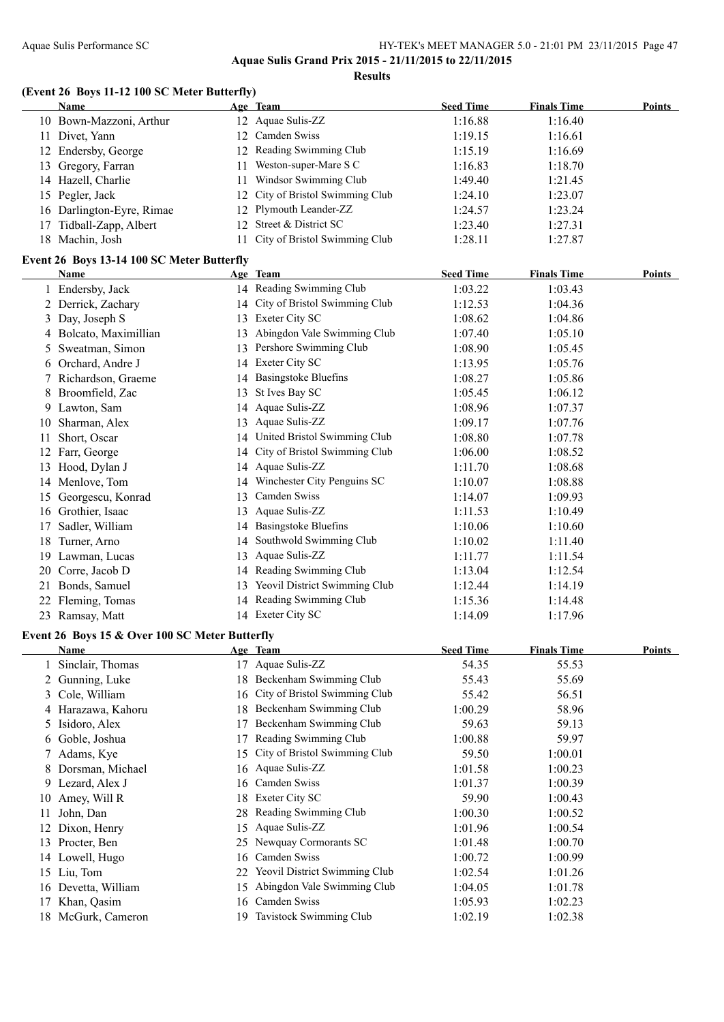#### Aquae Sulis Performance SC HY-TEK's MEET MANAGER 5.0 - 21:01 PM 23/11/2015 Page 47 **Aquae Sulis Grand Prix 2015 - 21/11/2015 to 22/11/2015**

**Results**

#### **(Event 26 Boys 11-12 100 SC Meter Butterfly)**

|    | Name                                       |    | Age Team                         | <b>Seed Time</b> | <b>Finals Time</b> | Points |
|----|--------------------------------------------|----|----------------------------------|------------------|--------------------|--------|
|    | 10 Bown-Mazzoni, Arthur                    |    | 12 Aquae Sulis-ZZ                | 1:16.88          | 1:16.40            |        |
|    | 11 Divet, Yann                             |    | 12 Camden Swiss                  | 1:19.15          | 1:16.61            |        |
|    | 12 Endersby, George                        |    | 12 Reading Swimming Club         | 1:15.19          | 1:16.69            |        |
|    | 13 Gregory, Farran                         |    | 11 Weston-super-Mare S C         | 1:16.83          | 1:18.70            |        |
|    | 14 Hazell, Charlie                         |    | 11 Windsor Swimming Club         | 1:49.40          | 1:21.45            |        |
|    | 15 Pegler, Jack                            |    | 12 City of Bristol Swimming Club | 1:24.10          | 1:23.07            |        |
|    | 16 Darlington-Eyre, Rimae                  |    | 12 Plymouth Leander-ZZ           | 1:24.57          | 1:23.24            |        |
|    | 17 Tidball-Zapp, Albert                    |    | 12 Street & District SC          | 1:23.40          | 1:27.31            |        |
|    | 18 Machin, Josh                            |    | 11 City of Bristol Swimming Club | 1:28.11          | 1:27.87            |        |
|    | Event 26 Boys 13-14 100 SC Meter Butterfly |    |                                  |                  |                    |        |
|    | Name                                       |    | Age Team                         | <b>Seed Time</b> | <b>Finals Time</b> | Points |
|    | 1 Endersby, Jack                           |    | 14 Reading Swimming Club         | 1:03.22          | 1:03.43            |        |
|    | 2 Derrick, Zachary                         |    | 14 City of Bristol Swimming Club | 1:12.53          | 1:04.36            |        |
|    | 3 Day, Joseph S                            |    | 13 Exeter City SC                | 1:08.62          | 1:04.86            |        |
|    | 4 Bolcato, Maximillian                     |    | 13 Abingdon Vale Swimming Club   | 1:07.40          | 1:05.10            |        |
|    | 5 Sweatman, Simon                          |    | 13 Pershore Swimming Club        | 1:08.90          | 1:05.45            |        |
|    | 6 Orchard, Andre J                         |    | 14 Exeter City SC                | 1:13.95          | 1:05.76            |        |
|    | 7 Richardson, Graeme                       |    | 14 Basingstoke Bluefins          | 1:08.27          | 1:05.86            |        |
|    | 8 Broomfield, Zac                          |    | 13 St Ives Bay SC                | 1:05.45          | 1:06.12            |        |
| 9  | Lawton, Sam                                |    | 14 Aquae Sulis-ZZ                | 1:08.96          | 1:07.37            |        |
| 10 | Sharman, Alex                              |    | 13 Aquae Sulis-ZZ                | 1:09.17          | 1:07.76            |        |
| 11 | Short, Oscar                               |    | 14 United Bristol Swimming Club  | 1:08.80          | 1:07.78            |        |
|    | 12 Farr, George                            |    | 14 City of Bristol Swimming Club | 1:06.00          | 1:08.52            |        |
|    | 13 Hood, Dylan J                           |    | 14 Aquae Sulis-ZZ                | 1:11.70          | 1:08.68            |        |
|    | 14 Menlove, Tom                            | 14 | Winchester City Penguins SC      | 1:10.07          | 1:08.88            |        |
|    | 15 Georgescu, Konrad                       | 13 | Camden Swiss                     | 1:14.07          | 1:09.93            |        |
|    | 16 Grothier, Isaac                         |    | 13 Aquae Sulis-ZZ                | 1:11.53          | 1:10.49            |        |
| 17 | Sadler, William                            |    | 14 Basingstoke Bluefins          | 1:10.06          | 1:10.60            |        |
| 18 | Turner, Arno                               |    | 14 Southwold Swimming Club       | 1:10.02          | 1:11.40            |        |
|    | 19 Lawman, Lucas                           | 13 | Aquae Sulis-ZZ                   | 1:11.77          | 1:11.54            |        |
| 20 | Corre, Jacob D                             |    | 14 Reading Swimming Club         | 1:13.04          | 1:12.54            |        |
|    | 21 Bonds, Samuel                           |    | 13 Yeovil District Swimming Club | 1:12.44          | 1:14.19            |        |
|    | 22 Fleming, Tomas                          |    | 14 Reading Swimming Club         | 1:15.36          | 1:14.48            |        |
|    | 23 Ramsay, Matt                            |    | 14 Exeter City SC                | 1:14.09          | 1:17.96            |        |

#### **Event 26 Boys 15 & Over 100 SC Meter Butterfly**

|     | Name                |     | Age Team                         | <b>Seed Time</b> | <b>Finals Time</b> | Points |
|-----|---------------------|-----|----------------------------------|------------------|--------------------|--------|
|     | Sinclair, Thomas    |     | 17 Aquae Sulis-ZZ                | 54.35            | 55.53              |        |
|     | 2 Gunning, Luke     | 18  | Beckenham Swimming Club          | 55.43            | 55.69              |        |
| 3   | Cole, William       |     | 16 City of Bristol Swimming Club | 55.42            | 56.51              |        |
|     | 4 Harazawa, Kahoru  | 18  | Beckenham Swimming Club          | 1:00.29          | 58.96              |        |
| 5.  | Isidoro, Alex       | 17  | Beckenham Swimming Club          | 59.63            | 59.13              |        |
|     | 6 Goble, Joshua     | 17  | Reading Swimming Club            | 1:00.88          | 59.97              |        |
| 7   | Adams, Kye          | 15  | City of Bristol Swimming Club    | 59.50            | 1:00.01            |        |
| 8   | Dorsman, Michael    |     | 16 Aquae Sulis-ZZ                | 1:01.58          | 1:00.23            |        |
|     | 9 Lezard, Alex J    | 16  | Camden Swiss                     | 1:01.37          | 1:00.39            |        |
|     | 10 Amey, Will R     | 18  | Exeter City SC                   | 59.90            | 1:00.43            |        |
|     | John, Dan           | 28. | Reading Swimming Club            | 1:00.30          | 1:00.52            |        |
|     | Dixon, Henry        | 15  | Aquae Sulis-ZZ                   | 1:01.96          | 1:00.54            |        |
| 13  | Procter, Ben        |     | 25 Newquay Cormorants SC         | 1:01.48          | 1:00.70            |        |
|     | 14 Lowell, Hugo     | 16  | Camden Swiss                     | 1:00.72          | 1:00.99            |        |
|     | 15 Liu, Tom         | 22  | Yeovil District Swimming Club    | 1:02.54          | 1:01.26            |        |
|     | 16 Devetta, William | 15  | Abingdon Vale Swimming Club      | 1:04.05          | 1:01.78            |        |
|     | Khan, Qasim         | 16  | Camden Swiss                     | 1:05.93          | 1:02.23            |        |
| 18. | McGurk, Cameron     | 19  | <b>Tavistock Swimming Club</b>   | 1:02.19          | 1:02.38            |        |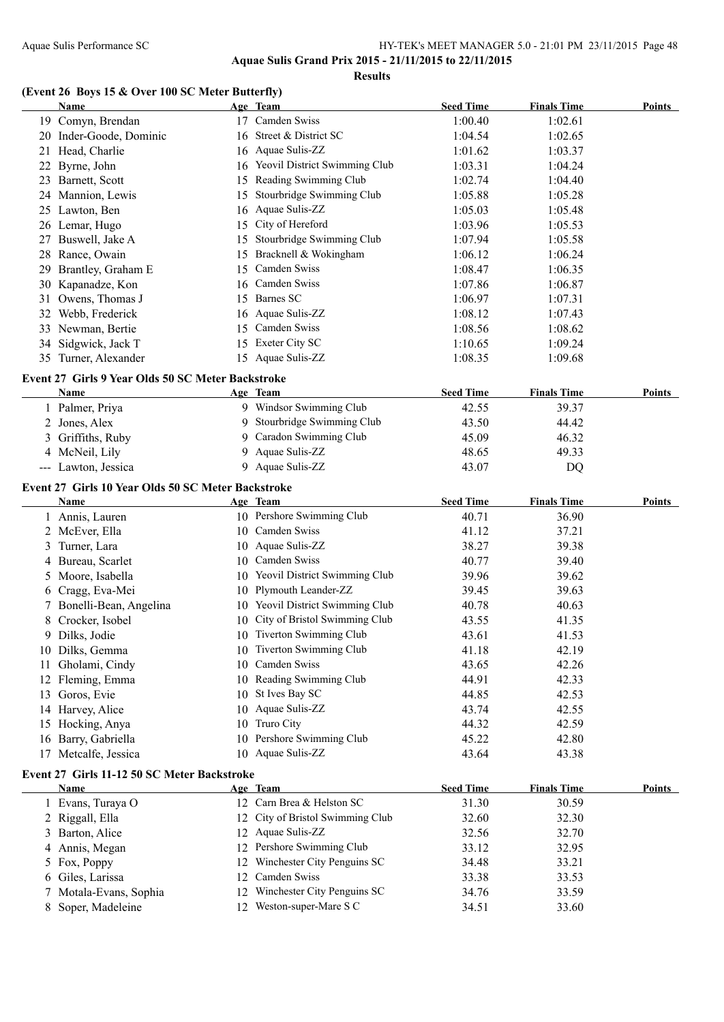**Results**

### **(Event 26 Boys 15 & Over 100 SC Meter Butterfly)**

|    | <b>Name</b>                                        |    | Age Team                         | <b>Seed Time</b> | <b>Finals Time</b> | <b>Points</b> |
|----|----------------------------------------------------|----|----------------------------------|------------------|--------------------|---------------|
|    | 19 Comyn, Brendan                                  |    | 17 Camden Swiss                  | 1:00.40          | 1:02.61            |               |
|    | 20 Inder-Goode, Dominic                            |    | 16 Street & District SC          | 1:04.54          | 1:02.65            |               |
| 21 | Head, Charlie                                      |    | 16 Aquae Sulis-ZZ                | 1:01.62          | 1:03.37            |               |
| 22 | Byrne, John                                        |    | 16 Yeovil District Swimming Club | 1:03.31          | 1:04.24            |               |
|    | 23 Barnett, Scott                                  |    | 15 Reading Swimming Club         | 1:02.74          | 1:04.40            |               |
|    | 24 Mannion, Lewis                                  |    | 15 Stourbridge Swimming Club     | 1:05.88          | 1:05.28            |               |
|    | 25 Lawton, Ben                                     |    | 16 Aquae Sulis-ZZ                | 1:05.03          | 1:05.48            |               |
|    | 26 Lemar, Hugo                                     |    | 15 City of Hereford              | 1:03.96          | 1:05.53            |               |
| 27 | Buswell, Jake A                                    |    | 15 Stourbridge Swimming Club     | 1:07.94          | 1:05.58            |               |
| 28 | Rance, Owain                                       |    | 15 Bracknell & Wokingham         | 1:06.12          | 1:06.24            |               |
| 29 | Brantley, Graham E                                 |    | 15 Camden Swiss                  | 1:08.47          | 1:06.35            |               |
| 30 | Kapanadze, Kon                                     |    | 16 Camden Swiss                  | 1:07.86          | 1:06.87            |               |
|    | 31 Owens, Thomas J                                 |    | 15 Barnes SC                     | 1:06.97          | 1:07.31            |               |
|    | 32 Webb, Frederick                                 |    | 16 Aquae Sulis-ZZ                | 1:08.12          | 1:07.43            |               |
|    | 33 Newman, Bertie                                  |    | 15 Camden Swiss                  | 1:08.56          | 1:08.62            |               |
|    | 34 Sidgwick, Jack T                                |    | 15 Exeter City SC                | 1:10.65          | 1:09.24            |               |
|    | 35 Turner, Alexander                               |    | 15 Aquae Sulis-ZZ                | 1:08.35          | 1:09.68            |               |
|    | Event 27 Girls 9 Year Olds 50 SC Meter Backstroke  |    |                                  |                  |                    |               |
|    | Name                                               |    | Age Team                         | <b>Seed Time</b> | <b>Finals Time</b> | Points        |
|    | 1 Palmer, Priya                                    |    | 9 Windsor Swimming Club          | 42.55            | 39.37              |               |
|    | 2 Jones, Alex                                      | 9. | Stourbridge Swimming Club        | 43.50            | 44.42              |               |
|    | 3 Griffiths, Ruby                                  | 9. | Caradon Swimming Club            | 45.09            | 46.32              |               |
|    | 4 McNeil, Lily                                     | 9  | Aquae Sulis-ZZ                   | 48.65            | 49.33              |               |
|    | --- Lawton, Jessica                                |    | 9 Aquae Sulis-ZZ                 | 43.07            | DQ                 |               |
|    | Event 27 Girls 10 Year Olds 50 SC Meter Backstroke |    |                                  |                  |                    |               |
|    | Name                                               |    | Age Team                         | <b>Seed Time</b> | <b>Finals Time</b> | Points        |
|    | 1 Annis, Lauren                                    |    | 10 Pershore Swimming Club        | 40.71            | 36.90              |               |
|    | 2 McEver, Ella                                     |    | 10 Camden Swiss                  | 41.12            | 37.21              |               |
| 3  | Turner, Lara                                       |    | 10 Aquae Sulis-ZZ                | 38.27            | 39.38              |               |
| 4  | Bureau, Scarlet                                    |    | 10 Camden Swiss                  | 40.77            | 39.40              |               |
| 5  | Moore, Isabella                                    |    | 10 Yeovil District Swimming Club | 39.96            | 39.62              |               |
| 6  | Cragg, Eva-Mei                                     |    | 10 Plymouth Leander-ZZ           | 39.45            | 39.63              |               |
| 7. | Bonelli-Bean, Angelina                             |    | 10 Yeovil District Swimming Club | 40.78            | 40.63              |               |
| 8  | Crocker, Isobel                                    | 10 | City of Bristol Swimming Club    | 43.55            | 41.35              |               |
|    | 9 Dilks, Jodie                                     |    | 10 Tiverton Swimming Club        | 43.61            | 41.53              |               |
|    | 10 Dilks, Gemma                                    |    | 10 Tiverton Swimming Club        | 41.18            | 42.19              |               |
|    | 11 Gholami, Cindy                                  |    | 10 Camden Swiss                  | 43.65            | 42.26              |               |
|    | 12 Fleming, Emma                                   |    | 10 Reading Swimming Club         | 44.91            | 42.33              |               |
|    | 13 Goros, Evie                                     | 10 | St Ives Bay SC                   | 44.85            | 42.53              |               |
|    | 14 Harvey, Alice                                   |    | 10 Aquae Sulis-ZZ                | 43.74            | 42.55              |               |
|    | 15 Hocking, Anya                                   | 10 | Truro City                       | 44.32            | 42.59              |               |
| 16 | Barry, Gabriella                                   | 10 | Pershore Swimming Club           | 45.22            | 42.80              |               |
|    | 17 Metcalfe, Jessica                               |    | 10 Aquae Sulis-ZZ                | 43.64            | 43.38              |               |
|    | Event 27 Girls 11-12 50 SC Meter Backstroke        |    |                                  |                  |                    |               |
|    | <b>Name</b>                                        |    | Age Team                         | <b>Seed Time</b> | <b>Finals Time</b> | Points        |
|    | 1 Evans, Turaya O                                  |    | 12 Carn Brea & Helston SC        | 31.30            | 30.59              |               |
|    | 2 Riggall, Ella                                    |    | 12 City of Bristol Swimming Club | 32.60            | 32.30              |               |
|    | 3 Barton, Alice                                    |    | 12 Aquae Sulis-ZZ                | 32.56            | 32.70              |               |
|    | 4 Annis, Megan                                     |    | 12 Pershore Swimming Club        | 33.12            | 32.95              |               |
|    | 5 Fox, Poppy                                       | 12 | Winchester City Penguins SC      | 34.48            | 33.21              |               |
| 6  | Giles, Larissa                                     | 12 | Camden Swiss                     | 33.38            | 33.53              |               |
| 7  | Motala-Evans, Sophia                               | 12 | Winchester City Penguins SC      | 34.76            | 33.59              |               |
| 8  | Soper, Madeleine                                   | 12 | Weston-super-Mare S C            | 34.51            | 33.60              |               |
|    |                                                    |    |                                  |                  |                    |               |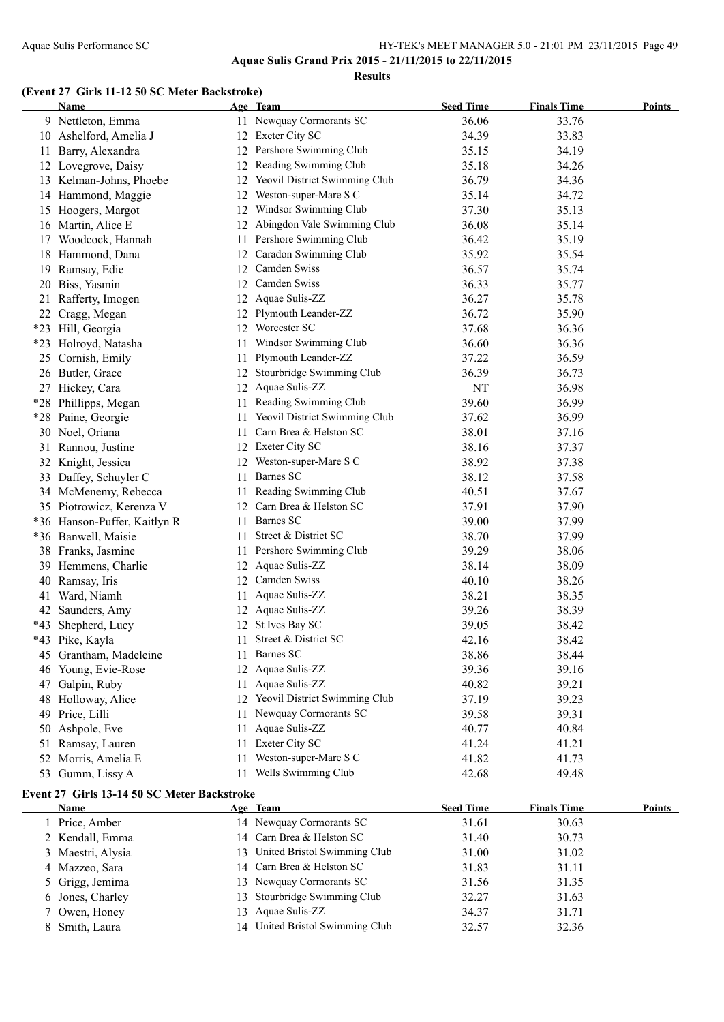**Aquae Sulis Grand Prix 2015 - 21/11/2015 to 22/11/2015**

**Results**

#### **(Event 27 Girls 11-12 50 SC Meter Backstroke)**

|     | Name                                        |     | Age Team                         | <b>Seed Time</b> | <b>Finals Time</b> | <b>Points</b> |
|-----|---------------------------------------------|-----|----------------------------------|------------------|--------------------|---------------|
|     | 9 Nettleton, Emma                           |     | 11 Newquay Cormorants SC         | 36.06            | 33.76              |               |
|     | 10 Ashelford, Amelia J                      |     | 12 Exeter City SC                | 34.39            | 33.83              |               |
| 11  | Barry, Alexandra                            |     | 12 Pershore Swimming Club        | 35.15            | 34.19              |               |
|     | 12 Lovegrove, Daisy                         |     | 12 Reading Swimming Club         | 35.18            | 34.26              |               |
|     | 13 Kelman-Johns, Phoebe                     |     | 12 Yeovil District Swimming Club | 36.79            | 34.36              |               |
|     | 14 Hammond, Maggie                          |     | 12 Weston-super-Mare S C         | 35.14            | 34.72              |               |
|     | 15 Hoogers, Margot                          |     | 12 Windsor Swimming Club         | 37.30            | 35.13              |               |
|     | 16 Martin, Alice E                          |     | 12 Abingdon Vale Swimming Club   | 36.08            | 35.14              |               |
|     | 17 Woodcock, Hannah                         |     | 11 Pershore Swimming Club        | 36.42            | 35.19              |               |
|     | 18 Hammond, Dana                            |     | 12 Caradon Swimming Club         | 35.92            | 35.54              |               |
|     | 19 Ramsay, Edie                             |     | 12 Camden Swiss                  | 36.57            | 35.74              |               |
|     | 20 Biss, Yasmin                             |     | 12 Camden Swiss                  | 36.33            | 35.77              |               |
|     | 21 Rafferty, Imogen                         |     | 12 Aquae Sulis-ZZ                | 36.27            | 35.78              |               |
|     | 22 Cragg, Megan                             |     | 12 Plymouth Leander-ZZ           | 36.72            | 35.90              |               |
|     | *23 Hill, Georgia                           |     | 12 Worcester SC                  | 37.68            | 36.36              |               |
|     | *23 Holroyd, Natasha                        | 11- | Windsor Swimming Club            | 36.60            | 36.36              |               |
|     | 25 Cornish, Emily                           | 11  | Plymouth Leander-ZZ              | 37.22            | 36.59              |               |
|     | 26 Butler, Grace                            |     | 12 Stourbridge Swimming Club     | 36.39            | 36.73              |               |
|     | 27 Hickey, Cara                             |     | 12 Aquae Sulis-ZZ                | NT               | 36.98              |               |
|     | *28 Phillipps, Megan                        |     | 11 Reading Swimming Club         | 39.60            | 36.99              |               |
|     | *28 Paine, Georgie                          |     | 11 Yeovil District Swimming Club | 37.62            | 36.99              |               |
|     | 30 Noel, Oriana                             |     | 11 Carn Brea & Helston SC        | 38.01            | 37.16              |               |
|     | 31 Rannou, Justine                          |     | 12 Exeter City SC                | 38.16            | 37.37              |               |
|     | 32 Knight, Jessica                          |     | 12 Weston-super-Mare S C         | 38.92            | 37.38              |               |
|     | 33 Daffey, Schuyler C                       |     | 11 Barnes SC                     | 38.12            | 37.58              |               |
|     | 34 McMenemy, Rebecca                        |     | 11 Reading Swimming Club         | 40.51            | 37.67              |               |
|     | 35 Piotrowicz, Kerenza V                    |     | 12 Carn Brea & Helston SC        | 37.91            | 37.90              |               |
|     | *36 Hanson-Puffer, Kaitlyn R                |     | 11 Barnes SC                     | 39.00            | 37.99              |               |
|     | *36 Banwell, Maisie                         |     | 11 Street & District SC          | 38.70            | 37.99              |               |
|     | 38 Franks, Jasmine                          |     | 11 Pershore Swimming Club        | 39.29            | 38.06              |               |
|     | 39 Hemmens, Charlie                         |     | 12 Aquae Sulis-ZZ                | 38.14            | 38.09              |               |
|     | 40 Ramsay, Iris                             |     | 12 Camden Swiss                  | 40.10            | 38.26              |               |
| 41  | Ward, Niamh                                 |     | 11 Aquae Sulis-ZZ                | 38.21            | 38.35              |               |
|     | 42 Saunders, Amy                            |     | 12 Aquae Sulis-ZZ                | 39.26            | 38.39              |               |
| *43 | Shepherd, Lucy                              |     | 12 St Ives Bay SC                | 39.05            | 38.42              |               |
|     | *43 Pike, Kayla                             |     | 11 Street & District SC          | 42.16            | 38.42              |               |
|     | 45 Grantham, Madeleine                      |     | 11 Barnes SC                     | 38.86            | 38.44              |               |
|     | 46 Young, Evie-Rose                         |     | 12 Aquae Sulis-ZZ                | 39.36            | 39.16              |               |
|     | 47 Galpin, Ruby                             |     | 11 Aquae Sulis-ZZ                | 40.82            | 39.21              |               |
|     | 48 Holloway, Alice                          |     | 12 Yeovil District Swimming Club | 37.19            | 39.23              |               |
|     | 49 Price, Lilli                             |     | 11 Newquay Cormorants SC         | 39.58            | 39.31              |               |
| 50  | Ashpole, Eve                                | 11  | Aquae Sulis-ZZ                   | 40.77            | 40.84              |               |
| 51  | Ramsay, Lauren                              | 11  | Exeter City SC                   | 41.24            | 41.21              |               |
| 52  | Morris, Amelia E                            | 11- | Weston-super-Mare S C            | 41.82            | 41.73              |               |
|     | 53 Gumm, Lissy A                            |     | 11 Wells Swimming Club           | 42.68            | 49.48              |               |
|     | Event 27 Girls 13-14 50 SC Meter Backstroke |     |                                  |                  |                    |               |
|     | Name                                        |     | Age Team                         | <b>Seed Time</b> | <b>Finals Time</b> | Points        |
|     | 1 Price, Amber                              |     | 14 Newquay Cormorants SC         | 31.61            | 30.63              |               |
|     | 2 Kendall, Emma                             |     | 14 Carn Brea & Helston SC        | 31.40            | 30.73              |               |
|     | 3 Maestri, Alysia                           |     | 13 United Bristol Swimming Club  | 31.00            | 31.02              |               |
|     | 4 Mazzeo, Sara                              |     | 14 Carn Brea & Helston SC        | 31.83            | 31.11              |               |

5 Grigg, Jemima 13 Newquay Cormorants SC 31.56 31.35 Jones, Charley 13 Stourbridge Swimming Club 32.27 31.63 7 Owen, Honey 13 Aquae Sulis-ZZ 34.37 31.71 8 Smith, Laura 14 United Bristol Swimming Club 32.57 32.36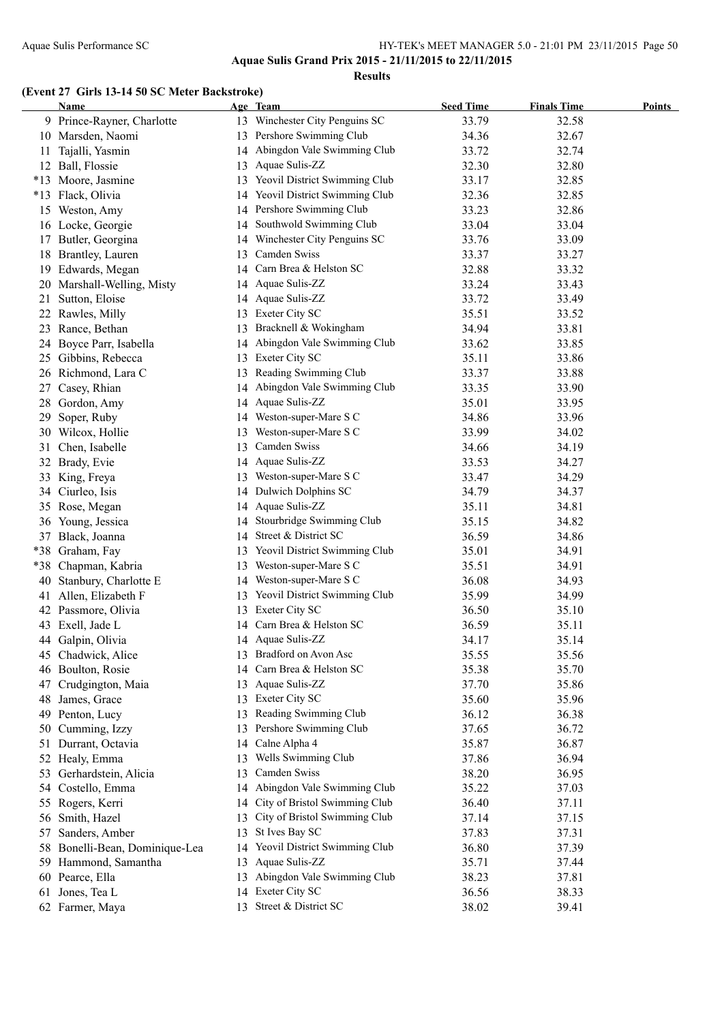**Aquae Sulis Grand Prix 2015 - 21/11/2015 to 22/11/2015**

**Results**

#### **(Event 27 Girls 13-14 50 SC Meter Backstroke)**

|       | Name                           |    | Age Team                         | <b>Seed Time</b> | <b>Finals Time</b> | <b>Points</b> |
|-------|--------------------------------|----|----------------------------------|------------------|--------------------|---------------|
|       | 9 Prince-Rayner, Charlotte     |    | 13 Winchester City Penguins SC   | 33.79            | 32.58              |               |
|       | 10 Marsden, Naomi              |    | 13 Pershore Swimming Club        | 34.36            | 32.67              |               |
| 11    | Tajalli, Yasmin                |    | 14 Abingdon Vale Swimming Club   | 33.72            | 32.74              |               |
|       | 12 Ball, Flossie               |    | 13 Aquae Sulis-ZZ                | 32.30            | 32.80              |               |
|       | *13 Moore, Jasmine             |    | 13 Yeovil District Swimming Club | 33.17            | 32.85              |               |
|       | *13 Flack, Olivia              |    | 14 Yeovil District Swimming Club | 32.36            | 32.85              |               |
|       | 15 Weston, Amy                 |    | 14 Pershore Swimming Club        | 33.23            | 32.86              |               |
|       | 16 Locke, Georgie              |    | 14 Southwold Swimming Club       | 33.04            | 33.04              |               |
|       | 17 Butler, Georgina            |    | 14 Winchester City Penguins SC   | 33.76            | 33.09              |               |
|       | 18 Brantley, Lauren            |    | 13 Camden Swiss                  | 33.37            | 33.27              |               |
|       | 19 Edwards, Megan              |    | 14 Carn Brea & Helston SC        | 32.88            | 33.32              |               |
| 20    | Marshall-Welling, Misty        |    | 14 Aquae Sulis-ZZ                | 33.24            | 33.43              |               |
|       | 21 Sutton, Eloise              |    | 14 Aquae Sulis-ZZ                | 33.72            | 33.49              |               |
|       | 22 Rawles, Milly               |    | 13 Exeter City SC                | 35.51            | 33.52              |               |
|       | 23 Rance, Bethan               |    | 13 Bracknell & Wokingham         | 34.94            | 33.81              |               |
|       | 24 Boyce Parr, Isabella        |    | 14 Abingdon Vale Swimming Club   | 33.62            | 33.85              |               |
|       | 25 Gibbins, Rebecca            |    | 13 Exeter City SC                | 35.11            | 33.86              |               |
|       | 26 Richmond, Lara C            |    | 13 Reading Swimming Club         | 33.37            | 33.88              |               |
|       | 27 Casey, Rhian                |    | 14 Abingdon Vale Swimming Club   | 33.35            | 33.90              |               |
|       | 28 Gordon, Amy                 |    | 14 Aquae Sulis-ZZ                | 35.01            | 33.95              |               |
| 29    | Soper, Ruby                    |    | 14 Weston-super-Mare S C         | 34.86            | 33.96              |               |
|       | 30 Wilcox, Hollie              |    | 13 Weston-super-Mare S C         | 33.99            | 34.02              |               |
| 31    | Chen, Isabelle                 |    | 13 Camden Swiss                  | 34.66            | 34.19              |               |
|       | 32 Brady, Evie                 |    | 14 Aquae Sulis-ZZ                | 33.53            | 34.27              |               |
| 33    | King, Freya                    |    | 13 Weston-super-Mare S C         | 33.47            | 34.29              |               |
|       | 34 Ciurleo, Isis               |    | 14 Dulwich Dolphins SC           | 34.79            | 34.37              |               |
| 35    | Rose, Megan                    |    | 14 Aquae Sulis-ZZ                | 35.11            | 34.81              |               |
|       | 36 Young, Jessica              |    | 14 Stourbridge Swimming Club     | 35.15            | 34.82              |               |
|       | 37 Black, Joanna               |    | 14 Street & District SC          | 36.59            | 34.86              |               |
|       | *38 Graham, Fay                |    | 13 Yeovil District Swimming Club | 35.01            | 34.91              |               |
| $*38$ | Chapman, Kabria                |    | 13 Weston-super-Mare S C         | 35.51            | 34.91              |               |
| 40    | Stanbury, Charlotte E          |    | 14 Weston-super-Mare S C         | 36.08            | 34.93              |               |
|       | 41 Allen, Elizabeth F          |    | 13 Yeovil District Swimming Club | 35.99            | 34.99              |               |
|       | 42 Passmore, Olivia            |    | 13 Exeter City SC                | 36.50            | 35.10              |               |
|       | 43 Exell, Jade L               |    | 14 Carn Brea & Helston SC        | 36.59            | 35.11              |               |
|       | 44 Galpin, Olivia              |    | 14 Aquae Sulis-ZZ                | 34.17            | 35.14              |               |
|       | 45 Chadwick, Alice             |    | 13 Bradford on Avon Asc          | 35.55            | 35.56              |               |
|       | 46 Boulton, Rosie              |    | 14 Carn Brea & Helston SC        | 35.38            | 35.70              |               |
|       | 47 Crudgington, Maia           |    | 13 Aquae Sulis-ZZ                | 37.70            | 35.86              |               |
|       | 48 James, Grace                |    | 13 Exeter City SC                | 35.60            | 35.96              |               |
|       | 49 Penton, Lucy                | 13 | Reading Swimming Club            | 36.12            | 36.38              |               |
|       | 50 Cumming, Izzy               |    | 13 Pershore Swimming Club        | 37.65            | 36.72              |               |
|       | 51 Durrant, Octavia            |    | 14 Calne Alpha 4                 | 35.87            | 36.87              |               |
|       | 52 Healy, Emma                 |    | 13 Wells Swimming Club           | 37.86            | 36.94              |               |
|       | 53 Gerhardstein, Alicia        |    | 13 Camden Swiss                  | 38.20            | 36.95              |               |
|       | 54 Costello, Emma              |    | 14 Abingdon Vale Swimming Club   | 35.22            | 37.03              |               |
|       | 55 Rogers, Kerri               |    | 14 City of Bristol Swimming Club | 36.40            | 37.11              |               |
|       | 56 Smith, Hazel                |    | 13 City of Bristol Swimming Club | 37.14            | 37.15              |               |
|       | 57 Sanders, Amber              |    | 13 St Ives Bay SC                | 37.83            | 37.31              |               |
|       | 58 Bonelli-Bean, Dominique-Lea |    | 14 Yeovil District Swimming Club | 36.80            | 37.39              |               |
|       | 59 Hammond, Samantha           |    | 13 Aquae Sulis-ZZ                | 35.71            | 37.44              |               |
|       | 60 Pearce, Ella                |    | 13 Abingdon Vale Swimming Club   | 38.23            | 37.81              |               |
|       | 61 Jones, Tea L                |    | 14 Exeter City SC                | 36.56            | 38.33              |               |
|       | 62 Farmer, Maya                |    | 13 Street & District SC          | 38.02            | 39.41              |               |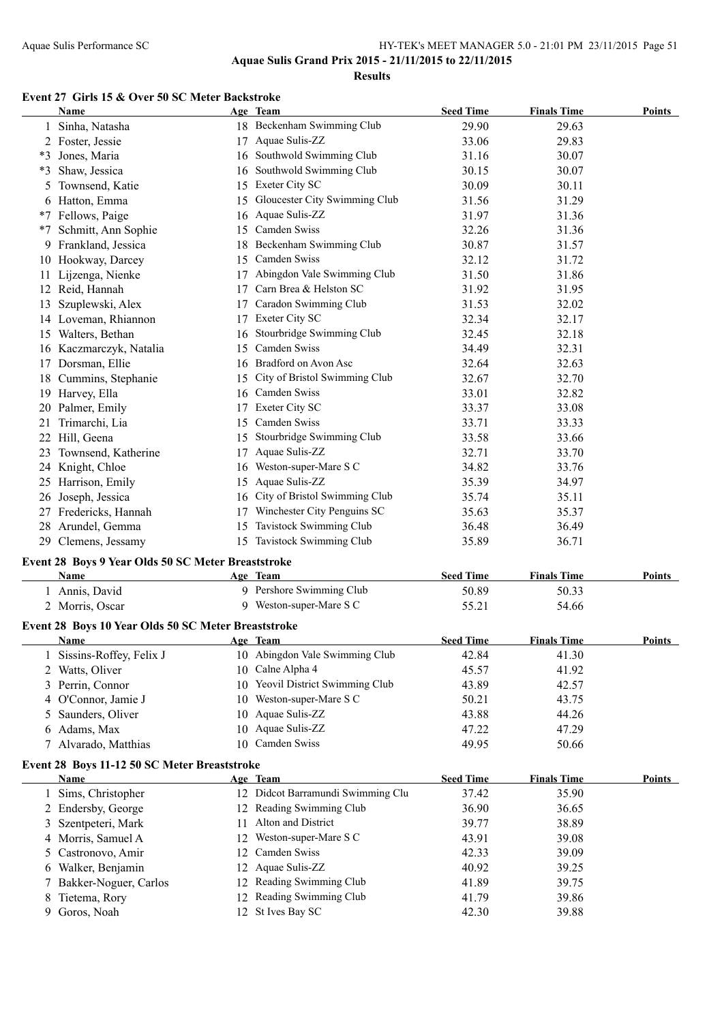**Results**

### **Event 27 Girls 15 & Over 50 SC Meter Backstroke**

|    | Name                                                |    | Age Team                                   | <b>Seed Time</b> | <b>Finals Time</b> | <b>Points</b> |
|----|-----------------------------------------------------|----|--------------------------------------------|------------------|--------------------|---------------|
|    | 1 Sinha, Natasha                                    |    | 18 Beckenham Swimming Club                 | 29.90            | 29.63              |               |
|    | 2 Foster, Jessie                                    |    | 17 Aquae Sulis-ZZ                          | 33.06            | 29.83              |               |
|    | *3 Jones, Maria                                     |    | 16 Southwold Swimming Club                 | 31.16            | 30.07              |               |
| *3 | Shaw, Jessica                                       |    | 16 Southwold Swimming Club                 | 30.15            | 30.07              |               |
| 5  | Townsend, Katie                                     |    | 15 Exeter City SC                          | 30.09            | 30.11              |               |
|    | 6 Hatton, Emma                                      |    | 15 Gloucester City Swimming Club           | 31.56            | 31.29              |               |
|    | *7 Fellows, Paige                                   |    | 16 Aquae Sulis-ZZ                          | 31.97            | 31.36              |               |
| *7 | Schmitt, Ann Sophie                                 |    | 15 Camden Swiss                            | 32.26            | 31.36              |               |
|    | 9 Frankland, Jessica                                |    | 18 Beckenham Swimming Club                 | 30.87            | 31.57              |               |
|    | 10 Hookway, Darcey                                  |    | 15 Camden Swiss                            | 32.12            | 31.72              |               |
|    | 11 Lijzenga, Nienke                                 |    | 17 Abingdon Vale Swimming Club             | 31.50            | 31.86              |               |
|    | 12 Reid, Hannah                                     |    | 17 Carn Brea & Helston SC                  | 31.92            | 31.95              |               |
|    | 13 Szuplewski, Alex                                 |    | 17 Caradon Swimming Club                   | 31.53            | 32.02              |               |
|    | 14 Loveman, Rhiannon                                |    | 17 Exeter City SC                          | 32.34            | 32.17              |               |
|    | 15 Walters, Bethan                                  |    | 16 Stourbridge Swimming Club               | 32.45            | 32.18              |               |
|    | 16 Kaczmarczyk, Natalia                             |    | 15 Camden Swiss                            | 34.49            | 32.31              |               |
|    | 17 Dorsman, Ellie                                   |    | 16 Bradford on Avon Asc                    | 32.64            | 32.63              |               |
|    | 18 Cummins, Stephanie                               |    | 15 City of Bristol Swimming Club           | 32.67            | 32.70              |               |
|    | 19 Harvey, Ella                                     |    | 16 Camden Swiss                            | 33.01            | 32.82              |               |
|    | 20 Palmer, Emily                                    |    | 17 Exeter City SC                          | 33.37            | 33.08              |               |
| 21 | Trimarchi, Lia                                      | 15 | Camden Swiss                               | 33.71            | 33.33              |               |
|    | 22 Hill, Geena                                      |    | 15 Stourbridge Swimming Club               | 33.58            | 33.66              |               |
|    | 23 Townsend, Katherine                              |    | 17 Aquae Sulis-ZZ                          | 32.71            | 33.70              |               |
|    | 24 Knight, Chloe                                    |    | 16 Weston-super-Mare S C                   | 34.82            | 33.76              |               |
|    | 25 Harrison, Emily                                  |    | 15 Aquae Sulis-ZZ                          | 35.39            | 34.97              |               |
|    | 26 Joseph, Jessica                                  |    | 16 City of Bristol Swimming Club           | 35.74            | 35.11              |               |
|    | 27 Fredericks, Hannah                               |    | 17 Winchester City Penguins SC             | 35.63            | 35.37              |               |
|    | 28 Arundel, Gemma                                   |    | 15 Tavistock Swimming Club                 | 36.48            | 36.49              |               |
|    | 29 Clemens, Jessamy                                 |    | 15 Tavistock Swimming Club                 | 35.89            | 36.71              |               |
|    | Event 28 Boys 9 Year Olds 50 SC Meter Breaststroke  |    |                                            |                  |                    |               |
|    | Name                                                |    | Age Team                                   | <b>Seed Time</b> | <b>Finals Time</b> | <b>Points</b> |
|    | 1 Annis, David                                      |    | 9 Pershore Swimming Club                   | 50.89            | 50.33              |               |
|    | 2 Morris, Oscar                                     |    | 9 Weston-super-Mare S C                    | 55.21            | 54.66              |               |
|    |                                                     |    |                                            |                  |                    |               |
|    | Event 28 Boys 10 Year Olds 50 SC Meter Breaststroke |    |                                            |                  |                    |               |
|    | Name                                                |    | Age Team<br>10 Abingdon Vale Swimming Club | <b>Seed Time</b> | <b>Finals Time</b> | <b>Points</b> |
|    | Sissins-Roffey, Felix J                             |    | 10 Calne Alpha 4                           | 42.84            | 41.30              |               |
| 2  | Watts, Oliver                                       |    | Yeovil District Swimming Club              | 45.57            | 41.92              |               |
| 3  | Perrin, Connor                                      | 10 | Weston-super-Mare S C                      | 43.89            | 42.57              |               |
| 4  | O'Connor, Jamie J                                   | 10 | Aquae Sulis-ZZ                             | 50.21            | 43.75              |               |
| 5. | Saunders, Oliver                                    | 10 | Aquae Sulis-ZZ                             | 43.88            | 44.26              |               |
| 6  | Adams, Max                                          | 10 | Camden Swiss                               | 47.22            | 47.29              |               |
|    | 7 Alvarado, Matthias                                | 10 |                                            | 49.95            | 50.66              |               |
|    | Event 28 Boys 11-12 50 SC Meter Breaststroke        |    |                                            |                  |                    |               |
|    | <b>Name</b>                                         |    | Age Team                                   | <b>Seed Time</b> | <b>Finals Time</b> | <b>Points</b> |
|    | 1 Sims, Christopher                                 |    | 12 Didcot Barramundi Swimming Clu          | 37.42            | 35.90              |               |
|    | 2 Endersby, George                                  |    | 12 Reading Swimming Club                   | 36.90            | 36.65              |               |
| 3  | Szentpeteri, Mark                                   | 11 | Alton and District                         | 39.77            | 38.89              |               |
| 4  | Morris, Samuel A                                    | 12 | Weston-super-Mare S C                      | 43.91            | 39.08              |               |
| 5. | Castronovo, Amir                                    | 12 | Camden Swiss                               | 42.33            | 39.09              |               |
| 6  | Walker, Benjamin                                    | 12 | Aquae Sulis-ZZ                             | 40.92            | 39.25              |               |
|    | Bakker-Noguer, Carlos                               | 12 | Reading Swimming Club                      | 41.89            | 39.75              |               |
| 8  | Tietema, Rory                                       | 12 | Reading Swimming Club                      | 41.79            | 39.86              |               |
| 9  | Goros, Noah                                         |    | 12 St Ives Bay SC                          | 42.30            | 39.88              |               |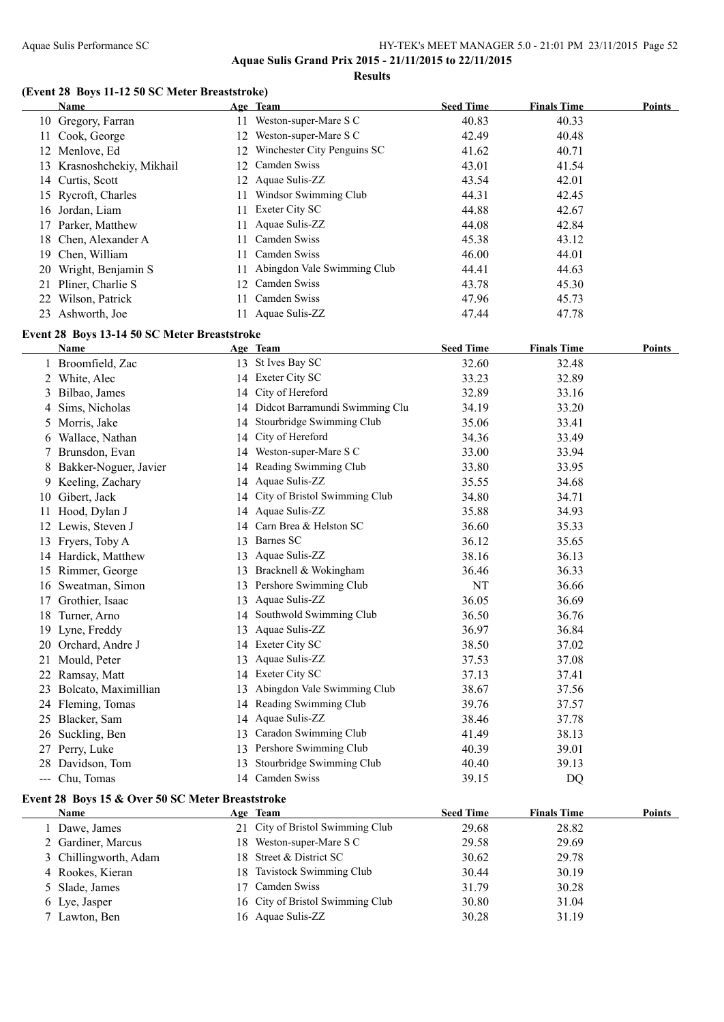**Aquae Sulis Grand Prix 2015 - 21/11/2015 to 22/11/2015**

**Results**

#### **(Event 28 Boys 11-12 50 SC Meter Breaststroke)**

|    | <b>Name</b>                                          |          | Age Team                          | <b>Seed Time</b> | <b>Finals Time</b> | Points        |
|----|------------------------------------------------------|----------|-----------------------------------|------------------|--------------------|---------------|
|    | 10 Gregory, Farran                                   |          | 11 Weston-super-Mare S C          | 40.83            | 40.33              |               |
|    | 11 Cook, George                                      |          | 12 Weston-super-Mare S C          | 42.49            | 40.48              |               |
|    | 12 Menlove, Ed                                       |          | 12 Winchester City Penguins SC    | 41.62            | 40.71              |               |
|    | 13 Krasnoshchekiy, Mikhail                           |          | 12 Camden Swiss                   | 43.01            | 41.54              |               |
|    | 14 Curtis, Scott                                     |          | 12 Aquae Sulis-ZZ                 | 43.54            | 42.01              |               |
|    | 15 Rycroft, Charles                                  |          | 11 Windsor Swimming Club          | 44.31            | 42.45              |               |
|    | 16 Jordan, Liam                                      |          | 11 Exeter City SC                 | 44.88            | 42.67              |               |
|    | 17 Parker, Matthew                                   | 11       | Aquae Sulis-ZZ                    | 44.08            | 42.84              |               |
|    | 18 Chen, Alexander A                                 |          | 11 Camden Swiss                   | 45.38            | 43.12              |               |
|    | 19 Chen, William                                     |          | 11 Camden Swiss                   | 46.00            | 44.01              |               |
|    | 20 Wright, Benjamin S                                | 11       | Abingdon Vale Swimming Club       | 44.41            | 44.63              |               |
|    | 21 Pliner, Charlie S                                 |          | 12 Camden Swiss                   | 43.78            | 45.30              |               |
|    | 22 Wilson, Patrick                                   |          | 11 Camden Swiss                   | 47.96            | 45.73              |               |
|    | 23 Ashworth, Joe                                     |          | 11 Aquae Sulis-ZZ                 | 47.44            | 47.78              |               |
|    |                                                      |          |                                   |                  |                    |               |
|    | Event 28 Boys 13-14 50 SC Meter Breaststroke<br>Name |          | Age Team                          | <b>Seed Time</b> | <b>Finals Time</b> | Points        |
|    | 1 Broomfield, Zac                                    |          | 13 St Ives Bay SC                 | 32.60            | 32.48              |               |
|    | 2 White, Alec                                        |          | 14 Exeter City SC                 | 33.23            | 32.89              |               |
| 3  | Bilbao, James                                        |          | 14 City of Hereford               | 32.89            | 33.16              |               |
| 4  | Sims, Nicholas                                       |          | 14 Didcot Barramundi Swimming Clu | 34.19            | 33.20              |               |
|    | 5 Morris, Jake                                       |          | 14 Stourbridge Swimming Club      | 35.06            | 33.41              |               |
|    | 6 Wallace, Nathan                                    |          | City of Hereford                  | 34.36            | 33.49              |               |
|    | Brunsdon, Evan                                       | 14<br>14 | Weston-super-Mare S C             | 33.00            | 33.94              |               |
| 7  |                                                      |          | 14 Reading Swimming Club          |                  |                    |               |
|    | 8 Bakker-Noguer, Javier                              |          |                                   | 33.80            | 33.95              |               |
|    | 9 Keeling, Zachary                                   |          | 14 Aquae Sulis-ZZ                 | 35.55            | 34.68              |               |
|    | 10 Gibert, Jack                                      |          | 14 City of Bristol Swimming Club  | 34.80            | 34.71              |               |
|    | 11 Hood, Dylan J                                     |          | 14 Aquae Sulis-ZZ                 | 35.88            | 34.93              |               |
|    | 12 Lewis, Steven J                                   |          | 14 Carn Brea & Helston SC         | 36.60            | 35.33              |               |
|    | 13 Fryers, Toby A                                    |          | 13 Barnes SC                      | 36.12            | 35.65              |               |
|    | 14 Hardick, Matthew                                  |          | 13 Aquae Sulis-ZZ                 | 38.16            | 36.13              |               |
|    | 15 Rimmer, George                                    |          | 13 Bracknell & Wokingham          | 36.46            | 36.33              |               |
|    | 16 Sweatman, Simon                                   |          | 13 Pershore Swimming Club         | NT               | 36.66              |               |
|    | 17 Grothier, Isaac                                   |          | 13 Aquae Sulis-ZZ                 | 36.05            | 36.69              |               |
|    | 18 Turner, Arno                                      |          | 14 Southwold Swimming Club        | 36.50            | 36.76              |               |
|    | 19 Lyne, Freddy                                      |          | 13 Aquae Sulis-ZZ                 | 36.97            | 36.84              |               |
|    | 20 Orchard, Andre J                                  |          | 14 Exeter City SC                 | 38.50            | 37.02              |               |
|    | 21 Mould, Peter                                      |          | 13 Aquae Sulis-ZZ                 | 37.53            | 37.08              |               |
|    | 22 Ramsay, Matt                                      |          | 14 Exeter City SC                 | 37.13            | 37.41              |               |
| 23 | Bolcato, Maximillian                                 |          | 13 Abingdon Vale Swimming Club    | 38.67            | 37.56              |               |
|    | 24 Fleming, Tomas                                    |          | 14 Reading Swimming Club          | 39.76            | 37.57              |               |
|    | 25 Blacker, Sam                                      |          | 14 Aquae Sulis-ZZ                 | 38.46            | 37.78              |               |
| 26 | Suckling, Ben                                        |          | 13 Caradon Swimming Club          | 41.49            | 38.13              |               |
| 27 | Perry, Luke                                          |          | 13 Pershore Swimming Club         | 40.39            | 39.01              |               |
| 28 | Davidson, Tom                                        |          | 13 Stourbridge Swimming Club      | 40.40            | 39.13              |               |
|    | --- Chu, Tomas                                       |          | 14 Camden Swiss                   | 39.15            | DQ                 |               |
|    | Event 28 Boys 15 & Over 50 SC Meter Breaststroke     |          |                                   |                  |                    |               |
|    | Name                                                 |          | Age Team                          | <b>Seed Time</b> | <b>Finals Time</b> | <b>Points</b> |
|    | 1 Dawe, James                                        | 21       | City of Bristol Swimming Club     | 29.68            | 28.82              |               |
|    | 2 Gardiner, Marcus                                   |          | 18 Weston-super-Mare S C          | 29.58            | 29.69              |               |
| 3  | Chillingworth, Adam                                  | 18       | Street & District SC              | 30.62            | 29.78              |               |
|    | 4 Rookes, Kieran                                     | 18       | Tavistock Swimming Club           | 30.44            | 30.19              |               |
| 5  | Slade, James                                         | 17       | Camden Swiss                      | 31.79            | 30.28              |               |
| 6  | Lye, Jasper                                          | 16       | City of Bristol Swimming Club     | 30.80            | 31.04              |               |
|    | 7 Lawton, Ben                                        |          | 16 Aquae Sulis-ZZ                 | 30.28            | 31.19              |               |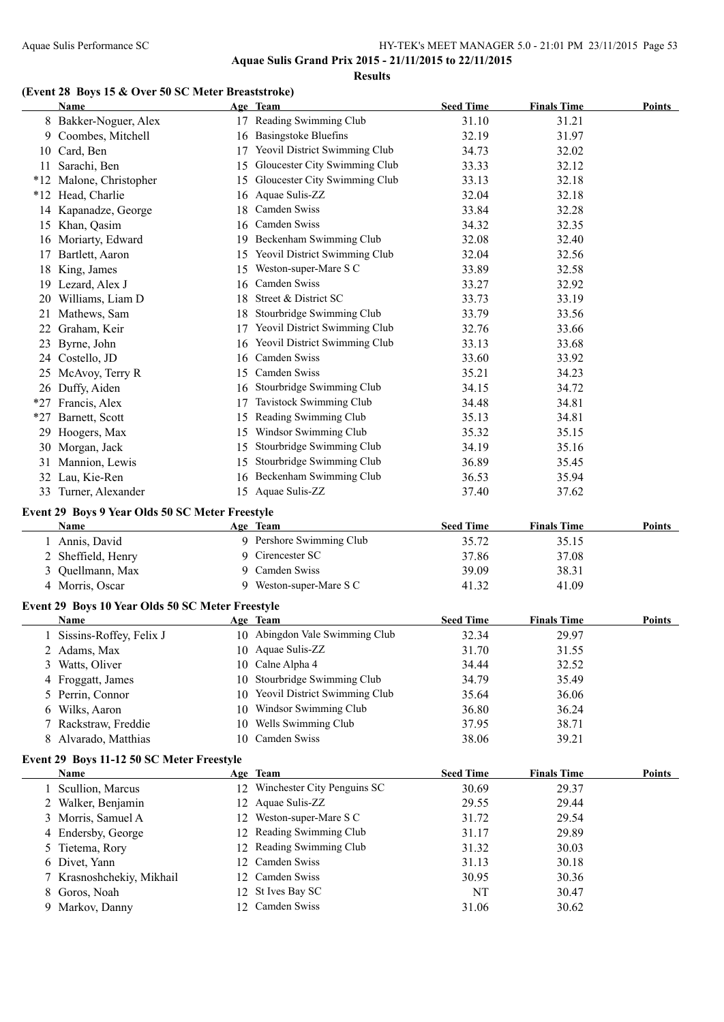#### **Results**

#### **(Event 28 Boys 15 & Over 50 SC Meter Breaststroke)**

|        | Name                                                     |    | Age Team                         | <b>Seed Time</b>   | <b>Finals Time</b> | Points        |
|--------|----------------------------------------------------------|----|----------------------------------|--------------------|--------------------|---------------|
|        | 8 Bakker-Noguer, Alex                                    |    | 17 Reading Swimming Club         | 31.10              | 31.21              |               |
|        | 9 Coombes, Mitchell                                      |    | 16 Basingstoke Bluefins          | 32.19              | 31.97              |               |
|        | 10 Card, Ben                                             |    | 17 Yeovil District Swimming Club | 34.73              | 32.02              |               |
|        | 11 Sarachi, Ben                                          |    | 15 Gloucester City Swimming Club | 33.33              | 32.12              |               |
|        | *12 Malone, Christopher                                  |    | 15 Gloucester City Swimming Club | 33.13              | 32.18              |               |
|        | *12 Head, Charlie                                        |    | 16 Aquae Sulis-ZZ                | 32.04              | 32.18              |               |
|        | 14 Kapanadze, George                                     |    | 18 Camden Swiss                  | 33.84              | 32.28              |               |
|        | 15 Khan, Qasim                                           |    | 16 Camden Swiss                  | 34.32              | 32.35              |               |
|        | 16 Moriarty, Edward                                      |    | 19 Beckenham Swimming Club       | 32.08              | 32.40              |               |
|        | 17 Bartlett, Aaron                                       |    | 15 Yeovil District Swimming Club | 32.04              | 32.56              |               |
|        |                                                          |    | 15 Weston-super-Mare S C         | 33.89              | 32.58              |               |
|        | 18 King, James                                           |    | 16 Camden Swiss                  |                    |                    |               |
|        | 19 Lezard, Alex J                                        |    | 18 Street & District SC          | 33.27              | 32.92              |               |
|        | 20 Williams, Liam D                                      |    |                                  | 33.73              | 33.19              |               |
|        | 21 Mathews, Sam                                          |    | 18 Stourbridge Swimming Club     | 33.79              | 33.56              |               |
|        | 22 Graham, Keir                                          |    | 17 Yeovil District Swimming Club | 32.76              | 33.66              |               |
|        | 23 Byrne, John                                           |    | 16 Yeovil District Swimming Club | 33.13              | 33.68              |               |
|        | 24 Costello, JD                                          |    | 16 Camden Swiss                  | 33.60              | 33.92              |               |
|        | 25 McAvoy, Terry R                                       |    | 15 Camden Swiss                  | 35.21              | 34.23              |               |
|        | 26 Duffy, Aiden                                          |    | 16 Stourbridge Swimming Club     | 34.15              | 34.72              |               |
|        | *27 Francis, Alex                                        | 17 | Tavistock Swimming Club          | 34.48              | 34.81              |               |
| $*27$  | Barnett, Scott                                           |    | 15 Reading Swimming Club         | 35.13              | 34.81              |               |
|        | 29 Hoogers, Max                                          |    | 15 Windsor Swimming Club         | 35.32              | 35.15              |               |
|        | 30 Morgan, Jack                                          |    | 15 Stourbridge Swimming Club     | 34.19              | 35.16              |               |
| 31     | Mannion, Lewis                                           |    | 15 Stourbridge Swimming Club     | 36.89              | 35.45              |               |
|        | 32 Lau, Kie-Ren                                          |    | 16 Beckenham Swimming Club       | 36.53              | 35.94              |               |
|        | 33 Turner, Alexander                                     |    | 15 Aquae Sulis-ZZ                | 37.40              | 37.62              |               |
|        | Event 29 Boys 9 Year Olds 50 SC Meter Freestyle          |    |                                  |                    |                    |               |
|        | Name                                                     |    | Age Team                         | <b>Seed Time</b>   | <b>Finals Time</b> | Points        |
|        | 1 Annis, David                                           |    | 9 Pershore Swimming Club         | 35.72              | 35.15              |               |
|        | 2 Sheffield, Henry                                       |    | 9 Cirencester SC                 | 37.86              | 37.08              |               |
|        | 3 Quellmann, Max                                         |    | 9 Camden Swiss                   | 39.09              | 38.31              |               |
|        | 4 Morris, Oscar                                          |    | 9 Weston-super-Mare S C          | 41.32              | 41.09              |               |
|        |                                                          |    |                                  |                    |                    |               |
|        | Event 29 Boys 10 Year Olds 50 SC Meter Freestyle<br>Name |    | Age Team                         | <b>Seed Time</b>   | <b>Finals Time</b> | Points        |
|        |                                                          |    | 10 Abingdon Vale Swimming Club   | 32.34              |                    |               |
|        | 1 Sissins-Roffey, Felix J                                |    | 10 Aquae Sulis-ZZ                |                    | 29.97              |               |
|        | 2 Adams, Max                                             |    |                                  | 31.70              | 31.55              |               |
| 3      | Watts, Oliver                                            | 10 | Calne Alpha 4                    | 34.44              | 32.52              |               |
|        | 4 Froggatt, James                                        | 10 | Stourbridge Swimming Club        | 34.79              | 35.49              |               |
| 5      | Perrin, Connor                                           | 10 | Yeovil District Swimming Club    | 35.64              | 36.06              |               |
| 6      | Wilks, Aaron                                             | 10 | Windsor Swimming Club            | 36.80              | 36.24              |               |
| 7      | Rackstraw, Freddie                                       | 10 | Wells Swimming Club              | 37.95              | 38.71              |               |
| 8      | Alvarado, Matthias                                       | 10 | Camden Swiss                     | 38.06              | 39.21              |               |
|        | Event 29 Boys 11-12 50 SC Meter Freestyle                |    |                                  |                    |                    |               |
|        | Name                                                     |    | Age Team                         | <b>Seed Time</b>   | <b>Finals Time</b> | <b>Points</b> |
|        | 1 Scullion, Marcus                                       |    | 12 Winchester City Penguins SC   | 30.69              | 29.37              |               |
|        | 2 Walker, Benjamin                                       | 12 | Aquae Sulis-ZZ                   | 29.55              | 29.44              |               |
| 3      | Morris, Samuel A                                         | 12 | Weston-super-Mare S C            | 31.72              | 29.54              |               |
|        | 4 Endersby, George                                       | 12 | Reading Swimming Club            | 31.17              | 29.89              |               |
| 5      | Tietema, Rory                                            |    | Reading Swimming Club            | 31.32              | 30.03              |               |
|        |                                                          | 12 |                                  |                    |                    |               |
| 6      |                                                          | 12 | Camden Swiss                     |                    |                    |               |
|        | Divet, Yann                                              | 12 | Camden Swiss                     | 31.13              | 30.18              |               |
| 7<br>8 | Krasnoshchekiy, Mikhail                                  | 12 | St Ives Bay SC                   | 30.95              | 30.36              |               |
| 9.     | Goros, Noah<br>Markov, Danny                             | 12 | Camden Swiss                     | <b>NT</b><br>31.06 | 30.47<br>30.62     |               |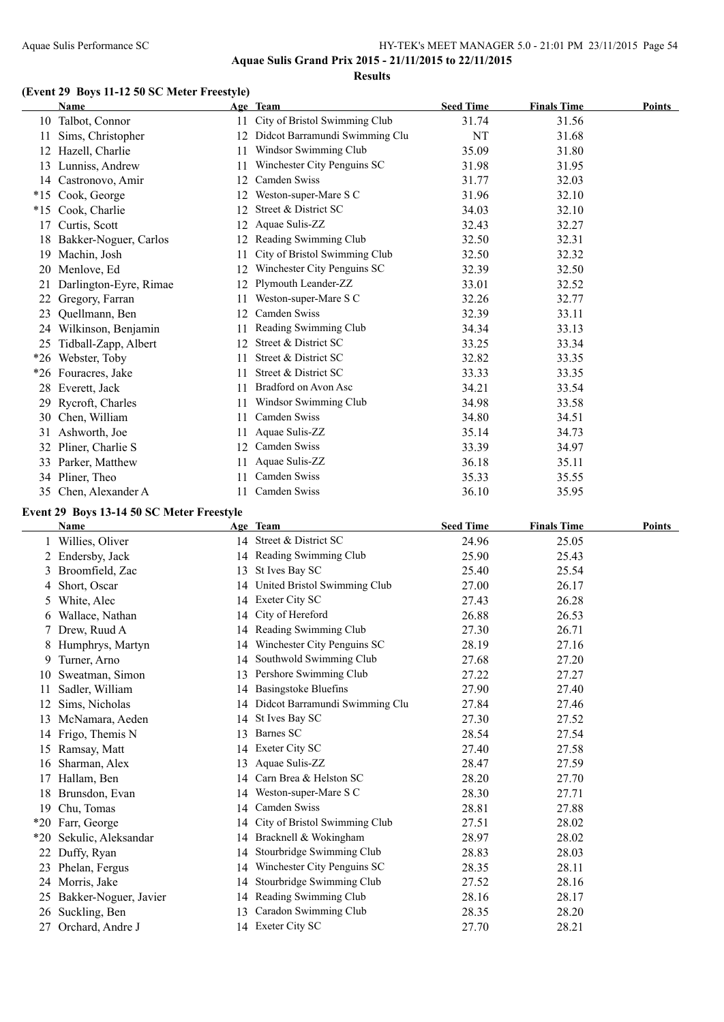#### Aquae Sulis Performance SC HY-TEK's MEET MANAGER 5.0 - 21:01 PM 23/11/2015 Page 54 **Aquae Sulis Grand Prix 2015 - 21/11/2015 to 22/11/2015 Results**

### **(Event 29 Boys 11-12 50 SC Meter Freestyle)**

|       | <b>Name</b>            |    | Age Team                       | <b>Seed Time</b> | <b>Finals Time</b> | <b>Points</b> |
|-------|------------------------|----|--------------------------------|------------------|--------------------|---------------|
|       | 10 Talbot, Connor      | 11 | City of Bristol Swimming Club  | 31.74            | 31.56              |               |
| 11    | Sims, Christopher      | 12 | Didcot Barramundi Swimming Clu | NT               | 31.68              |               |
| 12    | Hazell, Charlie        | 11 | Windsor Swimming Club          | 35.09            | 31.80              |               |
| 13    | Lunniss, Andrew        | 11 | Winchester City Penguins SC    | 31.98            | 31.95              |               |
| 14    | Castronovo, Amir       | 12 | Camden Swiss                   | 31.77            | 32.03              |               |
| $*15$ | Cook, George           | 12 | Weston-super-Mare S C          | 31.96            | 32.10              |               |
| $*15$ | Cook, Charlie          | 12 | Street & District SC           | 34.03            | 32.10              |               |
| 17    | Curtis, Scott          | 12 | Aquae Sulis-ZZ                 | 32.43            | 32.27              |               |
| 18    | Bakker-Noguer, Carlos  | 12 | Reading Swimming Club          | 32.50            | 32.31              |               |
| 19    | Machin, Josh           | 11 | City of Bristol Swimming Club  | 32.50            | 32.32              |               |
| 20    | Menlove, Ed            | 12 | Winchester City Penguins SC    | 32.39            | 32.50              |               |
| 21    | Darlington-Eyre, Rimae | 12 | Plymouth Leander-ZZ            | 33.01            | 32.52              |               |
| 22    | Gregory, Farran        | 11 | Weston-super-Mare S C          | 32.26            | 32.77              |               |
| 23    | Quellmann, Ben         | 12 | Camden Swiss                   | 32.39            | 33.11              |               |
| 24    | Wilkinson, Benjamin    | 11 | Reading Swimming Club          | 34.34            | 33.13              |               |
| 25    | Tidball-Zapp, Albert   | 12 | Street & District SC           | 33.25            | 33.34              |               |
| $*26$ | Webster, Toby          | 11 | Street & District SC           | 32.82            | 33.35              |               |
| $*26$ | Fouracres, Jake        | 11 | Street & District SC           | 33.33            | 33.35              |               |
| 28    | Everett, Jack          | 11 | Bradford on Avon Asc           | 34.21            | 33.54              |               |
| 29    | Rycroft, Charles       | 11 | Windsor Swimming Club          | 34.98            | 33.58              |               |
| 30    | Chen, William          | 11 | Camden Swiss                   | 34.80            | 34.51              |               |
| 31    | Ashworth, Joe          | 11 | Aquae Sulis-ZZ                 | 35.14            | 34.73              |               |
| 32    | Pliner, Charlie S      | 12 | Camden Swiss                   | 33.39            | 34.97              |               |
| 33    | Parker, Matthew        | 11 | Aquae Sulis-ZZ                 | 36.18            | 35.11              |               |
|       | 34 Pliner, Theo        | 11 | Camden Swiss                   | 35.33            | 35.55              |               |
| 35    | Chen, Alexander A      | 11 | Camden Swiss                   | 36.10            | 35.95              |               |
|       |                        |    |                                |                  |                    |               |

### **Event 29 Boys 13-14 50 SC Meter Freestyle**

 $\overline{a}$ 

|       | Name                  |    | Age Team                       | <b>Seed Time</b> | <b>Finals Time</b> | <b>Points</b> |
|-------|-----------------------|----|--------------------------------|------------------|--------------------|---------------|
|       | Willies, Oliver       |    | 14 Street & District SC        | 24.96            | 25.05              |               |
| 2     | Endersby, Jack        |    | 14 Reading Swimming Club       | 25.90            | 25.43              |               |
| 3     | Broomfield, Zac       | 13 | St Ives Bay SC                 | 25.40            | 25.54              |               |
| 4     | Short, Oscar          | 14 | United Bristol Swimming Club   | 27.00            | 26.17              |               |
| 5     | White, Alec           | 14 | Exeter City SC                 | 27.43            | 26.28              |               |
| 6     | Wallace, Nathan       | 14 | City of Hereford               | 26.88            | 26.53              |               |
|       | Drew, Ruud A          | 14 | Reading Swimming Club          | 27.30            | 26.71              |               |
| 8     | Humphrys, Martyn      | 14 | Winchester City Penguins SC    | 28.19            | 27.16              |               |
| 9     | Turner, Arno          | 14 | Southwold Swimming Club        | 27.68            | 27.20              |               |
| 10    | Sweatman, Simon       | 13 | Pershore Swimming Club         | 27.22            | 27.27              |               |
| 11    | Sadler, William       | 14 | <b>Basingstoke Bluefins</b>    | 27.90            | 27.40              |               |
| 12    | Sims, Nicholas        | 14 | Didcot Barramundi Swimming Clu | 27.84            | 27.46              |               |
| 13    | McNamara, Aeden       | 14 | St Ives Bay SC                 | 27.30            | 27.52              |               |
| 14    | Frigo, Themis N       | 13 | Barnes SC                      | 28.54            | 27.54              |               |
| 15    | Ramsay, Matt          | 14 | Exeter City SC                 | 27.40            | 27.58              |               |
| 16    | Sharman, Alex         | 13 | Aquae Sulis-ZZ                 | 28.47            | 27.59              |               |
| 17    | Hallam, Ben           | 14 | Carn Brea & Helston SC         | 28.20            | 27.70              |               |
| 18    | Brunsdon, Evan        | 14 | Weston-super-Mare S C          | 28.30            | 27.71              |               |
| 19    | Chu, Tomas            | 14 | Camden Swiss                   | 28.81            | 27.88              |               |
| $*20$ | Farr, George          | 14 | City of Bristol Swimming Club  | 27.51            | 28.02              |               |
| $*20$ | Sekulic, Aleksandar   | 14 | Bracknell & Wokingham          | 28.97            | 28.02              |               |
|       | Duffy, Ryan           | 14 | Stourbridge Swimming Club      | 28.83            | 28.03              |               |
| 23    | Phelan, Fergus        | 14 | Winchester City Penguins SC    | 28.35            | 28.11              |               |
|       | 24 Morris, Jake       | 14 | Stourbridge Swimming Club      | 27.52            | 28.16              |               |
| 25    | Bakker-Noguer, Javier | 14 | Reading Swimming Club          | 28.16            | 28.17              |               |
| 26    | Suckling, Ben         | 13 | Caradon Swimming Club          | 28.35            | 28.20              |               |
| 27    | Orchard, Andre J      |    | 14 Exeter City SC              | 27.70            | 28.21              |               |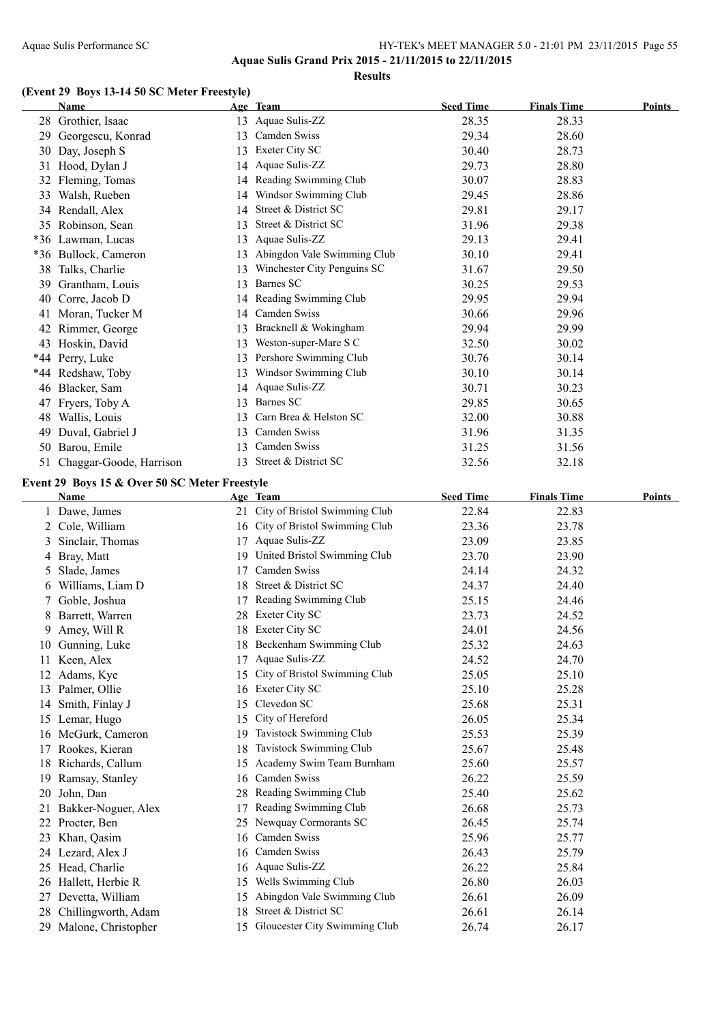**Aquae Sulis Grand Prix 2015 - 21/11/2015 to 22/11/2015**

#### **Results**

#### **(Event 29 Boys 13-14 50 SC Meter Freestyle)**

|    | <b>Name</b>                                           |     | Age Team                         | <b>Seed Time</b> | <b>Finals Time</b> | <b>Points</b> |
|----|-------------------------------------------------------|-----|----------------------------------|------------------|--------------------|---------------|
|    | 28 Grothier, Isaac                                    |     | 13 Aquae Sulis-ZZ                | 28.35            | 28.33              |               |
|    | 29 Georgescu, Konrad                                  |     | 13 Camden Swiss                  | 29.34            | 28.60              |               |
|    | 30 Day, Joseph S                                      |     | 13 Exeter City SC                | 30.40            | 28.73              |               |
|    | 31 Hood, Dylan J                                      |     | 14 Aquae Sulis-ZZ                | 29.73            | 28.80              |               |
|    | 32 Fleming, Tomas                                     |     | 14 Reading Swimming Club         | 30.07            | 28.83              |               |
|    | 33 Walsh, Rueben                                      |     | 14 Windsor Swimming Club         | 29.45            | 28.86              |               |
|    | 34 Rendall, Alex                                      |     | 14 Street & District SC          | 29.81            | 29.17              |               |
|    | 35 Robinson, Sean                                     |     | 13 Street & District SC          | 31.96            | 29.38              |               |
|    | *36 Lawman, Lucas                                     |     | 13 Aquae Sulis-ZZ                | 29.13            | 29.41              |               |
|    | *36 Bullock, Cameron                                  |     | 13 Abingdon Vale Swimming Club   | 30.10            | 29.41              |               |
|    | 38 Talks, Charlie                                     |     | 13 Winchester City Penguins SC   | 31.67            | 29.50              |               |
|    | 39 Grantham, Louis                                    |     | 13 Barnes SC                     | 30.25            | 29.53              |               |
|    | 40 Corre, Jacob D                                     |     | 14 Reading Swimming Club         | 29.95            | 29.94              |               |
|    | 41 Moran, Tucker M                                    |     | 14 Camden Swiss                  | 30.66            | 29.96              |               |
|    | 42 Rimmer, George                                     |     | 13 Bracknell & Wokingham         | 29.94            | 29.99              |               |
|    | 43 Hoskin, David                                      |     | 13 Weston-super-Mare S C         | 32.50            | 30.02              |               |
|    | *44 Perry, Luke                                       |     | 13 Pershore Swimming Club        | 30.76            | 30.14              |               |
|    | *44 Redshaw, Toby                                     |     | 13 Windsor Swimming Club         | 30.10            | 30.14              |               |
|    | 46 Blacker, Sam                                       |     | 14 Aquae Sulis-ZZ                | 30.71            | 30.23              |               |
|    | 47 Fryers, Toby A                                     |     | 13 Barnes SC                     | 29.85            | 30.65              |               |
|    | 48 Wallis, Louis                                      | 13  | Carn Brea & Helston SC           | 32.00            | 30.88              |               |
|    | 49 Duval, Gabriel J                                   | 13  | Camden Swiss                     | 31.96            | 31.35              |               |
|    | 50 Barou, Emile                                       | 13  | Camden Swiss                     | 31.25            | 31.56              |               |
|    | 51 Chaggar-Goode, Harrison                            | 13  | Street & District SC             | 32.56            | 32.18              |               |
|    |                                                       |     |                                  |                  |                    |               |
|    | Event 29 Boys 15 & Over 50 SC Meter Freestyle<br>Name |     | Age Team                         | <b>Seed Time</b> | <b>Finals Time</b> | Points        |
|    | 1 Dawe, James                                         |     | 21 City of Bristol Swimming Club | 22.84            | 22.83              |               |
|    | 2 Cole, William                                       |     | 16 City of Bristol Swimming Club | 23.36            | 23.78              |               |
| 3  | Sinclair, Thomas                                      |     | 17 Aquae Sulis-ZZ                | 23.09            | 23.85              |               |
|    | 4 Bray, Matt                                          |     | 19 United Bristol Swimming Club  | 23.70            | 23.90              |               |
| 5  | Slade, James                                          |     | 17 Camden Swiss                  | 24.14            | 24.32              |               |
| 6  | Williams, Liam D                                      | 18  | Street & District SC             | 24.37            | 24.40              |               |
| 7  | Goble, Joshua                                         |     | 17 Reading Swimming Club         | 25.15            | 24.46              |               |
|    | Barrett, Warren                                       |     | 28 Exeter City SC                | 23.73            | 24.52              |               |
|    | 9 Amey, Will R                                        |     | 18 Exeter City SC                | 24.01            | 24.56              |               |
|    | 10 Gunning, Luke                                      |     | 18 Beckenham Swimming Club       | 25.32            | 24.63              |               |
|    | 11 Keen, Alex                                         | 17  | Aquae Sulis-ZZ                   | 24.52            | 24.70              |               |
|    | 12 Adams, Kye                                         | 15  | City of Bristol Swimming Club    | 25.05            | 25.10              |               |
|    | 13 Palmer, Ollie                                      | 16  | Exeter City SC                   | 25.10            | 25.28              |               |
|    | 14 Smith, Finlay J                                    | 15  | Clevedon SC                      | 25.68            | 25.31              |               |
|    | 15 Lemar, Hugo                                        | 15  | City of Hereford                 | 26.05            | 25.34              |               |
|    | 16 McGurk, Cameron                                    | 19. | Tavistock Swimming Club          | 25.53            | 25.39              |               |
| 17 | Rookes, Kieran                                        | 18  | Tavistock Swimming Club          | 25.67            | 25.48              |               |
|    | 18 Richards, Callum                                   | 15  | Academy Swim Team Burnham        | 25.60            | 25.57              |               |
| 19 | Ramsay, Stanley                                       | 16  | Camden Swiss                     | 26.22            | 25.59              |               |
| 20 | John, Dan                                             | 28  | Reading Swimming Club            | 25.40            | 25.62              |               |
| 21 | Bakker-Noguer, Alex                                   | 17  | Reading Swimming Club            | 26.68            | 25.73              |               |
| 22 | Procter, Ben                                          | 25  | Newquay Cormorants SC            | 26.45            | 25.74              |               |
|    | Khan, Qasim                                           | 16  | Camden Swiss                     | 25.96            | 25.77              |               |
| 23 | 24 Lezard, Alex J                                     | 16  | Camden Swiss                     | 26.43            | 25.79              |               |
| 25 | Head, Charlie                                         | 16  | Aquae Sulis-ZZ                   | 26.22            | 25.84              |               |
| 26 | Hallett, Herbie R                                     | 15  | Wells Swimming Club              | 26.80            | 26.03              |               |
| 27 | Devetta, William                                      | 15  | Abingdon Vale Swimming Club      | 26.61            | 26.09              |               |
|    | 28 Chillingworth, Adam                                | 18  | Street & District SC             | 26.61            | 26.14              |               |
|    | 29 Malone, Christopher                                |     | 15 Gloucester City Swimming Club | 26.74            | 26.17              |               |
|    |                                                       |     |                                  |                  |                    |               |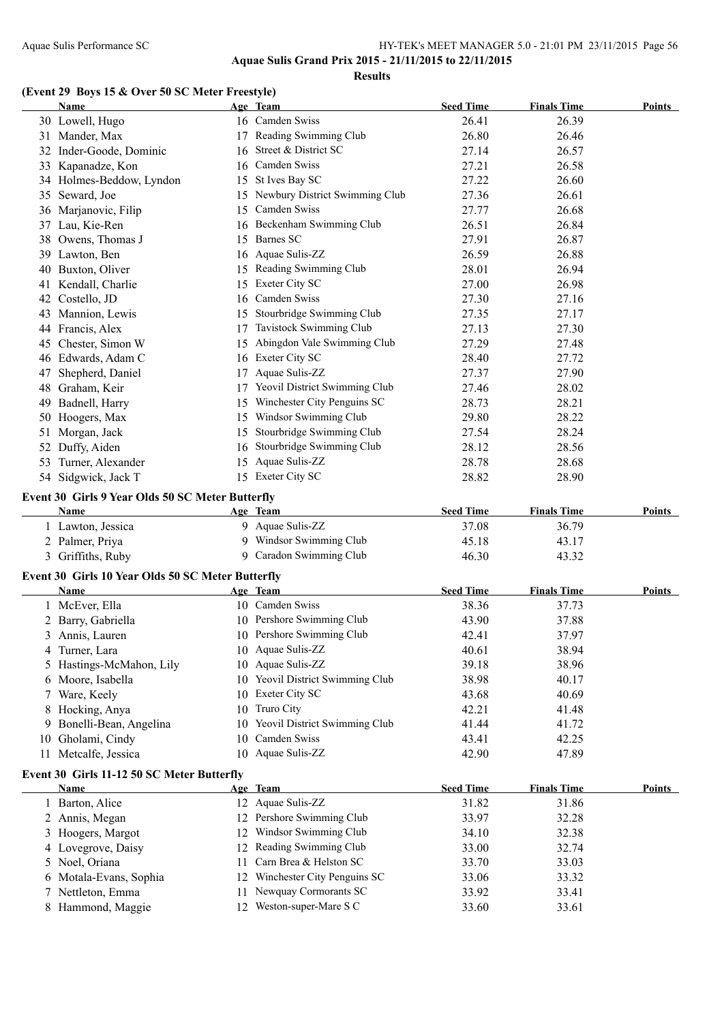**Results**

### **(Event 29 Boys 15 & Over 50 SC Meter Freestyle)**

|    | <b>Name</b>                                       |    | Age Team                                          | <b>Seed Time</b> | <b>Finals Time</b> | Points        |
|----|---------------------------------------------------|----|---------------------------------------------------|------------------|--------------------|---------------|
|    | 30 Lowell, Hugo                                   |    | 16 Camden Swiss                                   | 26.41            | 26.39              |               |
|    | 31 Mander, Max                                    |    | 17 Reading Swimming Club                          | 26.80            | 26.46              |               |
|    | 32 Inder-Goode, Dominic                           |    | 16 Street & District SC                           | 27.14            | 26.57              |               |
|    | 33 Kapanadze, Kon                                 |    | 16 Camden Swiss                                   | 27.21            | 26.58              |               |
|    | 34 Holmes-Beddow, Lyndon                          |    | 15 St Ives Bay SC                                 | 27.22            | 26.60              |               |
|    | 35 Seward, Joe                                    |    | 15 Newbury District Swimming Club                 | 27.36            | 26.61              |               |
|    | 36 Marjanovic, Filip                              |    | 15 Camden Swiss                                   | 27.77            | 26.68              |               |
|    | 37 Lau, Kie-Ren                                   |    | 16 Beckenham Swimming Club                        | 26.51            | 26.84              |               |
|    | 38 Owens, Thomas J                                |    | 15 Barnes SC                                      | 27.91            | 26.87              |               |
|    | 39 Lawton, Ben                                    |    | 16 Aquae Sulis-ZZ                                 | 26.59            | 26.88              |               |
|    | 40 Buxton, Oliver                                 |    | 15 Reading Swimming Club                          | 28.01            | 26.94              |               |
|    | 41 Kendall, Charlie                               |    | 15 Exeter City SC                                 | 27.00            | 26.98              |               |
|    | 42 Costello, JD                                   |    | 16 Camden Swiss                                   | 27.30            | 27.16              |               |
|    | 43 Mannion, Lewis                                 |    | 15 Stourbridge Swimming Club                      | 27.35            | 27.17              |               |
|    | 44 Francis, Alex                                  |    | 17 Tavistock Swimming Club                        | 27.13            | 27.30              |               |
|    | 45 Chester, Simon W                               |    | 15 Abingdon Vale Swimming Club                    | 27.29            | 27.48              |               |
|    | 46 Edwards, Adam C                                |    | 16 Exeter City SC                                 | 28.40            | 27.72              |               |
| 47 | Shepherd, Daniel                                  |    | 17 Aquae Sulis-ZZ                                 | 27.37            | 27.90              |               |
|    | 48 Graham, Keir                                   |    | 17 Yeovil District Swimming Club                  | 27.46            | 28.02              |               |
|    |                                                   |    | 15 Winchester City Penguins SC                    | 28.73            | 28.21              |               |
|    | 49 Badnell, Harry                                 |    | 15 Windsor Swimming Club                          |                  |                    |               |
|    | 50 Hoogers, Max                                   |    | 15 Stourbridge Swimming Club                      | 29.80            | 28.22              |               |
| 51 | Morgan, Jack                                      |    | 16 Stourbridge Swimming Club                      | 27.54            | 28.24              |               |
|    | 52 Duffy, Aiden                                   |    |                                                   | 28.12            | 28.56              |               |
|    | 53 Turner, Alexander                              |    | 15 Aquae Sulis-ZZ                                 | 28.78            | 28.68              |               |
|    | 54 Sidgwick, Jack T                               |    | 15 Exeter City SC                                 | 28.82            | 28.90              |               |
|    | Event 30 Girls 9 Year Olds 50 SC Meter Butterfly  |    |                                                   |                  |                    |               |
|    | Name                                              |    | Age Team                                          | <b>Seed Time</b> | <b>Finals Time</b> | Points        |
|    | 1 Lawton, Jessica                                 |    | 9 Aquae Sulis-ZZ                                  | 37.08            | 36.79              |               |
|    | 2 Palmer, Priya                                   |    | 9 Windsor Swimming Club                           | 45.18            | 43.17              |               |
|    | 3 Griffiths, Ruby                                 |    | 9 Caradon Swimming Club                           | 46.30            | 43.32              |               |
|    | Event 30 Girls 10 Year Olds 50 SC Meter Butterfly |    |                                                   |                  |                    |               |
|    | Name                                              |    | Age Team                                          | <b>Seed Time</b> | <b>Finals Time</b> | Points        |
|    | 1 McEver, Ella                                    |    | 10 Camden Swiss                                   | 38.36            | 37.73              |               |
|    | 2 Barry, Gabriella                                |    | 10 Pershore Swimming Club                         | 43.90            | 37.88              |               |
|    | 3 Annis, Lauren                                   |    | 10 Pershore Swimming Club                         | 42.41            | 37.97              |               |
|    | 4 Turner, Lara                                    |    | 10 Aquae Sulis-ZZ                                 | 40.61            | 38.94              |               |
|    | 5 Hastings-McMahon, Lily                          |    | 10 Aquae Sulis-ZZ                                 | 39.18            | 38.96              |               |
|    | 6 Moore, Isabella                                 |    | 10 Yeovil District Swimming Club                  | 38.98            | 40.17              |               |
|    | 7 Ware, Keely                                     |    | 10 Exeter City SC                                 | 43.68            | 40.69              |               |
|    | 8 Hocking, Anya                                   | 10 | Truro City                                        | 42.21            | 41.48              |               |
| 9. | Bonelli-Bean, Angelina                            | 10 | Yeovil District Swimming Club                     | 41.44            | 41.72              |               |
|    | 10 Gholami, Cindy                                 | 10 | Camden Swiss                                      | 43.41            | 42.25              |               |
|    | 11 Metcalfe, Jessica                              |    | 10 Aquae Sulis-ZZ                                 | 42.90            | 47.89              |               |
|    |                                                   |    |                                                   |                  |                    |               |
|    | Event 30 Girls 11-12 50 SC Meter Butterfly        |    |                                                   |                  |                    |               |
|    | <b>Name</b>                                       |    | Age Team                                          | <b>Seed Time</b> | <b>Finals Time</b> | <b>Points</b> |
|    | 1 Barton, Alice                                   |    | 12 Aquae Sulis-ZZ                                 | 31.82            | 31.86              |               |
|    | 2 Annis, Megan                                    |    | 12 Pershore Swimming Club                         | 33.97            | 32.28              |               |
|    | 3 Hoogers, Margot                                 |    | 12 Windsor Swimming Club                          | 34.10            | 32.38              |               |
|    | 4 Lovegrove, Daisy                                |    | 12 Reading Swimming Club                          | 33.00            | 32.74              |               |
|    | 5 Noel, Oriana                                    | 11 | Carn Brea & Helston SC                            | 33.70            | 33.03              |               |
|    | 6 Motala-Evans, Sophia                            | 12 | Winchester City Penguins SC                       | 33.06            | 33.32              |               |
|    |                                                   |    |                                                   |                  |                    |               |
|    | 7 Nettleton, Emma<br>8 Hammond, Maggie            | 11 | Newquay Cormorants SC<br>12 Weston-super-Mare S C | 33.92<br>33.60   | 33.41<br>33.61     |               |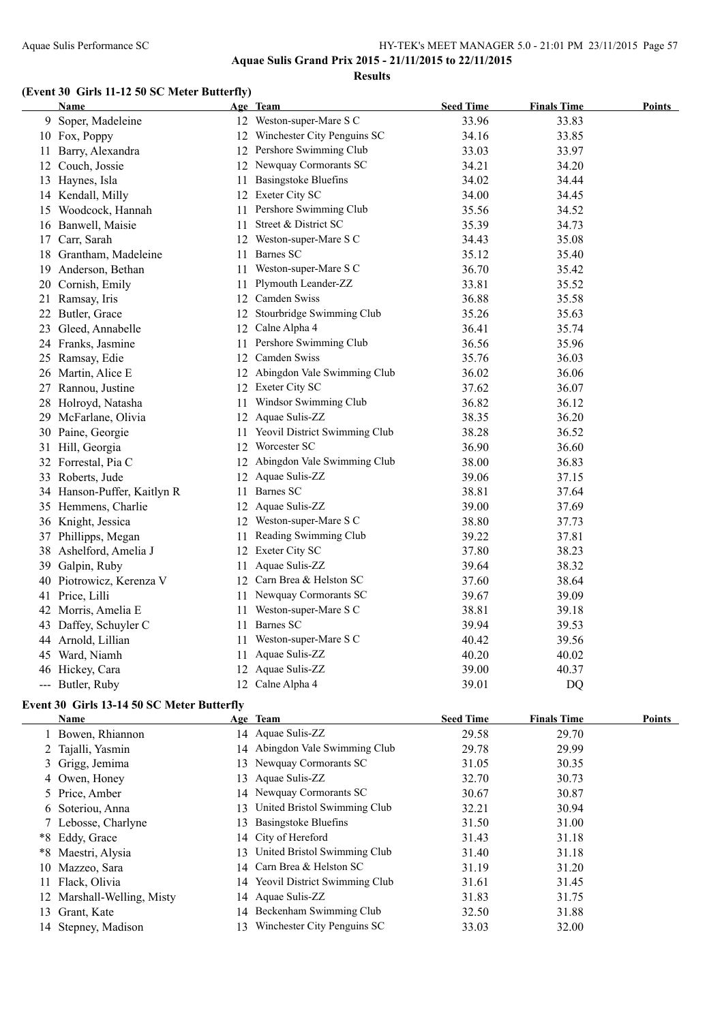### Aquae Sulis Performance SC HY-TEK's MEET MANAGER 5.0 - 21:01 PM 23/11/2015 Page 57 **Aquae Sulis Grand Prix 2015 - 21/11/2015 to 22/11/2015**

**Results**

#### **(Event 30 Girls 11-12 50 SC Meter Butterfly)**

| Name                        |     | Age Team                         | <b>Seed Time</b> | <b>Finals Time</b> | <b>Points</b> |
|-----------------------------|-----|----------------------------------|------------------|--------------------|---------------|
| 9 Soper, Madeleine          |     | 12 Weston-super-Mare S C         | 33.96            | 33.83              |               |
| 10 Fox, Poppy               |     | 12 Winchester City Penguins SC   | 34.16            | 33.85              |               |
| 11 Barry, Alexandra         |     | 12 Pershore Swimming Club        | 33.03            | 33.97              |               |
| 12 Couch, Jossie            |     | 12 Newquay Cormorants SC         | 34.21            | 34.20              |               |
| 13 Haynes, Isla             | 11  | <b>Basingstoke Bluefins</b>      | 34.02            | 34.44              |               |
| 14 Kendall, Milly           |     | 12 Exeter City SC                | 34.00            | 34.45              |               |
| 15 Woodcock, Hannah         |     | 11 Pershore Swimming Club        | 35.56            | 34.52              |               |
| 16 Banwell, Maisie          | 11  | Street & District SC             | 35.39            | 34.73              |               |
| 17 Carr, Sarah              |     | 12 Weston-super-Mare S C         | 34.43            | 35.08              |               |
| 18 Grantham, Madeleine      |     | 11 Barnes SC                     | 35.12            | 35.40              |               |
| 19 Anderson, Bethan         |     | 11 Weston-super-Mare S C         | 36.70            | 35.42              |               |
| 20 Cornish, Emily           | 11  | Plymouth Leander-ZZ              | 33.81            | 35.52              |               |
| 21 Ramsay, Iris             |     | 12 Camden Swiss                  | 36.88            | 35.58              |               |
| 22 Butler, Grace            |     | 12 Stourbridge Swimming Club     | 35.26            | 35.63              |               |
| 23 Gleed, Annabelle         |     | 12 Calne Alpha 4                 | 36.41            | 35.74              |               |
| 24 Franks, Jasmine          |     | 11 Pershore Swimming Club        | 36.56            | 35.96              |               |
| 25 Ramsay, Edie             |     | 12 Camden Swiss                  | 35.76            | 36.03              |               |
| 26 Martin, Alice E          |     | 12 Abingdon Vale Swimming Club   | 36.02            | 36.06              |               |
| 27 Rannou, Justine          |     | 12 Exeter City SC                | 37.62            | 36.07              |               |
| 28 Holroyd, Natasha         | 11. | Windsor Swimming Club            | 36.82            | 36.12              |               |
| 29 McFarlane, Olivia        |     | 12 Aquae Sulis-ZZ                | 38.35            | 36.20              |               |
| 30 Paine, Georgie           |     | 11 Yeovil District Swimming Club | 38.28            | 36.52              |               |
| 31 Hill, Georgia            |     | 12 Worcester SC                  | 36.90            | 36.60              |               |
| 32 Forrestal, Pia C         |     | 12 Abingdon Vale Swimming Club   | 38.00            | 36.83              |               |
| 33 Roberts, Jude            |     | 12 Aquae Sulis-ZZ                | 39.06            | 37.15              |               |
| 34 Hanson-Puffer, Kaitlyn R |     | 11 Barnes SC                     | 38.81            | 37.64              |               |
| 35 Hemmens, Charlie         |     | 12 Aquae Sulis-ZZ                | 39.00            | 37.69              |               |
| 36 Knight, Jessica          |     | 12 Weston-super-Mare S C         | 38.80            | 37.73              |               |
| 37 Phillipps, Megan         | 11  | Reading Swimming Club            | 39.22            | 37.81              |               |
| 38 Ashelford, Amelia J      |     | 12 Exeter City SC                | 37.80            | 38.23              |               |
| 39 Galpin, Ruby             | 11  | Aquae Sulis-ZZ                   | 39.64            | 38.32              |               |
| 40 Piotrowicz, Kerenza V    |     | 12 Carn Brea & Helston SC        | 37.60            | 38.64              |               |
| 41 Price, Lilli             |     | 11 Newquay Cormorants SC         | 39.67            | 39.09              |               |
| 42 Morris, Amelia E         |     | 11 Weston-super-Mare S C         | 38.81            | 39.18              |               |
| 43 Daffey, Schuyler C       |     | 11 Barnes SC                     | 39.94            | 39.53              |               |
| 44 Arnold, Lillian          | 11  | Weston-super-Mare S C            | 40.42            | 39.56              |               |
| 45 Ward, Niamh              | 11  | Aquae Sulis-ZZ                   | 40.20            | 40.02              |               |
| 46 Hickey, Cara             |     | 12 Aquae Sulis-ZZ                | 39.00            | 40.37              |               |
| --- Butler, Ruby            |     | 12 Calne Alpha 4                 | 39.01            | DQ                 |               |

#### **Event 30 Girls 13-14 50 SC Meter Butterfly**

| Name                       |     | Age Team                         | <b>Seed Time</b> | <b>Finals Time</b> | <b>Points</b> |
|----------------------------|-----|----------------------------------|------------------|--------------------|---------------|
| Bowen, Rhiannon            |     | 14 Aquae Sulis-ZZ                | 29.58            | 29.70              |               |
| 2 Tajalli, Yasmin          | 14  | Abingdon Vale Swimming Club      | 29.78            | 29.99              |               |
| 3 Grigg, Jemima            |     | 13 Newquay Cormorants SC         | 31.05            | 30.35              |               |
| 4 Owen, Honey              | 13. | Aquae Sulis-ZZ                   | 32.70            | 30.73              |               |
| 5 Price, Amber             |     | 14 Newquay Cormorants SC         | 30.67            | 30.87              |               |
| 6 Soteriou, Anna           | 13  | United Bristol Swimming Club     | 32.21            | 30.94              |               |
| 7 Lebosse, Charlyne        | 13. | <b>Basingstoke Bluefins</b>      | 31.50            | 31.00              |               |
| *8 Eddy, Grace             |     | 14 City of Hereford              | 31.43            | 31.18              |               |
| *8 Maestri, Alysia         | 13. | United Bristol Swimming Club     | 31.40            | 31.18              |               |
| 10 Mazzeo, Sara            |     | 14 Carn Brea & Helston SC        | 31.19            | 31.20              |               |
| 11 Flack, Olivia           |     | 14 Yeovil District Swimming Club | 31.61            | 31.45              |               |
| 12 Marshall-Welling, Misty |     | 14 Aquae Sulis-ZZ                | 31.83            | 31.75              |               |
| 13 Grant, Kate             |     | 14 Beckenham Swimming Club       | 32.50            | 31.88              |               |
| 14 Stepney, Madison        | 13. | Winchester City Penguins SC      | 33.03            | 32.00              |               |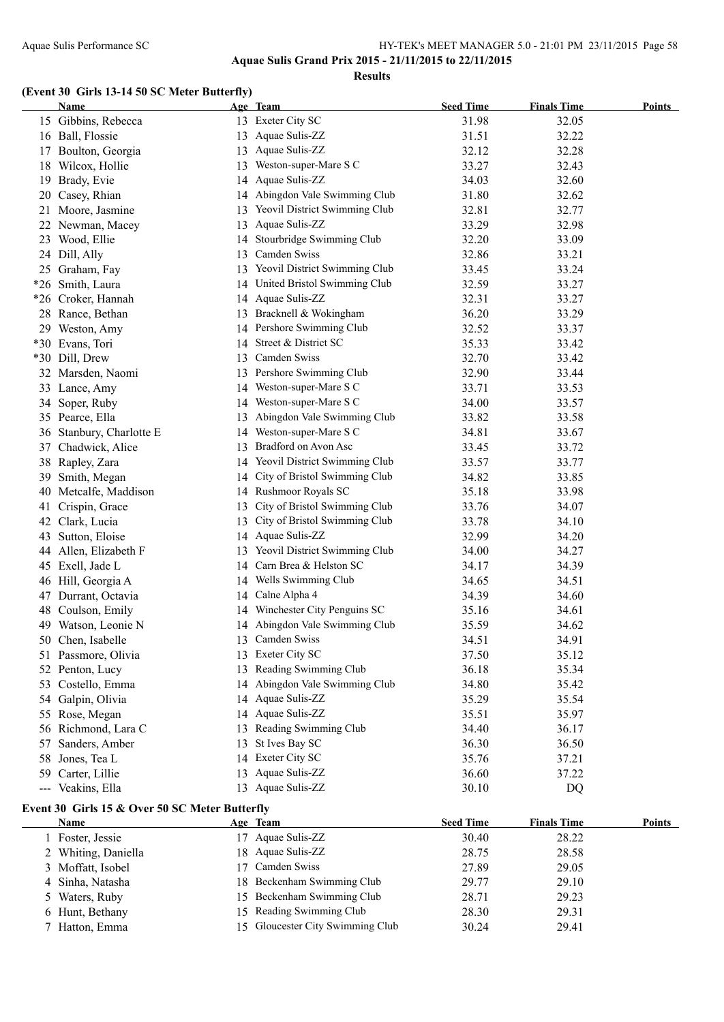**Aquae Sulis Grand Prix 2015 - 21/11/2015 to 22/11/2015**

**Results**

### **(Event 30 Girls 13-14 50 SC Meter Butterfly)**

|    | Name                                           |    | Age Team                         | <b>Seed Time</b> | <b>Finals Time</b> | Points        |
|----|------------------------------------------------|----|----------------------------------|------------------|--------------------|---------------|
|    | 15 Gibbins, Rebecca                            |    | 13 Exeter City SC                | 31.98            | 32.05              |               |
|    | 16 Ball, Flossie                               | 13 | Aquae Sulis-ZZ                   | 31.51            | 32.22              |               |
|    | 17 Boulton, Georgia                            | 13 | Aquae Sulis-ZZ                   | 32.12            | 32.28              |               |
|    | 18 Wilcox, Hollie                              | 13 | Weston-super-Mare S C            | 33.27            | 32.43              |               |
|    | 19 Brady, Evie                                 | 14 | Aquae Sulis-ZZ                   | 34.03            | 32.60              |               |
|    | 20 Casey, Rhian                                | 14 | Abingdon Vale Swimming Club      | 31.80            | 32.62              |               |
| 21 | Moore, Jasmine                                 |    | Yeovil District Swimming Club    | 32.81            | 32.77              |               |
|    | 22 Newman, Macey                               | 13 | Aquae Sulis-ZZ                   | 33.29            | 32.98              |               |
|    | 23 Wood, Ellie                                 | 14 | Stourbridge Swimming Club        | 32.20            | 33.09              |               |
|    | 24 Dill, Ally                                  | 13 | Camden Swiss                     | 32.86            | 33.21              |               |
|    | 25 Graham, Fay                                 | 13 | Yeovil District Swimming Club    | 33.45            | 33.24              |               |
|    | *26 Smith, Laura                               | 14 | United Bristol Swimming Club     | 32.59            | 33.27              |               |
|    | *26 Croker, Hannah                             | 14 | Aquae Sulis-ZZ                   | 32.31            | 33.27              |               |
|    | 28 Rance, Bethan                               | 13 | Bracknell & Wokingham            | 36.20            | 33.29              |               |
|    | 29 Weston, Amy                                 | 14 | Pershore Swimming Club           | 32.52            | 33.37              |               |
|    | *30 Evans, Tori                                | 14 | Street & District SC             | 35.33            | 33.42              |               |
|    | *30 Dill, Drew                                 | 13 | Camden Swiss                     | 32.70            | 33.42              |               |
|    | 32 Marsden, Naomi                              |    | 13 Pershore Swimming Club        | 32.90            | 33.44              |               |
|    | 33 Lance, Amy                                  |    | 14 Weston-super-Mare S C         | 33.71            | 33.53              |               |
|    | 34 Soper, Ruby                                 |    | 14 Weston-super-Mare S C         | 34.00            | 33.57              |               |
|    | 35 Pearce, Ella                                | 13 | Abingdon Vale Swimming Club      | 33.82            | 33.58              |               |
|    | 36 Stanbury, Charlotte E                       |    | 14 Weston-super-Mare S C         | 34.81            | 33.67              |               |
|    | 37 Chadwick, Alice                             | 13 | Bradford on Avon Asc             | 33.45            | 33.72              |               |
|    | 38 Rapley, Zara                                |    | 14 Yeovil District Swimming Club | 33.57            | 33.77              |               |
| 39 | Smith, Megan                                   | 14 | City of Bristol Swimming Club    | 34.82            | 33.85              |               |
|    | 40 Metcalfe, Maddison                          |    | 14 Rushmoor Royals SC            | 35.18            | 33.98              |               |
| 41 | Crispin, Grace                                 | 13 | City of Bristol Swimming Club    | 33.76            | 34.07              |               |
|    | 42 Clark, Lucia                                | 13 | City of Bristol Swimming Club    | 33.78            | 34.10              |               |
|    | 43 Sutton, Eloise                              | 14 | Aquae Sulis-ZZ                   | 32.99            | 34.20              |               |
|    | 44 Allen, Elizabeth F                          |    | 13 Yeovil District Swimming Club | 34.00            | 34.27              |               |
|    | 45 Exell, Jade L                               | 14 | Carn Brea & Helston SC           | 34.17            | 34.39              |               |
|    | 46 Hill, Georgia A                             | 14 | Wells Swimming Club              | 34.65            | 34.51              |               |
|    | 47 Durrant, Octavia                            | 14 | Calne Alpha 4                    | 34.39            | 34.60              |               |
|    | 48 Coulson, Emily                              | 14 | Winchester City Penguins SC      | 35.16            | 34.61              |               |
|    | 49 Watson, Leonie N                            | 14 | Abingdon Vale Swimming Club      | 35.59            | 34.62              |               |
|    | 50 Chen, Isabelle                              |    | 13 Camden Swiss                  | 34.51            | 34.91              |               |
|    | 51 Passmore, Olivia                            |    | 13 Exeter City SC                | 37.50            | 35.12              |               |
|    | 52 Penton, Lucy                                | 13 | Reading Swimming Club            | 36.18            | 35.34              |               |
|    | 53 Costello, Emma                              | 14 | Abingdon Vale Swimming Club      | 34.80            | 35.42              |               |
|    | 54 Galpin, Olivia                              | 14 | Aquae Sulis-ZZ                   | 35.29            | 35.54              |               |
|    | 55 Rose, Megan                                 | 14 | Aquae Sulis-ZZ                   | 35.51            | 35.97              |               |
|    | 56 Richmond, Lara C                            |    | Reading Swimming Club            | 34.40            | 36.17              |               |
|    | Sanders, Amber                                 |    | St Ives Bay SC                   | 36.30            | 36.50              |               |
| 57 |                                                | 13 | 14 Exeter City SC                |                  |                    |               |
|    | 58 Jones, Tea L                                |    | Aquae Sulis-ZZ                   | 35.76            | 37.21              |               |
|    | 59 Carter, Lillie                              | 13 | 13 Aquae Sulis-ZZ                | 36.60            | 37.22              |               |
|    | --- Veakins, Ella                              |    |                                  | 30.10            | DQ                 |               |
|    | Event 30 Girls 15 & Over 50 SC Meter Butterfly |    |                                  |                  |                    |               |
|    | <b>Name</b>                                    |    | Age Team                         | <b>Seed Time</b> | <b>Finals Time</b> | <b>Points</b> |

| Name                | Age Team                         | <b>Seed Time</b> | <b>Finals Time</b> | Points |
|---------------------|----------------------------------|------------------|--------------------|--------|
| 1 Foster, Jessie    | 17 Aquae Sulis-ZZ                | 30.40            | 28.22              |        |
| 2 Whiting, Daniella | 18 Aquae Sulis-ZZ                | 28.75            | 28.58              |        |
| 3 Moffatt, Isobel   | 17 Camden Swiss                  | 27.89            | 29.05              |        |
| 4 Sinha, Natasha    | 18 Beckenham Swimming Club       | 29.77            | 29.10              |        |
| 5 Waters, Ruby      | 15 Beckenham Swimming Club       | 28.71            | 29.23              |        |
| 6 Hunt, Bethany     | 15 Reading Swimming Club         | 28.30            | 29.31              |        |
| 7 Hatton, Emma      | 15 Gloucester City Swimming Club | 30.24            | 29.41              |        |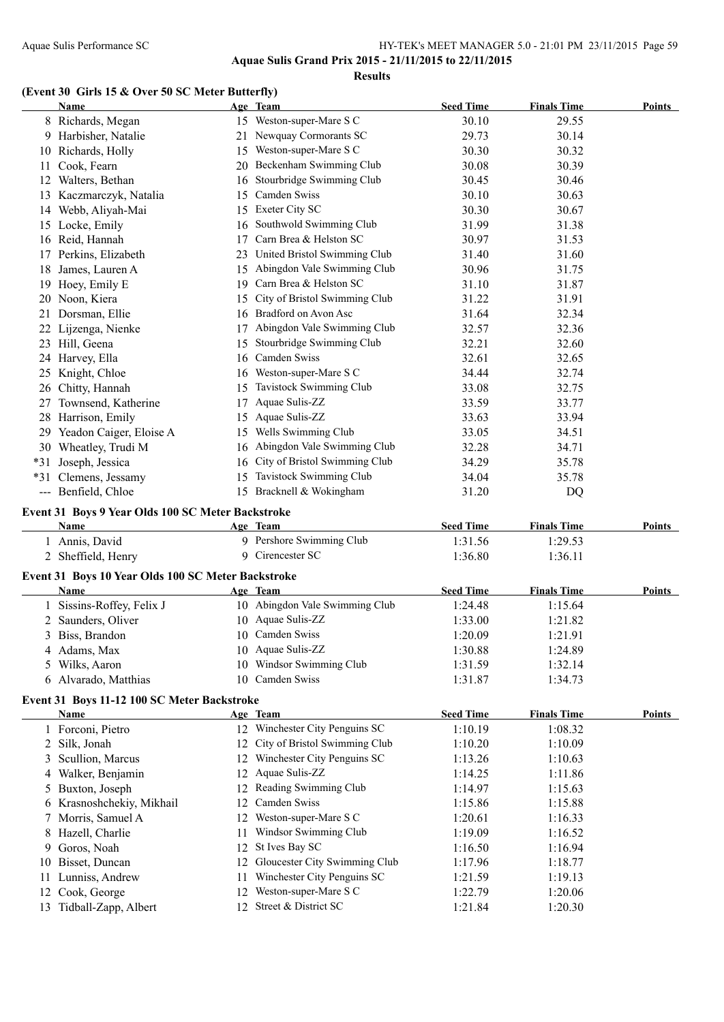**Results**

#### **(Event 30 Girls 15 & Over 50 SC Meter Butterfly)**

|    | Guis 13 & Over 30 SC meter Butterny<br><b>Name</b> |    | Age Team                                     | <b>Seed Time</b>   | <b>Finals Time</b> | Points        |
|----|----------------------------------------------------|----|----------------------------------------------|--------------------|--------------------|---------------|
|    | 8 Richards, Megan                                  |    | 15 Weston-super-Mare S C                     | 30.10              | 29.55              |               |
|    | 9 Harbisher, Natalie                               |    | 21 Newquay Cormorants SC                     | 29.73              | 30.14              |               |
|    | 10 Richards, Holly                                 |    | 15 Weston-super-Mare S C                     | 30.30              | 30.32              |               |
|    | 11 Cook, Fearn                                     |    | 20 Beckenham Swimming Club                   | 30.08              | 30.39              |               |
|    | 12 Walters, Bethan                                 |    | 16 Stourbridge Swimming Club                 | 30.45              | 30.46              |               |
|    | 13 Kaczmarczyk, Natalia                            | 15 | Camden Swiss                                 | 30.10              | 30.63              |               |
|    | 14 Webb, Aliyah-Mai                                |    | 15 Exeter City SC                            | 30.30              | 30.67              |               |
|    | 15 Locke, Emily                                    |    | 16 Southwold Swimming Club                   | 31.99              | 31.38              |               |
|    | 16 Reid, Hannah                                    | 17 | Carn Brea & Helston SC                       | 30.97              | 31.53              |               |
|    | 17 Perkins, Elizabeth                              |    | 23 United Bristol Swimming Club              | 31.40              | 31.60              |               |
|    | 18 James, Lauren A                                 |    | 15 Abingdon Vale Swimming Club               | 30.96              | 31.75              |               |
|    | 19 Hoey, Emily E                                   |    | 19 Carn Brea & Helston SC                    | 31.10              | 31.87              |               |
|    | 20 Noon, Kiera                                     | 15 | City of Bristol Swimming Club                | 31.22              | 31.91              |               |
|    | 21 Dorsman, Ellie                                  |    | 16 Bradford on Avon Asc                      | 31.64              | 32.34              |               |
|    | 22 Lijzenga, Nienke                                |    | 17 Abingdon Vale Swimming Club               | 32.57              | 32.36              |               |
|    | 23 Hill, Geena                                     |    | 15 Stourbridge Swimming Club                 | 32.21              | 32.60              |               |
|    |                                                    |    | 16 Camden Swiss                              |                    |                    |               |
|    | 24 Harvey, Ella                                    |    |                                              | 32.61              | 32.65              |               |
|    | 25 Knight, Chloe                                   |    | 16 Weston-super-Mare S C                     | 34.44              | 32.74              |               |
|    | 26 Chitty, Hannah                                  |    | 15 Tavistock Swimming Club                   | 33.08              | 32.75              |               |
|    | 27 Townsend, Katherine                             |    | 17 Aquae Sulis-ZZ                            | 33.59              | 33.77              |               |
|    | 28 Harrison, Emily                                 |    | 15 Aquae Sulis-ZZ                            | 33.63              | 33.94              |               |
|    | 29 Yeadon Caiger, Eloise A                         |    | 15 Wells Swimming Club                       | 33.05              | 34.51              |               |
|    | 30 Wheatley, Trudi M                               |    | 16 Abingdon Vale Swimming Club               | 32.28              | 34.71              |               |
|    | *31 Joseph, Jessica                                |    | 16 City of Bristol Swimming Club             | 34.29              | 35.78              |               |
|    | *31 Clemens, Jessamy                               |    | 15 Tavistock Swimming Club                   | 34.04              | 35.78              |               |
|    | --- Benfield, Chloe                                |    | 15 Bracknell & Wokingham                     | 31.20              | DQ                 |               |
|    | Event 31 Boys 9 Year Olds 100 SC Meter Backstroke  |    |                                              |                    |                    |               |
|    | Name                                               |    | Age Team                                     | <b>Seed Time</b>   | <b>Finals Time</b> | Points        |
|    | 1 Annis, David<br>2 Sheffield, Henry               |    | 9 Pershore Swimming Club<br>9 Cirencester SC | 1:31.56<br>1:36.80 | 1:29.53<br>1:36.11 |               |
|    | Event 31 Boys 10 Year Olds 100 SC Meter Backstroke |    |                                              |                    |                    |               |
|    | Name                                               |    | Age Team                                     | <b>Seed Time</b>   | <b>Finals Time</b> | Points        |
|    | 1 Sissins-Roffey, Felix J                          |    | 10 Abingdon Vale Swimming Club               | 1:24.48            | 1:15.64            |               |
|    | 2 Saunders, Oliver                                 |    | 10 Aquae Sulis-ZZ                            | 1:33.00            | 1:21.82            |               |
|    |                                                    |    |                                              |                    |                    |               |
|    | 3 Biss, Brandon                                    |    | 10 Camden Swiss<br>10 Aquae Sulis-ZZ         | 1:20.09            | 1:21.91            |               |
|    | 4 Adams, Max                                       |    |                                              | 1:30.88            | 1:24.89            |               |
| 5. | Wilks, Aaron                                       |    | 10 Windsor Swimming Club                     | 1:31.59            | 1:32.14            |               |
|    | 6 Alvarado, Matthias                               |    | 10 Camden Swiss                              | 1:31.87            | 1:34.73            |               |
|    | Event 31 Boys 11-12 100 SC Meter Backstroke        |    |                                              |                    |                    |               |
|    | Name                                               |    | Age Team                                     | <b>Seed Time</b>   | <b>Finals Time</b> | <b>Points</b> |
|    | 1 Forconi, Pietro                                  |    | 12 Winchester City Penguins SC               | 1:10.19            | 1:08.32            |               |
| 2  | Silk, Jonah                                        | 12 | City of Bristol Swimming Club                | 1:10.20            | 1:10.09            |               |
| 3  | Scullion, Marcus                                   |    | 12 Winchester City Penguins SC               | 1:13.26            | 1:10.63            |               |
| 4  | Walker, Benjamin                                   | 12 | Aquae Sulis-ZZ                               | 1:14.25            | 1:11.86            |               |
| 5  | Buxton, Joseph                                     | 12 | Reading Swimming Club                        | 1:14.97            | 1:15.63            |               |
| 6  | Krasnoshchekiy, Mikhail                            | 12 | Camden Swiss                                 | 1:15.86            | 1:15.88            |               |
|    |                                                    |    |                                              |                    |                    |               |
|    | 7 Morris, Samuel A                                 | 12 | Weston-super-Mare S C                        | 1:20.61            | 1:16.33            |               |
| 8  | Hazell, Charlie                                    | 11 | Windsor Swimming Club                        | 1:19.09            | 1:16.52            |               |
| 9  | Goros, Noah                                        | 12 | St Ives Bay SC                               | 1:16.50            | 1:16.94            |               |
| 10 | Bisset, Duncan                                     |    | 12 Gloucester City Swimming Club             | 1:17.96            | 1:18.77            |               |
| 11 | Lunniss, Andrew                                    | 11 | Winchester City Penguins SC                  | 1:21.59            | 1:19.13            |               |
| 12 | Cook, George                                       |    | 12 Weston-super-Mare S C                     | 1:22.79            | 1:20.06            |               |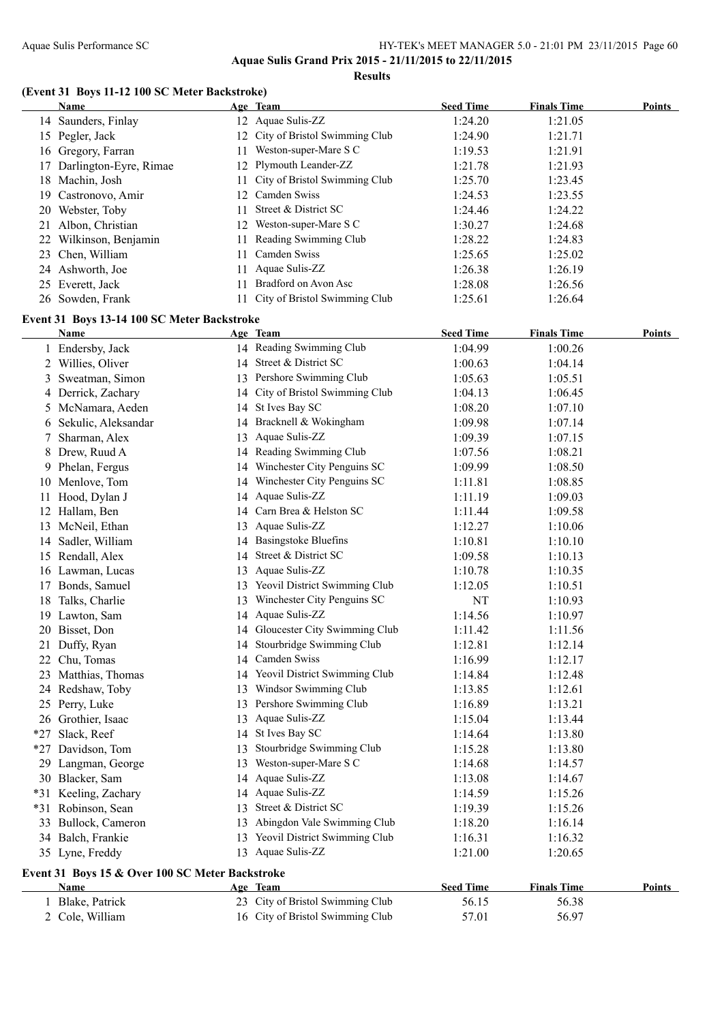**Results**

### **(Event 31 Boys 11-12 100 SC Meter Backstroke)**

|    | Name                                            |    | Age Team                         | <b>Seed Time</b> | <b>Finals Time</b> | <b>Points</b> |
|----|-------------------------------------------------|----|----------------------------------|------------------|--------------------|---------------|
|    | 14 Saunders, Finlay                             |    | 12 Aquae Sulis-ZZ                | 1:24.20          | 1:21.05            |               |
|    | 15 Pegler, Jack                                 |    | 12 City of Bristol Swimming Club | 1:24.90          | 1:21.71            |               |
|    | 16 Gregory, Farran                              | 11 | Weston-super-Mare S C            | 1:19.53          | 1:21.91            |               |
| 17 | Darlington-Eyre, Rimae                          |    | 12 Plymouth Leander-ZZ           | 1:21.78          | 1:21.93            |               |
|    | 18 Machin, Josh                                 | 11 | City of Bristol Swimming Club    | 1:25.70          | 1:23.45            |               |
|    | 19 Castronovo, Amir                             | 12 | Camden Swiss                     | 1:24.53          | 1:23.55            |               |
|    | 20 Webster, Toby                                | 11 | Street & District SC             | 1:24.46          | 1:24.22            |               |
|    | 21 Albon, Christian                             | 12 | Weston-super-Mare S C            | 1:30.27          | 1:24.68            |               |
|    | 22 Wilkinson, Benjamin                          | 11 | Reading Swimming Club            | 1:28.22          | 1:24.83            |               |
|    | 23 Chen, William                                | 11 | Camden Swiss                     | 1:25.65          | 1:25.02            |               |
|    | 24 Ashworth, Joe                                | 11 | Aquae Sulis-ZZ                   | 1:26.38          | 1:26.19            |               |
|    | 25 Everett, Jack                                | 11 | Bradford on Avon Asc             | 1:28.08          | 1:26.56            |               |
|    | 26 Sowden, Frank                                |    | 11 City of Bristol Swimming Club | 1:25.61          | 1:26.64            |               |
|    |                                                 |    |                                  |                  |                    |               |
|    | Event 31 Boys 13-14 100 SC Meter Backstroke     |    |                                  |                  |                    |               |
|    | <b>Name</b>                                     |    | Age Team                         | <b>Seed Time</b> | <b>Finals Time</b> | Points        |
|    | 1 Endersby, Jack                                |    | 14 Reading Swimming Club         | 1:04.99          | 1:00.26            |               |
|    | 2 Willies, Oliver                               |    | 14 Street & District SC          | 1:00.63          | 1:04.14            |               |
| 3  | Sweatman, Simon                                 |    | 13 Pershore Swimming Club        | 1:05.63          | 1:05.51            |               |
|    | 4 Derrick, Zachary                              |    | 14 City of Bristol Swimming Club | 1:04.13          | 1:06.45            |               |
|    | 5 McNamara, Aeden                               |    | 14 St Ives Bay SC                | 1:08.20          | 1:07.10            |               |
|    | 6 Sekulic, Aleksandar                           |    | 14 Bracknell & Wokingham         | 1:09.98          | 1:07.14            |               |
| 7  | Sharman, Alex                                   |    | 13 Aquae Sulis-ZZ                | 1:09.39          | 1:07.15            |               |
| 8. | Drew, Ruud A                                    |    | 14 Reading Swimming Club         | 1:07.56          | 1:08.21            |               |
|    | 9 Phelan, Fergus                                |    | 14 Winchester City Penguins SC   | 1:09.99          | 1:08.50            |               |
|    | 10 Menlove, Tom                                 |    | 14 Winchester City Penguins SC   | 1:11.81          | 1:08.85            |               |
| 11 | Hood, Dylan J                                   |    | 14 Aquae Sulis-ZZ                | 1:11.19          | 1:09.03            |               |
|    | 12 Hallam, Ben                                  |    | 14 Carn Brea & Helston SC        | 1:11.44          | 1:09.58            |               |
|    | 13 McNeil, Ethan                                | 13 | Aquae Sulis-ZZ                   | 1:12.27          | 1:10.06            |               |
|    | 14 Sadler, William                              |    | 14 Basingstoke Bluefins          | 1:10.81          | 1:10.10            |               |
|    | 15 Rendall, Alex                                |    | 14 Street & District SC          | 1:09.58          | 1:10.13            |               |
|    | 16 Lawman, Lucas                                | 13 | Aquae Sulis-ZZ                   | 1:10.78          | 1:10.35            |               |
| 17 | Bonds, Samuel                                   |    | 13 Yeovil District Swimming Club | 1:12.05          | 1:10.51            |               |
|    | 18 Talks, Charlie                               | 13 | Winchester City Penguins SC      | NT               | 1:10.93            |               |
|    | 19 Lawton, Sam                                  | 14 | Aquae Sulis-ZZ                   | 1:14.56          | 1:10.97            |               |
|    | 20 Bisset, Don                                  |    | 14 Gloucester City Swimming Club | 1:11.42          | 1:11.56            |               |
|    | 21 Duffy, Ryan                                  |    | 14 Stourbridge Swimming Club     | 1:12.81          | 1:12.14            |               |
|    | 22 Chu, Tomas                                   |    | 14 Camden Swiss                  | 1:16.99          | 1:12.17            |               |
|    | 23 Matthias, Thomas                             |    | 14 Yeovil District Swimming Club | 1:14.84          | 1:12.48            |               |
|    | 24 Redshaw, Toby                                |    | 13 Windsor Swimming Club         | 1:13.85          | 1:12.61            |               |
|    | 25 Perry, Luke                                  |    | 13 Pershore Swimming Club        | 1:16.89          | 1:13.21            |               |
|    | 26 Grothier, Isaac                              |    | 13 Aquae Sulis-ZZ                | 1:15.04          | 1:13.44            |               |
|    | *27 Slack, Reef                                 |    | 14 St Ives Bay SC                | 1:14.64          | 1:13.80            |               |
|    | *27 Davidson, Tom                               | 13 | Stourbridge Swimming Club        | 1:15.28          | 1:13.80            |               |
|    | 29 Langman, George                              |    | 13 Weston-super-Mare S C         | 1:14.68          | 1:14.57            |               |
|    | 30 Blacker, Sam                                 |    | 14 Aquae Sulis-ZZ                | 1:13.08          | 1:14.67            |               |
|    | *31 Keeling, Zachary                            |    | 14 Aquae Sulis-ZZ                | 1:14.59          | 1:15.26            |               |
|    | *31 Robinson, Sean                              | 13 | Street & District SC             | 1:19.39          | 1:15.26            |               |
|    | 33 Bullock, Cameron                             |    | 13 Abingdon Vale Swimming Club   | 1:18.20          | 1:16.14            |               |
|    | 34 Balch, Frankie                               |    | 13 Yeovil District Swimming Club | 1:16.31          | 1:16.32            |               |
|    | 35 Lyne, Freddy                                 |    | 13 Aquae Sulis-ZZ                | 1:21.00          | 1:20.65            |               |
|    |                                                 |    |                                  |                  |                    |               |
|    | Event 31 Boys 15 & Over 100 SC Meter Backstroke |    |                                  |                  |                    |               |
|    | <b>Name</b>                                     |    | Age Team                         | <b>Seed Time</b> | <b>Finals Time</b> | Points        |
|    | 1 Blake, Patrick                                |    | 23 City of Bristol Swimming Club | 56.15            | 56.38              |               |
|    | 2 Cole, William                                 |    | 16 City of Bristol Swimming Club | 57.01            | 56.97              |               |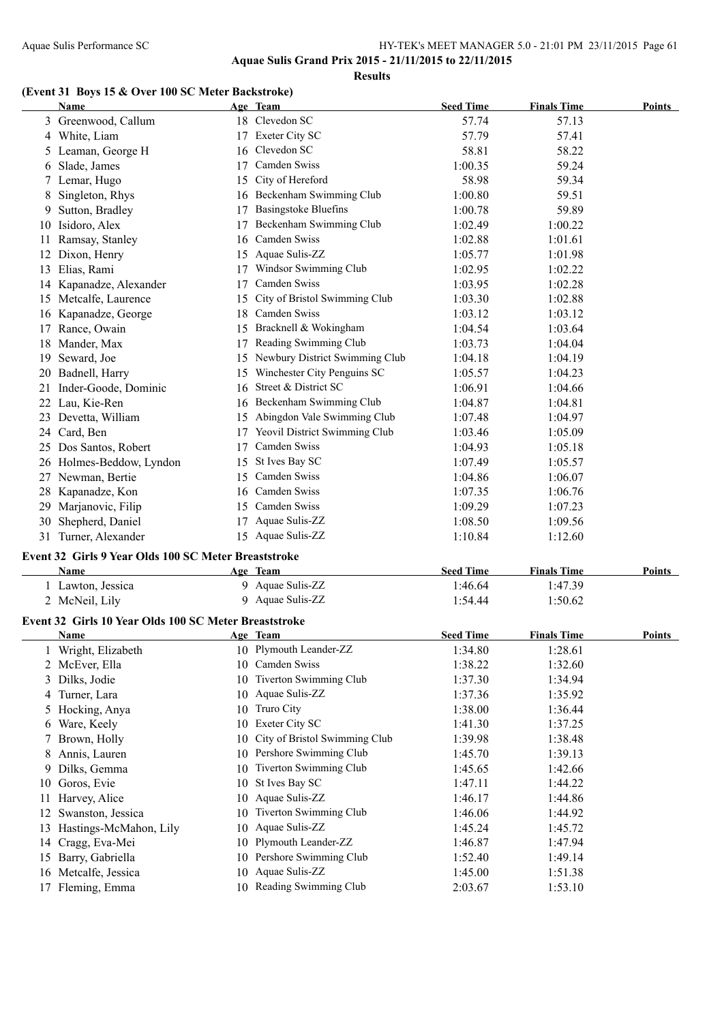**Results**

#### **(Event 31 Boys 15 & Over 100 SC Meter Backstroke)**

|        | <b>Name</b>                                           |          | Age Team                           | <b>Seed Time</b>   | <b>Finals Time</b> | <b>Points</b> |
|--------|-------------------------------------------------------|----------|------------------------------------|--------------------|--------------------|---------------|
|        | 3 Greenwood, Callum                                   |          | 18 Clevedon SC                     | 57.74              | 57.13              |               |
|        | 4 White, Liam                                         |          | 17 Exeter City SC                  | 57.79              | 57.41              |               |
|        | 5 Leaman, George H                                    |          | 16 Clevedon SC                     | 58.81              | 58.22              |               |
| 6      | Slade, James                                          |          | 17 Camden Swiss                    | 1:00.35            | 59.24              |               |
|        | 7 Lemar, Hugo                                         |          | 15 City of Hereford                | 58.98              | 59.34              |               |
| 8      | Singleton, Rhys                                       |          | 16 Beckenham Swimming Club         | 1:00.80            | 59.51              |               |
| 9      | Sutton, Bradley                                       |          | 17 Basingstoke Bluefins            | 1:00.78            | 59.89              |               |
| 10     | Isidoro, Alex                                         |          | 17 Beckenham Swimming Club         | 1:02.49            | 1:00.22            |               |
| 11     | Ramsay, Stanley                                       |          | 16 Camden Swiss                    | 1:02.88            | 1:01.61            |               |
|        | 12 Dixon, Henry                                       |          | 15 Aquae Sulis-ZZ                  | 1:05.77            | 1:01.98            |               |
|        | 13 Elias, Rami                                        |          | 17 Windsor Swimming Club           | 1:02.95            | 1:02.22            |               |
|        | 14 Kapanadze, Alexander                               |          | 17 Camden Swiss                    | 1:03.95            | 1:02.28            |               |
|        | 15 Metcalfe, Laurence                                 |          | 15 City of Bristol Swimming Club   | 1:03.30            | 1:02.88            |               |
|        | 16 Kapanadze, George                                  |          | 18 Camden Swiss                    | 1:03.12            | 1:03.12            |               |
|        | 17 Rance, Owain                                       |          | 15 Bracknell & Wokingham           | 1:04.54            | 1:03.64            |               |
|        | 18 Mander, Max                                        |          | 17 Reading Swimming Club           | 1:03.73            | 1:04.04            |               |
|        | 19 Seward, Joe                                        |          | 15 Newbury District Swimming Club  | 1:04.18            | 1:04.19            |               |
|        | 20 Badnell, Harry                                     |          | 15 Winchester City Penguins SC     | 1:05.57            | 1:04.23            |               |
|        | 21 Inder-Goode, Dominic                               |          | 16 Street & District SC            | 1:06.91            | 1:04.66            |               |
|        | 22 Lau, Kie-Ren                                       |          | 16 Beckenham Swimming Club         | 1:04.87            | 1:04.81            |               |
|        | 23 Devetta, William                                   |          | 15 Abingdon Vale Swimming Club     | 1:07.48            | 1:04.97            |               |
|        | 24 Card, Ben                                          |          | 17 Yeovil District Swimming Club   | 1:03.46            | 1:05.09            |               |
|        | 25 Dos Santos, Robert                                 | 17       | Camden Swiss                       | 1:04.93            | 1:05.18            |               |
|        | 26 Holmes-Beddow, Lyndon                              |          | 15 St Ives Bay SC                  | 1:07.49            | 1:05.57            |               |
|        | 27 Newman, Bertie                                     |          | 15 Camden Swiss                    | 1:04.86            | 1:06.07            |               |
|        | 28 Kapanadze, Kon                                     |          | 16 Camden Swiss                    | 1:07.35            | 1:06.76            |               |
| 29.    | Marjanovic, Filip                                     |          | 15 Camden Swiss                    | 1:09.29            | 1:07.23            |               |
|        | 30 Shepherd, Daniel                                   |          | 17 Aquae Sulis-ZZ                  | 1:08.50            | 1:09.56            |               |
|        | 31 Turner, Alexander                                  |          | 15 Aquae Sulis-ZZ                  | 1:10.84            | 1:12.60            |               |
|        | Event 32 Girls 9 Year Olds 100 SC Meter Breaststroke  |          |                                    |                    |                    |               |
|        | Name                                                  |          | Age Team                           | <b>Seed Time</b>   | <b>Finals Time</b> | Points        |
|        | 1 Lawton, Jessica                                     |          | 9 Aquae Sulis-ZZ                   | 1:46.64            | 1:47.39            |               |
|        | 2 McNeil, Lily                                        |          | 9 Aquae Sulis-ZZ                   | 1:54.44            | 1:50.62            |               |
|        |                                                       |          |                                    |                    |                    |               |
|        | Event 32 Girls 10 Year Olds 100 SC Meter Breaststroke |          |                                    |                    |                    |               |
|        | <u>Name</u>                                           |          | Age Team<br>10 Plymouth Leander-ZZ | <b>Seed Time</b>   | <b>Finals Time</b> | <b>Points</b> |
|        | 1 Wright, Elizabeth                                   |          | 10 Camden Swiss                    | 1:34.80<br>1:38.22 | 1:28.61<br>1:32.60 |               |
|        | 2 McEver, Ella<br>3 Dilks, Jodie                      | 10       | Tiverton Swimming Club             |                    |                    |               |
|        | 4 Turner, Lara                                        |          | 10 Aquae Sulis-ZZ                  | 1:37.30            | 1:34.94            |               |
|        |                                                       | 10       | Truro City                         | 1:37.36            | 1:35.92            |               |
|        | 5 Hocking, Anya                                       | 10       | Exeter City SC                     | 1:38.00            | 1:36.44            |               |
| 6      | Ware, Keely<br>Brown, Holly                           | 10       | City of Bristol Swimming Club      | 1:41.30            | 1:37.25<br>1:38.48 |               |
| $\tau$ | Annis, Lauren                                         | 10       | Pershore Swimming Club             | 1:39.98            |                    |               |
| 8      |                                                       |          | Tiverton Swimming Club             | 1:45.70            | 1:39.13            |               |
| 9.     | Dilks, Gemma                                          | 10       |                                    | 1:45.65            | 1:42.66            |               |
| 10     | Goros, Evie                                           | 10       | St Ives Bay SC<br>Aquae Sulis-ZZ   | 1:47.11            | 1:44.22            |               |
| 11     | Harvey, Alice                                         | 10<br>10 | Tiverton Swimming Club             | 1:46.17            | 1:44.86            |               |
| 12     | Swanston, Jessica                                     |          | Aquae Sulis-ZZ                     | 1:46.06            | 1:44.92            |               |
|        | 13 Hastings-McMahon, Lily                             | 10       | Plymouth Leander-ZZ                | 1:45.24            | 1:45.72            |               |
| 14     | Cragg, Eva-Mei                                        | 10       | Pershore Swimming Club             | 1:46.87            | 1:47.94            |               |
|        | 15 Barry, Gabriella                                   | 10<br>10 | Aquae Sulis-ZZ                     | 1:52.40            | 1:49.14<br>1:51.38 |               |
|        | 16 Metcalfe, Jessica<br>17 Fleming, Emma              |          | 10 Reading Swimming Club           | 1:45.00<br>2:03.67 | 1:53.10            |               |
|        |                                                       |          |                                    |                    |                    |               |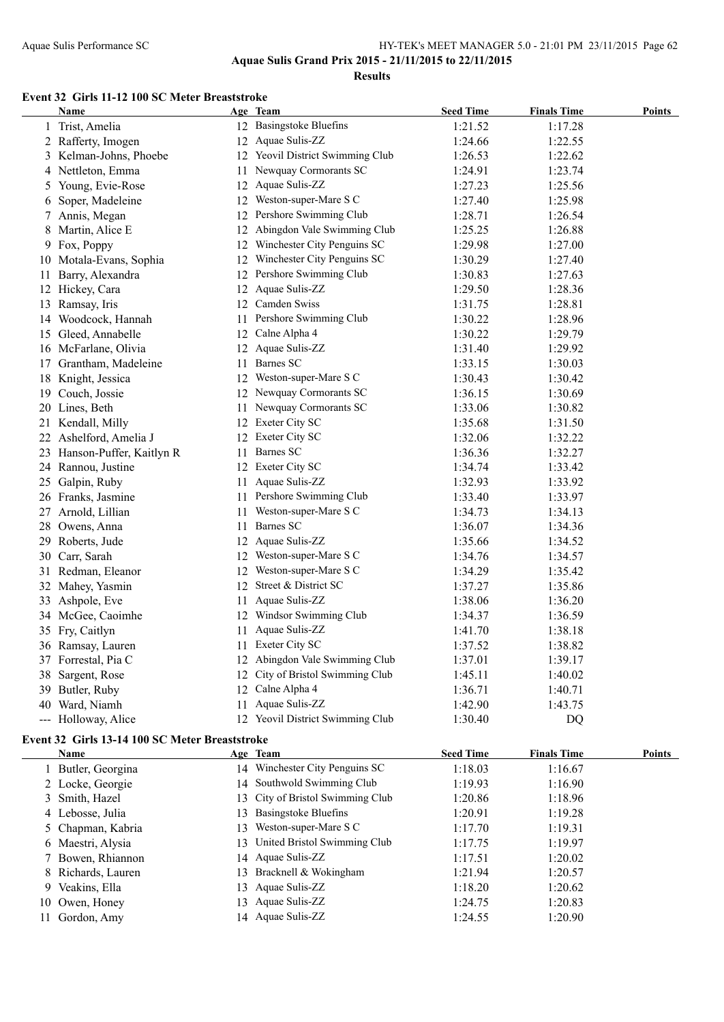**Results**

#### **Event 32 Girls 11-12 100 SC Meter Breaststroke**

| Name                        |    | Age Team                         | <b>Seed Time</b> | <b>Finals Time</b> | <b>Points</b> |
|-----------------------------|----|----------------------------------|------------------|--------------------|---------------|
| 1 Trist, Amelia             |    | 12 Basingstoke Bluefins          | 1:21.52          | 1:17.28            |               |
| 2 Rafferty, Imogen          |    | 12 Aquae Sulis-ZZ                | 1:24.66          | 1:22.55            |               |
| 3 Kelman-Johns, Phoebe      |    | 12 Yeovil District Swimming Club | 1:26.53          | 1:22.62            |               |
| 4 Nettleton, Emma           |    | 11 Newquay Cormorants SC         | 1:24.91          | 1:23.74            |               |
| 5 Young, Evie-Rose          |    | 12 Aquae Sulis-ZZ                | 1:27.23          | 1:25.56            |               |
| 6 Soper, Madeleine          |    | 12 Weston-super-Mare S C         | 1:27.40          | 1:25.98            |               |
| 7 Annis, Megan              |    | 12 Pershore Swimming Club        | 1:28.71          | 1:26.54            |               |
| 8 Martin, Alice E           |    | 12 Abingdon Vale Swimming Club   | 1:25.25          | 1:26.88            |               |
| 9 Fox, Poppy                |    | 12 Winchester City Penguins SC   | 1:29.98          | 1:27.00            |               |
| 10 Motala-Evans, Sophia     |    | 12 Winchester City Penguins SC   | 1:30.29          | 1:27.40            |               |
| 11 Barry, Alexandra         |    | 12 Pershore Swimming Club        | 1:30.83          | 1:27.63            |               |
| 12 Hickey, Cara             |    | 12 Aquae Sulis-ZZ                | 1:29.50          | 1:28.36            |               |
| 13 Ramsay, Iris             |    | 12 Camden Swiss                  | 1:31.75          | 1:28.81            |               |
| 14 Woodcock, Hannah         |    | 11 Pershore Swimming Club        | 1:30.22          | 1:28.96            |               |
| 15 Gleed, Annabelle         |    | 12 Calne Alpha 4                 | 1:30.22          | 1:29.79            |               |
| 16 McFarlane, Olivia        |    | 12 Aquae Sulis-ZZ                | 1:31.40          | 1:29.92            |               |
| 17 Grantham, Madeleine      | 11 | Barnes SC                        | 1:33.15          | 1:30.03            |               |
| 18 Knight, Jessica          |    | 12 Weston-super-Mare S C         | 1:30.43          | 1:30.42            |               |
| 19 Couch, Jossie            |    | 12 Newquay Cormorants SC         | 1:36.15          | 1:30.69            |               |
| 20 Lines, Beth              |    | 11 Newquay Cormorants SC         | 1:33.06          | 1:30.82            |               |
| 21 Kendall, Milly           |    | 12 Exeter City SC                | 1:35.68          | 1:31.50            |               |
| 22 Ashelford, Amelia J      |    | 12 Exeter City SC                | 1:32.06          | 1:32.22            |               |
| 23 Hanson-Puffer, Kaitlyn R |    | 11 Barnes SC                     | 1:36.36          | 1:32.27            |               |
| 24 Rannou, Justine          |    | 12 Exeter City SC                | 1:34.74          | 1:33.42            |               |
| 25 Galpin, Ruby             |    | 11 Aquae Sulis-ZZ                | 1:32.93          | 1:33.92            |               |
| 26 Franks, Jasmine          |    | 11 Pershore Swimming Club        | 1:33.40          | 1:33.97            |               |
| 27 Arnold, Lillian          | 11 | Weston-super-Mare S C            | 1:34.73          | 1:34.13            |               |
| 28 Owens, Anna              | 11 | <b>Barnes SC</b>                 | 1:36.07          | 1:34.36            |               |
| 29 Roberts, Jude            |    | 12 Aquae Sulis-ZZ                | 1:35.66          | 1:34.52            |               |
| 30 Carr, Sarah              |    | 12 Weston-super-Mare S C         | 1:34.76          | 1:34.57            |               |
| 31 Redman, Eleanor          |    | 12 Weston-super-Mare S C         | 1:34.29          | 1:35.42            |               |
| 32 Mahey, Yasmin            |    | 12 Street & District SC          | 1:37.27          | 1:35.86            |               |
| 33 Ashpole, Eve             | 11 | Aquae Sulis-ZZ                   | 1:38.06          | 1:36.20            |               |
| 34 McGee, Caoimhe           |    | 12 Windsor Swimming Club         | 1:34.37          | 1:36.59            |               |
| 35 Fry, Caitlyn             | 11 | Aquae Sulis-ZZ                   | 1:41.70          | 1:38.18            |               |
| 36 Ramsay, Lauren           | 11 | Exeter City SC                   | 1:37.52          | 1:38.82            |               |
| 37 Forrestal, Pia C         |    | 12 Abingdon Vale Swimming Club   | 1:37.01          | 1:39.17            |               |
| 38 Sargent, Rose            |    | 12 City of Bristol Swimming Club | 1:45.11          | 1:40.02            |               |
| 39 Butler, Ruby             |    | 12 Calne Alpha 4                 | 1:36.71          | 1:40.71            |               |
| 40 Ward, Niamh              |    | 11 Aquae Sulis-ZZ                | 1:42.90          | 1:43.75            |               |
| --- Holloway, Alice         |    | 12 Yeovil District Swimming Club | 1:30.40          | D <sub>O</sub>     |               |

#### **Event 32 Girls 13-14 100 SC Meter Breaststroke**

| <b>Name</b>        |    | Age Team                         | <b>Seed Time</b> | <b>Finals Time</b> | Points |
|--------------------|----|----------------------------------|------------------|--------------------|--------|
| 1 Butler, Georgina |    | 14 Winchester City Penguins SC   | 1:18.03          | 1:16.67            |        |
| 2 Locke, Georgie   |    | 14 Southwold Swimming Club       | 1:19.93          | 1:16.90            |        |
| 3 Smith, Hazel     |    | 13 City of Bristol Swimming Club | 1:20.86          | 1:18.96            |        |
| 4 Lebosse, Julia   |    | 13 Basingstoke Bluefins          | 1:20.91          | 1:19.28            |        |
| 5 Chapman, Kabria  | 13 | Weston-super-Mare S C            | 1:17.70          | 1:19.31            |        |
| 6 Maestri, Alysia  | 13 | United Bristol Swimming Club     | 1:17.75          | 1:19.97            |        |
| 7 Bowen, Rhiannon  |    | 14 Aquae Sulis-ZZ                | 1:17.51          | 1:20.02            |        |
| 8 Richards, Lauren |    | 13 Bracknell & Wokingham         | 1:21.94          | 1:20.57            |        |
| 9 Veakins, Ella    | 13 | Aquae Sulis-ZZ                   | 1:18.20          | 1:20.62            |        |
| 10 Owen, Honey     | 13 | Aquae Sulis-ZZ                   | 1:24.75          | 1:20.83            |        |
| 11 Gordon, Amy     |    | 14 Aquae Sulis-ZZ                | 1:24.55          | 1:20.90            |        |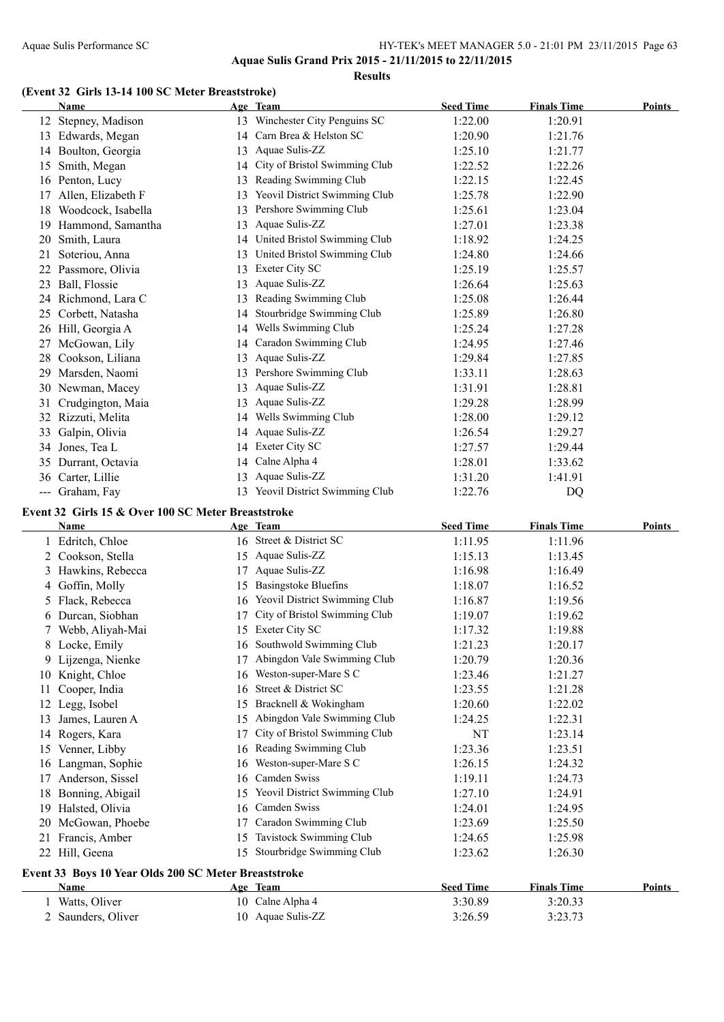**Aquae Sulis Grand Prix 2015 - 21/11/2015 to 22/11/2015 Results**

### **(Event 32 Girls 13-14 100 SC Meter Breaststroke)**

|                   | Name                |    | Age Team                      | <b>Seed Time</b> | <b>Finals Time</b> | <b>Points</b> |
|-------------------|---------------------|----|-------------------------------|------------------|--------------------|---------------|
| 12                | Stepney, Madison    | 13 | Winchester City Penguins SC   | 1:22.00          | 1:20.91            |               |
| 13                | Edwards, Megan      | 14 | Carn Brea & Helston SC        | 1:20.90          | 1:21.76            |               |
|                   | 14 Boulton, Georgia | 13 | Aquae Sulis-ZZ                | 1:25.10          | 1:21.77            |               |
| 15                | Smith, Megan        | 14 | City of Bristol Swimming Club | 1:22.52          | 1:22.26            |               |
|                   | 16 Penton, Lucy     | 13 | Reading Swimming Club         | 1:22.15          | 1:22.45            |               |
| 17                | Allen, Elizabeth F  | 13 | Yeovil District Swimming Club | 1:25.78          | 1:22.90            |               |
| 18                | Woodcock, Isabella  | 13 | Pershore Swimming Club        | 1:25.61          | 1:23.04            |               |
| 19                | Hammond, Samantha   | 13 | Aquae Sulis-ZZ                | 1:27.01          | 1:23.38            |               |
| 20                | Smith, Laura        | 14 | United Bristol Swimming Club  | 1:18.92          | 1:24.25            |               |
| 21                | Soteriou, Anna      | 13 | United Bristol Swimming Club  | 1:24.80          | 1:24.66            |               |
|                   | Passmore, Olivia    | 13 | Exeter City SC                | 1:25.19          | 1:25.57            |               |
| 23                | Ball, Flossie       | 13 | Aquae Sulis-ZZ                | 1:26.64          | 1:25.63            |               |
| 24                | Richmond, Lara C    | 13 | Reading Swimming Club         | 1:25.08          | 1:26.44            |               |
| 25                | Corbett, Natasha    | 14 | Stourbridge Swimming Club     | 1:25.89          | 1:26.80            |               |
| 26                | Hill, Georgia A     | 14 | Wells Swimming Club           | 1:25.24          | 1:27.28            |               |
| 27                | McGowan, Lily       | 14 | Caradon Swimming Club         | 1:24.95          | 1:27.46            |               |
| 28                | Cookson, Liliana    | 13 | Aquae Sulis-ZZ                | 1:29.84          | 1:27.85            |               |
| 29                | Marsden, Naomi      | 13 | Pershore Swimming Club        | 1:33.11          | 1:28.63            |               |
|                   | 30 Newman, Macey    | 13 | Aquae Sulis-ZZ                | 1:31.91          | 1:28.81            |               |
| 31                | Crudgington, Maia   | 13 | Aquae Sulis-ZZ                | 1:29.28          | 1:28.99            |               |
| 32                | Rizzuti, Melita     | 14 | Wells Swimming Club           | 1:28.00          | 1:29.12            |               |
| 33                | Galpin, Olivia      | 14 | Aquae Sulis-ZZ                | 1:26.54          | 1:29.27            |               |
| 34                | Jones, Tea L        | 14 | Exeter City SC                | 1:27.57          | 1:29.44            |               |
| 35                | Durrant, Octavia    | 14 | Calne Alpha 4                 | 1:28.01          | 1:33.62            |               |
| 36                | Carter, Lillie      | 13 | Aquae Sulis-ZZ                | 1:31.20          | 1:41.91            |               |
| $\qquad \qquad -$ | Graham, Fay         | 13 | Yeovil District Swimming Club | 1:22.76          | DQ                 |               |

### **Event 32 Girls 15 & Over 100 SC Meter Breaststroke**

 $\overline{\phantom{a}}$ 

 $\overline{a}$ 

|    | <b>Name</b>                                          |    | Age Team                      | <b>Seed Time</b> | <b>Finals Time</b> | <b>Points</b> |
|----|------------------------------------------------------|----|-------------------------------|------------------|--------------------|---------------|
|    | Edritch, Chloe                                       |    | 16 Street & District SC       | 1:11.95          | 1:11.96            |               |
|    | Cookson, Stella                                      | 15 | Aquae Sulis-ZZ                | 1:15.13          | 1:13.45            |               |
| 3  | Hawkins, Rebecca                                     | 17 | Aquae Sulis-ZZ                | 1:16.98          | 1:16.49            |               |
| 4  | Goffin, Molly                                        | 15 | <b>Basingstoke Bluefins</b>   | 1:18.07          | 1:16.52            |               |
| 5. | Flack, Rebecca                                       | 16 | Yeovil District Swimming Club | 1:16.87          | 1:19.56            |               |
| 6  | Durcan, Siobhan                                      | 17 | City of Bristol Swimming Club | 1:19.07          | 1:19.62            |               |
|    | Webb, Aliyah-Mai                                     | 15 | Exeter City SC                | 1:17.32          | 1:19.88            |               |
| 8  | Locke, Emily                                         | 16 | Southwold Swimming Club       | 1:21.23          | 1:20.17            |               |
| 9  | Lijzenga, Nienke                                     |    | Abingdon Vale Swimming Club   | 1:20.79          | 1:20.36            |               |
| 10 | Knight, Chloe                                        | 16 | Weston-super-Mare S C         | 1:23.46          | 1:21.27            |               |
| 11 | Cooper, India                                        | 16 | Street & District SC          | 1:23.55          | 1:21.28            |               |
| 12 | Legg, Isobel                                         | 15 | Bracknell & Wokingham         | 1:20.60          | 1:22.02            |               |
| 13 | James, Lauren A                                      | 15 | Abingdon Vale Swimming Club   | 1:24.25          | 1:22.31            |               |
| 14 | Rogers, Kara                                         | 17 | City of Bristol Swimming Club | NT               | 1:23.14            |               |
| 15 | Venner, Libby                                        | 16 | Reading Swimming Club         | 1:23.36          | 1:23.51            |               |
| 16 | Langman, Sophie                                      | 16 | Weston-super-Mare S C         | 1:26.15          | 1:24.32            |               |
| 17 | Anderson, Sissel                                     | 16 | Camden Swiss                  | 1:19.11          | 1:24.73            |               |
| 18 | Bonning, Abigail                                     | 15 | Yeovil District Swimming Club | 1:27.10          | 1:24.91            |               |
| 19 | Halsted, Olivia                                      | 16 | Camden Swiss                  | 1:24.01          | 1:24.95            |               |
| 20 | McGowan, Phoebe                                      | 17 | Caradon Swimming Club         | 1:23.69          | 1:25.50            |               |
| 21 | Francis, Amber                                       | 15 | Tavistock Swimming Club       | 1:24.65          | 1:25.98            |               |
| 22 | Hill, Geena                                          | 15 | Stourbridge Swimming Club     | 1:23.62          | 1:26.30            |               |
|    | Event 33 Boys 10 Year Olds 200 SC Meter Breaststroke |    |                               |                  |                    |               |
|    | <b>Name</b>                                          |    | Age Team                      | <b>Seed Time</b> | <b>Finals Time</b> | Points        |
|    | 1 Watts, Oliver                                      |    | 10 Calne Alpha 4              | 3:30.89          | 3:20.33            |               |

2 Saunders, Oliver 10 Aquae Sulis-ZZ 3:26.59 3:23.73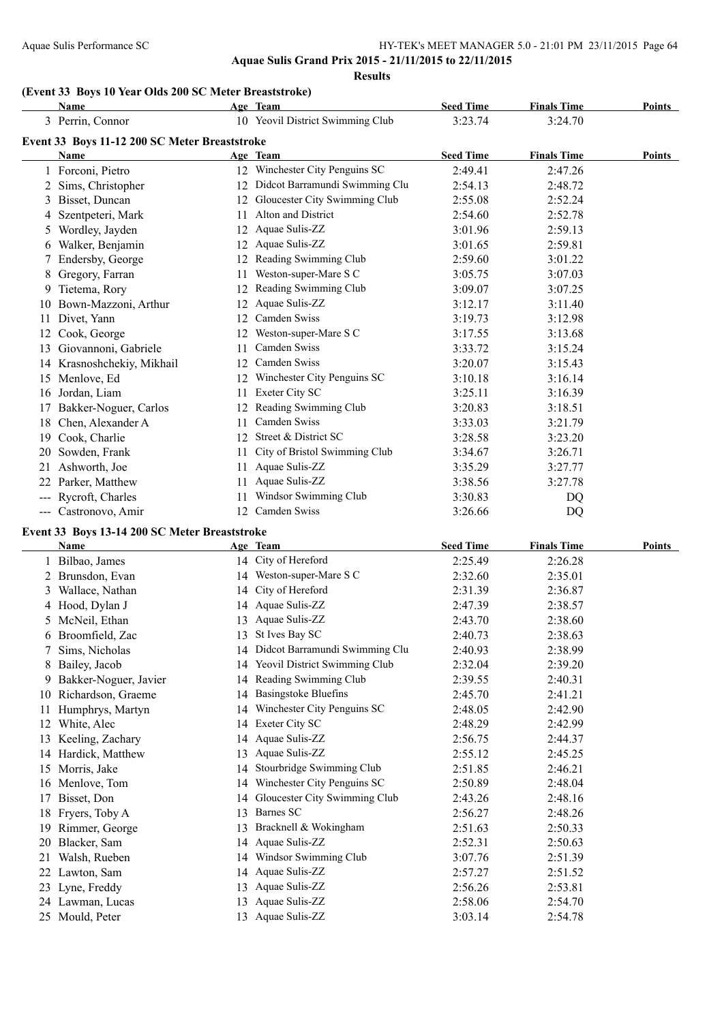#### Aquae Sulis Performance SC HY-TEK's MEET MANAGER 5.0 - 21:01 PM 23/11/2015 Page 64 **Aquae Sulis Grand Prix 2015 - 21/11/2015 to 22/11/2015**

**Results**

#### **(Event 33 Boys 10 Year Olds 200 SC Meter Breaststroke)**

|                            | <b>Name</b>                                   |    | Age Team                         | <b>Seed Time</b> | <b>Finals Time</b> | Points |
|----------------------------|-----------------------------------------------|----|----------------------------------|------------------|--------------------|--------|
|                            | 3 Perrin, Connor                              |    | 10 Yeovil District Swimming Club | 3:23.74          | 3:24.70            |        |
|                            | Event 33 Boys 11-12 200 SC Meter Breaststroke |    |                                  |                  |                    |        |
|                            | <b>Name</b>                                   |    | Age Team                         | <b>Seed Time</b> | <b>Finals Time</b> | Points |
|                            | 1 Forconi, Pietro                             |    | 12 Winchester City Penguins SC   | 2:49.41          | 2:47.26            |        |
|                            | Sims, Christopher                             | 12 | Didcot Barramundi Swimming Clu   | 2:54.13          | 2:48.72            |        |
| 3                          | Bisset, Duncan                                | 12 | Gloucester City Swimming Club    | 2:55.08          | 2:52.24            |        |
|                            | Szentpeteri, Mark                             | 11 | Alton and District               | 2:54.60          | 2:52.78            |        |
| 5.                         | Wordley, Jayden                               | 12 | Aquae Sulis-ZZ                   | 3:01.96          | 2:59.13            |        |
| 6                          | Walker, Benjamin                              | 12 | Aquae Sulis-ZZ                   | 3:01.65          | 2:59.81            |        |
|                            | Endersby, George                              | 12 | Reading Swimming Club            | 2:59.60          | 3:01.22            |        |
| 8                          | Gregory, Farran                               | 11 | Weston-super-Mare S C            | 3:05.75          | 3:07.03            |        |
| 9.                         | Tietema, Rory                                 | 12 | Reading Swimming Club            | 3:09.07          | 3:07.25            |        |
| 10                         | Bown-Mazzoni, Arthur                          | 12 | Aquae Sulis-ZZ                   | 3:12.17          | 3:11.40            |        |
| 11                         | Divet, Yann                                   | 12 | Camden Swiss                     | 3:19.73          | 3:12.98            |        |
| 12                         | Cook, George                                  | 12 | Weston-super-Mare S C            | 3:17.55          | 3:13.68            |        |
| 13                         | Giovannoni, Gabriele                          | 11 | Camden Swiss                     | 3:33.72          | 3:15.24            |        |
|                            | 14 Krasnoshchekiy, Mikhail                    | 12 | Camden Swiss                     | 3:20.07          | 3:15.43            |        |
|                            | 15 Menlove, Ed                                | 12 | Winchester City Penguins SC      | 3:10.18          | 3:16.14            |        |
| 16                         | Jordan, Liam                                  | 11 | Exeter City SC                   | 3:25.11          | 3:16.39            |        |
| 17                         | Bakker-Noguer, Carlos                         | 12 | Reading Swimming Club            | 3:20.83          | 3:18.51            |        |
| 18                         | Chen, Alexander A                             | 11 | Camden Swiss                     | 3:33.03          | 3:21.79            |        |
| 19                         | Cook, Charlie                                 | 12 | Street & District SC             | 3:28.58          | 3:23.20            |        |
| 20                         | Sowden, Frank                                 | 11 | City of Bristol Swimming Club    | 3:34.67          | 3:26.71            |        |
| 21                         | Ashworth, Joe                                 | 11 | Aquae Sulis-ZZ                   | 3:35.29          | 3:27.77            |        |
| 22                         | Parker, Matthew                               | 11 | Aquae Sulis-ZZ                   | 3:38.56          | 3:27.78            |        |
| $\qquad \qquad \text{---}$ | Rycroft, Charles                              | 11 | Windsor Swimming Club            | 3:30.83          | DQ                 |        |
| $---$                      | Castronovo, Amir                              | 12 | Camden Swiss                     | 3:26.66          | DQ                 |        |

### **Event 33 Boys 13-14 200 SC Meter Breaststroke**

|    | Name                  |    | Age Team                       | <b>Seed Time</b> | <b>Finals Time</b> | <b>Points</b> |
|----|-----------------------|----|--------------------------------|------------------|--------------------|---------------|
|    | Bilbao, James         |    | 14 City of Hereford            | 2:25.49          | 2:26.28            |               |
|    | 2 Brunsdon, Evan      | 14 | Weston-super-Mare S C          | 2:32.60          | 2:35.01            |               |
| 3  | Wallace, Nathan       | 14 | City of Hereford               | 2:31.39          | 2:36.87            |               |
|    | 4 Hood, Dylan J       | 14 | Aquae Sulis-ZZ                 | 2:47.39          | 2:38.57            |               |
| 5  | McNeil, Ethan         | 13 | Aquae Sulis-ZZ                 | 2:43.70          | 2:38.60            |               |
| 6  | Broomfield, Zac       | 13 | St Ives Bay SC                 | 2:40.73          | 2:38.63            |               |
|    | Sims, Nicholas        | 14 | Didcot Barramundi Swimming Clu | 2:40.93          | 2:38.99            |               |
|    | Bailey, Jacob         | 14 | Yeovil District Swimming Club  | 2:32.04          | 2:39.20            |               |
| 9. | Bakker-Noguer, Javier |    | 14 Reading Swimming Club       | 2:39.55          | 2:40.31            |               |
| 10 | Richardson, Graeme    | 14 | <b>Basingstoke Bluefins</b>    | 2:45.70          | 2:41.21            |               |
| 11 | Humphrys, Martyn      | 14 | Winchester City Penguins SC    | 2:48.05          | 2:42.90            |               |
|    | White, Alec           | 14 | Exeter City SC                 | 2:48.29          | 2:42.99            |               |
|    | Keeling, Zachary      | 14 | Aquae Sulis-ZZ                 | 2:56.75          | 2:44.37            |               |
| 14 | Hardick, Matthew      | 13 | Aquae Sulis-ZZ                 | 2:55.12          | 2:45.25            |               |
| 15 | Morris, Jake          | 14 | Stourbridge Swimming Club      | 2:51.85          | 2:46.21            |               |
| 16 | Menlove, Tom          | 14 | Winchester City Penguins SC    | 2:50.89          | 2:48.04            |               |
| 17 | Bisset, Don           | 14 | Gloucester City Swimming Club  | 2:43.26          | 2:48.16            |               |
| 18 | Fryers, Toby A        | 13 | Barnes SC                      | 2:56.27          | 2:48.26            |               |
|    | Rimmer, George        | 13 | Bracknell & Wokingham          | 2:51.63          | 2:50.33            |               |
| 20 | Blacker, Sam          | 14 | Aquae Sulis-ZZ                 | 2:52.31          | 2:50.63            |               |
| 21 | Walsh, Rueben         | 14 | Windsor Swimming Club          | 3:07.76          | 2:51.39            |               |
| 22 | Lawton, Sam           | 14 | Aquae Sulis-ZZ                 | 2:57.27          | 2:51.52            |               |
| 23 | Lyne, Freddy          | 13 | Aquae Sulis-ZZ                 | 2:56.26          | 2:53.81            |               |
|    | 24 Lawman, Lucas      | 13 | Aquae Sulis-ZZ                 | 2:58.06          | 2:54.70            |               |
| 25 | Mould, Peter          | 13 | Aquae Sulis-ZZ                 | 3:03.14          | 2:54.78            |               |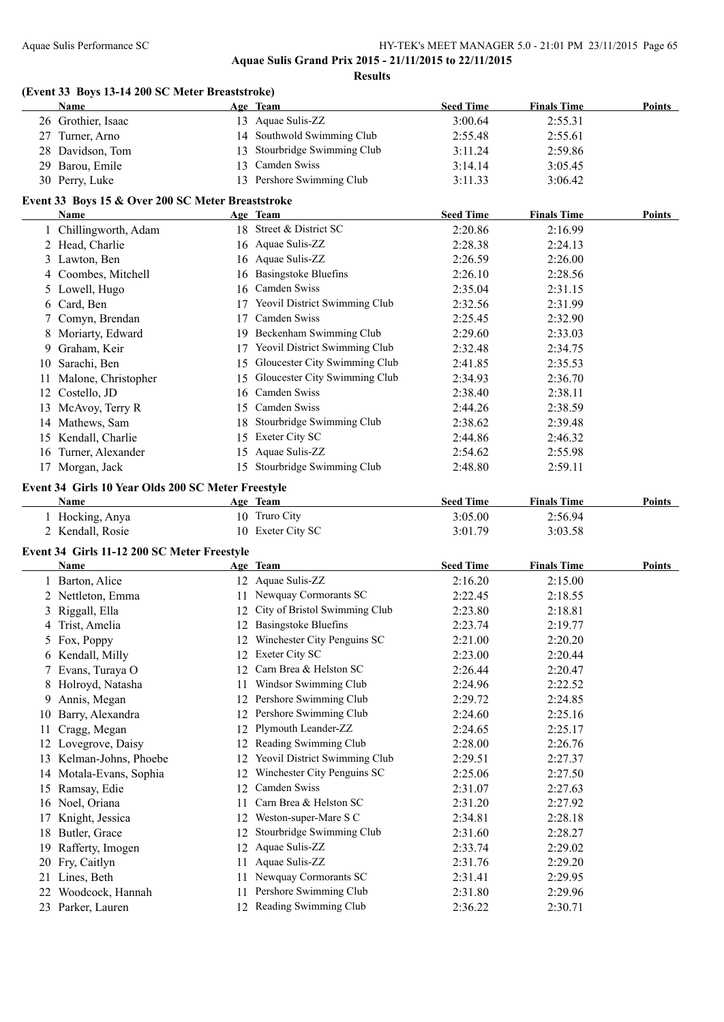**Aquae Sulis Grand Prix 2015 - 21/11/2015 to 22/11/2015**

**Results**

|    | Name                                                      | (Event 33 Boys 13-14 200 SC Meter Breaststroke) | Age Team                         | <b>Seed Time</b>   | <b>Finals Time</b> | <b>Points</b> |
|----|-----------------------------------------------------------|-------------------------------------------------|----------------------------------|--------------------|--------------------|---------------|
|    | 26 Grothier, Isaac                                        |                                                 | 13 Aquae Sulis-ZZ                | 3:00.64            | 2:55.31            |               |
|    | 27 Turner, Arno                                           |                                                 | 14 Southwold Swimming Club       | 2:55.48            | 2:55.61            |               |
|    | 28 Davidson, Tom                                          |                                                 | 13 Stourbridge Swimming Club     | 3:11.24            | 2:59.86            |               |
|    | 29 Barou, Emile                                           |                                                 | 13 Camden Swiss                  | 3:14.14            | 3:05.45            |               |
|    | 30 Perry, Luke                                            |                                                 | 13 Pershore Swimming Club        | 3:11.33            | 3:06.42            |               |
|    |                                                           |                                                 |                                  |                    |                    |               |
|    | Event 33 Boys 15 & Over 200 SC Meter Breaststroke<br>Name |                                                 | Age Team                         | <b>Seed Time</b>   | <b>Finals Time</b> | Points        |
|    |                                                           |                                                 | 18 Street & District SC          | 2:20.86            |                    |               |
|    | 1 Chillingworth, Adam                                     |                                                 |                                  |                    | 2:16.99            |               |
|    | 2 Head, Charlie                                           |                                                 | 16 Aquae Sulis-ZZ                | 2:28.38            | 2:24.13            |               |
|    | 3 Lawton, Ben                                             |                                                 | 16 Aquae Sulis-ZZ                | 2:26.59            | 2:26.00            |               |
|    | 4 Coombes, Mitchell                                       |                                                 | 16 Basingstoke Bluefins          | 2:26.10            | 2:28.56            |               |
|    | 5 Lowell, Hugo                                            |                                                 | 16 Camden Swiss                  | 2:35.04            | 2:31.15            |               |
| 6  | Card, Ben                                                 |                                                 | 17 Yeovil District Swimming Club | 2:32.56            | 2:31.99            |               |
|    | 7 Comyn, Brendan                                          |                                                 | 17 Camden Swiss                  | 2:25.45            | 2:32.90            |               |
|    | 8 Moriarty, Edward                                        |                                                 | 19 Beckenham Swimming Club       | 2:29.60            | 2:33.03            |               |
| 9  | Graham, Keir                                              |                                                 | 17 Yeovil District Swimming Club | 2:32.48            | 2:34.75            |               |
|    | 10 Sarachi, Ben                                           |                                                 | 15 Gloucester City Swimming Club | 2:41.85            | 2:35.53            |               |
|    | 11 Malone, Christopher                                    |                                                 | 15 Gloucester City Swimming Club | 2:34.93            | 2:36.70            |               |
|    | 12 Costello, JD                                           |                                                 | 16 Camden Swiss                  | 2:38.40            | 2:38.11            |               |
|    | 13 McAvoy, Terry R                                        |                                                 | 15 Camden Swiss                  | 2:44.26            | 2:38.59            |               |
|    | 14 Mathews, Sam                                           |                                                 | 18 Stourbridge Swimming Club     | 2:38.62            | 2:39.48            |               |
|    | 15 Kendall, Charlie                                       |                                                 | 15 Exeter City SC                | 2:44.86            | 2:46.32            |               |
|    | 16 Turner, Alexander                                      |                                                 | 15 Aquae Sulis-ZZ                | 2:54.62            | 2:55.98            |               |
|    | 17 Morgan, Jack                                           |                                                 | 15 Stourbridge Swimming Club     | 2:48.80            | 2:59.11            |               |
|    |                                                           |                                                 |                                  |                    |                    |               |
|    |                                                           |                                                 |                                  |                    |                    |               |
|    | Event 34 Girls 10 Year Olds 200 SC Meter Freestyle        |                                                 |                                  |                    |                    |               |
|    | Name                                                      |                                                 | Age Team                         | <b>Seed Time</b>   | <b>Finals Time</b> | Points        |
|    | 1 Hocking, Anya                                           |                                                 | 10 Truro City                    | 3:05.00            | 2:56.94            |               |
|    | 2 Kendall, Rosie                                          |                                                 | 10 Exeter City SC                | 3:01.79            | 3:03.58            |               |
|    | Event 34 Girls 11-12 200 SC Meter Freestyle               |                                                 |                                  |                    |                    |               |
|    | Name                                                      |                                                 | Age Team                         | <b>Seed Time</b>   | <b>Finals Time</b> | Points        |
|    | 1 Barton, Alice                                           |                                                 | 12 Aquae Sulis-ZZ                | 2:16.20            | 2:15.00            |               |
|    | 2 Nettleton, Emma                                         |                                                 | 11 Newquay Cormorants SC         | 2:22.45            | 2:18.55            |               |
|    |                                                           |                                                 | 12 City of Bristol Swimming Club | 2:23.80            |                    |               |
|    | 3 Riggall, Ella                                           |                                                 | 12 Basingstoke Bluefins          |                    | 2:18.81            |               |
|    | 4 Trist, Amelia                                           |                                                 |                                  | 2:23.74            | 2:19.77            |               |
|    | 5 Fox, Poppy                                              |                                                 | 12 Winchester City Penguins SC   | 2:21.00            | 2:20.20            |               |
|    | 6 Kendall, Milly                                          |                                                 | 12 Exeter City SC                | 2:23.00            | 2:20.44            |               |
|    | 7 Evans, Turaya O                                         |                                                 | 12 Carn Brea & Helston SC        | 2:26.44            | 2:20.47            |               |
| 8  | Holroyd, Natasha                                          | 11                                              | Windsor Swimming Club            | 2:24.96            | 2:22.52            |               |
| 9  | Annis, Megan                                              |                                                 | 12 Pershore Swimming Club        | 2:29.72            | 2:24.85            |               |
| 10 | Barry, Alexandra                                          |                                                 | 12 Pershore Swimming Club        | 2:24.60            | 2:25.16            |               |
| 11 | Cragg, Megan                                              |                                                 | 12 Plymouth Leander-ZZ           | 2:24.65            | 2:25.17            |               |
|    | 12 Lovegrove, Daisy                                       |                                                 | 12 Reading Swimming Club         | 2:28.00            | 2:26.76            |               |
|    | 13 Kelman-Johns, Phoebe                                   |                                                 | 12 Yeovil District Swimming Club | 2:29.51            | 2:27.37            |               |
|    | 14 Motala-Evans, Sophia                                   | 12                                              | Winchester City Penguins SC      | 2:25.06            | 2:27.50            |               |
|    | 15 Ramsay, Edie                                           | 12                                              | Camden Swiss                     | 2:31.07            | 2:27.63            |               |
|    | 16 Noel, Oriana                                           | 11                                              | Carn Brea & Helston SC           | 2:31.20            | 2:27.92            |               |
| 17 | Knight, Jessica                                           | 12                                              | Weston-super-Mare S C            | 2:34.81            | 2:28.18            |               |
|    | 18 Butler, Grace                                          | 12                                              | Stourbridge Swimming Club        | 2:31.60            | 2:28.27            |               |
| 19 | Rafferty, Imogen                                          | 12                                              | Aquae Sulis-ZZ                   | 2:33.74            | 2:29.02            |               |
|    |                                                           | 11                                              | Aquae Sulis-ZZ                   | 2:31.76            | 2:29.20            |               |
|    | 20 Fry, Caitlyn                                           | 11                                              | Newquay Cormorants SC            |                    |                    |               |
| 22 | 21 Lines, Beth<br>Woodcock, Hannah                        | 11                                              | Pershore Swimming Club           | 2:31.41<br>2:31.80 | 2:29.95<br>2:29.96 |               |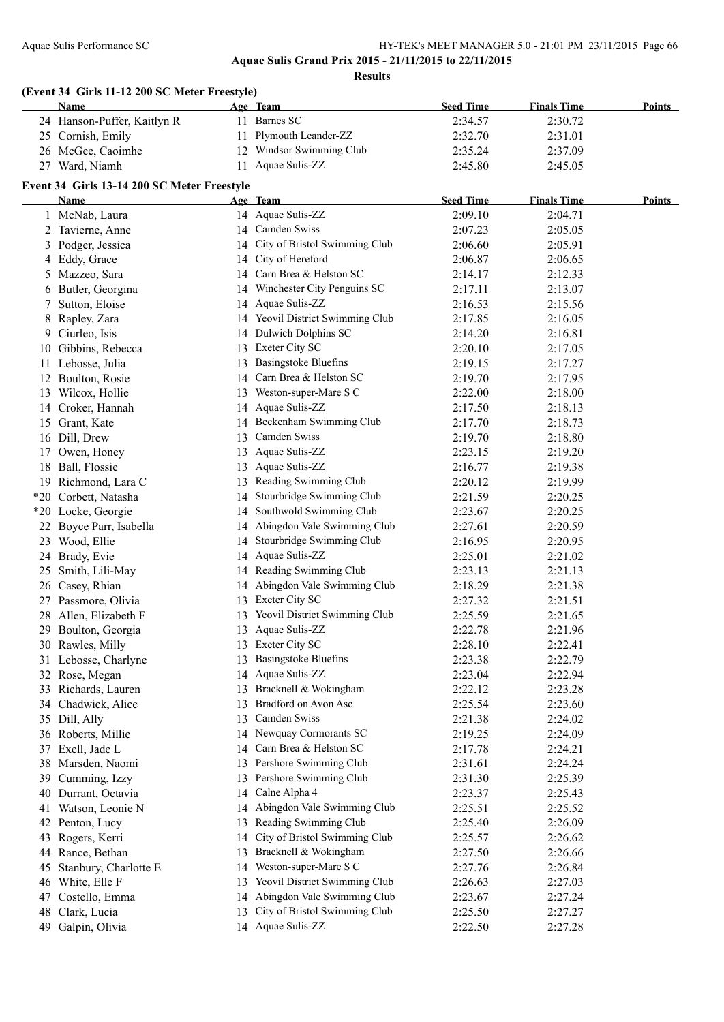#### Aquae Sulis Performance SC HY-TEK's MEET MANAGER 5.0 - 21:01 PM 23/11/2015 Page 66 **Aquae Sulis Grand Prix 2015 - 21/11/2015 to 22/11/2015**

**Results**

|    | (Event 34 Girls 11-12 200 SC Meter Freestyle)<br><b>Name</b> |    | Age Team                         | <b>Seed Time</b> | <b>Finals Time</b> | <b>Points</b> |
|----|--------------------------------------------------------------|----|----------------------------------|------------------|--------------------|---------------|
|    | 24 Hanson-Puffer, Kaitlyn R                                  |    | 11 Barnes SC                     | 2:34.57          | 2:30.72            |               |
|    | 25 Cornish, Emily                                            |    | 11 Plymouth Leander-ZZ           | 2:32.70          | 2:31.01            |               |
|    | 26 McGee, Caoimhe                                            |    | 12 Windsor Swimming Club         | 2:35.24          | 2:37.09            |               |
|    | 27 Ward, Niamh                                               |    | 11 Aquae Sulis-ZZ                | 2:45.80          | 2:45.05            |               |
|    |                                                              |    |                                  |                  |                    |               |
|    | Event 34 Girls 13-14 200 SC Meter Freestyle<br>Name          |    | Age Team                         | <b>Seed Time</b> | <b>Finals Time</b> | <b>Points</b> |
|    | 1 McNab, Laura                                               |    | 14 Aquae Sulis-ZZ                | 2:09.10          | 2:04.71            |               |
|    | 2 Tavierne, Anne                                             |    | 14 Camden Swiss                  | 2:07.23          | 2:05.05            |               |
|    |                                                              |    | 14 City of Bristol Swimming Club | 2:06.60          | 2:05.91            |               |
|    | 3 Podger, Jessica                                            |    | 14 City of Hereford              |                  |                    |               |
|    | 4 Eddy, Grace                                                |    | 14 Carn Brea & Helston SC        | 2:06.87          | 2:06.65<br>2:12.33 |               |
|    | 5 Mazzeo, Sara                                               |    | 14 Winchester City Penguins SC   | 2:14.17          |                    |               |
| 6  | Butler, Georgina                                             |    |                                  | 2:17.11          | 2:13.07            |               |
|    | 7 Sutton, Eloise                                             |    | 14 Aquae Sulis-ZZ                | 2:16.53          | 2:15.56            |               |
| 8  | Rapley, Zara                                                 |    | 14 Yeovil District Swimming Club | 2:17.85          | 2:16.05            |               |
| 9  | Ciurleo, Isis                                                |    | 14 Dulwich Dolphins SC           | 2:14.20          | 2:16.81            |               |
| 10 | Gibbins, Rebecca                                             |    | 13 Exeter City SC                | 2:20.10          | 2:17.05            |               |
|    | 11 Lebosse, Julia                                            |    | 13 Basingstoke Bluefins          | 2:19.15          | 2:17.27            |               |
|    | 12 Boulton, Rosie                                            |    | 14 Carn Brea & Helston SC        | 2:19.70          | 2:17.95            |               |
|    | 13 Wilcox, Hollie                                            |    | 13 Weston-super-Mare S C         | 2:22.00          | 2:18.00            |               |
|    | 14 Croker, Hannah                                            |    | 14 Aquae Sulis-ZZ                | 2:17.50          | 2:18.13            |               |
|    | 15 Grant, Kate                                               |    | 14 Beckenham Swimming Club       | 2:17.70          | 2:18.73            |               |
|    | 16 Dill, Drew                                                | 13 | Camden Swiss                     | 2:19.70          | 2:18.80            |               |
| 17 | Owen, Honey                                                  | 13 | Aquae Sulis-ZZ                   | 2:23.15          | 2:19.20            |               |
|    | 18 Ball, Flossie                                             | 13 | Aquae Sulis-ZZ                   | 2:16.77          | 2:19.38            |               |
|    | 19 Richmond, Lara C                                          | 13 | Reading Swimming Club            | 2:20.12          | 2:19.99            |               |
|    | *20 Corbett, Natasha                                         | 14 | Stourbridge Swimming Club        | 2:21.59          | 2:20.25            |               |
|    | *20 Locke, Georgie                                           | 14 | Southwold Swimming Club          | 2:23.67          | 2:20.25            |               |
|    | 22 Boyce Parr, Isabella                                      | 14 | Abingdon Vale Swimming Club      | 2:27.61          | 2:20.59            |               |
|    | 23 Wood, Ellie                                               | 14 | Stourbridge Swimming Club        | 2:16.95          | 2:20.95            |               |
|    | 24 Brady, Evie                                               | 14 | Aquae Sulis-ZZ                   | 2:25.01          | 2:21.02            |               |
|    | 25 Smith, Lili-May                                           |    | 14 Reading Swimming Club         | 2:23.13          | 2:21.13            |               |
| 26 | Casey, Rhian                                                 |    | 14 Abingdon Vale Swimming Club   | 2:18.29          | 2:21.38            |               |
|    | 27 Passmore, Olivia                                          |    | 13 Exeter City SC                | 2:27.32          | 2:21.51            |               |
|    | 28 Allen, Elizabeth F                                        |    | 13 Yeovil District Swimming Club | 2:25.59          | 2:21.65            |               |
|    | 29 Boulton, Georgia                                          |    | 13 Aquae Sulis-ZZ                | 2:22.78          | 2:21.96            |               |
|    | 30 Rawles, Milly                                             | 13 | Exeter City SC                   | 2:28.10          | 2:22.41            |               |
|    | 31 Lebosse, Charlyne                                         | 13 | <b>Basingstoke Bluefins</b>      | 2:23.38          | 2:22.79            |               |
|    | 32 Rose, Megan                                               | 14 | Aquae Sulis-ZZ                   | 2:23.04          | 2:22.94            |               |
|    | 33 Richards, Lauren                                          | 13 | Bracknell & Wokingham            | 2:22.12          | 2:23.28            |               |
|    | 34 Chadwick, Alice                                           | 13 | Bradford on Avon Asc             | 2:25.54          | 2:23.60            |               |
|    | 35 Dill, Ally                                                | 13 | Camden Swiss                     | 2:21.38          | 2:24.02            |               |
|    | 36 Roberts, Millie                                           |    | 14 Newquay Cormorants SC         | 2:19.25          | 2:24.09            |               |
|    | 37 Exell, Jade L                                             | 14 | Carn Brea & Helston SC           | 2:17.78          | 2:24.21            |               |
|    | 38 Marsden, Naomi                                            | 13 | Pershore Swimming Club           | 2:31.61          | 2:24.24            |               |
|    | 39 Cumming, Izzy                                             | 13 | Pershore Swimming Club           | 2:31.30          | 2:25.39            |               |
|    | 40 Durrant, Octavia                                          |    | 14 Calne Alpha 4                 | 2:23.37          | 2:25.43            |               |
| 41 | Watson, Leonie N                                             | 14 | Abingdon Vale Swimming Club      | 2:25.51          | 2:25.52            |               |
|    | 42 Penton, Lucy                                              | 13 | Reading Swimming Club            | 2:25.40          | 2:26.09            |               |
| 43 | Rogers, Kerri                                                | 14 | City of Bristol Swimming Club    | 2:25.57          | 2:26.62            |               |
|    | 44 Rance, Bethan                                             | 13 | Bracknell & Wokingham            | 2:27.50          | 2:26.66            |               |
| 45 | Stanbury, Charlotte E                                        | 14 | Weston-super-Mare S C            | 2:27.76          | 2:26.84            |               |
| 46 | White, Elle F                                                | 13 | Yeovil District Swimming Club    | 2:26.63          | 2:27.03            |               |
| 47 | Costello, Emma                                               | 14 | Abingdon Vale Swimming Club      | 2:23.67          | 2:27.24            |               |
| 48 | Clark, Lucia                                                 | 13 | City of Bristol Swimming Club    | 2:25.50          | 2:27.27            |               |
| 49 | Galpin, Olivia                                               |    | 14 Aquae Sulis-ZZ                | 2:22.50          | 2:27.28            |               |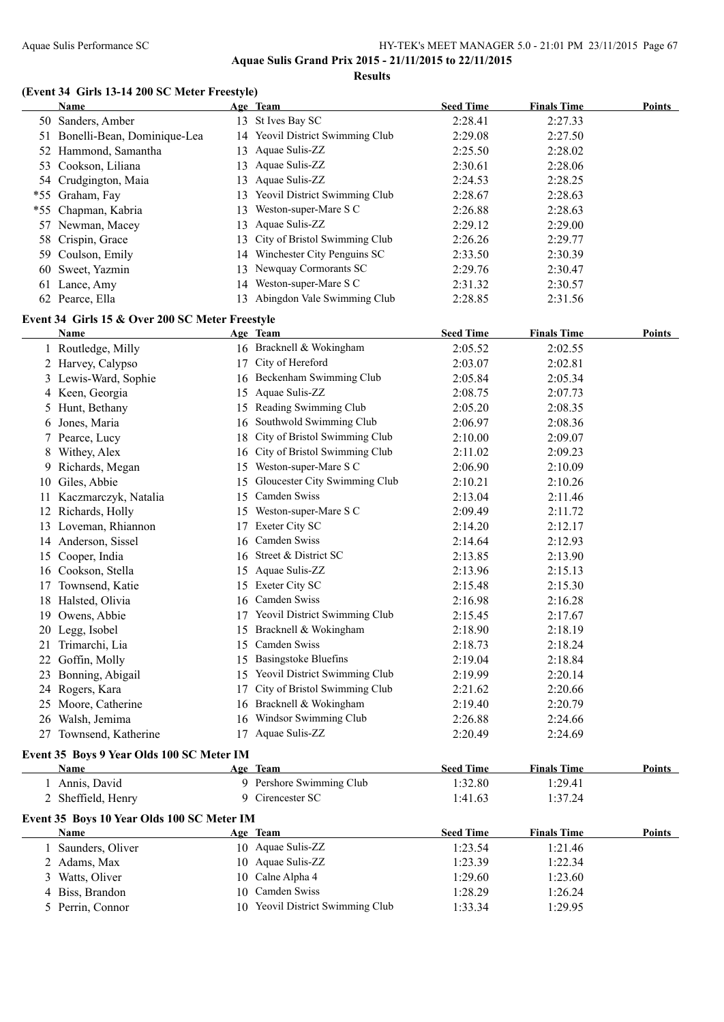**Aquae Sulis Grand Prix 2015 - 21/11/2015 to 22/11/2015 Results**

#### **(Event 34 Girls 13-14 200 SC Meter Freestyle)**

|    | <b>Name</b>                                             |    | Age Team                         | <b>Seed Time</b> | <b>Finals Time</b> | <b>Points</b> |
|----|---------------------------------------------------------|----|----------------------------------|------------------|--------------------|---------------|
|    | 50 Sanders, Amber                                       |    | 13 St Ives Bay SC                | 2:28.41          | 2:27.33            |               |
|    | 51 Bonelli-Bean, Dominique-Lea                          |    | 14 Yeovil District Swimming Club | 2:29.08          | 2:27.50            |               |
|    | 52 Hammond, Samantha                                    |    | 13 Aquae Sulis-ZZ                | 2:25.50          | 2:28.02            |               |
|    | 53 Cookson, Liliana                                     |    | 13 Aquae Sulis-ZZ                | 2:30.61          | 2:28.06            |               |
|    | 54 Crudgington, Maia                                    |    | 13 Aquae Sulis-ZZ                | 2:24.53          | 2:28.25            |               |
|    | *55 Graham, Fay                                         |    | 13 Yeovil District Swimming Club | 2:28.67          | 2:28.63            |               |
|    | *55 Chapman, Kabria                                     |    | 13 Weston-super-Mare S C         | 2:26.88          | 2:28.63            |               |
|    | 57 Newman, Macey                                        |    | 13 Aquae Sulis-ZZ                | 2:29.12          | 2:29.00            |               |
|    | 58 Crispin, Grace                                       | 13 | City of Bristol Swimming Club    | 2:26.26          | 2:29.77            |               |
|    | 59 Coulson, Emily                                       |    | 14 Winchester City Penguins SC   | 2:33.50          | 2:30.39            |               |
|    | 60 Sweet, Yazmin                                        |    | 13 Newquay Cormorants SC         | 2:29.76          | 2:30.47            |               |
|    | 61 Lance, Amy                                           |    | 14 Weston-super-Mare S C         | 2:31.32          | 2:30.57            |               |
|    | 62 Pearce, Ella                                         |    | 13 Abingdon Vale Swimming Club   | 2:28.85          | 2:31.56            |               |
|    |                                                         |    |                                  |                  |                    |               |
|    | Event 34 Girls 15 & Over 200 SC Meter Freestyle<br>Name |    | Age Team                         | <b>Seed Time</b> | <b>Finals Time</b> | Points        |
|    | 1 Routledge, Milly                                      |    | 16 Bracknell & Wokingham         | 2:05.52          | 2:02.55            |               |
|    | 2 Harvey, Calypso                                       |    | 17 City of Hereford              | 2:03.07          | 2:02.81            |               |
|    |                                                         |    | 16 Beckenham Swimming Club       | 2:05.84          |                    |               |
|    | 3 Lewis-Ward, Sophie                                    |    | 15 Aquae Sulis-ZZ                |                  | 2:05.34            |               |
|    | 4 Keen, Georgia                                         |    |                                  | 2:08.75          | 2:07.73            |               |
| 5. | Hunt, Bethany                                           |    | 15 Reading Swimming Club         | 2:05.20          | 2:08.35            |               |
| 6  | Jones, Maria                                            | 16 | Southwold Swimming Club          | 2:06.97          | 2:08.36            |               |
| 7  | Pearce, Lucy                                            | 18 | City of Bristol Swimming Club    | 2:10.00          | 2:09.07            |               |
| 8  | Withey, Alex                                            | 16 | City of Bristol Swimming Club    | 2:11.02          | 2:09.23            |               |
|    | 9 Richards, Megan                                       | 15 | Weston-super-Mare S C            | 2:06.90          | 2:10.09            |               |
|    | 10 Giles, Abbie                                         | 15 | Gloucester City Swimming Club    | 2:10.21          | 2:10.26            |               |
|    | 11 Kaczmarczyk, Natalia                                 | 15 | Camden Swiss                     | 2:13.04          | 2:11.46            |               |
|    | 12 Richards, Holly                                      |    | 15 Weston-super-Mare S C         | 2:09.49          | 2:11.72            |               |
|    | 13 Loveman, Rhiannon                                    |    | 17 Exeter City SC                | 2:14.20          | 2:12.17            |               |
|    | 14 Anderson, Sissel                                     |    | 16 Camden Swiss                  | 2:14.64          | 2:12.93            |               |
|    | 15 Cooper, India                                        |    | 16 Street & District SC          | 2:13.85          | 2:13.90            |               |
|    | 16 Cookson, Stella                                      |    | 15 Aquae Sulis-ZZ                | 2:13.96          | 2:15.13            |               |
|    | 17 Townsend, Katie                                      |    | 15 Exeter City SC                | 2:15.48          | 2:15.30            |               |
|    | 18 Halsted, Olivia                                      |    | 16 Camden Swiss                  | 2:16.98          | 2:16.28            |               |
|    | 19 Owens, Abbie                                         |    | 17 Yeovil District Swimming Club | 2:15.45          | 2:17.67            |               |
|    | 20 Legg, Isobel                                         |    | 15 Bracknell & Wokingham         | 2:18.90          | 2:18.19            |               |
|    | 21 Trimarchi, Lia                                       |    | 15 Camden Swiss                  | 2:18.73          | 2:18.24            |               |
|    | 22 Goffin, Molly                                        | 15 | <b>Basingstoke Bluefins</b>      | 2:19.04          | 2:18.84            |               |
|    | 23 Bonning, Abigail                                     | 15 | Yeovil District Swimming Club    | 2:19.99          | 2:20.14            |               |
|    | 24 Rogers, Kara                                         | 17 | City of Bristol Swimming Club    | 2:21.62          | 2:20.66            |               |
|    | 25 Moore, Catherine                                     |    | 16 Bracknell & Wokingham         | 2:19.40          | 2:20.79            |               |
|    | 26 Walsh, Jemima                                        |    | 16 Windsor Swimming Club         | 2:26.88          | 2:24.66            |               |
|    | 27 Townsend, Katherine                                  |    | 17 Aquae Sulis-ZZ                | 2:20.49          | 2:24.69            |               |
|    | Event 35 Boys 9 Year Olds 100 SC Meter IM               |    |                                  |                  |                    |               |
|    | <b>Name</b>                                             |    | Age Team                         | <b>Seed Time</b> | <b>Finals Time</b> | <b>Points</b> |
|    | 1 Annis, David                                          |    | 9 Pershore Swimming Club         | 1:32.80          | 1:29.41            |               |
|    | 2 Sheffield, Henry                                      |    | 9 Cirencester SC                 | 1:41.63          | 1:37.24            |               |
|    | Event 35 Boys 10 Year Olds 100 SC Meter IM              |    |                                  |                  |                    |               |
|    | Name                                                    |    | Age Team                         | <b>Seed Time</b> | <b>Finals Time</b> | Points        |
|    | 1 Saunders, Oliver                                      |    | 10 Aquae Sulis-ZZ                | 1:23.54          | 1:21.46            |               |
| 2  | Adams, Max                                              |    | 10 Aquae Sulis-ZZ                | 1:23.39          | 1:22.34            |               |
| 3  | Watts, Oliver                                           |    | 10 Calne Alpha 4                 | 1:29.60          | 1:23.60            |               |
| 4  | Biss, Brandon                                           | 10 | Camden Swiss                     | 1:28.29          | 1:26.24            |               |
|    | 5 Perrin, Connor                                        |    | 10 Yeovil District Swimming Club | 1:33.34          | 1:29.95            |               |
|    |                                                         |    |                                  |                  |                    |               |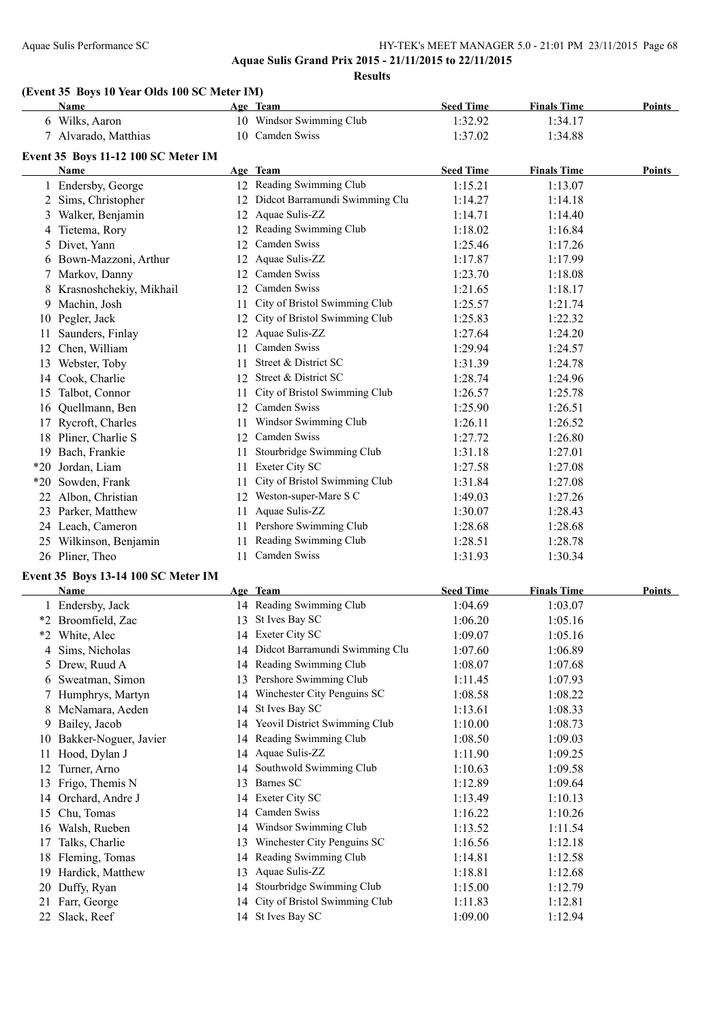### Aquae Sulis Performance SC HY-TEK's MEET MANAGER 5.0 - 21:01 PM 23/11/2015 Page 68 **Aquae Sulis Grand Prix 2015 - 21/11/2015 to 22/11/2015**

**Results**

#### **(Event 35 Boys 10 Year Olds 100 SC Meter IM)**

|     | Name                                |     | Age Team                          | <b>Seed Time</b> | <b>Finals Time</b> | <b>Points</b> |
|-----|-------------------------------------|-----|-----------------------------------|------------------|--------------------|---------------|
|     | 6 Wilks, Aaron                      |     | 10 Windsor Swimming Club          | 1:32.92          | 1:34.17            |               |
|     | 7 Alvarado, Matthias                |     | 10 Camden Swiss                   | 1:37.02          | 1:34.88            |               |
|     | Event 35 Boys 11-12 100 SC Meter IM |     |                                   |                  |                    |               |
|     | Name                                |     | Age Team                          | <b>Seed Time</b> | <b>Finals Time</b> | Points        |
|     | 1 Endersby, George                  |     | 12 Reading Swimming Club          | 1:15.21          | 1:13.07            |               |
|     | 2 Sims, Christopher                 |     | 12 Didcot Barramundi Swimming Clu | 1:14.27          | 1:14.18            |               |
|     | 3 Walker, Benjamin                  |     | 12 Aquae Sulis-ZZ                 | 1:14.71          | 1:14.40            |               |
|     | 4 Tietema, Rory                     |     | 12 Reading Swimming Club          | 1:18.02          | 1:16.84            |               |
|     | 5 Divet, Yann                       |     | 12 Camden Swiss                   | 1:25.46          | 1:17.26            |               |
|     | 6 Bown-Mazzoni, Arthur              |     | 12 Aquae Sulis-ZZ                 |                  |                    |               |
|     |                                     |     | Camden Swiss                      | 1:17.87          | 1:17.99            |               |
|     | 7 Markov, Danny                     | 12  | 12 Camden Swiss                   | 1:23.70          | 1:18.08            |               |
|     | 8 Krasnoshchekiy, Mikhail           |     |                                   | 1:21.65          | 1:18.17            |               |
| 9.  | Machin, Josh                        | 11. | City of Bristol Swimming Club     | 1:25.57          | 1:21.74            |               |
|     | 10 Pegler, Jack                     |     | 12 City of Bristol Swimming Club  | 1:25.83          | 1:22.32            |               |
| 11. | Saunders, Finlay                    |     | 12 Aquae Sulis-ZZ                 | 1:27.64          | 1:24.20            |               |
|     | 12 Chen, William                    | 11  | Camden Swiss                      | 1:29.94          | 1:24.57            |               |
|     | 13 Webster, Toby                    | 11  | Street & District SC              | 1:31.39          | 1:24.78            |               |
|     | 14 Cook, Charlie                    |     | 12 Street & District SC           | 1:28.74          | 1:24.96            |               |
|     | 15 Talbot, Connor                   | 11  | City of Bristol Swimming Club     | 1:26.57          | 1:25.78            |               |
|     | 16 Quellmann, Ben                   |     | 12 Camden Swiss                   | 1:25.90          | 1:26.51            |               |
| 17  | Rycroft, Charles                    |     | 11 Windsor Swimming Club          | 1:26.11          | 1:26.52            |               |
|     | 18 Pliner, Charlie S                |     | 12 Camden Swiss                   | 1:27.72          | 1:26.80            |               |
|     | 19 Bach, Frankie                    | 11  | Stourbridge Swimming Club         | 1:31.18          | 1:27.01            |               |
|     | *20 Jordan, Liam                    | 11  | Exeter City SC                    | 1:27.58          | 1:27.08            |               |
|     | *20 Sowden, Frank                   | 11  | City of Bristol Swimming Club     | 1:31.84          | 1:27.08            |               |
|     | 22 Albon, Christian                 |     | 12 Weston-super-Mare S C          | 1:49.03          | 1:27.26            |               |
|     | 23 Parker, Matthew                  | 11  | Aquae Sulis-ZZ                    | 1:30.07          | 1:28.43            |               |
|     | 24 Leach, Cameron                   | 11  | Pershore Swimming Club            | 1:28.68          | 1:28.68            |               |
|     | 25 Wilkinson, Benjamin              | 11  | Reading Swimming Club             | 1:28.51          | 1:28.78            |               |
|     | 26 Pliner, Theo                     |     | 11 Camden Swiss                   | 1:31.93          | 1:30.34            |               |
|     | Event 35 Boys 13-14 100 SC Meter IM |     |                                   |                  |                    |               |
|     | Name                                |     | Age Team                          | <b>Seed Time</b> | <b>Finals Time</b> | Points        |
|     | 1 Endersby, Jack                    |     | 14 Reading Swimming Club          | 1:04.69          | 1:03.07            |               |
|     | *2 Broomfield, Zac                  |     | 13 St Ives Bay SC                 | 1:06.20          | 1:05.16            |               |
|     | *2 White, Alec                      |     | 14 Exeter City SC                 | 1:09.07          | 1:05.16            |               |
| 4   | Sims, Nicholas                      |     | 14 Didcot Barramundi Swimming Clu | 1:07.60          | 1:06.89            |               |
|     | 5 Drew, Ruud A                      |     | 14 Reading Swimming Club          | 1:08.07          | 1:07.68            |               |
| 6   | Sweatman, Simon                     | 13  | Pershore Swimming Club            | 1:11.45          | 1:07.93            |               |
| 7.  | Humphrys, Martyn                    | 14  | Winchester City Penguins SC       | 1:08.58          | 1:08.22            |               |
| 8   | McNamara, Aeden                     | 14  | St Ives Bay SC                    | 1:13.61          | 1:08.33            |               |
|     | 9 Bailey, Jacob                     | 14  | Yeovil District Swimming Club     | 1:10.00          | 1:08.73            |               |
|     | 10 Bakker-Noguer, Javier            | 14  | Reading Swimming Club             | 1:08.50          | 1:09.03            |               |
| 11  | Hood, Dylan J                       |     | 14 Aquae Sulis-ZZ                 | 1:11.90          | 1:09.25            |               |
|     | 12 Turner, Arno                     | 14  | Southwold Swimming Club           | 1:10.63          | 1:09.58            |               |
|     | 13 Frigo, Themis N                  |     | 13 Barnes SC                      | 1:12.89          | 1:09.64            |               |
|     | 14 Orchard, Andre J                 |     | 14 Exeter City SC                 | 1:13.49          | 1:10.13            |               |
| 15  | Chu, Tomas                          | 14  | Camden Swiss                      | 1:16.22          | 1:10.26            |               |
|     | 16 Walsh, Rueben                    | 14  | Windsor Swimming Club             | 1:13.52          | 1:11.54            |               |
| 17  | Talks, Charlie                      | 13  | Winchester City Penguins SC       | 1:16.56          | 1:12.18            |               |
|     | 18 Fleming, Tomas                   | 14  | Reading Swimming Club             | 1:14.81          | 1:12.58            |               |
|     | 19 Hardick, Matthew                 | 13  | Aquae Sulis-ZZ                    | 1:18.81          |                    |               |
|     |                                     |     | Stourbridge Swimming Club         |                  | 1:12.68            |               |
|     | 20 Duffy, Ryan                      | 14  | City of Bristol Swimming Club     | 1:15.00          | 1:12.79            |               |
|     | 21 Farr, George                     | 14  | 14 St Ives Bay SC                 | 1:11.83          | 1:12.81            |               |
| 22  | Slack, Reef                         |     |                                   | 1:09.00          | 1:12.94            |               |